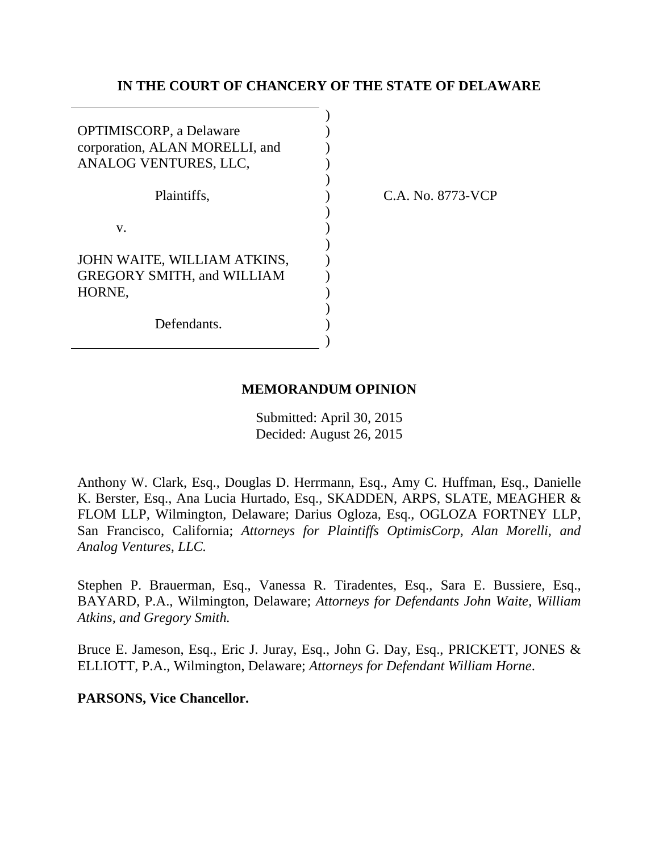### **IN THE COURT OF CHANCERY OF THE STATE OF DELAWARE**

| <b>OPTIMISCORP</b> , a Delaware<br>corporation, ALAN MORELLI, and<br>ANALOG VENTURES, LLC, |  |
|--------------------------------------------------------------------------------------------|--|
| Plaintiffs,                                                                                |  |
| v.                                                                                         |  |
| JOHN WAITE, WILLIAM ATKINS,<br><b>GREGORY SMITH, and WILLIAM</b><br>HORNE.                 |  |
| Defendants.                                                                                |  |

C.A. No. 8773-VCP

### **MEMORANDUM OPINION**

Submitted: April 30, 2015 Decided: August 26, 2015

Anthony W. Clark, Esq., Douglas D. Herrmann, Esq., Amy C. Huffman, Esq., Danielle K. Berster, Esq., Ana Lucia Hurtado, Esq., SKADDEN, ARPS, SLATE, MEAGHER & FLOM LLP, Wilmington, Delaware; Darius Ogloza, Esq., OGLOZA FORTNEY LLP, San Francisco, California; *Attorneys for Plaintiffs OptimisCorp, Alan Morelli, and Analog Ventures, LLC.*

Stephen P. Brauerman, Esq., Vanessa R. Tiradentes, Esq., Sara E. Bussiere, Esq., BAYARD, P.A., Wilmington, Delaware; *Attorneys for Defendants John Waite, William Atkins, and Gregory Smith.*

Bruce E. Jameson, Esq., Eric J. Juray, Esq., John G. Day, Esq., PRICKETT, JONES & ELLIOTT, P.A., Wilmington, Delaware; *Attorneys for Defendant William Horne*.

**PARSONS, Vice Chancellor.**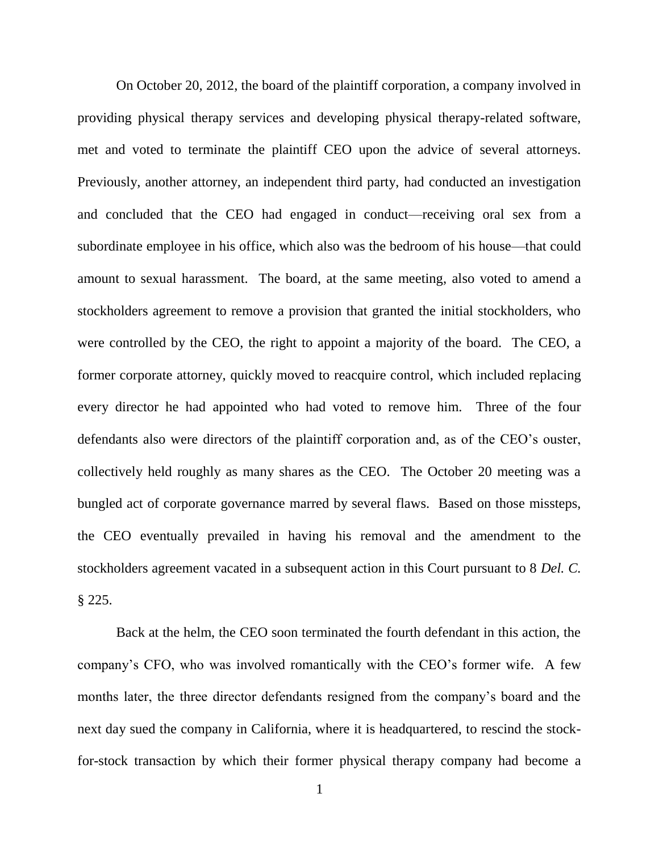On October 20, 2012, the board of the plaintiff corporation, a company involved in providing physical therapy services and developing physical therapy-related software, met and voted to terminate the plaintiff CEO upon the advice of several attorneys. Previously, another attorney, an independent third party, had conducted an investigation and concluded that the CEO had engaged in conduct—receiving oral sex from a subordinate employee in his office, which also was the bedroom of his house—that could amount to sexual harassment. The board, at the same meeting, also voted to amend a stockholders agreement to remove a provision that granted the initial stockholders, who were controlled by the CEO, the right to appoint a majority of the board. The CEO, a former corporate attorney, quickly moved to reacquire control, which included replacing every director he had appointed who had voted to remove him. Three of the four defendants also were directors of the plaintiff corporation and, as of the CEO's ouster, collectively held roughly as many shares as the CEO. The October 20 meeting was a bungled act of corporate governance marred by several flaws. Based on those missteps, the CEO eventually prevailed in having his removal and the amendment to the stockholders agreement vacated in a subsequent action in this Court pursuant to 8 *Del. C.*  § 225.

Back at the helm, the CEO soon terminated the fourth defendant in this action, the company's CFO, who was involved romantically with the CEO's former wife. A few months later, the three director defendants resigned from the company's board and the next day sued the company in California, where it is headquartered, to rescind the stockfor-stock transaction by which their former physical therapy company had become a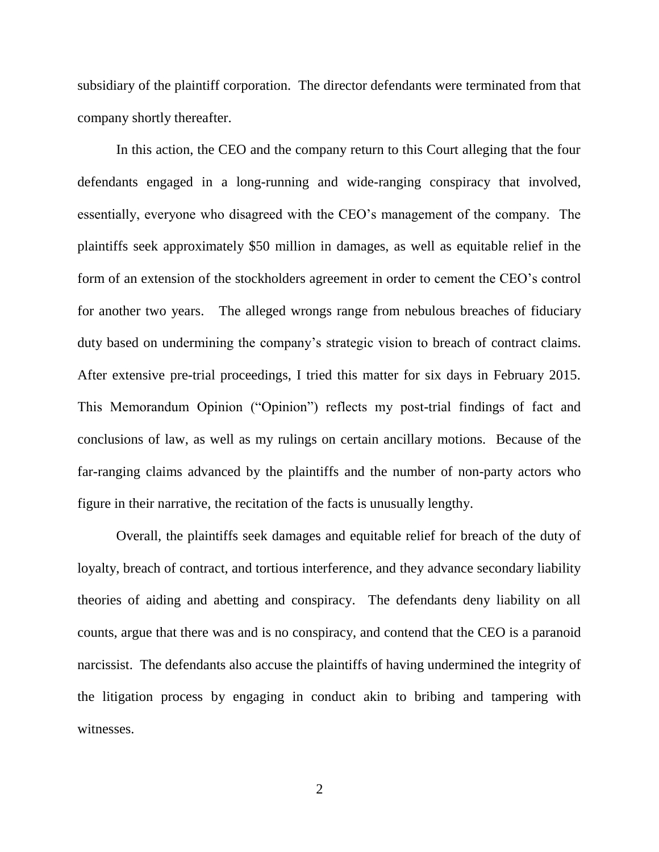subsidiary of the plaintiff corporation. The director defendants were terminated from that company shortly thereafter.

In this action, the CEO and the company return to this Court alleging that the four defendants engaged in a long-running and wide-ranging conspiracy that involved, essentially, everyone who disagreed with the CEO's management of the company. The plaintiffs seek approximately \$50 million in damages, as well as equitable relief in the form of an extension of the stockholders agreement in order to cement the CEO's control for another two years. The alleged wrongs range from nebulous breaches of fiduciary duty based on undermining the company's strategic vision to breach of contract claims. After extensive pre-trial proceedings, I tried this matter for six days in February 2015. This Memorandum Opinion ("Opinion") reflects my post-trial findings of fact and conclusions of law, as well as my rulings on certain ancillary motions. Because of the far-ranging claims advanced by the plaintiffs and the number of non-party actors who figure in their narrative, the recitation of the facts is unusually lengthy.

Overall, the plaintiffs seek damages and equitable relief for breach of the duty of loyalty, breach of contract, and tortious interference, and they advance secondary liability theories of aiding and abetting and conspiracy. The defendants deny liability on all counts, argue that there was and is no conspiracy, and contend that the CEO is a paranoid narcissist. The defendants also accuse the plaintiffs of having undermined the integrity of the litigation process by engaging in conduct akin to bribing and tampering with witnesses.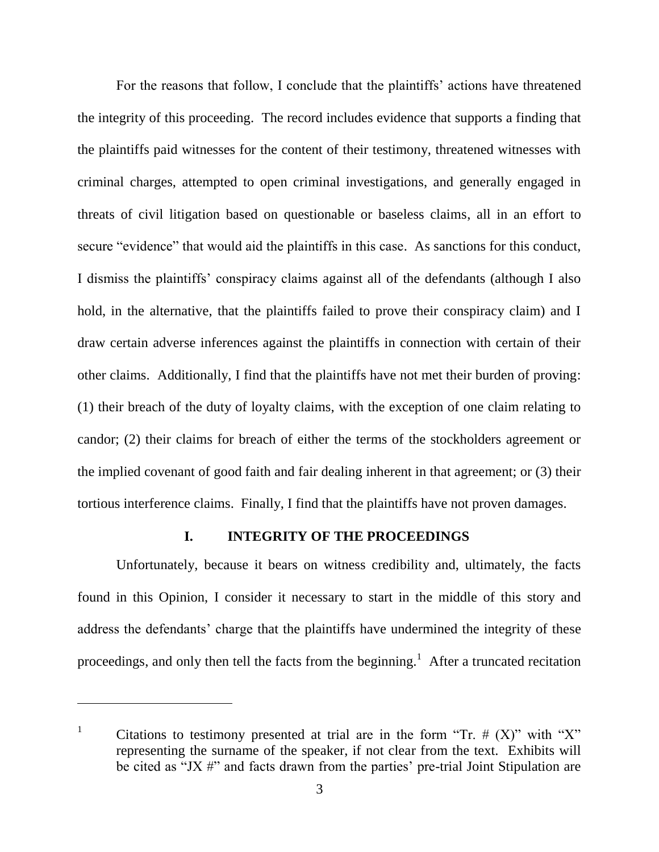For the reasons that follow, I conclude that the plaintiffs' actions have threatened the integrity of this proceeding. The record includes evidence that supports a finding that the plaintiffs paid witnesses for the content of their testimony, threatened witnesses with criminal charges, attempted to open criminal investigations, and generally engaged in threats of civil litigation based on questionable or baseless claims, all in an effort to secure "evidence" that would aid the plaintiffs in this case. As sanctions for this conduct, I dismiss the plaintiffs' conspiracy claims against all of the defendants (although I also hold, in the alternative, that the plaintiffs failed to prove their conspiracy claim) and I draw certain adverse inferences against the plaintiffs in connection with certain of their other claims. Additionally, I find that the plaintiffs have not met their burden of proving: (1) their breach of the duty of loyalty claims, with the exception of one claim relating to candor; (2) their claims for breach of either the terms of the stockholders agreement or the implied covenant of good faith and fair dealing inherent in that agreement; or (3) their tortious interference claims. Finally, I find that the plaintiffs have not proven damages.

### **I. INTEGRITY OF THE PROCEEDINGS**

Unfortunately, because it bears on witness credibility and, ultimately, the facts found in this Opinion, I consider it necessary to start in the middle of this story and address the defendants' charge that the plaintiffs have undermined the integrity of these proceedings, and only then tell the facts from the beginning.<sup>1</sup> After a truncated recitation

<sup>&</sup>lt;sup>1</sup> Citations to testimony presented at trial are in the form "Tr.  $# (X)$ " with "X" representing the surname of the speaker, if not clear from the text. Exhibits will be cited as "JX  $\#$ " and facts drawn from the parties' pre-trial Joint Stipulation are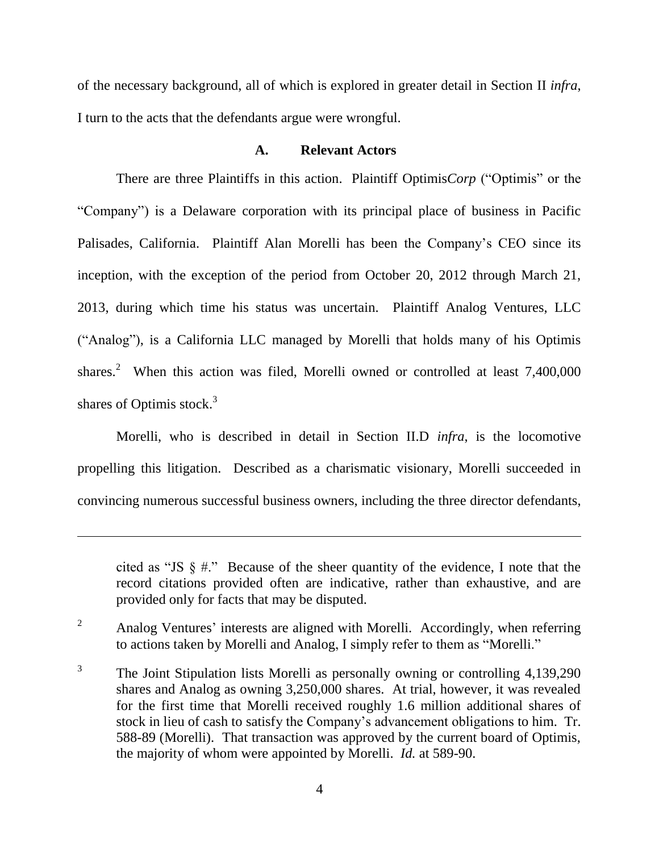of the necessary background, all of which is explored in greater detail in Section II *infra*, I turn to the acts that the defendants argue were wrongful.

### **A. Relevant Actors**

There are three Plaintiffs in this action. Plaintiff Optimis*Corp* ("Optimis" or the "Company") is a Delaware corporation with its principal place of business in Pacific Palisades, California. Plaintiff Alan Morelli has been the Company's CEO since its inception, with the exception of the period from October 20, 2012 through March 21, 2013, during which time his status was uncertain. Plaintiff Analog Ventures, LLC ("Analog"), is a California LLC managed by Morelli that holds many of his Optimis shares.<sup>2</sup> When this action was filed, Morelli owned or controlled at least  $7,400,000$ shares of Optimis stock. $3$ 

Morelli, who is described in detail in Section II.D *infra*, is the locomotive propelling this litigation. Described as a charismatic visionary, Morelli succeeded in convincing numerous successful business owners, including the three director defendants,

cited as "JS  $\S \#$ ." Because of the sheer quantity of the evidence, I note that the record citations provided often are indicative, rather than exhaustive, and are provided only for facts that may be disputed.

 $2^2$  Analog Ventures' interests are aligned with Morelli. Accordingly, when referring to actions taken by Morelli and Analog, I simply refer to them as "Morelli."

3 The Joint Stipulation lists Morelli as personally owning or controlling 4,139,290 shares and Analog as owning 3,250,000 shares. At trial, however, it was revealed for the first time that Morelli received roughly 1.6 million additional shares of stock in lieu of cash to satisfy the Company's advancement obligations to him. Tr. 588-89 (Morelli). That transaction was approved by the current board of Optimis, the majority of whom were appointed by Morelli. *Id.* at 589-90.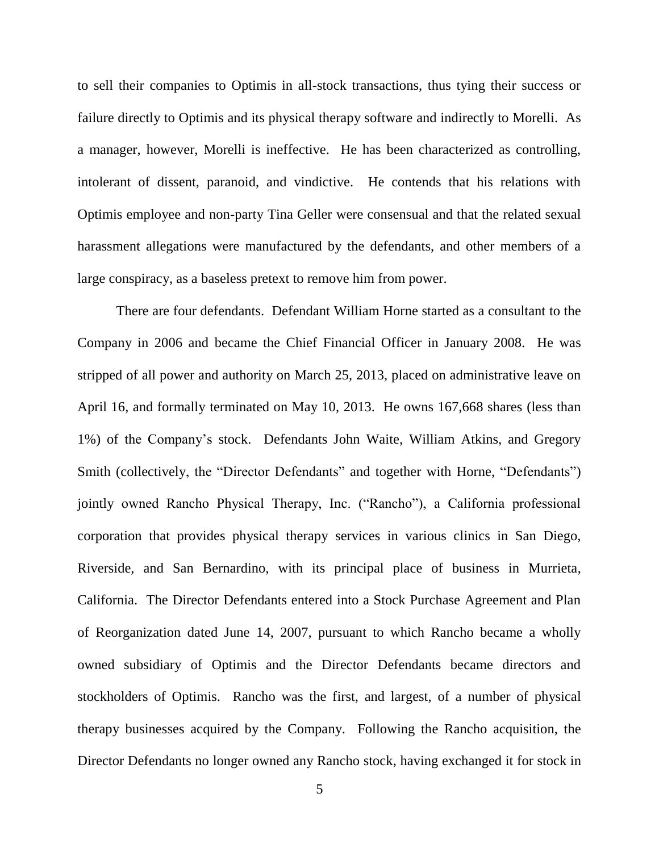to sell their companies to Optimis in all-stock transactions, thus tying their success or failure directly to Optimis and its physical therapy software and indirectly to Morelli. As a manager, however, Morelli is ineffective. He has been characterized as controlling, intolerant of dissent, paranoid, and vindictive. He contends that his relations with Optimis employee and non-party Tina Geller were consensual and that the related sexual harassment allegations were manufactured by the defendants, and other members of a large conspiracy, as a baseless pretext to remove him from power.

There are four defendants. Defendant William Horne started as a consultant to the Company in 2006 and became the Chief Financial Officer in January 2008. He was stripped of all power and authority on March 25, 2013, placed on administrative leave on April 16, and formally terminated on May 10, 2013. He owns 167,668 shares (less than 1%) of the Company's stock. Defendants John Waite, William Atkins, and Gregory Smith (collectively, the "Director Defendants" and together with Horne, "Defendants") jointly owned Rancho Physical Therapy, Inc. ("Rancho"), a California professional corporation that provides physical therapy services in various clinics in San Diego, Riverside, and San Bernardino, with its principal place of business in Murrieta, California. The Director Defendants entered into a Stock Purchase Agreement and Plan of Reorganization dated June 14, 2007, pursuant to which Rancho became a wholly owned subsidiary of Optimis and the Director Defendants became directors and stockholders of Optimis. Rancho was the first, and largest, of a number of physical therapy businesses acquired by the Company. Following the Rancho acquisition, the Director Defendants no longer owned any Rancho stock, having exchanged it for stock in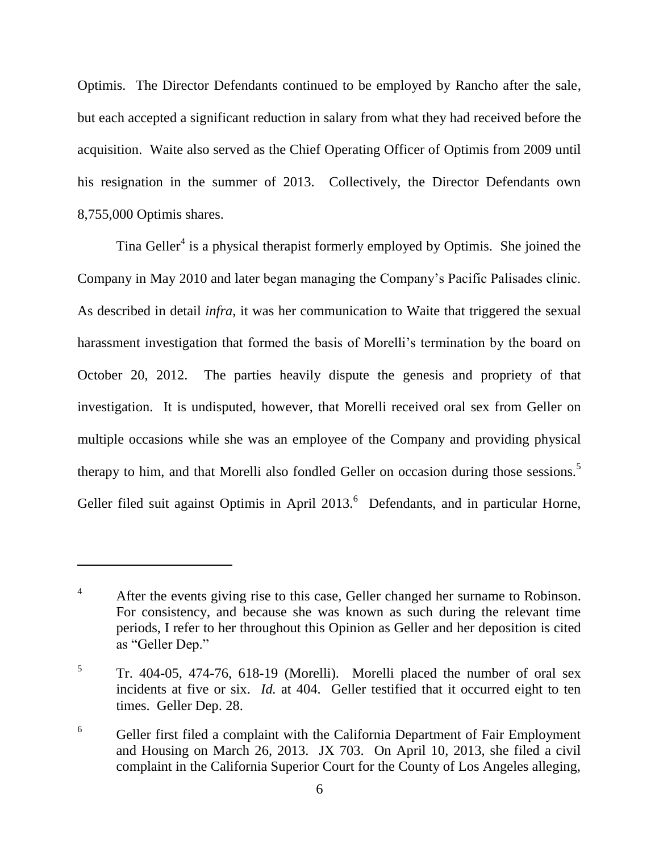Optimis. The Director Defendants continued to be employed by Rancho after the sale, but each accepted a significant reduction in salary from what they had received before the acquisition. Waite also served as the Chief Operating Officer of Optimis from 2009 until his resignation in the summer of 2013. Collectively, the Director Defendants own 8,755,000 Optimis shares.

Tina Geller<sup>4</sup> is a physical therapist formerly employed by Optimis. She joined the Company in May 2010 and later began managing the Company's Pacific Palisades clinic. As described in detail *infra*, it was her communication to Waite that triggered the sexual harassment investigation that formed the basis of Morelli's termination by the board on October 20, 2012. The parties heavily dispute the genesis and propriety of that investigation. It is undisputed, however, that Morelli received oral sex from Geller on multiple occasions while she was an employee of the Company and providing physical therapy to him, and that Morelli also fondled Geller on occasion during those sessions.<sup>5</sup> Geller filed suit against Optimis in April  $2013$ . Defendants, and in particular Horne,

<sup>&</sup>lt;sup>4</sup> After the events giving rise to this case, Geller changed her surname to Robinson. For consistency, and because she was known as such during the relevant time periods, I refer to her throughout this Opinion as Geller and her deposition is cited as "Geller Dep."

<sup>5</sup> Tr. 404-05, 474-76, 618-19 (Morelli). Morelli placed the number of oral sex incidents at five or six. *Id.* at 404. Geller testified that it occurred eight to ten times. Geller Dep. 28.

 $6$  Geller first filed a complaint with the California Department of Fair Employment and Housing on March 26, 2013. JX 703. On April 10, 2013, she filed a civil complaint in the California Superior Court for the County of Los Angeles alleging,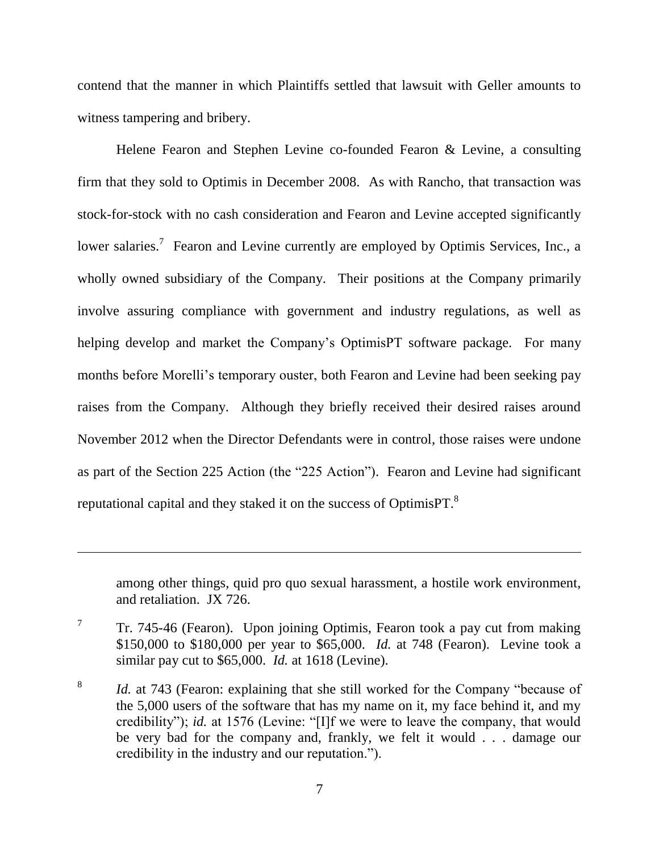contend that the manner in which Plaintiffs settled that lawsuit with Geller amounts to witness tampering and bribery.

Helene Fearon and Stephen Levine co-founded Fearon & Levine, a consulting firm that they sold to Optimis in December 2008. As with Rancho, that transaction was stock-for-stock with no cash consideration and Fearon and Levine accepted significantly lower salaries.<sup>7</sup> Fearon and Levine currently are employed by Optimis Services, Inc., a wholly owned subsidiary of the Company. Their positions at the Company primarily involve assuring compliance with government and industry regulations, as well as helping develop and market the Company's OptimisPT software package. For many months before Morelli's temporary ouster, both Fearon and Levine had been seeking pay raises from the Company. Although they briefly received their desired raises around November 2012 when the Director Defendants were in control, those raises were undone as part of the Section 225 Action (the "225 Action"). Fearon and Levine had significant reputational capital and they staked it on the success of Optimis PT.<sup>8</sup>

among other things, quid pro quo sexual harassment, a hostile work environment, and retaliation. JX 726.

<sup>7</sup> Tr. 745-46 (Fearon). Upon joining Optimis, Fearon took a pay cut from making \$150,000 to \$180,000 per year to \$65,000. *Id.* at 748 (Fearon). Levine took a similar pay cut to \$65,000. *Id.* at 1618 (Levine).

<sup>8</sup> *Id.* at 743 (Fearon: explaining that she still worked for the Company "because of the 5,000 users of the software that has my name on it, my face behind it, and my credibility"); *id.* at 1576 (Levine: "[I]f we were to leave the company, that would be very bad for the company and, frankly, we felt it would . . . damage our credibility in the industry and our reputation.").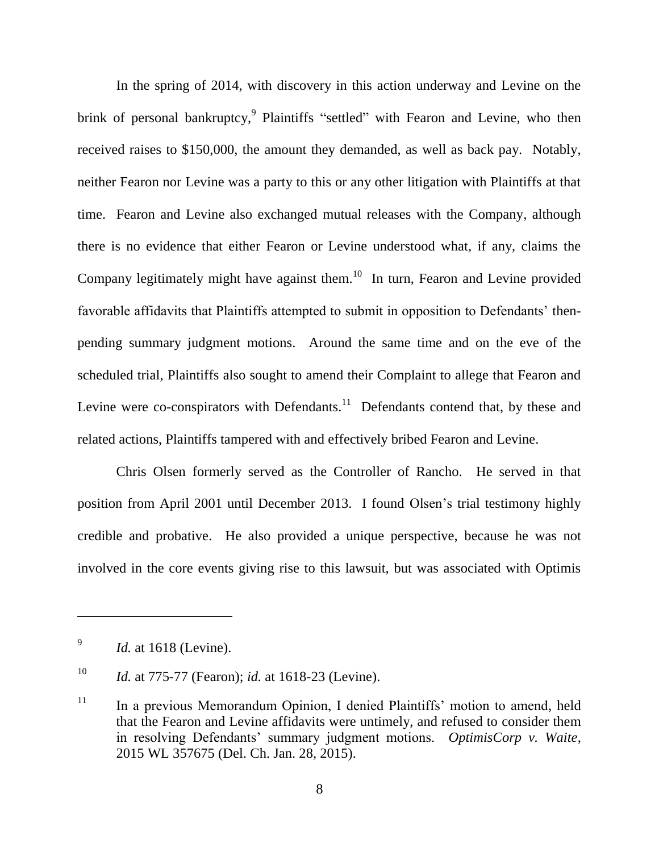In the spring of 2014, with discovery in this action underway and Levine on the brink of personal bankruptcy,<sup>9</sup> Plaintiffs "settled" with Fearon and Levine, who then received raises to \$150,000, the amount they demanded, as well as back pay. Notably, neither Fearon nor Levine was a party to this or any other litigation with Plaintiffs at that time. Fearon and Levine also exchanged mutual releases with the Company, although there is no evidence that either Fearon or Levine understood what, if any, claims the Company legitimately might have against them. $10$  In turn, Fearon and Levine provided favorable affidavits that Plaintiffs attempted to submit in opposition to Defendants' thenpending summary judgment motions. Around the same time and on the eve of the scheduled trial, Plaintiffs also sought to amend their Complaint to allege that Fearon and Levine were co-conspirators with Defendants.<sup>11</sup> Defendants contend that, by these and related actions, Plaintiffs tampered with and effectively bribed Fearon and Levine.

Chris Olsen formerly served as the Controller of Rancho. He served in that position from April 2001 until December 2013. I found Olsen's trial testimony highly credible and probative. He also provided a unique perspective, because he was not involved in the core events giving rise to this lawsuit, but was associated with Optimis

<sup>9</sup> *Id.* at 1618 (Levine).

<sup>10</sup> *Id.* at 775-77 (Fearon); *id.* at 1618-23 (Levine).

 $11$  In a previous Memorandum Opinion, I denied Plaintiffs' motion to amend, held that the Fearon and Levine affidavits were untimely, and refused to consider them in resolving Defendants' summary judgment motions. *OptimisCorp v. Waite*, 2015 WL 357675 (Del. Ch. Jan. 28, 2015).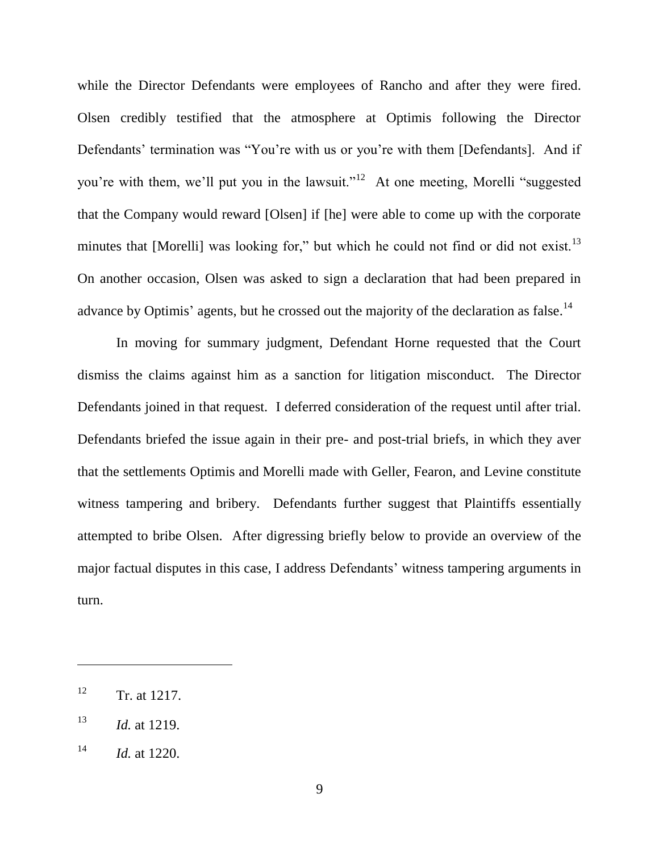while the Director Defendants were employees of Rancho and after they were fired. Olsen credibly testified that the atmosphere at Optimis following the Director Defendants' termination was "You're with us or you're with them [Defendants]. And if you're with them, we'll put you in the lawsuit."<sup>12</sup> At one meeting, Morelli "suggested that the Company would reward [Olsen] if [he] were able to come up with the corporate minutes that [Morelli] was looking for," but which he could not find or did not exist.<sup>13</sup> On another occasion, Olsen was asked to sign a declaration that had been prepared in advance by Optimis' agents, but he crossed out the majority of the declaration as false.<sup>14</sup>

In moving for summary judgment, Defendant Horne requested that the Court dismiss the claims against him as a sanction for litigation misconduct. The Director Defendants joined in that request. I deferred consideration of the request until after trial. Defendants briefed the issue again in their pre- and post-trial briefs, in which they aver that the settlements Optimis and Morelli made with Geller, Fearon, and Levine constitute witness tampering and bribery. Defendants further suggest that Plaintiffs essentially attempted to bribe Olsen. After digressing briefly below to provide an overview of the major factual disputes in this case, I address Defendants' witness tampering arguments in turn.

 $12$  Tr. at 1217.

<sup>13</sup> *Id.* at 1219.

<sup>14</sup> *Id.* at 1220.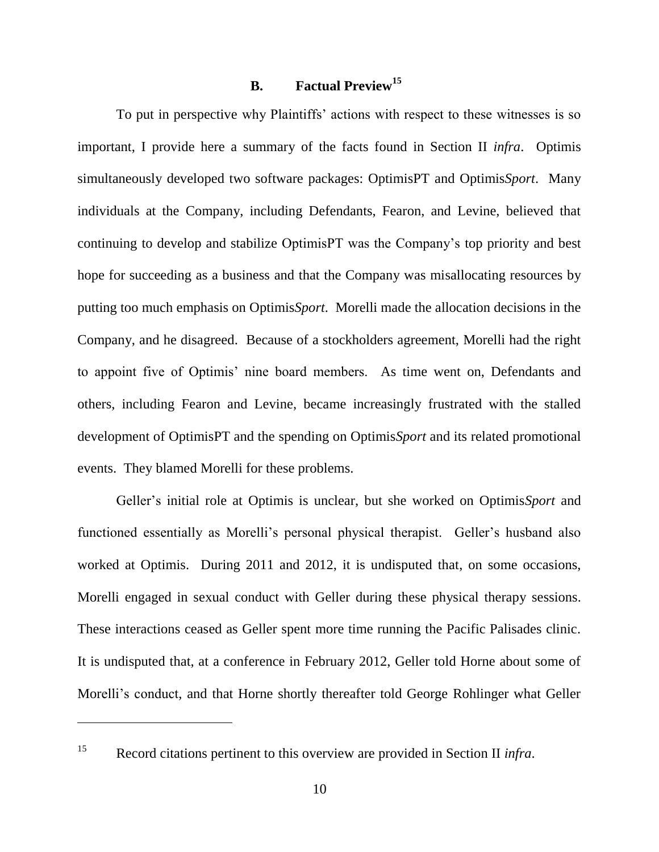## **B. Factual Preview<sup>15</sup>**

To put in perspective why Plaintiffs' actions with respect to these witnesses is so important, I provide here a summary of the facts found in Section II *infra*. Optimis simultaneously developed two software packages: OptimisPT and Optimis*Sport*. Many individuals at the Company, including Defendants, Fearon, and Levine, believed that continuing to develop and stabilize OptimisPT was the Company's top priority and best hope for succeeding as a business and that the Company was misallocating resources by putting too much emphasis on Optimis*Sport*. Morelli made the allocation decisions in the Company, and he disagreed. Because of a stockholders agreement, Morelli had the right to appoint five of Optimis' nine board members. As time went on, Defendants and others, including Fearon and Levine, became increasingly frustrated with the stalled development of OptimisPT and the spending on Optimis*Sport* and its related promotional events. They blamed Morelli for these problems.

Geller's initial role at Optimis is unclear, but she worked on Optimis*Sport* and functioned essentially as Morelli's personal physical therapist. Geller's husband also worked at Optimis. During 2011 and 2012, it is undisputed that, on some occasions, Morelli engaged in sexual conduct with Geller during these physical therapy sessions. These interactions ceased as Geller spent more time running the Pacific Palisades clinic. It is undisputed that, at a conference in February 2012, Geller told Horne about some of Morelli's conduct, and that Horne shortly thereafter told George Rohlinger what Geller

<sup>15</sup> Record citations pertinent to this overview are provided in Section II *infra*.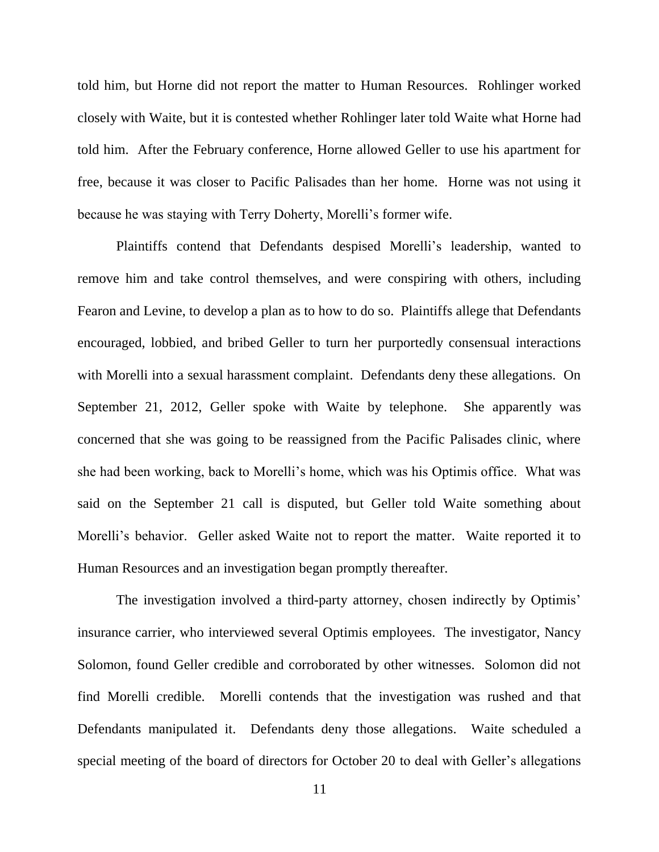told him, but Horne did not report the matter to Human Resources. Rohlinger worked closely with Waite, but it is contested whether Rohlinger later told Waite what Horne had told him. After the February conference, Horne allowed Geller to use his apartment for free, because it was closer to Pacific Palisades than her home. Horne was not using it because he was staying with Terry Doherty, Morelli's former wife.

Plaintiffs contend that Defendants despised Morelli's leadership, wanted to remove him and take control themselves, and were conspiring with others, including Fearon and Levine, to develop a plan as to how to do so. Plaintiffs allege that Defendants encouraged, lobbied, and bribed Geller to turn her purportedly consensual interactions with Morelli into a sexual harassment complaint. Defendants deny these allegations. On September 21, 2012, Geller spoke with Waite by telephone. She apparently was concerned that she was going to be reassigned from the Pacific Palisades clinic, where she had been working, back to Morelli's home, which was his Optimis office. What was said on the September 21 call is disputed, but Geller told Waite something about Morelli's behavior. Geller asked Waite not to report the matter. Waite reported it to Human Resources and an investigation began promptly thereafter.

The investigation involved a third-party attorney, chosen indirectly by Optimis' insurance carrier, who interviewed several Optimis employees. The investigator, Nancy Solomon, found Geller credible and corroborated by other witnesses. Solomon did not find Morelli credible. Morelli contends that the investigation was rushed and that Defendants manipulated it. Defendants deny those allegations. Waite scheduled a special meeting of the board of directors for October 20 to deal with Geller's allegations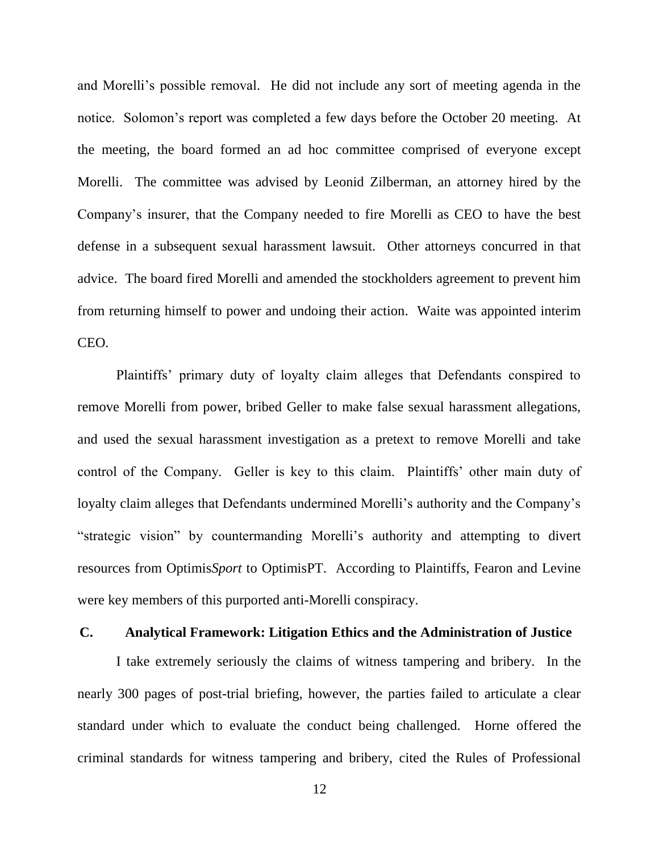and Morelli's possible removal. He did not include any sort of meeting agenda in the notice. Solomon's report was completed a few days before the October 20 meeting. At the meeting, the board formed an ad hoc committee comprised of everyone except Morelli. The committee was advised by Leonid Zilberman, an attorney hired by the Company's insurer, that the Company needed to fire Morelli as CEO to have the best defense in a subsequent sexual harassment lawsuit. Other attorneys concurred in that advice. The board fired Morelli and amended the stockholders agreement to prevent him from returning himself to power and undoing their action. Waite was appointed interim CEO.

Plaintiffs' primary duty of loyalty claim alleges that Defendants conspired to remove Morelli from power, bribed Geller to make false sexual harassment allegations, and used the sexual harassment investigation as a pretext to remove Morelli and take control of the Company. Geller is key to this claim. Plaintiffs' other main duty of loyalty claim alleges that Defendants undermined Morelli's authority and the Company's "strategic vision" by countermanding Morelli's authority and attempting to divert resources from Optimis*Sport* to OptimisPT. According to Plaintiffs, Fearon and Levine were key members of this purported anti-Morelli conspiracy.

#### **C. Analytical Framework: Litigation Ethics and the Administration of Justice**

I take extremely seriously the claims of witness tampering and bribery. In the nearly 300 pages of post-trial briefing, however, the parties failed to articulate a clear standard under which to evaluate the conduct being challenged. Horne offered the criminal standards for witness tampering and bribery, cited the Rules of Professional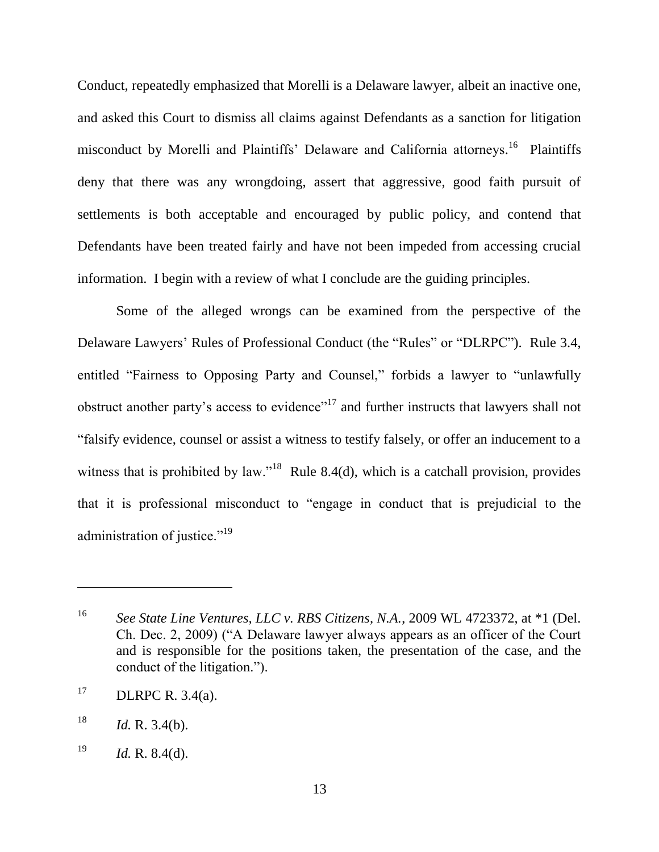Conduct, repeatedly emphasized that Morelli is a Delaware lawyer, albeit an inactive one, and asked this Court to dismiss all claims against Defendants as a sanction for litigation misconduct by Morelli and Plaintiffs' Delaware and California attorneys.<sup>16</sup> Plaintiffs deny that there was any wrongdoing, assert that aggressive, good faith pursuit of settlements is both acceptable and encouraged by public policy, and contend that Defendants have been treated fairly and have not been impeded from accessing crucial information. I begin with a review of what I conclude are the guiding principles.

Some of the alleged wrongs can be examined from the perspective of the Delaware Lawyers' Rules of Professional Conduct (the "Rules" or "DLRPC"). Rule 3.4, entitled "Fairness to Opposing Party and Counsel," forbids a lawyer to "unlawfully obstruct another party's access to evidence"<sup>17</sup> and further instructs that lawyers shall not ―falsify evidence, counsel or assist a witness to testify falsely, or offer an inducement to a witness that is prohibited by law."<sup>18</sup> Rule 8.4(d), which is a catchall provision, provides that it is professional misconduct to "engage in conduct that is prejudicial to the administration of justice." $19$ 

<sup>16</sup> *See State Line Ventures, LLC v. RBS Citizens, N.A.*, 2009 WL 4723372, at \*1 (Del. Ch. Dec. 2, 2009) ("A Delaware lawyer always appears as an officer of the Court and is responsible for the positions taken, the presentation of the case, and the conduct of the litigation.").

<sup>&</sup>lt;sup>17</sup> DLRPC R. 3.4(a).

 $18$  *Id.* R. 3.4(b).

<sup>19</sup> *Id.* R. 8.4(d).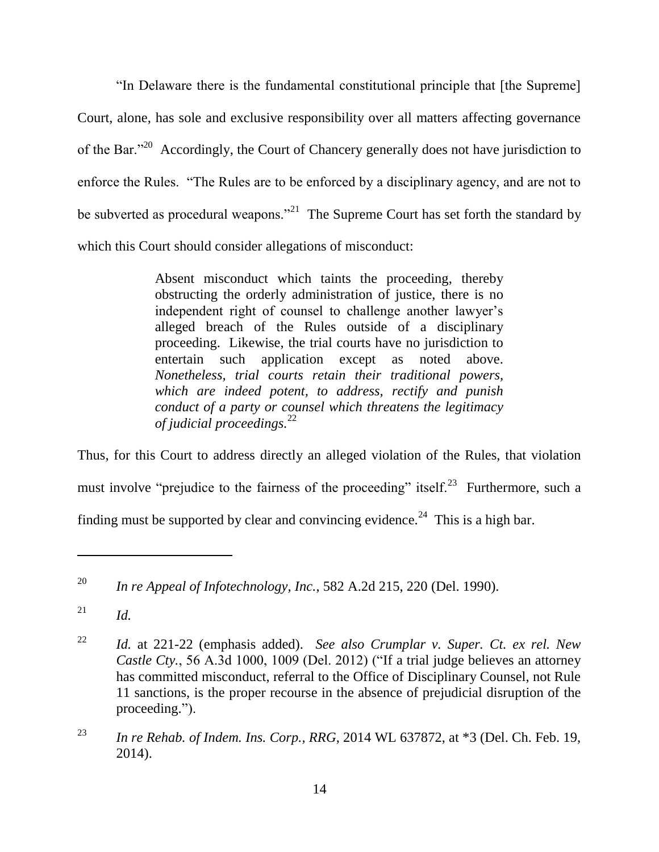―In Delaware there is the fundamental constitutional principle that [the Supreme] Court, alone, has sole and exclusive responsibility over all matters affecting governance of the Bar.<sup> $20$ </sup> Accordingly, the Court of Chancery generally does not have jurisdiction to enforce the Rules. "The Rules are to be enforced by a disciplinary agency, and are not to be subverted as procedural weapons."<sup>21</sup> The Supreme Court has set forth the standard by which this Court should consider allegations of misconduct:

> Absent misconduct which taints the proceeding, thereby obstructing the orderly administration of justice, there is no independent right of counsel to challenge another lawyer's alleged breach of the Rules outside of a disciplinary proceeding. Likewise, the trial courts have no jurisdiction to entertain such application except as noted above. *Nonetheless, trial courts retain their traditional powers, which are indeed potent, to address, rectify and punish conduct of a party or counsel which threatens the legitimacy of judicial proceedings.*<sup>22</sup>

Thus, for this Court to address directly an alleged violation of the Rules, that violation must involve "prejudice to the fairness of the proceeding" itself.<sup>23</sup> Furthermore, such a finding must be supported by clear and convincing evidence.<sup>24</sup> This is a high bar.

<sup>20</sup> *In re Appeal of Infotechnology, Inc.*, 582 A.2d 215, 220 (Del. 1990).

 $^{21}$  *Id.* 

<sup>22</sup> *Id.* at 221-22 (emphasis added). *See also Crumplar v. Super. Ct. ex rel. New Castle Cty.*, 56 A.3d 1000, 1009 (Del. 2012) ("If a trial judge believes an attorney has committed misconduct, referral to the Office of Disciplinary Counsel, not Rule 11 sanctions, is the proper recourse in the absence of prejudicial disruption of the proceeding.").

<sup>23</sup> *In re Rehab. of Indem. Ins. Corp., RRG*, 2014 WL 637872, at \*3 (Del. Ch. Feb. 19, 2014).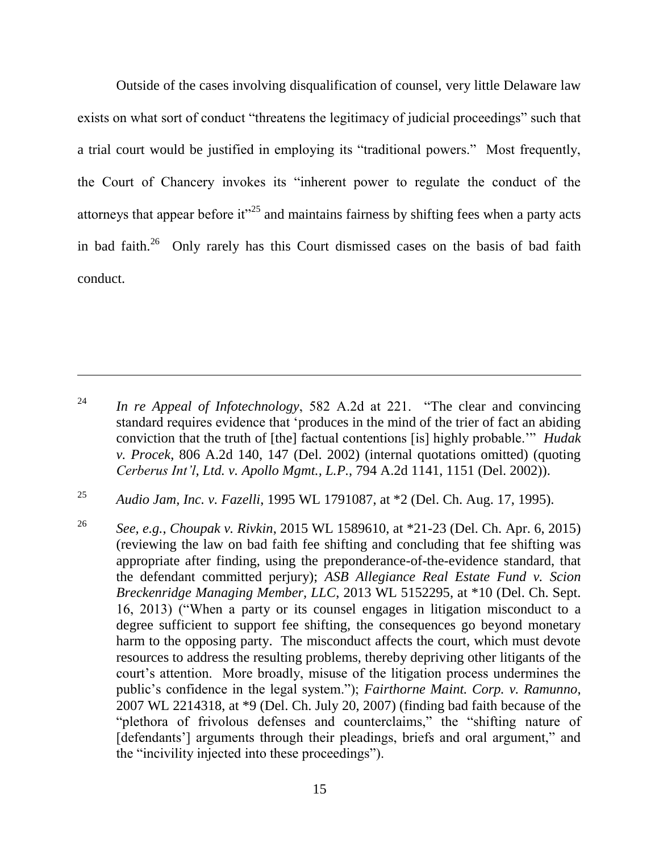Outside of the cases involving disqualification of counsel, very little Delaware law exists on what sort of conduct "threatens the legitimacy of judicial proceedings" such that a trial court would be justified in employing its "traditional powers." Most frequently, the Court of Chancery invokes its "inherent power to regulate the conduct of the attorneys that appear before it"<sup>25</sup> and maintains fairness by shifting fees when a party acts in bad faith.<sup>26</sup> Only rarely has this Court dismissed cases on the basis of bad faith conduct.

<sup>&</sup>lt;sup>24</sup> *In re Appeal of Infotechnology*, 582 A.2d at 221. "The clear and convincing standard requires evidence that 'produces in the mind of the trier of fact an abiding conviction that the truth of [the] factual contentions [is] highly probable." *Hudak v. Procek*, 806 A.2d 140, 147 (Del. 2002) (internal quotations omitted) (quoting *Cerberus Int'l, Ltd. v. Apollo Mgmt., L.P.*, 794 A.2d 1141, 1151 (Del. 2002)).

<sup>25</sup> *Audio Jam, Inc. v. Fazelli*, 1995 WL 1791087, at \*2 (Del. Ch. Aug. 17, 1995).

<sup>26</sup> *See, e.g.*, *Choupak v. Rivkin*, 2015 WL 1589610, at \*21-23 (Del. Ch. Apr. 6, 2015) (reviewing the law on bad faith fee shifting and concluding that fee shifting was appropriate after finding, using the preponderance-of-the-evidence standard, that the defendant committed perjury); *ASB Allegiance Real Estate Fund v. Scion Breckenridge Managing Member, LLC*, 2013 WL 5152295, at \*10 (Del. Ch. Sept. 16, 2013) ("When a party or its counsel engages in litigation misconduct to a degree sufficient to support fee shifting, the consequences go beyond monetary harm to the opposing party. The misconduct affects the court, which must devote resources to address the resulting problems, thereby depriving other litigants of the court's attention. More broadly, misuse of the litigation process undermines the public's confidence in the legal system.‖); *Fairthorne Maint. Corp. v. Ramunno*, 2007 WL 2214318, at \*9 (Del. Ch. July 20, 2007) (finding bad faith because of the "plethora of frivolous defenses and counterclaims," the "shifting nature of [defendants'] arguments through their pleadings, briefs and oral argument," and the "incivility injected into these proceedings").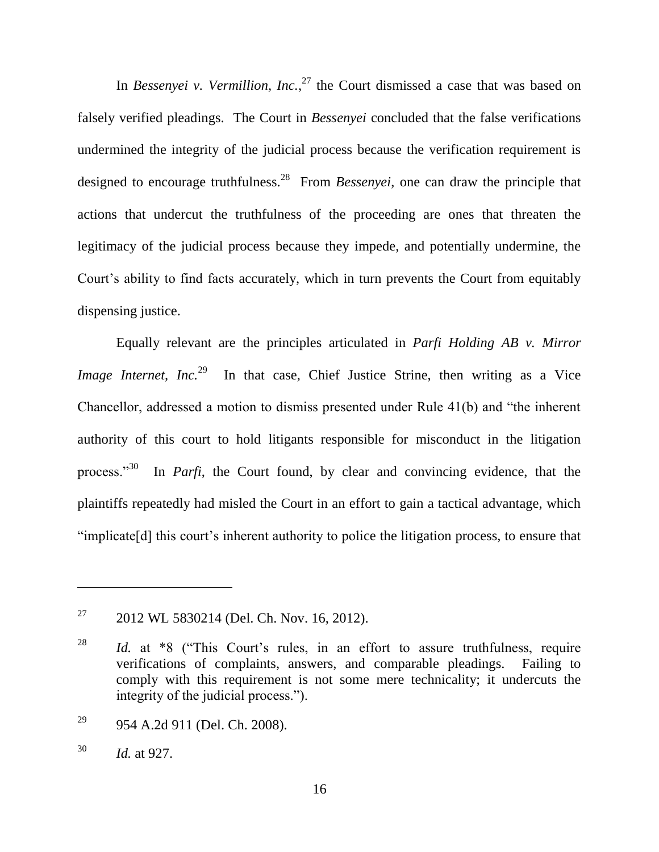In *Bessenyei v. Vermillion, Inc.*, <sup>27</sup> the Court dismissed a case that was based on falsely verified pleadings. The Court in *Bessenyei* concluded that the false verifications undermined the integrity of the judicial process because the verification requirement is designed to encourage truthfulness.<sup>28</sup> From *Bessenyei*, one can draw the principle that actions that undercut the truthfulness of the proceeding are ones that threaten the legitimacy of the judicial process because they impede, and potentially undermine, the Court's ability to find facts accurately, which in turn prevents the Court from equitably dispensing justice.

Equally relevant are the principles articulated in *Parfi Holding AB v. Mirror Image Internet, Inc.*<sup>29</sup> In that case, Chief Justice Strine, then writing as a Vice Chancellor, addressed a motion to dismiss presented under Rule  $41(b)$  and "the inherent authority of this court to hold litigants responsible for misconduct in the litigation process."<sup>30</sup> In *Parfi*, the Court found, by clear and convincing evidence, that the plaintiffs repeatedly had misled the Court in an effort to gain a tactical advantage, which "implicate<sup>[d]</sup> this court's inherent authority to police the litigation process, to ensure that

<sup>&</sup>lt;sup>27</sup> 2012 WL 5830214 (Del. Ch. Nov. 16, 2012).

<sup>&</sup>lt;sup>28</sup> *Id.* at \*8 ("This Court's rules, in an effort to assure truthfulness, require verifications of complaints, answers, and comparable pleadings. Failing to comply with this requirement is not some mere technicality; it undercuts the integrity of the judicial process.").

 $^{29}$  954 A.2d 911 (Del. Ch. 2008).

<sup>30</sup> *Id.* at 927.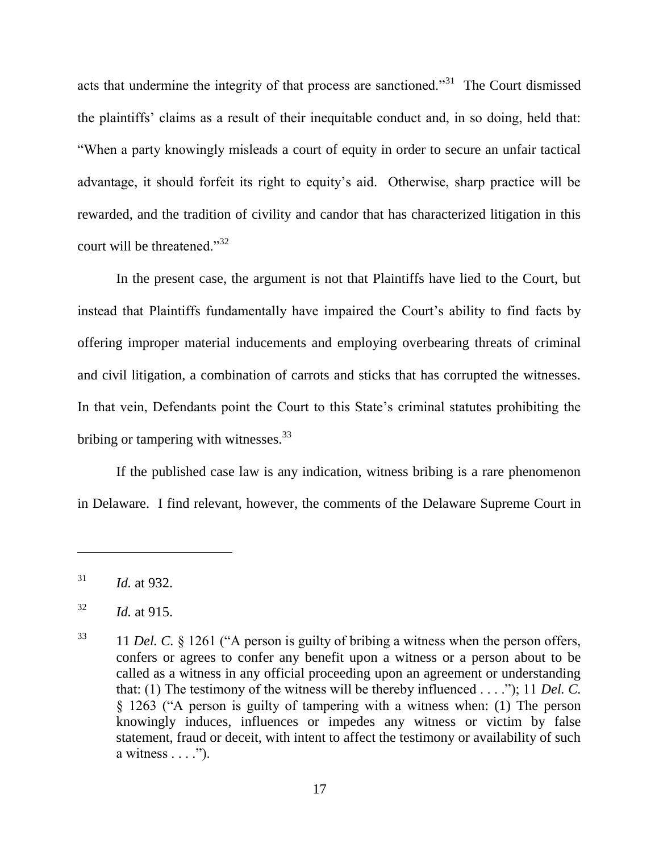acts that undermine the integrity of that process are sanctioned. $3<sup>31</sup>$  The Court dismissed the plaintiffs' claims as a result of their inequitable conduct and, in so doing, held that: ―When a party knowingly misleads a court of equity in order to secure an unfair tactical advantage, it should forfeit its right to equity's aid. Otherwise, sharp practice will be rewarded, and the tradition of civility and candor that has characterized litigation in this court will be threatened." $32$ 

In the present case, the argument is not that Plaintiffs have lied to the Court, but instead that Plaintiffs fundamentally have impaired the Court's ability to find facts by offering improper material inducements and employing overbearing threats of criminal and civil litigation, a combination of carrots and sticks that has corrupted the witnesses. In that vein, Defendants point the Court to this State's criminal statutes prohibiting the bribing or tampering with witnesses.<sup>33</sup>

If the published case law is any indication, witness bribing is a rare phenomenon in Delaware. I find relevant, however, the comments of the Delaware Supreme Court in

 $^{31}$  *Id.* at 932.

<sup>32</sup> *Id.* at 915.

 $11$  *Del. C.*  $\frac{1261}{1261}$  ("A person is guilty of bribing a witness when the person offers, confers or agrees to confer any benefit upon a witness or a person about to be called as a witness in any official proceeding upon an agreement or understanding that: (1) The testimony of the witness will be thereby influenced  $\dots$ ;"); 11 *Del. C.* § 1263 ("A person is guilty of tampering with a witness when: (1) The person knowingly induces, influences or impedes any witness or victim by false statement, fraud or deceit, with intent to affect the testimony or availability of such a witness  $\dots$  .").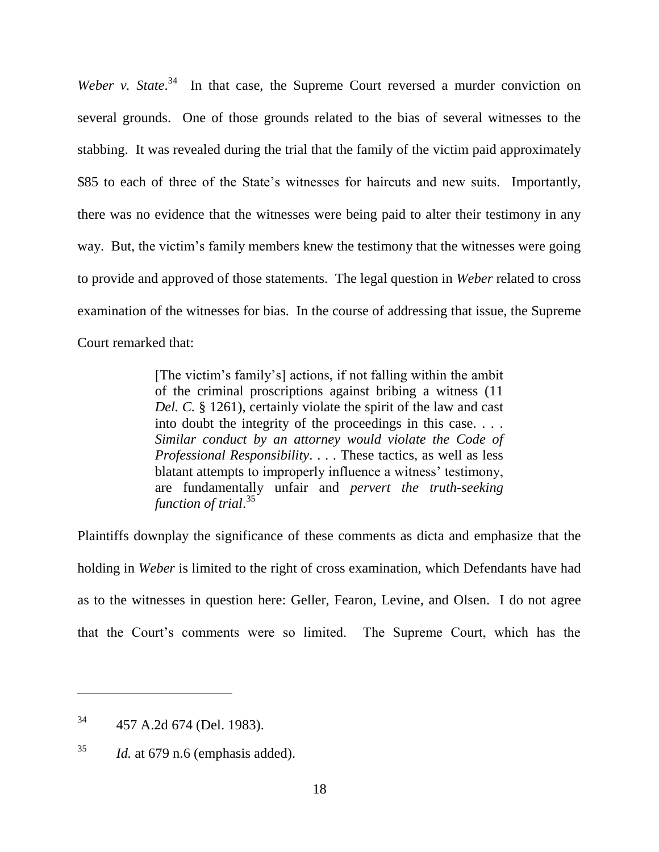Weber v. State.<sup>34</sup> In that case, the Supreme Court reversed a murder conviction on several grounds. One of those grounds related to the bias of several witnesses to the stabbing. It was revealed during the trial that the family of the victim paid approximately \$85 to each of three of the State's witnesses for haircuts and new suits. Importantly, there was no evidence that the witnesses were being paid to alter their testimony in any way. But, the victim's family members knew the testimony that the witnesses were going to provide and approved of those statements. The legal question in *Weber* related to cross examination of the witnesses for bias. In the course of addressing that issue, the Supreme Court remarked that:

> [The victim's family's] actions, if not falling within the ambit of the criminal proscriptions against bribing a witness (11 *Del. C.* § 1261), certainly violate the spirit of the law and cast into doubt the integrity of the proceedings in this case. . . . *Similar conduct by an attorney would violate the Code of Professional Responsibility*. . . . These tactics, as well as less blatant attempts to improperly influence a witness' testimony, are fundamentally unfair and *pervert the truth-seeking function of trial*. 35

Plaintiffs downplay the significance of these comments as dicta and emphasize that the holding in *Weber* is limited to the right of cross examination, which Defendants have had as to the witnesses in question here: Geller, Fearon, Levine, and Olsen. I do not agree that the Court's comments were so limited. The Supreme Court, which has the

<sup>34</sup> 457 A.2d 674 (Del. 1983).

 $^{35}$  *Id.* at 679 n.6 (emphasis added).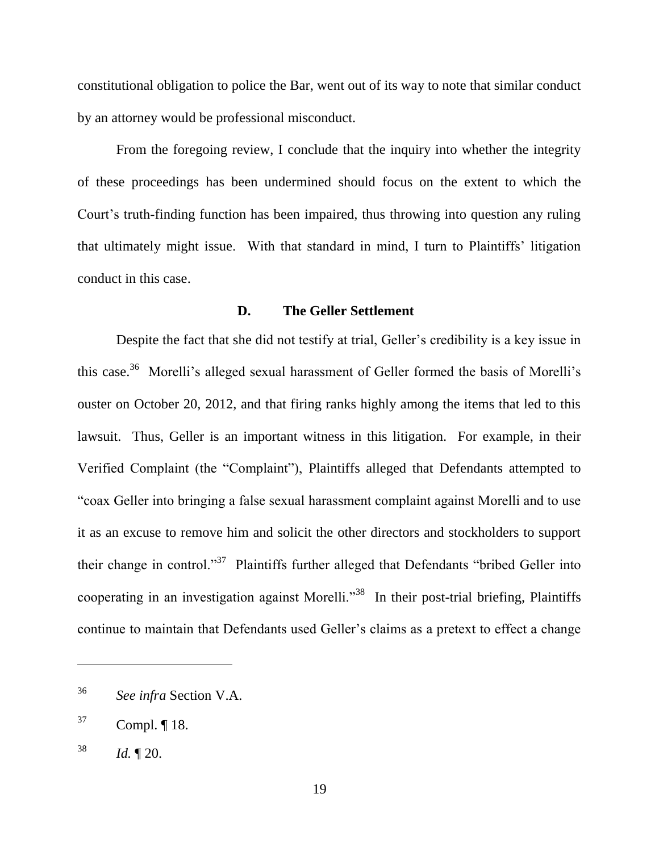constitutional obligation to police the Bar, went out of its way to note that similar conduct by an attorney would be professional misconduct.

From the foregoing review, I conclude that the inquiry into whether the integrity of these proceedings has been undermined should focus on the extent to which the Court's truth-finding function has been impaired, thus throwing into question any ruling that ultimately might issue. With that standard in mind, I turn to Plaintiffs' litigation conduct in this case.

#### **D. The Geller Settlement**

Despite the fact that she did not testify at trial, Geller's credibility is a key issue in this case.<sup>36</sup> Morelli's alleged sexual harassment of Geller formed the basis of Morelli's ouster on October 20, 2012, and that firing ranks highly among the items that led to this lawsuit. Thus, Geller is an important witness in this litigation. For example, in their Verified Complaint (the "Complaint"), Plaintiffs alleged that Defendants attempted to ―coax Geller into bringing a false sexual harassment complaint against Morelli and to use it as an excuse to remove him and solicit the other directors and stockholders to support their change in control."<sup>37</sup> Plaintiffs further alleged that Defendants "bribed Geller into cooperating in an investigation against Morelli."<sup>38</sup> In their post-trial briefing, Plaintiffs continue to maintain that Defendants used Geller's claims as a pretext to effect a change

<sup>36</sup> *See infra* Section V.A.

 $37$  Compl.  $\P$  18.

 $^{38}$  *Id.*  $\sqrt{20}$ .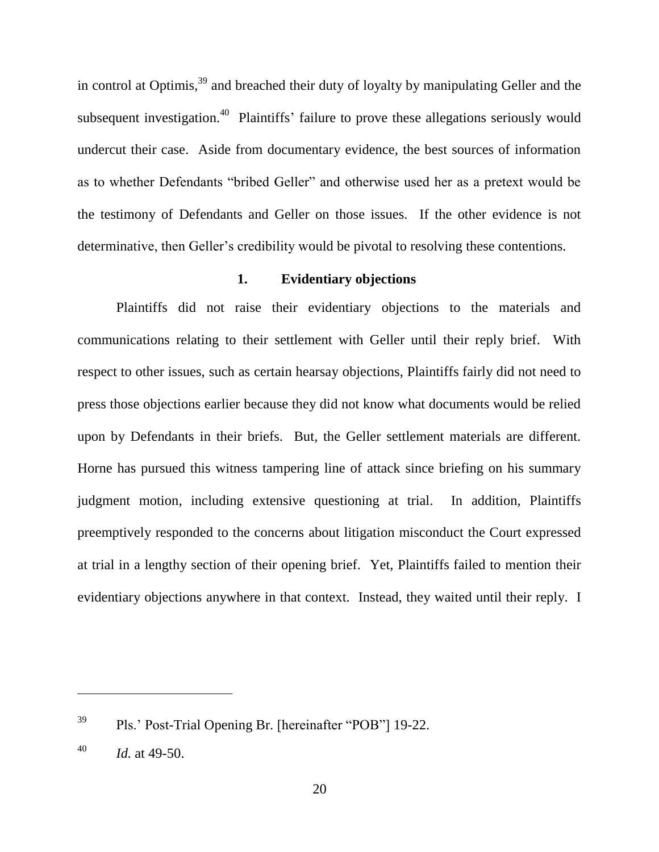in control at Optimis,<sup>39</sup> and breached their duty of loyalty by manipulating Geller and the subsequent investigation.<sup>40</sup> Plaintiffs' failure to prove these allegations seriously would undercut their case. Aside from documentary evidence, the best sources of information as to whether Defendants "bribed Geller" and otherwise used her as a pretext would be the testimony of Defendants and Geller on those issues. If the other evidence is not determinative, then Geller's credibility would be pivotal to resolving these contentions.

### **1. Evidentiary objections**

Plaintiffs did not raise their evidentiary objections to the materials and communications relating to their settlement with Geller until their reply brief. With respect to other issues, such as certain hearsay objections, Plaintiffs fairly did not need to press those objections earlier because they did not know what documents would be relied upon by Defendants in their briefs. But, the Geller settlement materials are different. Horne has pursued this witness tampering line of attack since briefing on his summary judgment motion, including extensive questioning at trial. In addition, Plaintiffs preemptively responded to the concerns about litigation misconduct the Court expressed at trial in a lengthy section of their opening brief. Yet, Plaintiffs failed to mention their evidentiary objections anywhere in that context. Instead, they waited until their reply. I

 $^{39}$  Pls.' Post-Trial Opening Br. [hereinafter "POB"] 19-22.

 $^{40}$  *Id.* at 49-50.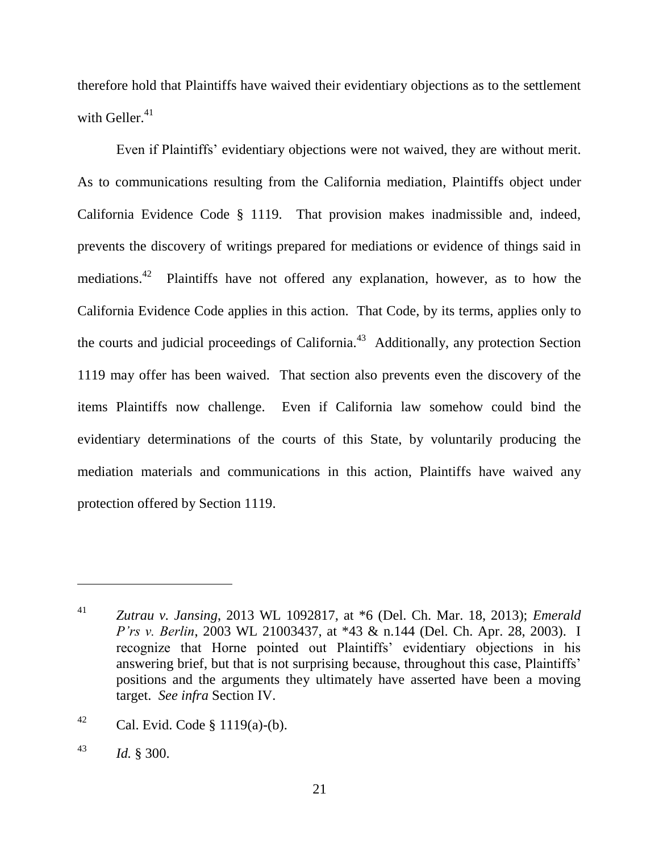therefore hold that Plaintiffs have waived their evidentiary objections as to the settlement with Geller. $41$ 

Even if Plaintiffs' evidentiary objections were not waived, they are without merit. As to communications resulting from the California mediation, Plaintiffs object under California Evidence Code § 1119. That provision makes inadmissible and, indeed, prevents the discovery of writings prepared for mediations or evidence of things said in mediations.<sup>42</sup> Plaintiffs have not offered any explanation, however, as to how the California Evidence Code applies in this action. That Code, by its terms, applies only to the courts and judicial proceedings of California.<sup>43</sup> Additionally, any protection Section 1119 may offer has been waived. That section also prevents even the discovery of the items Plaintiffs now challenge. Even if California law somehow could bind the evidentiary determinations of the courts of this State, by voluntarily producing the mediation materials and communications in this action, Plaintiffs have waived any protection offered by Section 1119.

<sup>41</sup> *Zutrau v. Jansing*, 2013 WL 1092817, at \*6 (Del. Ch. Mar. 18, 2013); *Emerald P'rs v. Berlin*, 2003 WL 21003437, at \*43 & n.144 (Del. Ch. Apr. 28, 2003). I recognize that Horne pointed out Plaintiffs' evidentiary objections in his answering brief, but that is not surprising because, throughout this case, Plaintiffs' positions and the arguments they ultimately have asserted have been a moving target. *See infra* Section IV.

<sup>&</sup>lt;sup>42</sup> Cal. Evid. Code § 1119(a)-(b).

<sup>43</sup> *Id.* § 300.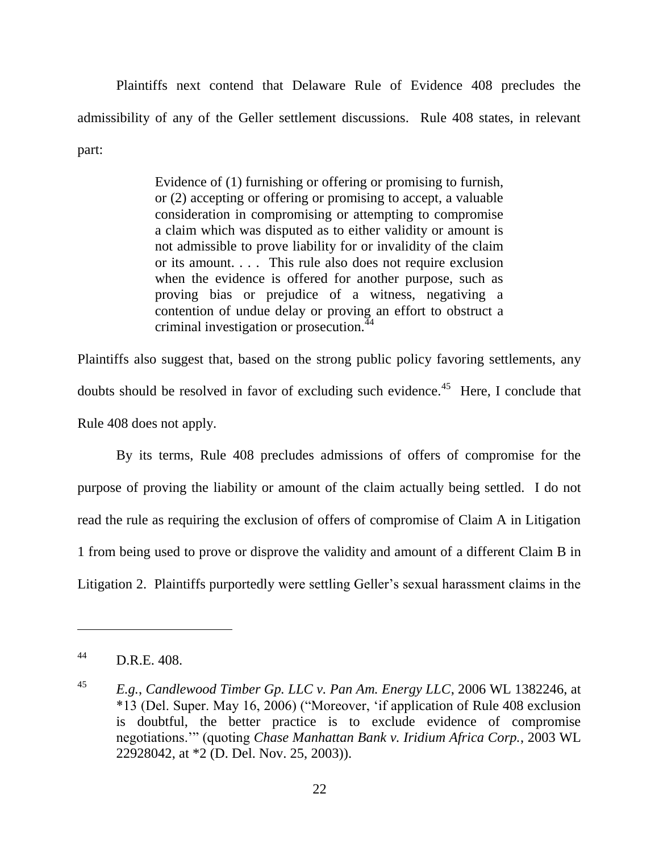Plaintiffs next contend that Delaware Rule of Evidence 408 precludes the admissibility of any of the Geller settlement discussions. Rule 408 states, in relevant part:

> Evidence of (1) furnishing or offering or promising to furnish, or (2) accepting or offering or promising to accept, a valuable consideration in compromising or attempting to compromise a claim which was disputed as to either validity or amount is not admissible to prove liability for or invalidity of the claim or its amount. . . . This rule also does not require exclusion when the evidence is offered for another purpose, such as proving bias or prejudice of a witness, negativing a contention of undue delay or proving an effort to obstruct a criminal investigation or prosecution.<sup>44</sup>

Plaintiffs also suggest that, based on the strong public policy favoring settlements, any doubts should be resolved in favor of excluding such evidence.<sup>45</sup> Here, I conclude that Rule 408 does not apply.

By its terms, Rule 408 precludes admissions of offers of compromise for the purpose of proving the liability or amount of the claim actually being settled. I do not read the rule as requiring the exclusion of offers of compromise of Claim A in Litigation 1 from being used to prove or disprove the validity and amount of a different Claim B in Litigation 2. Plaintiffs purportedly were settling Geller's sexual harassment claims in the

<sup>44</sup> D.R.E. 408.

<sup>45</sup> *E.g.*, *Candlewood Timber Gp. LLC v. Pan Am. Energy LLC*, 2006 WL 1382246, at \*13 (Del. Super. May 16, 2006) ("Moreover, 'if application of Rule 408 exclusion is doubtful, the better practice is to exclude evidence of compromise negotiations.'‖ (quoting *Chase Manhattan Bank v. Iridium Africa Corp.*, 2003 WL 22928042, at \*2 (D. Del. Nov. 25, 2003)).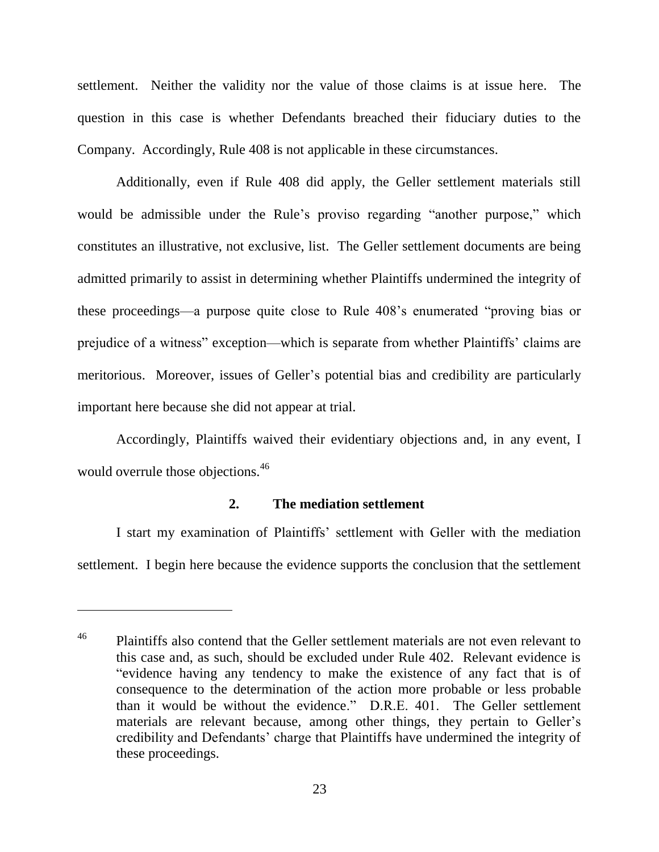settlement. Neither the validity nor the value of those claims is at issue here. The question in this case is whether Defendants breached their fiduciary duties to the Company. Accordingly, Rule 408 is not applicable in these circumstances.

Additionally, even if Rule 408 did apply, the Geller settlement materials still would be admissible under the Rule's proviso regarding "another purpose," which constitutes an illustrative, not exclusive, list. The Geller settlement documents are being admitted primarily to assist in determining whether Plaintiffs undermined the integrity of these proceedings—a purpose quite close to Rule 408's enumerated "proving bias or prejudice of a witness" exception—which is separate from whether Plaintiffs' claims are meritorious. Moreover, issues of Geller's potential bias and credibility are particularly important here because she did not appear at trial.

Accordingly, Plaintiffs waived their evidentiary objections and, in any event, I would overrule those objections.<sup>46</sup>

# **2. The mediation settlement**

I start my examination of Plaintiffs' settlement with Geller with the mediation settlement. I begin here because the evidence supports the conclusion that the settlement

<sup>&</sup>lt;sup>46</sup> Plaintiffs also contend that the Geller settlement materials are not even relevant to this case and, as such, should be excluded under Rule 402. Relevant evidence is "evidence having any tendency to make the existence of any fact that is of consequence to the determination of the action more probable or less probable than it would be without the evidence." D.R.E. 401. The Geller settlement materials are relevant because, among other things, they pertain to Geller's credibility and Defendants' charge that Plaintiffs have undermined the integrity of these proceedings.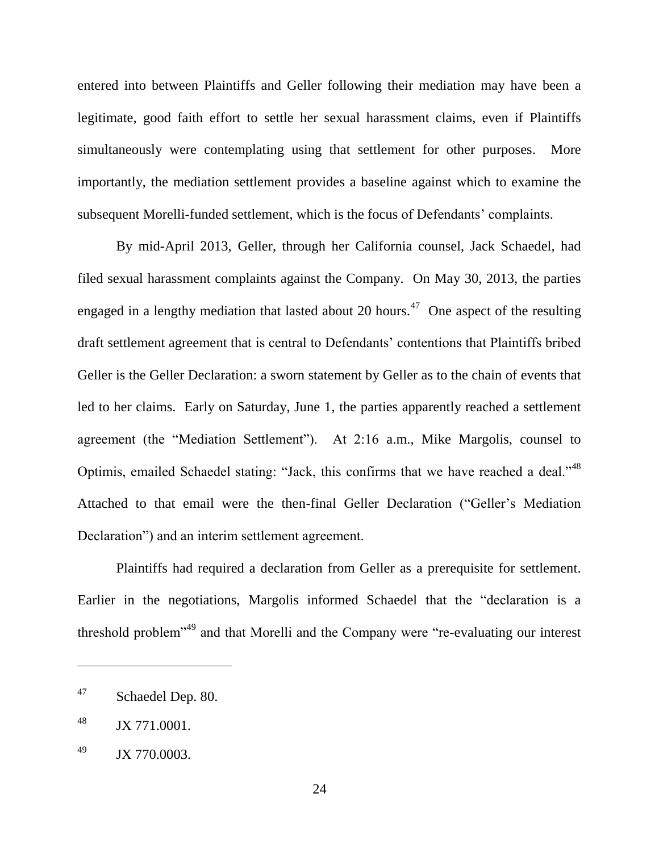entered into between Plaintiffs and Geller following their mediation may have been a legitimate, good faith effort to settle her sexual harassment claims, even if Plaintiffs simultaneously were contemplating using that settlement for other purposes. More importantly, the mediation settlement provides a baseline against which to examine the subsequent Morelli-funded settlement, which is the focus of Defendants' complaints.

By mid-April 2013, Geller, through her California counsel, Jack Schaedel, had filed sexual harassment complaints against the Company. On May 30, 2013, the parties engaged in a lengthy mediation that lasted about 20 hours.<sup>47</sup> One aspect of the resulting draft settlement agreement that is central to Defendants' contentions that Plaintiffs bribed Geller is the Geller Declaration: a sworn statement by Geller as to the chain of events that led to her claims. Early on Saturday, June 1, the parties apparently reached a settlement agreement (the "Mediation Settlement"). At  $2:16$  a.m., Mike Margolis, counsel to Optimis, emailed Schaedel stating: "Jack, this confirms that we have reached a deal."<sup>48</sup> Attached to that email were the then-final Geller Declaration ("Geller's Mediation Declaration") and an interim settlement agreement.

Plaintiffs had required a declaration from Geller as a prerequisite for settlement. Earlier in the negotiations, Margolis informed Schaedel that the "declaration is a threshold problem<sup> $149$ </sup> and that Morelli and the Company were "re-evaluating our interest

<sup>47</sup> Schaedel Dep. 80.

<sup>48</sup> JX 771.0001.

<sup>49</sup> JX 770.0003.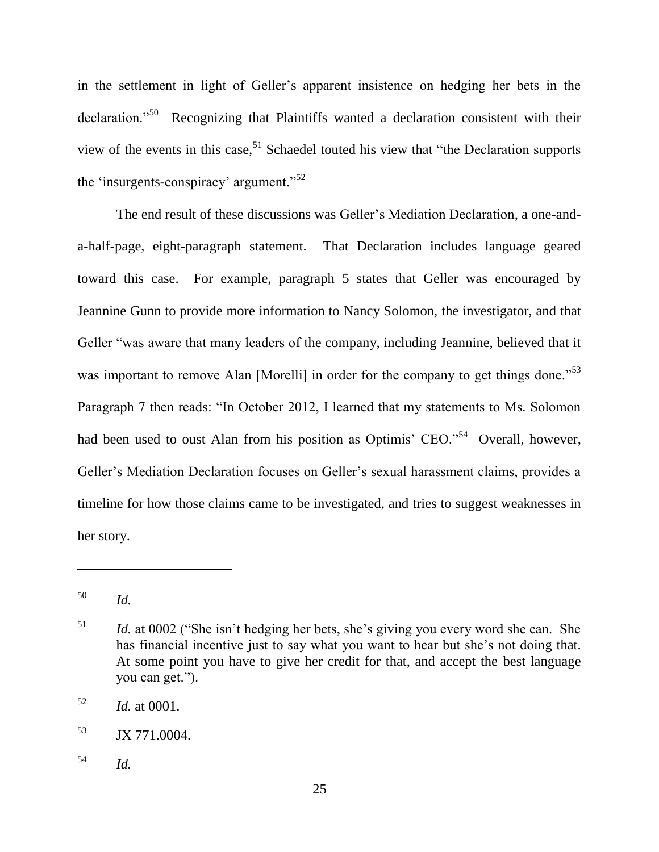in the settlement in light of Geller's apparent insistence on hedging her bets in the declaration."<sup>50</sup> Recognizing that Plaintiffs wanted a declaration consistent with their view of the events in this case,  $51$  Schaedel touted his view that "the Declaration supports" the 'insurgents-conspiracy' argument." $52$ 

The end result of these discussions was Geller's Mediation Declaration, a one-anda-half-page, eight-paragraph statement. That Declaration includes language geared toward this case. For example, paragraph 5 states that Geller was encouraged by Jeannine Gunn to provide more information to Nancy Solomon, the investigator, and that Geller "was aware that many leaders of the company, including Jeannine, believed that it was important to remove Alan [Morelli] in order for the company to get things done.<sup>53</sup> Paragraph 7 then reads: "In October 2012, I learned that my statements to Ms. Solomon had been used to oust Alan from his position as Optimis' CEO."<sup>54</sup> Overall, however, Geller's Mediation Declaration focuses on Geller's sexual harassment claims, provides a timeline for how those claims came to be investigated, and tries to suggest weaknesses in her story.

<sup>50</sup> *Id.*

 $1/51$  *Id.* at 0002 ("She isn't hedging her bets, she's giving you every word she can. She has financial incentive just to say what you want to hear but she's not doing that. At some point you have to give her credit for that, and accept the best language you can get.").

<sup>52</sup> *Id.* at 0001.

<sup>53</sup> JX 771.0004.

<sup>54</sup> *Id.*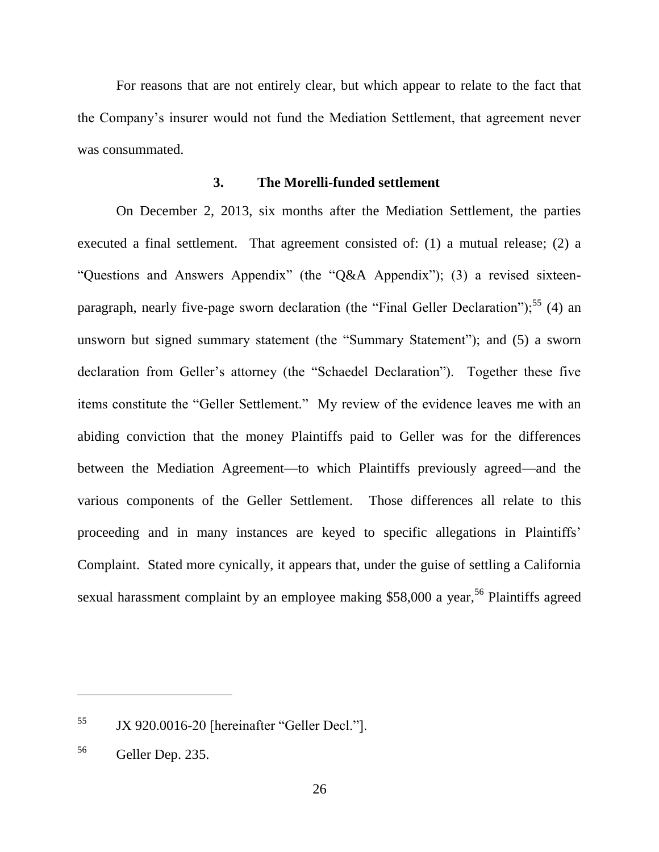For reasons that are not entirely clear, but which appear to relate to the fact that the Company's insurer would not fund the Mediation Settlement, that agreement never was consummated.

#### **3. The Morelli-funded settlement**

On December 2, 2013, six months after the Mediation Settlement, the parties executed a final settlement. That agreement consisted of: (1) a mutual release; (2) a "Questions and Answers Appendix" (the "Q&A Appendix"); (3) a revised sixteenparagraph, nearly five-page sworn declaration (the "Final Geller Declaration");<sup>55</sup> (4) an unsworn but signed summary statement (the "Summary Statement"); and (5) a sworn declaration from Geller's attorney (the "Schaedel Declaration"). Together these five items constitute the "Geller Settlement." My review of the evidence leaves me with an abiding conviction that the money Plaintiffs paid to Geller was for the differences between the Mediation Agreement—to which Plaintiffs previously agreed—and the various components of the Geller Settlement. Those differences all relate to this proceeding and in many instances are keyed to specific allegations in Plaintiffs' Complaint. Stated more cynically, it appears that, under the guise of settling a California sexual harassment complaint by an employee making \$58,000 a year,<sup>56</sup> Plaintiffs agreed

 $55$  JX 920.0016-20 [hereinafter "Geller Decl."].

<sup>56</sup> Geller Dep. 235.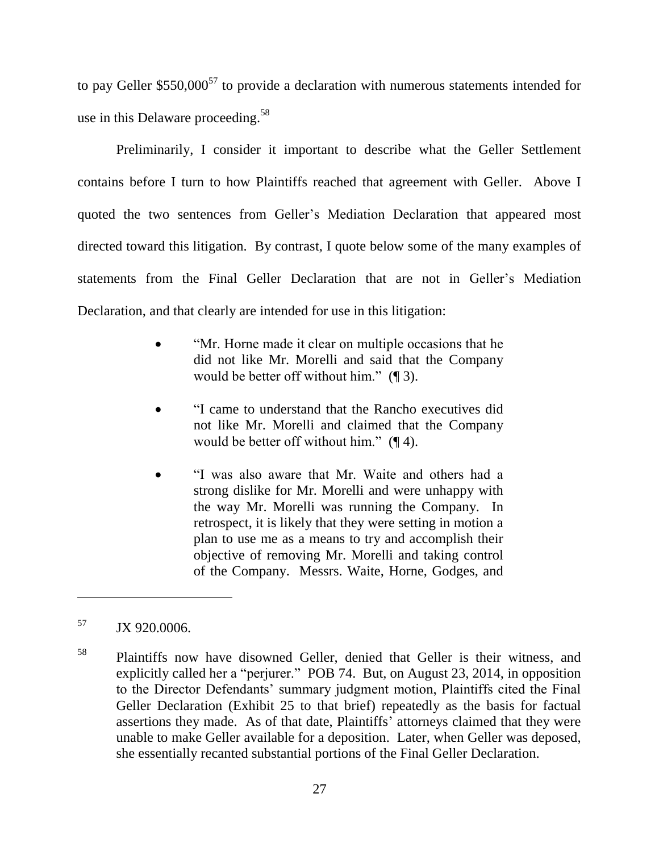to pay Geller  $$550,000^{57}$  to provide a declaration with numerous statements intended for use in this Delaware proceeding.<sup>58</sup>

Preliminarily, I consider it important to describe what the Geller Settlement contains before I turn to how Plaintiffs reached that agreement with Geller. Above I quoted the two sentences from Geller's Mediation Declaration that appeared most directed toward this litigation. By contrast, I quote below some of the many examples of statements from the Final Geller Declaration that are not in Geller's Mediation Declaration, and that clearly are intended for use in this litigation:

- ―Mr. Horne made it clear on multiple occasions that he did not like Mr. Morelli and said that the Company would be better off without him."  $(\P 3)$ .
- ―I came to understand that the Rancho executives did not like Mr. Morelli and claimed that the Company would be better off without him."  $(\P 4)$ .
- ―I was also aware that Mr. Waite and others had a strong dislike for Mr. Morelli and were unhappy with the way Mr. Morelli was running the Company. In retrospect, it is likely that they were setting in motion a plan to use me as a means to try and accomplish their objective of removing Mr. Morelli and taking control of the Company. Messrs. Waite, Horne, Godges, and

 $JX$  920.0006.

<sup>&</sup>lt;sup>58</sup> Plaintiffs now have disowned Geller, denied that Geller is their witness, and explicitly called her a "perjurer." POB 74. But, on August 23, 2014, in opposition to the Director Defendants' summary judgment motion, Plaintiffs cited the Final Geller Declaration (Exhibit 25 to that brief) repeatedly as the basis for factual assertions they made. As of that date, Plaintiffs' attorneys claimed that they were unable to make Geller available for a deposition. Later, when Geller was deposed, she essentially recanted substantial portions of the Final Geller Declaration.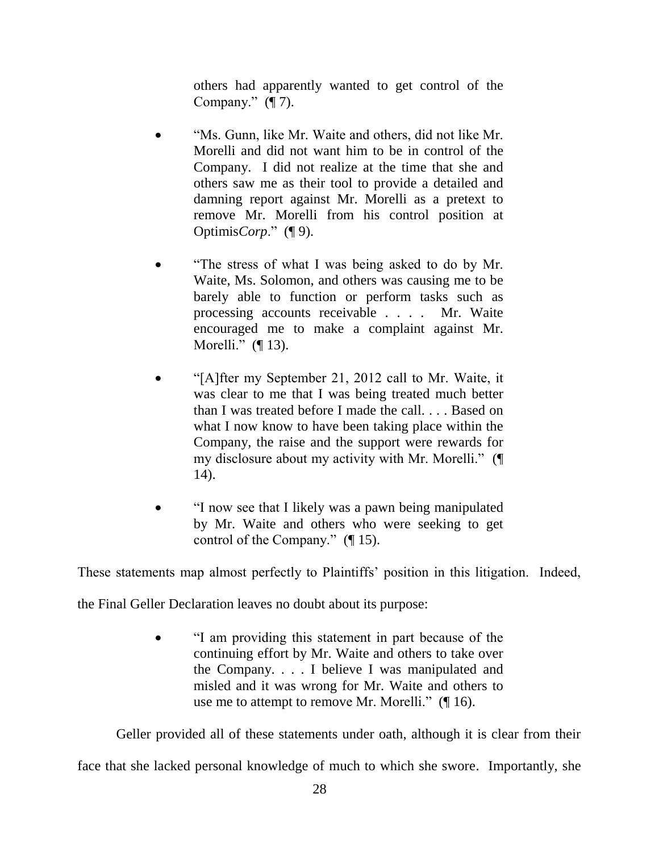others had apparently wanted to get control of the Company."  $(\P 7)$ .

- "Ms. Gunn, like Mr. Waite and others, did not like Mr. Morelli and did not want him to be in control of the Company. I did not realize at the time that she and others saw me as their tool to provide a detailed and damning report against Mr. Morelli as a pretext to remove Mr. Morelli from his control position at Optimis*Corp*." (¶ 9).
- ―The stress of what I was being asked to do by Mr. Waite, Ms. Solomon, and others was causing me to be barely able to function or perform tasks such as processing accounts receivable . . . . Mr. Waite encouraged me to make a complaint against Mr. Morelli."  $($ [ 13).
- ―[A]fter my September 21, 2012 call to Mr. Waite, it was clear to me that I was being treated much better than I was treated before I made the call. . . . Based on what I now know to have been taking place within the Company, the raise and the support were rewards for my disclosure about my activity with Mr. Morelli."  $(\P)$ 14).
- ―I now see that I likely was a pawn being manipulated by Mr. Waite and others who were seeking to get control of the Company."  $($ [ $\vert$  15).

These statements map almost perfectly to Plaintiffs' position in this litigation. Indeed,

the Final Geller Declaration leaves no doubt about its purpose:

 ―I am providing this statement in part because of the continuing effort by Mr. Waite and others to take over the Company. . . . I believe I was manipulated and misled and it was wrong for Mr. Waite and others to use me to attempt to remove Mr. Morelli."  $($  [ 16).

Geller provided all of these statements under oath, although it is clear from their

face that she lacked personal knowledge of much to which she swore. Importantly, she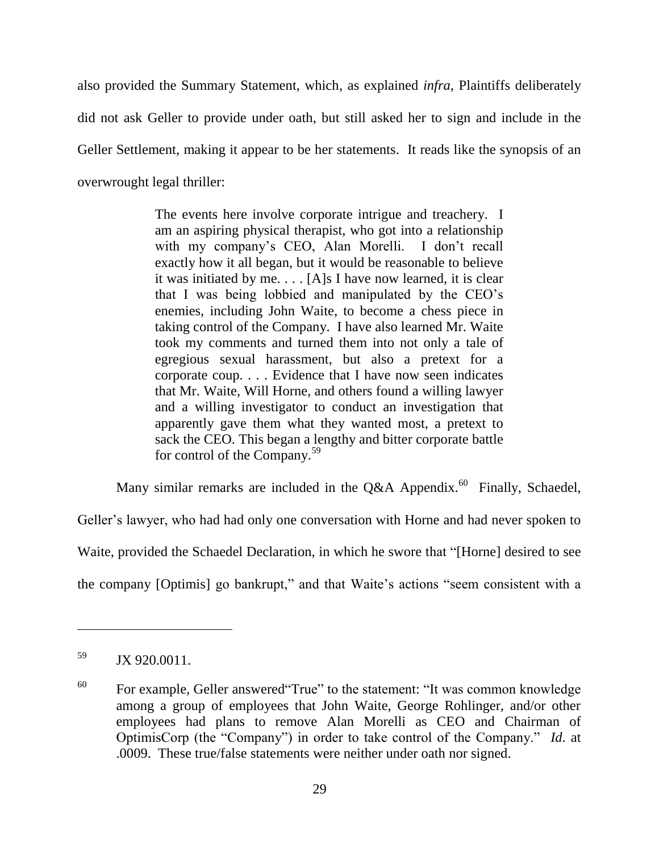also provided the Summary Statement, which, as explained *infra*, Plaintiffs deliberately did not ask Geller to provide under oath, but still asked her to sign and include in the Geller Settlement, making it appear to be her statements. It reads like the synopsis of an overwrought legal thriller:

> The events here involve corporate intrigue and treachery. I am an aspiring physical therapist, who got into a relationship with my company's CEO, Alan Morelli. I don't recall exactly how it all began, but it would be reasonable to believe it was initiated by me. . . . [A]s I have now learned, it is clear that I was being lobbied and manipulated by the CEO's enemies, including John Waite, to become a chess piece in taking control of the Company. I have also learned Mr. Waite took my comments and turned them into not only a tale of egregious sexual harassment, but also a pretext for a corporate coup. . . . Evidence that I have now seen indicates that Mr. Waite, Will Horne, and others found a willing lawyer and a willing investigator to conduct an investigation that apparently gave them what they wanted most, a pretext to sack the CEO. This began a lengthy and bitter corporate battle for control of the Company.<sup>59</sup>

Many similar remarks are included in the Q&A Appendix.<sup>60</sup> Finally, Schaedel,

Geller's lawyer, who had had only one conversation with Horne and had never spoken to

Waite, provided the Schaedel Declaration, in which he swore that "[Horne] desired to see

the company [Optimis] go bankrupt," and that Waite's actions "seem consistent with a

 $59$  JX 920.0011.

 $^{60}$  For example, Geller answered "True" to the statement: "It was common knowledge among a group of employees that John Waite, George Rohlinger, and/or other employees had plans to remove Alan Morelli as CEO and Chairman of OptimisCorp (the "Company") in order to take control of the Company." *Id.* at .0009. These true/false statements were neither under oath nor signed.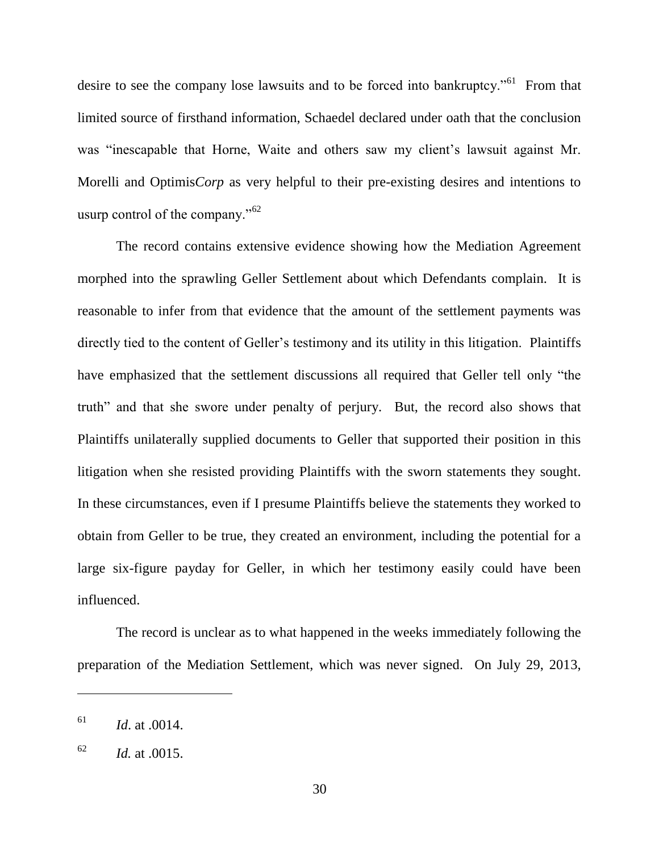desire to see the company lose lawsuits and to be forced into bankruptcy.<sup> $561$ </sup> From that limited source of firsthand information, Schaedel declared under oath that the conclusion was "inescapable that Horne, Waite and others saw my client's lawsuit against Mr. Morelli and Optimis*Corp* as very helpful to their pre-existing desires and intentions to usurp control of the company." $62$ 

The record contains extensive evidence showing how the Mediation Agreement morphed into the sprawling Geller Settlement about which Defendants complain. It is reasonable to infer from that evidence that the amount of the settlement payments was directly tied to the content of Geller's testimony and its utility in this litigation. Plaintiffs have emphasized that the settlement discussions all required that Geller tell only "the truth" and that she swore under penalty of perjury. But, the record also shows that Plaintiffs unilaterally supplied documents to Geller that supported their position in this litigation when she resisted providing Plaintiffs with the sworn statements they sought. In these circumstances, even if I presume Plaintiffs believe the statements they worked to obtain from Geller to be true, they created an environment, including the potential for a large six-figure payday for Geller, in which her testimony easily could have been influenced.

The record is unclear as to what happened in the weeks immediately following the preparation of the Mediation Settlement, which was never signed. On July 29, 2013,

 $^{61}$  *Id.* at .0014.

 $Id.$  at .0015.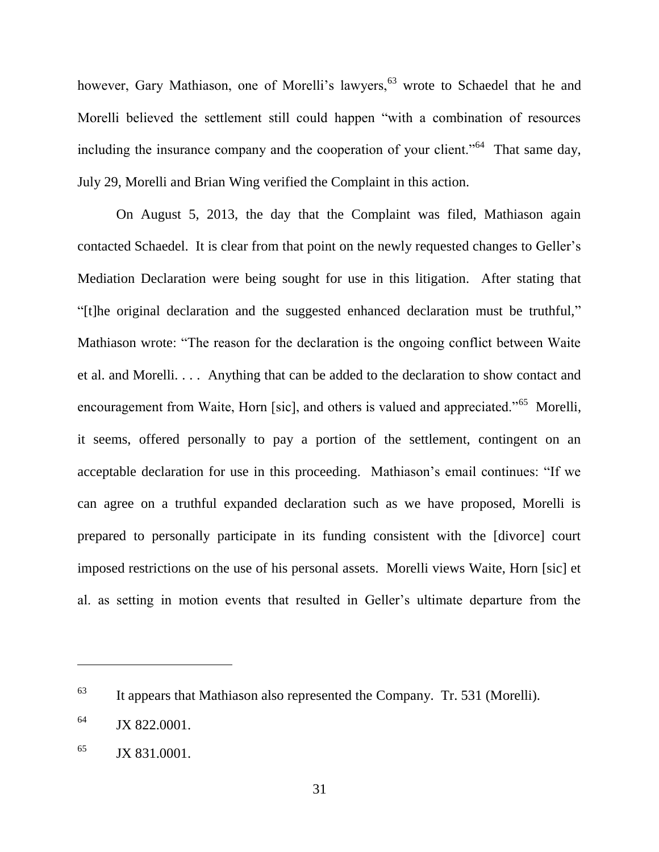however, Gary Mathiason, one of Morelli's lawyers,<sup>63</sup> wrote to Schaedel that he and Morelli believed the settlement still could happen "with a combination of resources including the insurance company and the cooperation of your client.<sup> $564$ </sup> That same day, July 29, Morelli and Brian Wing verified the Complaint in this action.

On August 5, 2013, the day that the Complaint was filed, Mathiason again contacted Schaedel. It is clear from that point on the newly requested changes to Geller's Mediation Declaration were being sought for use in this litigation. After stating that "[t]he original declaration and the suggested enhanced declaration must be truthful," Mathiason wrote: "The reason for the declaration is the ongoing conflict between Waite et al. and Morelli. . . . Anything that can be added to the declaration to show contact and encouragement from Waite, Horn [sic], and others is valued and appreciated."<sup>65</sup> Morelli, it seems, offered personally to pay a portion of the settlement, contingent on an acceptable declaration for use in this proceeding. Mathiason's email continues: "If we can agree on a truthful expanded declaration such as we have proposed, Morelli is prepared to personally participate in its funding consistent with the [divorce] court imposed restrictions on the use of his personal assets. Morelli views Waite, Horn [sic] et al. as setting in motion events that resulted in Geller's ultimate departure from the

 $63$  It appears that Mathiason also represented the Company. Tr. 531 (Morelli).

 $^{64}$  JX 822.0001.

 $^{65}$  JX 831.0001.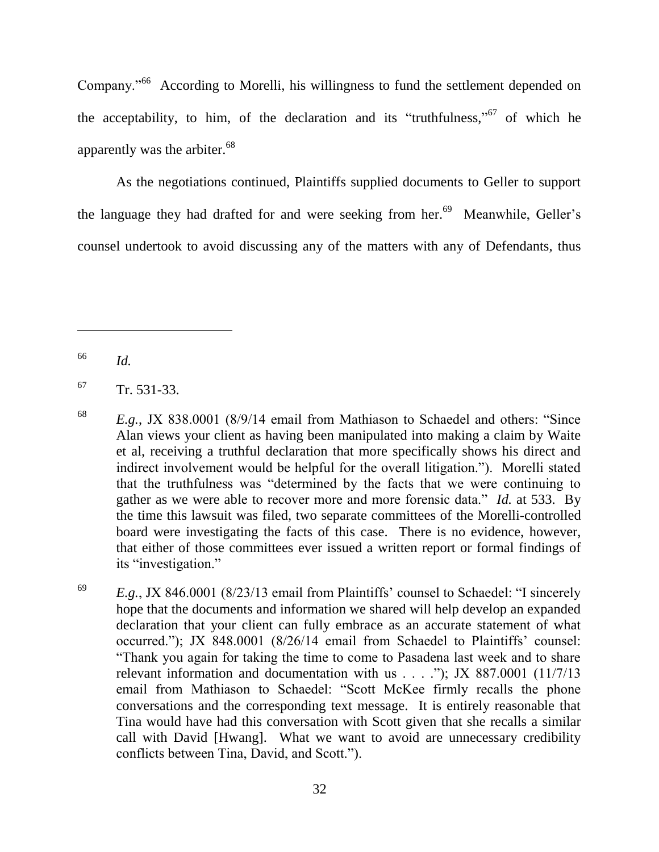Company."<sup>66</sup> According to Morelli, his willingness to fund the settlement depended on the acceptability, to him, of the declaration and its "truthfulness,"<sup>67</sup> of which he apparently was the arbiter.<sup>68</sup>

As the negotiations continued, Plaintiffs supplied documents to Geller to support the language they had drafted for and were seeking from her.<sup>69</sup> Meanwhile, Geller's counsel undertook to avoid discussing any of the matters with any of Defendants, thus

<sup>66</sup> *Id.*

<sup>67</sup> Tr. 531-33.

<sup>&</sup>lt;sup>68</sup> *E.g.*, JX 838.0001 (8/9/14 email from Mathiason to Schaedel and others: "Since Alan views your client as having been manipulated into making a claim by Waite et al, receiving a truthful declaration that more specifically shows his direct and indirect involvement would be helpful for the overall litigation."). Morelli stated that the truthfulness was "determined by the facts that we were continuing to gather as we were able to recover more and more forensic data." *Id.* at 533. By the time this lawsuit was filed, two separate committees of the Morelli-controlled board were investigating the facts of this case. There is no evidence, however, that either of those committees ever issued a written report or formal findings of its "investigation."

 $E.g., JX 846,0001 (8/23/13)$  email from Plaintiffs' counsel to Schaedel: "I sincerely hope that the documents and information we shared will help develop an expanded declaration that your client can fully embrace as an accurate statement of what occurred."); JX 848.0001 (8/26/14 email from Schaedel to Plaintiffs' counsel: ―Thank you again for taking the time to come to Pasadena last week and to share relevant information and documentation with us  $\ldots$  ... ."); JX 887.0001 (11/7/13 email from Mathiason to Schaedel: "Scott McKee firmly recalls the phone conversations and the corresponding text message. It is entirely reasonable that Tina would have had this conversation with Scott given that she recalls a similar call with David [Hwang]. What we want to avoid are unnecessary credibility conflicts between Tina, David, and Scott.").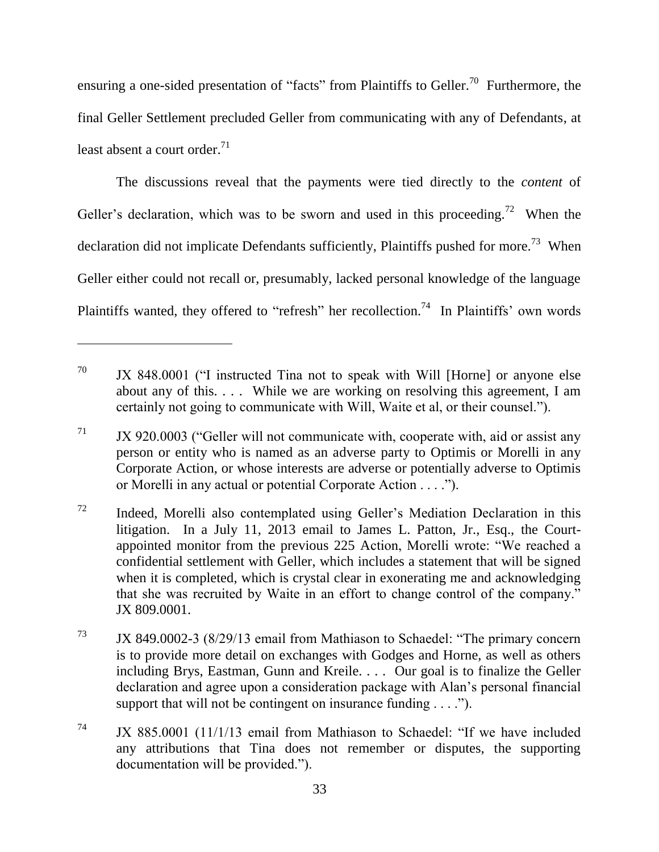ensuring a one-sided presentation of "facts" from Plaintiffs to Geller.<sup>70</sup> Furthermore, the final Geller Settlement precluded Geller from communicating with any of Defendants, at least absent a court order. 71

The discussions reveal that the payments were tied directly to the *content* of Geller's declaration, which was to be sworn and used in this proceeding.<sup>72</sup> When the declaration did not implicate Defendants sufficiently, Plaintiffs pushed for more.<sup>73</sup> When Geller either could not recall or, presumably, lacked personal knowledge of the language Plaintiffs wanted, they offered to "refresh" her recollection.<sup>74</sup> In Plaintiffs' own words

 $70$  JX 848,0001 ("I instructed Tina not to speak with Will [Horne] or anyone else about any of this. . . . While we are working on resolving this agreement, I am certainly not going to communicate with Will, Waite et al, or their counsel.").

 $J<sup>71</sup>$  JX 920.0003 ("Geller will not communicate with, cooperate with, aid or assist any person or entity who is named as an adverse party to Optimis or Morelli in any Corporate Action, or whose interests are adverse or potentially adverse to Optimis or Morelli in any actual or potential Corporate Action . . . .").

<sup>72</sup> Indeed, Morelli also contemplated using Geller's Mediation Declaration in this litigation. In a July 11, 2013 email to James L. Patton, Jr., Esq., the Courtappointed monitor from the previous 225 Action, Morelli wrote: "We reached a confidential settlement with Geller, which includes a statement that will be signed when it is completed, which is crystal clear in exonerating me and acknowledging that she was recruited by Waite in an effort to change control of the company." JX 809.0001.

 $73$  JX 849.0002-3 (8/29/13 email from Mathiason to Schaedel: "The primary concern is to provide more detail on exchanges with Godges and Horne, as well as others including Brys, Eastman, Gunn and Kreile. . . . Our goal is to finalize the Geller declaration and agree upon a consideration package with Alan's personal financial support that will not be contingent on insurance funding  $\dots$ .

 $J<sup>74</sup>$  JX 885.0001 (11/1/13 email from Mathiason to Schaedel: "If we have included any attributions that Tina does not remember or disputes, the supporting documentation will be provided.").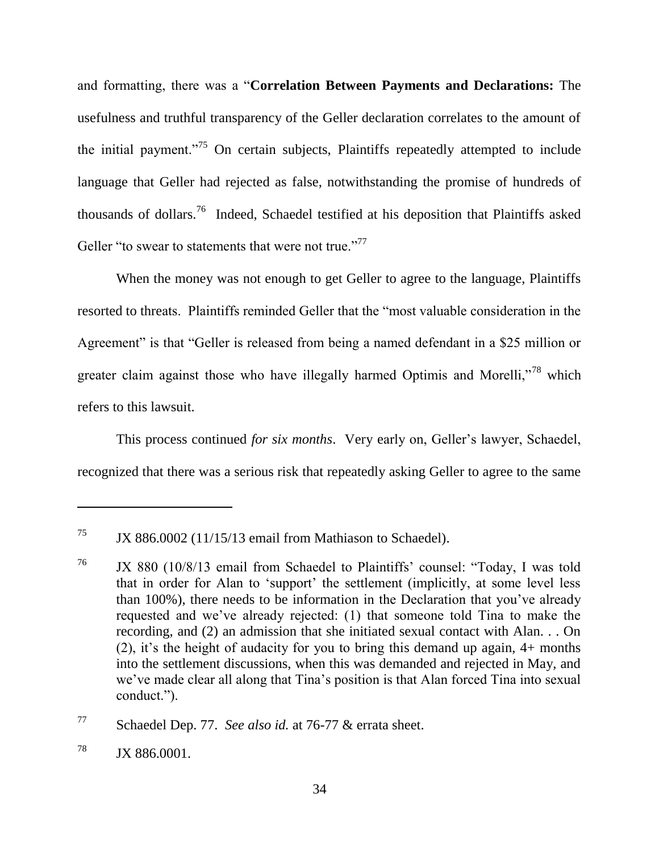and formatting, there was a "**Correlation Between Payments and Declarations:** The usefulness and truthful transparency of the Geller declaration correlates to the amount of the initial payment.<sup> $75$ </sup> On certain subjects, Plaintiffs repeatedly attempted to include language that Geller had rejected as false, notwithstanding the promise of hundreds of thousands of dollars.<sup>76</sup> Indeed, Schaedel testified at his deposition that Plaintiffs asked Geller "to swear to statements that were not true."<sup>77</sup>

When the money was not enough to get Geller to agree to the language, Plaintiffs resorted to threats. Plaintiffs reminded Geller that the "most valuable consideration in the Agreement" is that "Geller is released from being a named defendant in a \$25 million or greater claim against those who have illegally harmed Optimis and Morelli,"<sup>78</sup> which refers to this lawsuit.

This process continued *for six months*. Very early on, Geller's lawyer, Schaedel, recognized that there was a serious risk that repeatedly asking Geller to agree to the same

<sup>&</sup>lt;sup>75</sup> JX 886.0002 (11/15/13 email from Mathiason to Schaedel).

<sup>&</sup>lt;sup>76</sup> JX 880 (10/8/13 email from Schaedel to Plaintiffs' counsel: "Today, I was told that in order for Alan to 'support' the settlement (implicitly, at some level less than 100%), there needs to be information in the Declaration that you've already requested and we've already rejected: (1) that someone told Tina to make the recording, and (2) an admission that she initiated sexual contact with Alan. . . On (2), it's the height of audacity for you to bring this demand up again, 4+ months into the settlement discussions, when this was demanded and rejected in May, and we've made clear all along that Tina's position is that Alan forced Tina into sexual conduct.").

<sup>77</sup> Schaedel Dep. 77. *See also id.* at 76-77 & errata sheet.

<sup>&</sup>lt;sup>78</sup> JX 886,0001.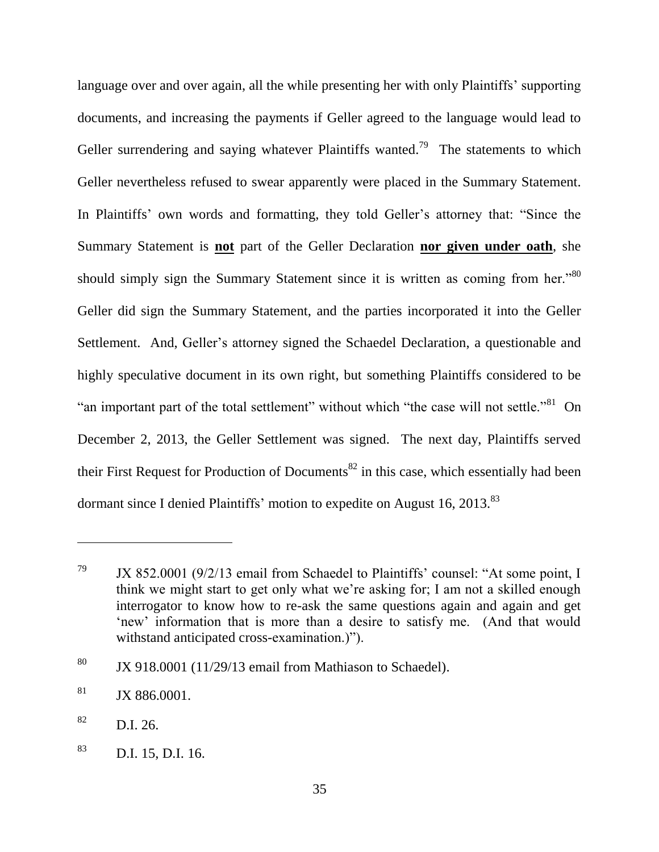language over and over again, all the while presenting her with only Plaintiffs' supporting documents, and increasing the payments if Geller agreed to the language would lead to Geller surrendering and saying whatever Plaintiffs wanted.<sup>79</sup> The statements to which Geller nevertheless refused to swear apparently were placed in the Summary Statement. In Plaintiffs' own words and formatting, they told Geller's attorney that: "Since the Summary Statement is **not** part of the Geller Declaration **nor given under oath**, she should simply sign the Summary Statement since it is written as coming from her.<sup>80</sup> Geller did sign the Summary Statement, and the parties incorporated it into the Geller Settlement. And, Geller's attorney signed the Schaedel Declaration, a questionable and highly speculative document in its own right, but something Plaintiffs considered to be "an important part of the total settlement" without which "the case will not settle."<sup>81</sup> On December 2, 2013, the Geller Settlement was signed. The next day, Plaintiffs served their First Request for Production of Documents<sup>82</sup> in this case, which essentially had been dormant since I denied Plaintiffs' motion to expedite on August 16, 2013.<sup>83</sup>

 $79$  JX 852.0001 (9/2/13 email from Schaedel to Plaintiffs' counsel: "At some point, I think we might start to get only what we're asking for; I am not a skilled enough interrogator to know how to re-ask the same questions again and again and get ‗new' information that is more than a desire to satisfy me. (And that would withstand anticipated cross-examination.)").

 $80$  JX 918.0001 (11/29/13 email from Mathiason to Schaedel).

 $81$  JX 886.0001.

 $^{82}$  D.I. 26.

<sup>83</sup> D.I. 15, D.I. 16.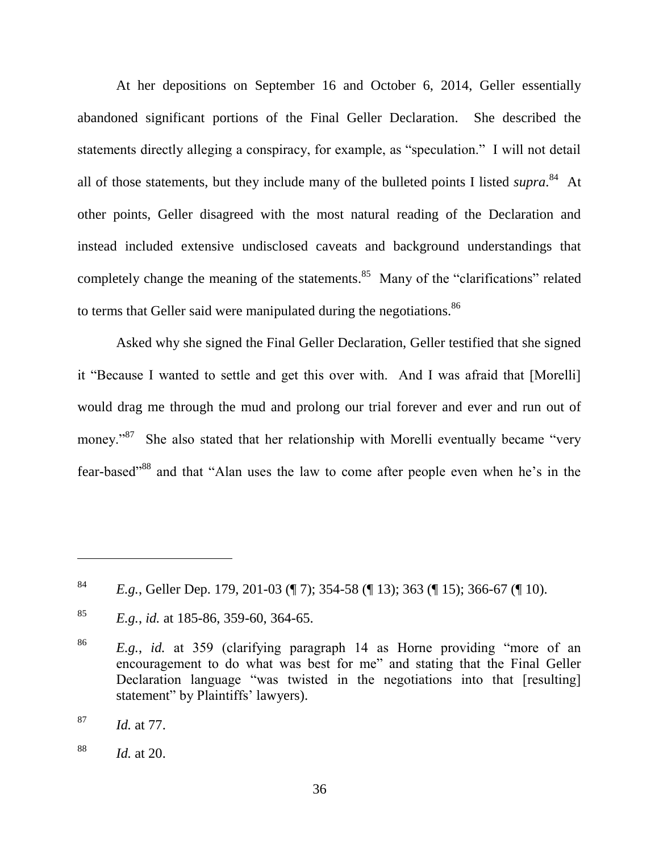At her depositions on September 16 and October 6, 2014, Geller essentially abandoned significant portions of the Final Geller Declaration. She described the statements directly alleging a conspiracy, for example, as "speculation." I will not detail all of those statements, but they include many of the bulleted points I listed *supra*. 84 At other points, Geller disagreed with the most natural reading of the Declaration and instead included extensive undisclosed caveats and background understandings that completely change the meaning of the statements.<sup>85</sup> Many of the "clarifications" related to terms that Geller said were manipulated during the negotiations.<sup>86</sup>

Asked why she signed the Final Geller Declaration, Geller testified that she signed it "Because I wanted to settle and get this over with. And I was afraid that [Morelli] would drag me through the mud and prolong our trial forever and ever and run out of money."<sup>87</sup> She also stated that her relationship with Morelli eventually became "very fear-based<sup>388</sup> and that "Alan uses the law to come after people even when he's in the

<sup>84</sup> *E.g.*, Geller Dep. 179, 201-03 (¶ 7); 354-58 (¶ 13); 363 (¶ 15); 366-67 (¶ 10).

<sup>85</sup> *E.g.*, *id.* at 185-86, 359-60, 364-65.

 $^{86}$  *E.g.*, *id.* at 359 (clarifying paragraph 14 as Horne providing "more of an encouragement to do what was best for me" and stating that the Final Geller Declaration language "was twisted in the negotiations into that [resulting] statement" by Plaintiffs' lawyers).

<sup>87</sup> *Id.* at 77.

<sup>88</sup> *Id.* at 20.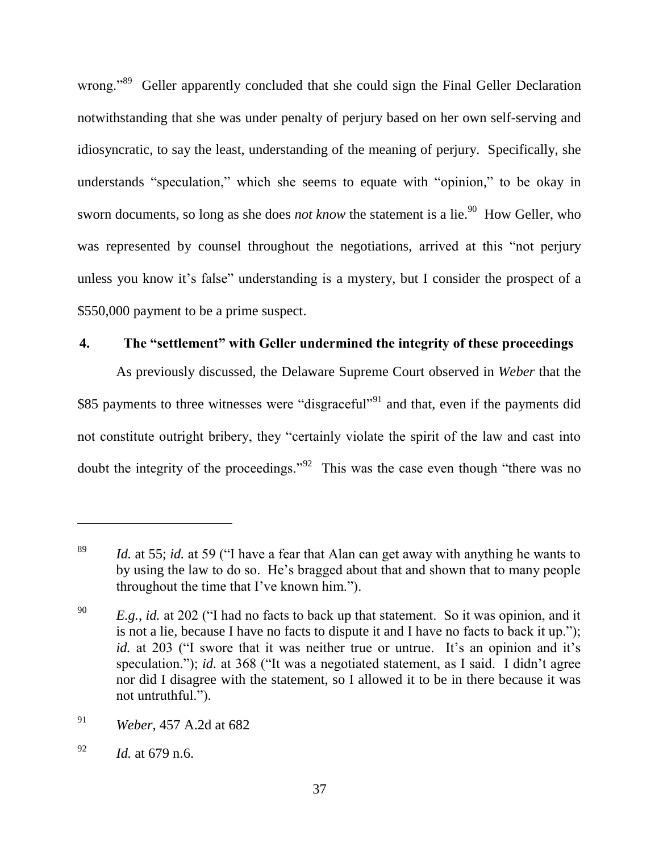wrong."<sup>89</sup> Geller apparently concluded that she could sign the Final Geller Declaration notwithstanding that she was under penalty of perjury based on her own self-serving and idiosyncratic, to say the least, understanding of the meaning of perjury. Specifically, she understands "speculation," which she seems to equate with "opinion," to be okay in sworn documents, so long as she does *not know* the statement is a lie.<sup>90</sup> How Geller, who was represented by counsel throughout the negotiations, arrived at this "not perjury unless you know it's false" understanding is a mystery, but I consider the prospect of a \$550,000 payment to be a prime suspect.

# **4. The "settlement" with Geller undermined the integrity of these proceedings**

As previously discussed, the Delaware Supreme Court observed in *Weber* that the \$85 payments to three witnesses were "disgraceful"<sup>91</sup> and that, even if the payments did not constitute outright bribery, they "certainly violate the spirit of the law and cast into doubt the integrity of the proceedings."<sup>92</sup> This was the case even though "there was no

<sup>&</sup>lt;sup>89</sup> *Id.* at 55; *id.* at 59 ("I have a fear that Alan can get away with anything he wants to by using the law to do so. He's bragged about that and shown that to many people throughout the time that I've known him.").

 $E.g., id.$  at 202 ("I had no facts to back up that statement. So it was opinion, and it is not a lie, because I have no facts to dispute it and I have no facts to back it up."); *id.* at 203 ("I swore that it was neither true or untrue. It's an opinion and it's speculation."); *id.* at 368 ("It was a negotiated statement, as I said. I didn't agree nor did I disagree with the statement, so I allowed it to be in there because it was not untruthful.").

<sup>91</sup> *Weber*, 457 A.2d at 682

<sup>92</sup> *Id.* at 679 n.6.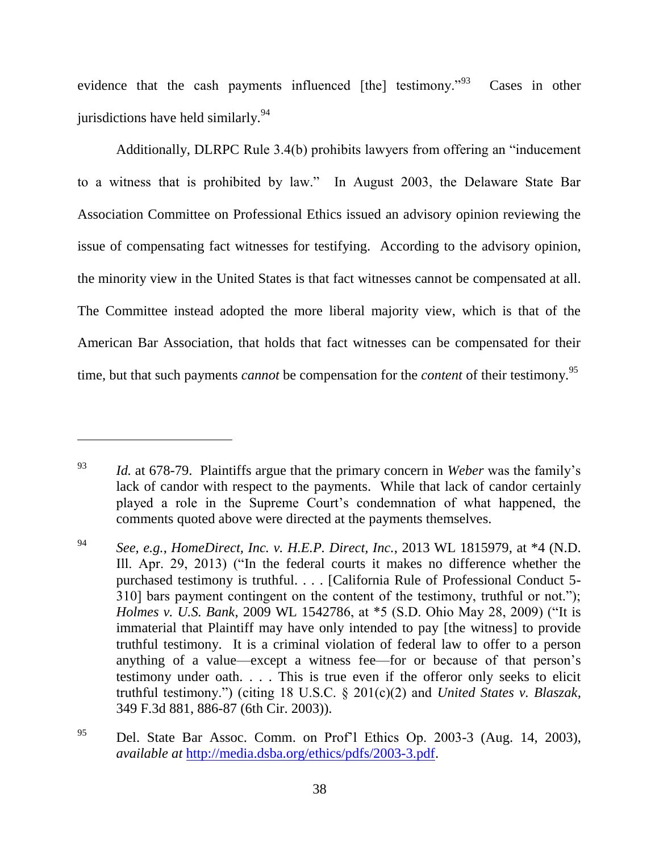evidence that the cash payments influenced [the] testimony.<sup> $93$ </sup> Cases in other jurisdictions have held similarly. $94$ 

Additionally, DLRPC Rule 3.4(b) prohibits lawyers from offering an "inducement" to a witness that is prohibited by law." In August 2003, the Delaware State Bar Association Committee on Professional Ethics issued an advisory opinion reviewing the issue of compensating fact witnesses for testifying. According to the advisory opinion, the minority view in the United States is that fact witnesses cannot be compensated at all. The Committee instead adopted the more liberal majority view, which is that of the American Bar Association, that holds that fact witnesses can be compensated for their time, but that such payments *cannot* be compensation for the *content* of their testimony.<sup>95</sup>

<sup>93</sup> *Id.* at 678-79. Plaintiffs argue that the primary concern in *Weber* was the family's lack of candor with respect to the payments. While that lack of candor certainly played a role in the Supreme Court's condemnation of what happened, the comments quoted above were directed at the payments themselves.

<sup>94</sup> *See, e.g.*, *HomeDirect, Inc. v. H.E.P. Direct, Inc.*, 2013 WL 1815979, at \*4 (N.D. Ill. Apr. 29, 2013) ("In the federal courts it makes no difference whether the purchased testimony is truthful. . . . [California Rule of Professional Conduct 5- 310] bars payment contingent on the content of the testimony, truthful or not."); *Holmes v. U.S. Bank*, 2009 WL 1542786, at \*5 (S.D. Ohio May 28, 2009) ("It is immaterial that Plaintiff may have only intended to pay [the witness] to provide truthful testimony. It is a criminal violation of federal law to offer to a person anything of a value—except a witness fee—for or because of that person's testimony under oath. . . . This is true even if the offeror only seeks to elicit truthful testimony.‖) (citing 18 U.S.C. § 201(c)(2) and *United States v. Blaszak*, 349 F.3d 881, 886-87 (6th Cir. 2003)).

<sup>95</sup> Del. State Bar Assoc. Comm. on Prof'l Ethics Op. 2003-3 (Aug. 14, 2003), *available at* [http://media.dsba.org/ethics/pdfs/2003-3.pdf.](http://media.dsba.org/ethics/pdfs/2003-3.pdf)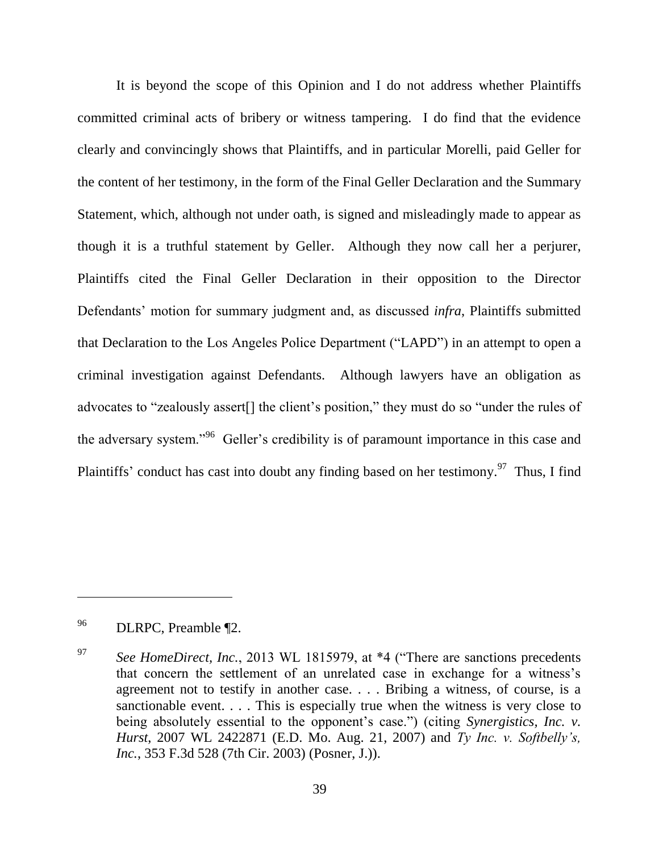It is beyond the scope of this Opinion and I do not address whether Plaintiffs committed criminal acts of bribery or witness tampering. I do find that the evidence clearly and convincingly shows that Plaintiffs, and in particular Morelli, paid Geller for the content of her testimony, in the form of the Final Geller Declaration and the Summary Statement, which, although not under oath, is signed and misleadingly made to appear as though it is a truthful statement by Geller. Although they now call her a perjurer, Plaintiffs cited the Final Geller Declaration in their opposition to the Director Defendants' motion for summary judgment and, as discussed *infra*, Plaintiffs submitted that Declaration to the Los Angeles Police Department ("LAPD") in an attempt to open a criminal investigation against Defendants. Although lawyers have an obligation as advocates to "zealously assert[] the client's position," they must do so "under the rules of the adversary system.<sup> $,96$ </sup> Geller's credibility is of paramount importance in this case and Plaintiffs' conduct has cast into doubt any finding based on her testimony.<sup>97</sup> Thus, I find

<sup>96</sup> DLRPC, Preamble ¶2.

<sup>&</sup>lt;sup>97</sup> *See HomeDirect, Inc.*, 2013 WL 1815979, at \*4 ("There are sanctions precedents") that concern the settlement of an unrelated case in exchange for a witness's agreement not to testify in another case. . . . Bribing a witness, of course, is a sanctionable event. . . . This is especially true when the witness is very close to being absolutely essential to the opponent's case.") (citing *Synergistics, Inc. v. Hurst*, 2007 WL 2422871 (E.D. Mo. Aug. 21, 2007) and *Ty Inc. v. Softbelly's, Inc.*, 353 F.3d 528 (7th Cir. 2003) (Posner, J.)).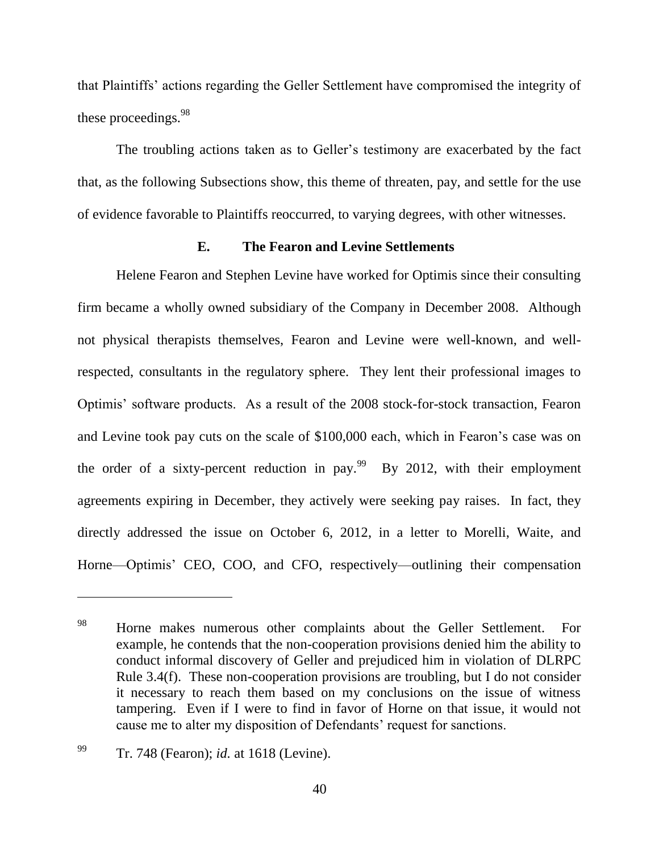that Plaintiffs' actions regarding the Geller Settlement have compromised the integrity of these proceedings.<sup>98</sup>

The troubling actions taken as to Geller's testimony are exacerbated by the fact that, as the following Subsections show, this theme of threaten, pay, and settle for the use of evidence favorable to Plaintiffs reoccurred, to varying degrees, with other witnesses.

## **E. The Fearon and Levine Settlements**

Helene Fearon and Stephen Levine have worked for Optimis since their consulting firm became a wholly owned subsidiary of the Company in December 2008. Although not physical therapists themselves, Fearon and Levine were well-known, and wellrespected, consultants in the regulatory sphere. They lent their professional images to Optimis' software products. As a result of the 2008 stock-for-stock transaction, Fearon and Levine took pay cuts on the scale of \$100,000 each, which in Fearon's case was on the order of a sixty-percent reduction in pay.<sup>99</sup> By 2012, with their employment agreements expiring in December, they actively were seeking pay raises. In fact, they directly addressed the issue on October 6, 2012, in a letter to Morelli, Waite, and Horne—Optimis' CEO, COO, and CFO, respectively—outlining their compensation

<sup>&</sup>lt;sup>98</sup> Horne makes numerous other complaints about the Geller Settlement. For example, he contends that the non-cooperation provisions denied him the ability to conduct informal discovery of Geller and prejudiced him in violation of DLRPC Rule 3.4(f). These non-cooperation provisions are troubling, but I do not consider it necessary to reach them based on my conclusions on the issue of witness tampering. Even if I were to find in favor of Horne on that issue, it would not cause me to alter my disposition of Defendants' request for sanctions.

<sup>99</sup> Tr. 748 (Fearon); *id.* at 1618 (Levine).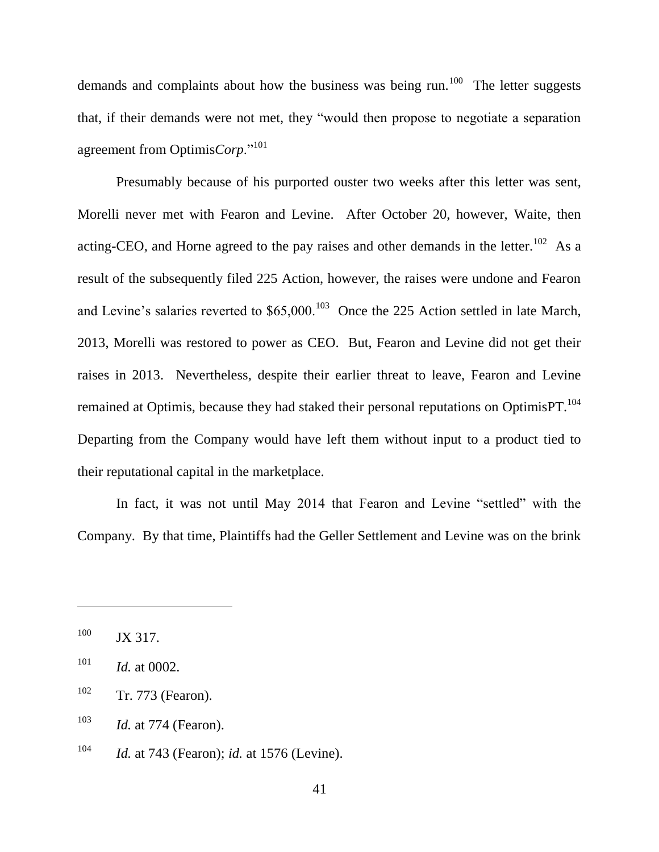demands and complaints about how the business was being run.<sup>100</sup> The letter suggests that, if their demands were not met, they "would then propose to negotiate a separation agreement from Optimis*Corp*."<sup>101</sup>

Presumably because of his purported ouster two weeks after this letter was sent, Morelli never met with Fearon and Levine. After October 20, however, Waite, then acting-CEO, and Horne agreed to the pay raises and other demands in the letter.<sup>102</sup> As a result of the subsequently filed 225 Action, however, the raises were undone and Fearon and Levine's salaries reverted to  $$65,000$ .<sup>103</sup> Once the 225 Action settled in late March, 2013, Morelli was restored to power as CEO. But, Fearon and Levine did not get their raises in 2013. Nevertheless, despite their earlier threat to leave, Fearon and Levine remained at Optimis, because they had staked their personal reputations on Optimis PT.<sup>104</sup> Departing from the Company would have left them without input to a product tied to their reputational capital in the marketplace.

In fact, it was not until May 2014 that Fearon and Levine "settled" with the Company. By that time, Plaintiffs had the Geller Settlement and Levine was on the brink

<sup>&</sup>lt;sup>100</sup> JX 317.

<sup>101</sup> *Id.* at 0002.

 $102$  Tr. 773 (Fearon).

<sup>103</sup> *Id.* at 774 (Fearon).

<sup>104</sup> *Id.* at 743 (Fearon); *id.* at 1576 (Levine).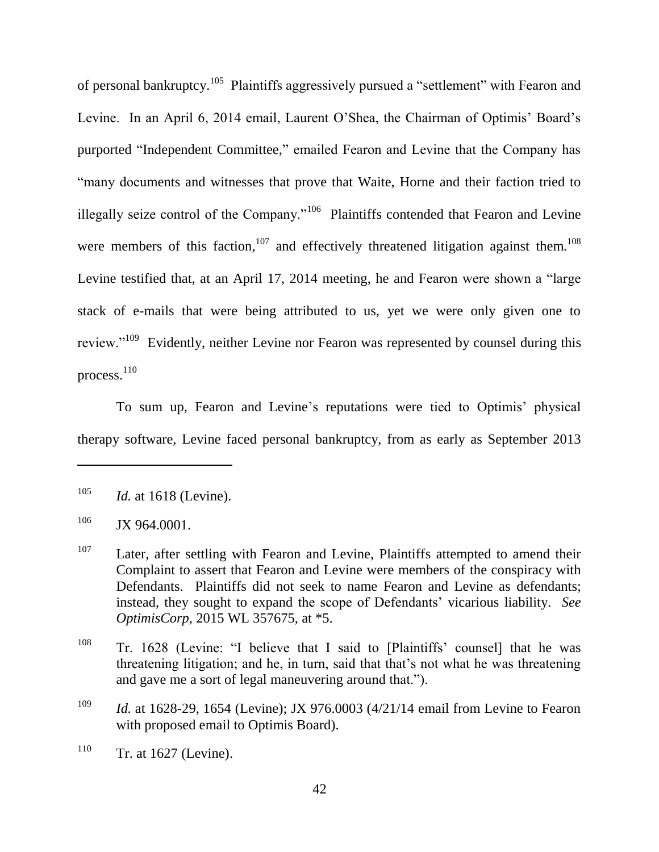of personal bankruptcy.<sup>105</sup> Plaintiffs aggressively pursued a "settlement" with Fearon and Levine. In an April 6, 2014 email, Laurent O'Shea, the Chairman of Optimis' Board's purported "Independent Committee," emailed Fearon and Levine that the Company has "many documents and witnesses that prove that Waite, Horne and their faction tried to illegally seize control of the Company."<sup>106</sup> Plaintiffs contended that Fearon and Levine were members of this faction,  $107$  and effectively threatened litigation against them.  $108$ Levine testified that, at an April 17, 2014 meeting, he and Fearon were shown a "large" stack of e-mails that were being attributed to us, yet we were only given one to review."<sup>109</sup> Evidently, neither Levine nor Fearon was represented by counsel during this process. 110

To sum up, Fearon and Levine's reputations were tied to Optimis' physical therapy software, Levine faced personal bankruptcy, from as early as September 2013

<sup>105</sup> *Id.* at 1618 (Levine).

 $106$  JX 964.0001.

<sup>&</sup>lt;sup>107</sup> Later, after settling with Fearon and Levine, Plaintiffs attempted to amend their Complaint to assert that Fearon and Levine were members of the conspiracy with Defendants. Plaintiffs did not seek to name Fearon and Levine as defendants; instead, they sought to expand the scope of Defendants' vicarious liability. *See OptimisCorp*, 2015 WL 357675, at \*5.

<sup>&</sup>lt;sup>108</sup> Tr. 1628 (Levine: "I believe that I said to [Plaintiffs' counsel] that he was threatening litigation; and he, in turn, said that that's not what he was threatening and gave me a sort of legal maneuvering around that.").

<sup>&</sup>lt;sup>109</sup> *Id.* at 1628-29, 1654 (Levine); JX 976.0003 (4/21/14 email from Levine to Fearon with proposed email to Optimis Board).

 $110$  Tr. at 1627 (Levine).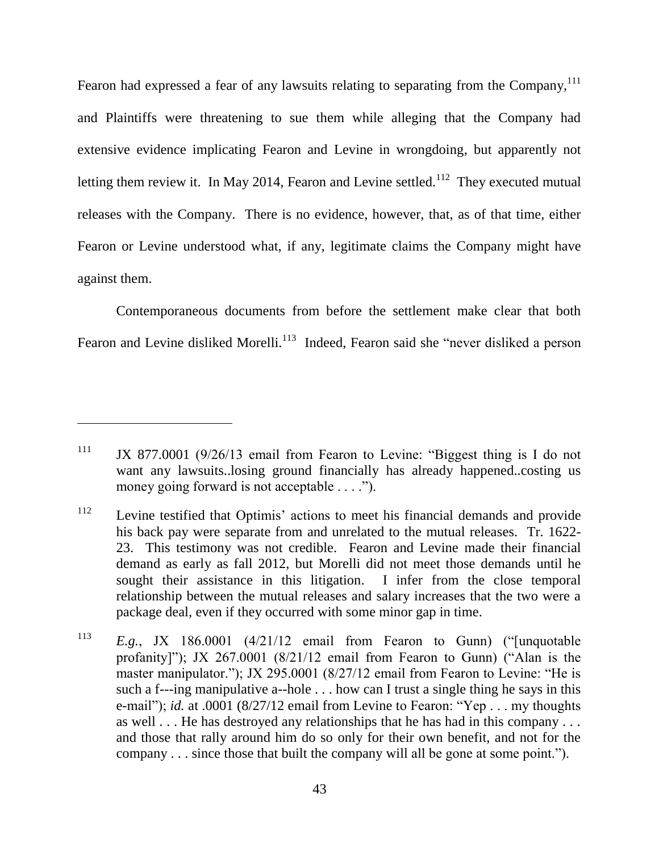Fearon had expressed a fear of any lawsuits relating to separating from the Company, <sup>111</sup> and Plaintiffs were threatening to sue them while alleging that the Company had extensive evidence implicating Fearon and Levine in wrongdoing, but apparently not letting them review it. In May 2014, Fearon and Levine settled.<sup>112</sup> They executed mutual releases with the Company. There is no evidence, however, that, as of that time, either Fearon or Levine understood what, if any, legitimate claims the Company might have against them.

Contemporaneous documents from before the settlement make clear that both Fearon and Levine disliked Morelli.<sup>113</sup> Indeed, Fearon said she "never disliked a person

 $111$  JX 877.0001 (9/26/13 email from Fearon to Levine: "Biggest thing is I do not want any lawsuits..losing ground financially has already happened..costing us money going forward is not acceptable  $\dots$ .").

<sup>112</sup> Levine testified that Optimis' actions to meet his financial demands and provide his back pay were separate from and unrelated to the mutual releases. Tr. 1622- 23. This testimony was not credible. Fearon and Levine made their financial demand as early as fall 2012, but Morelli did not meet those demands until he sought their assistance in this litigation. I infer from the close temporal relationship between the mutual releases and salary increases that the two were a package deal, even if they occurred with some minor gap in time.

<sup>&</sup>lt;sup>113</sup> *E.g.*, JX 186.0001  $(4/21/12$  email from Fearon to Gunn) ("[unquotable profanity]"); JX 267.0001  $(8/21/12$  email from Fearon to Gunn) ("Alan is the master manipulator."); JX 295.0001 (8/27/12 email from Fearon to Levine: "He is such a f---ing manipulative a--hole  $\ldots$  how can I trust a single thing he says in this e-mail"); *id.* at .0001 (8/27/12 email from Levine to Fearon: "Yep . . . my thoughts as well . . . He has destroyed any relationships that he has had in this company . . . and those that rally around him do so only for their own benefit, and not for the company  $\ldots$  since those that built the company will all be gone at some point.").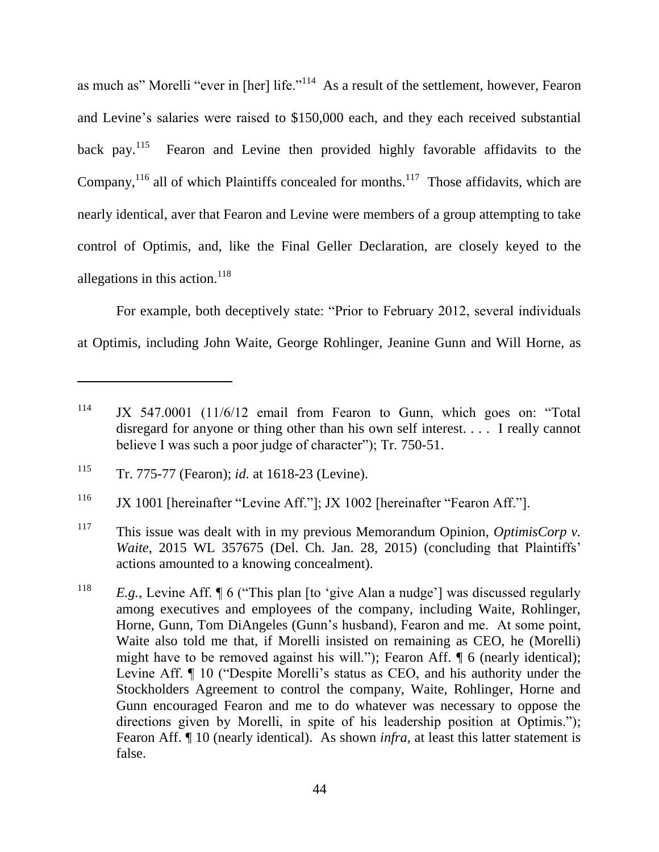as much as" Morelli "ever in [her] life."<sup>114</sup> As a result of the settlement, however, Fearon and Levine's salaries were raised to \$150,000 each, and they each received substantial back pay. $^{115}$  Fearon and Levine then provided highly favorable affidavits to the Company,  $^{116}$  all of which Plaintiffs concealed for months.<sup>117</sup> Those affidavits, which are nearly identical, aver that Fearon and Levine were members of a group attempting to take control of Optimis, and, like the Final Geller Declaration, are closely keyed to the allegations in this action.<sup>118</sup>

For example, both deceptively state: "Prior to February 2012, several individuals at Optimis, including John Waite, George Rohlinger, Jeanine Gunn and Will Horne, as

 $114$  JX 547.0001 (11/6/12 email from Fearon to Gunn, which goes on: "Total disregard for anyone or thing other than his own self interest. . . . I really cannot believe I was such a poor judge of character");  $Tr. 750-51$ .

<sup>115</sup> Tr. 775-77 (Fearon); *id.* at 1618-23 (Levine).

 $116$  JX 1001 [hereinafter "Levine Aff."]; JX 1002 [hereinafter "Fearon Aff."].

<sup>117</sup> This issue was dealt with in my previous Memorandum Opinion, *OptimisCorp v. Waite*, 2015 WL 357675 (Del. Ch. Jan. 28, 2015) (concluding that Plaintiffs' actions amounted to a knowing concealment).

<sup>&</sup>lt;sup>118</sup> *E.g.*, Levine Aff.  $\P 6$  ("This plan [to 'give Alan a nudge'] was discussed regularly among executives and employees of the company, including Waite, Rohlinger, Horne, Gunn, Tom DiAngeles (Gunn's husband), Fearon and me. At some point, Waite also told me that, if Morelli insisted on remaining as CEO, he (Morelli) might have to be removed against his will."); Fearon Aff.  $\P$  6 (nearly identical); Levine Aff. ¶ 10 ("Despite Morelli's status as CEO, and his authority under the Stockholders Agreement to control the company, Waite, Rohlinger, Horne and Gunn encouraged Fearon and me to do whatever was necessary to oppose the directions given by Morelli, in spite of his leadership position at Optimis."); Fearon Aff. ¶ 10 (nearly identical). As shown *infra*, at least this latter statement is false.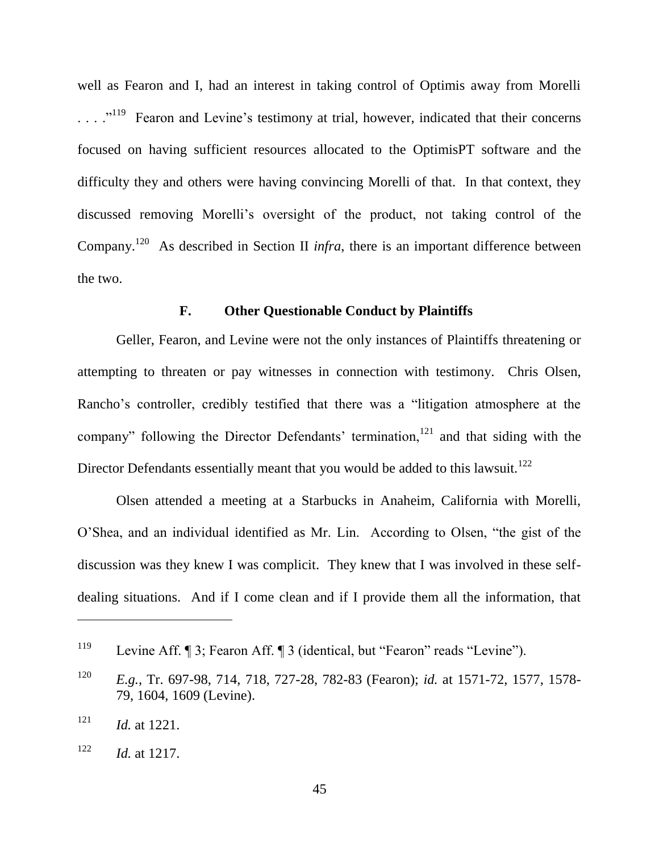well as Fearon and I, had an interest in taking control of Optimis away from Morelli  $\ldots$   $\cdot$  <sup>119</sup> Fearon and Levine's testimony at trial, however, indicated that their concerns focused on having sufficient resources allocated to the OptimisPT software and the difficulty they and others were having convincing Morelli of that. In that context, they discussed removing Morelli's oversight of the product, not taking control of the Company.<sup>120</sup> As described in Section II *infra*, there is an important difference between the two.

#### **F. Other Questionable Conduct by Plaintiffs**

Geller, Fearon, and Levine were not the only instances of Plaintiffs threatening or attempting to threaten or pay witnesses in connection with testimony. Chris Olsen, Rancho's controller, credibly testified that there was a "litigation atmosphere at the company" following the Director Defendants' termination,<sup>121</sup> and that siding with the Director Defendants essentially meant that you would be added to this lawsuit.<sup>122</sup>

Olsen attended a meeting at a Starbucks in Anaheim, California with Morelli, O'Shea, and an individual identified as Mr. Lin. According to Olsen, "the gist of the discussion was they knew I was complicit. They knew that I was involved in these selfdealing situations. And if I come clean and if I provide them all the information, that

<sup>&</sup>lt;sup>119</sup> Levine Aff. ¶ 3; Fearon Aff. ¶ 3 (identical, but "Fearon" reads "Levine").

<sup>120</sup> *E.g.*, Tr. 697-98, 714, 718, 727-28, 782-83 (Fearon); *id.* at 1571-72, 1577, 1578- 79, 1604, 1609 (Levine).

 $121$  *Id.* at 1221.

<sup>122</sup> *Id.* at 1217.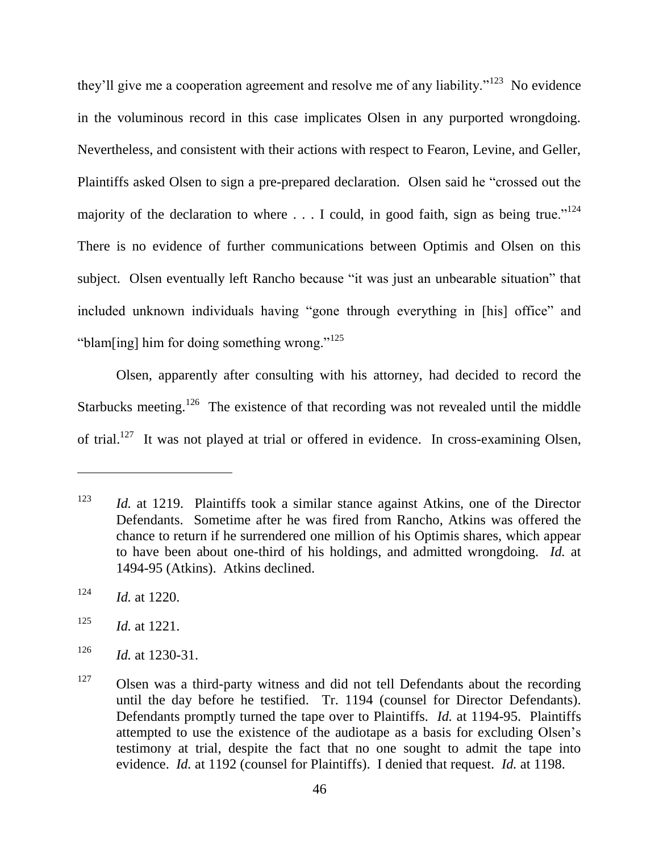they'll give me a cooperation agreement and resolve me of any liability."<sup>123</sup> No evidence in the voluminous record in this case implicates Olsen in any purported wrongdoing. Nevertheless, and consistent with their actions with respect to Fearon, Levine, and Geller, Plaintiffs asked Olsen to sign a pre-prepared declaration. Olsen said he "crossed out the majority of the declaration to where  $\dots$  I could, in good faith, sign as being true."<sup>124</sup> There is no evidence of further communications between Optimis and Olsen on this subject. Olsen eventually left Rancho because "it was just an unbearable situation" that included unknown individuals having "gone through everything in [his] office" and "blam[ing] him for doing something wrong." $125$ 

Olsen, apparently after consulting with his attorney, had decided to record the Starbucks meeting.<sup>126</sup> The existence of that recording was not revealed until the middle of trial.<sup>127</sup> It was not played at trial or offered in evidence. In cross-examining Olsen,

<sup>123</sup> *Id.* at 1219. Plaintiffs took a similar stance against Atkins, one of the Director Defendants. Sometime after he was fired from Rancho, Atkins was offered the chance to return if he surrendered one million of his Optimis shares, which appear to have been about one-third of his holdings, and admitted wrongdoing. *Id.* at 1494-95 (Atkins). Atkins declined.

<sup>124</sup> *Id.* at 1220.

<sup>125</sup> *Id.* at 1221.

<sup>126</sup> *Id.* at 1230-31.

 $127$  Olsen was a third-party witness and did not tell Defendants about the recording until the day before he testified. Tr. 1194 (counsel for Director Defendants). Defendants promptly turned the tape over to Plaintiffs. *Id.* at 1194-95. Plaintiffs attempted to use the existence of the audiotape as a basis for excluding Olsen's testimony at trial, despite the fact that no one sought to admit the tape into evidence. *Id.* at 1192 (counsel for Plaintiffs). I denied that request. *Id.* at 1198.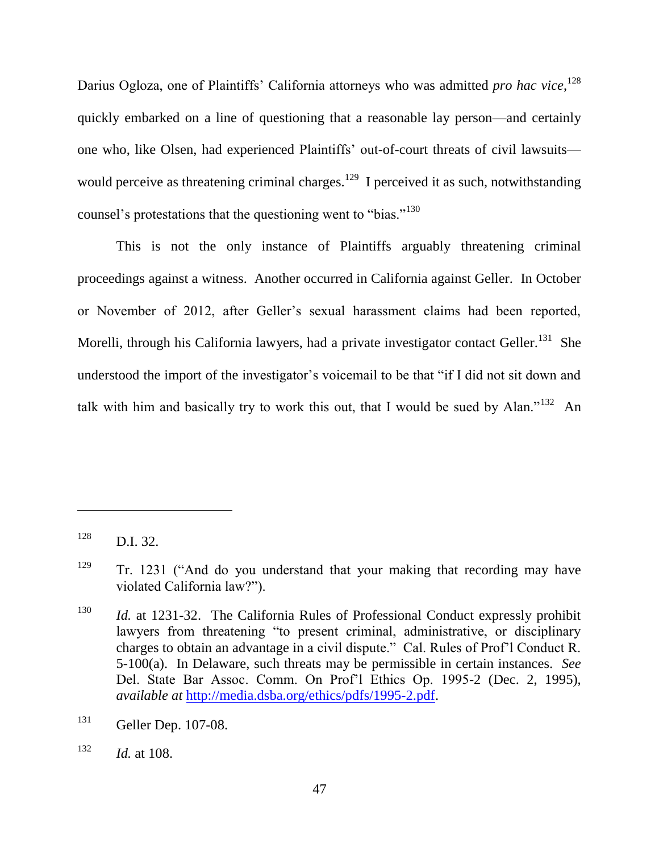Darius Ogloza, one of Plaintiffs' California attorneys who was admitted *pro hac vice*, 128 quickly embarked on a line of questioning that a reasonable lay person—and certainly one who, like Olsen, had experienced Plaintiffs' out-of-court threats of civil lawsuits would perceive as threatening criminal charges.<sup>129</sup> I perceived it as such, notwithstanding counsel's protestations that the questioning went to "bias."<sup>130</sup>

This is not the only instance of Plaintiffs arguably threatening criminal proceedings against a witness. Another occurred in California against Geller. In October or November of 2012, after Geller's sexual harassment claims had been reported, Morelli, through his California lawyers, had a private investigator contact Geller.<sup>131</sup> She understood the import of the investigator's voicemail to be that "if I did not sit down and talk with him and basically try to work this out, that I would be sued by Alan."<sup>132</sup> An

 $128$  D.I. 32.

 $129$  Tr. 1231 ("And do you understand that your making that recording may have violated California law?").

<sup>130</sup> *Id.* at 1231-32. The California Rules of Professional Conduct expressly prohibit lawyers from threatening "to present criminal, administrative, or disciplinary charges to obtain an advantage in a civil dispute." Cal. Rules of Prof'l Conduct R. 5-100(a). In Delaware, such threats may be permissible in certain instances. *See*  Del. State Bar Assoc. Comm. On Prof'l Ethics Op. 1995-2 (Dec. 2, 1995), *available at* [http://media.dsba.org/ethics/pdfs/1995-2.pdf.](http://media.dsba.org/ethics/pdfs/1995-2.pdf)

<sup>131</sup> Geller Dep. 107-08.

 $132$  *Id.* at 108.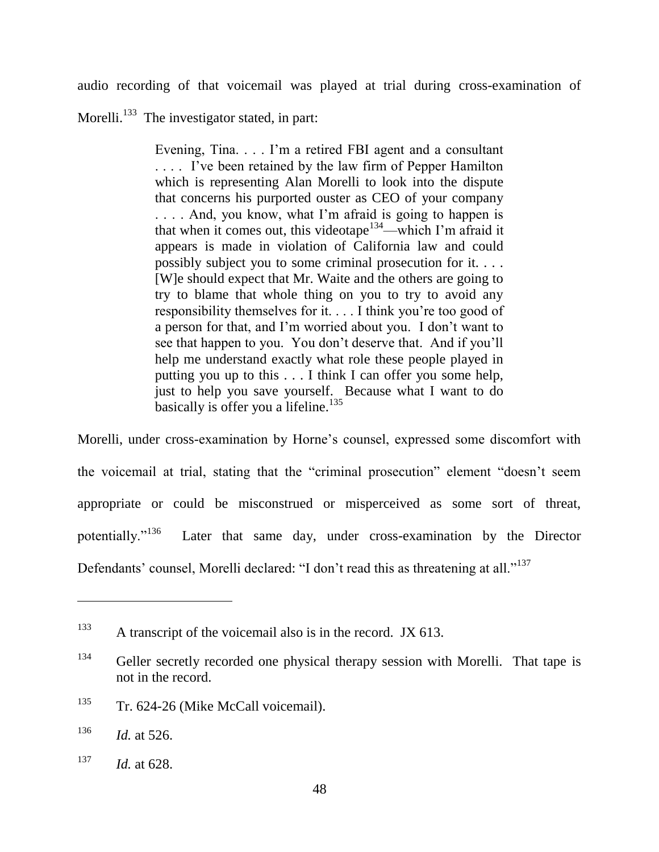audio recording of that voicemail was played at trial during cross-examination of Morelli.<sup>133</sup> The investigator stated, in part:

> Evening, Tina. . . . I'm a retired FBI agent and a consultant . . . . I've been retained by the law firm of Pepper Hamilton which is representing Alan Morelli to look into the dispute that concerns his purported ouster as CEO of your company ... And, you know, what I'm afraid is going to happen is that when it comes out, this videotape<sup>134</sup>—which I'm afraid it appears is made in violation of California law and could possibly subject you to some criminal prosecution for it. . . . [W]e should expect that Mr. Waite and the others are going to try to blame that whole thing on you to try to avoid any responsibility themselves for it. . . . I think you're too good of a person for that, and I'm worried about you. I don't want to see that happen to you. You don't deserve that. And if you'll help me understand exactly what role these people played in putting you up to this . . . I think I can offer you some help, just to help you save yourself. Because what I want to do basically is offer you a lifeline. $135$

Morelli, under cross-examination by Horne's counsel, expressed some discomfort with the voicemail at trial, stating that the "criminal prosecution" element "doesn't seem appropriate or could be misconstrued or misperceived as some sort of threat, potentially."<sup>136</sup> Later that same day, under cross-examination by the Director Defendants' counsel, Morelli declared: "I don't read this as threatening at all."<sup>137</sup>

<sup>&</sup>lt;sup>133</sup> A transcript of the voicemail also is in the record. JX 613.

<sup>&</sup>lt;sup>134</sup> Geller secretly recorded one physical therapy session with Morelli. That tape is not in the record.

<sup>&</sup>lt;sup>135</sup> Tr. 624-26 (Mike McCall voicemail).

 $136$  *Id.* at 526.

<sup>137</sup> *Id.* at 628.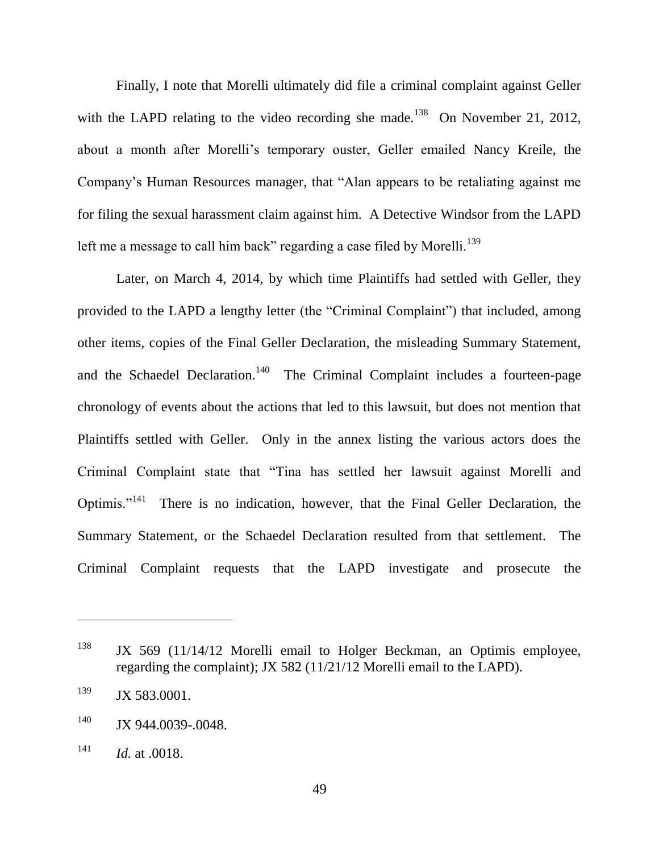Finally, I note that Morelli ultimately did file a criminal complaint against Geller with the LAPD relating to the video recording she made.<sup>138</sup> On November 21, 2012, about a month after Morelli's temporary ouster, Geller emailed Nancy Kreile, the Company's Human Resources manager, that "Alan appears to be retaliating against me for filing the sexual harassment claim against him. A Detective Windsor from the LAPD left me a message to call him back" regarding a case filed by Morelli.<sup>139</sup>

Later, on March 4, 2014, by which time Plaintiffs had settled with Geller, they provided to the LAPD a lengthy letter (the "Criminal Complaint") that included, among other items, copies of the Final Geller Declaration, the misleading Summary Statement, and the Schaedel Declaration.<sup>140</sup> The Criminal Complaint includes a fourteen-page chronology of events about the actions that led to this lawsuit, but does not mention that Plaintiffs settled with Geller. Only in the annex listing the various actors does the Criminal Complaint state that "Tina has settled her lawsuit against Morelli and Optimis."<sup>141</sup> There is no indication, however, that the Final Geller Declaration, the Summary Statement, or the Schaedel Declaration resulted from that settlement. The Criminal Complaint requests that the LAPD investigate and prosecute the

<sup>&</sup>lt;sup>138</sup> JX 569 (11/14/12 Morelli email to Holger Beckman, an Optimis employee, regarding the complaint); JX 582 (11/21/12 Morelli email to the LAPD).

 $139$  JX 583.0001.

<sup>&</sup>lt;sup>140</sup> JX 944.0039-.0048.

<sup>141</sup> *Id.* at .0018.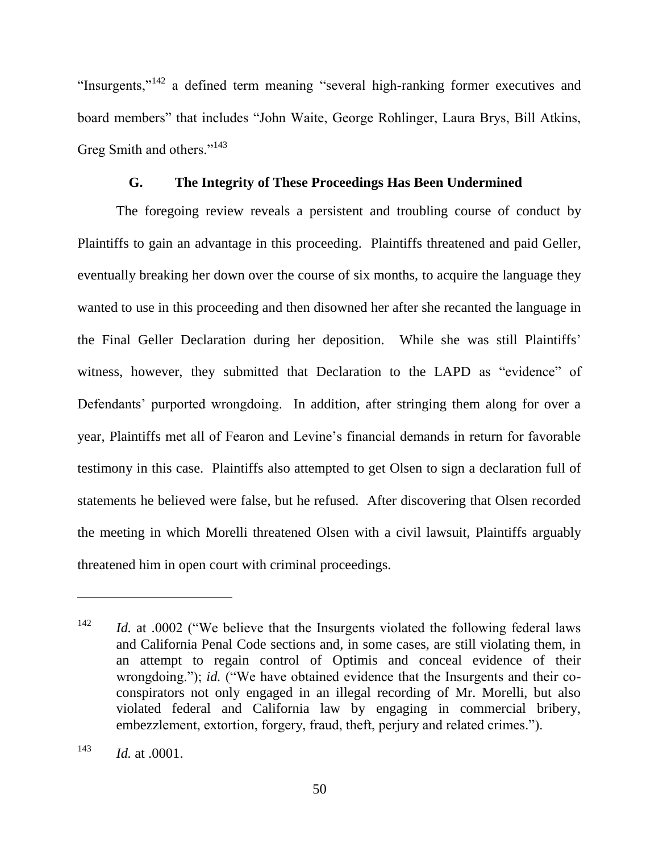"Insurgents," $142$  a defined term meaning "several high-ranking former executives and board members" that includes "John Waite, George Rohlinger, Laura Brys, Bill Atkins, Greg Smith and others."<sup>143</sup>

## **G. The Integrity of These Proceedings Has Been Undermined**

The foregoing review reveals a persistent and troubling course of conduct by Plaintiffs to gain an advantage in this proceeding. Plaintiffs threatened and paid Geller, eventually breaking her down over the course of six months, to acquire the language they wanted to use in this proceeding and then disowned her after she recanted the language in the Final Geller Declaration during her deposition. While she was still Plaintiffs' witness, however, they submitted that Declaration to the LAPD as "evidence" of Defendants' purported wrongdoing. In addition, after stringing them along for over a year, Plaintiffs met all of Fearon and Levine's financial demands in return for favorable testimony in this case. Plaintiffs also attempted to get Olsen to sign a declaration full of statements he believed were false, but he refused. After discovering that Olsen recorded the meeting in which Morelli threatened Olsen with a civil lawsuit, Plaintiffs arguably threatened him in open court with criminal proceedings.

 $142$  *Id.* at .0002 ("We believe that the Insurgents violated the following federal laws and California Penal Code sections and, in some cases, are still violating them, in an attempt to regain control of Optimis and conceal evidence of their wrongdoing."); *id.* ("We have obtained evidence that the Insurgents and their coconspirators not only engaged in an illegal recording of Mr. Morelli, but also violated federal and California law by engaging in commercial bribery, embezzlement, extortion, forgery, fraud, theft, perjury and related crimes.").

<sup>143</sup> *Id.* at .0001.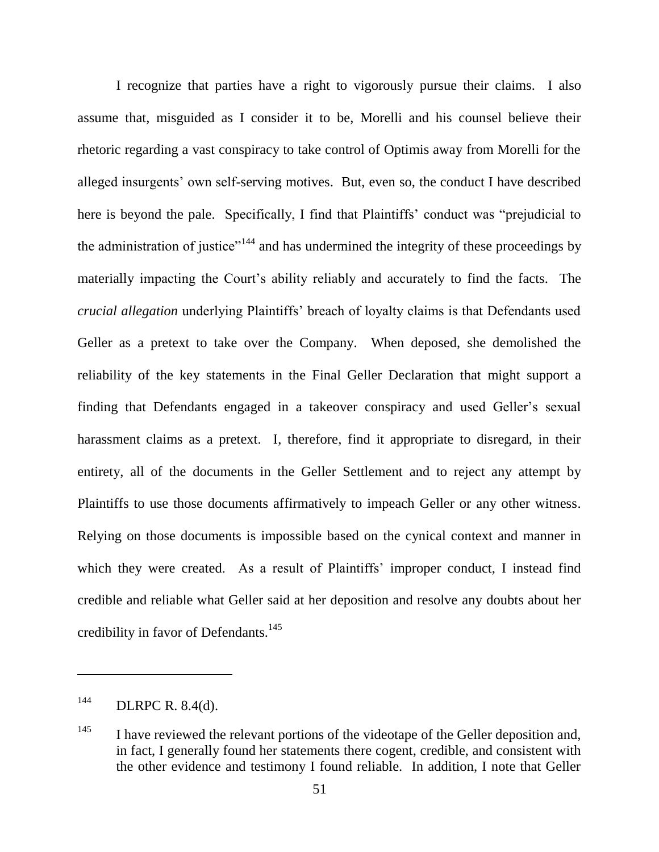I recognize that parties have a right to vigorously pursue their claims. I also assume that, misguided as I consider it to be, Morelli and his counsel believe their rhetoric regarding a vast conspiracy to take control of Optimis away from Morelli for the alleged insurgents' own self-serving motives. But, even so, the conduct I have described here is beyond the pale. Specifically, I find that Plaintiffs' conduct was "prejudicial to the administration of justice"<sup>144</sup> and has undermined the integrity of these proceedings by materially impacting the Court's ability reliably and accurately to find the facts. The *crucial allegation* underlying Plaintiffs' breach of loyalty claims is that Defendants used Geller as a pretext to take over the Company. When deposed, she demolished the reliability of the key statements in the Final Geller Declaration that might support a finding that Defendants engaged in a takeover conspiracy and used Geller's sexual harassment claims as a pretext. I, therefore, find it appropriate to disregard, in their entirety, all of the documents in the Geller Settlement and to reject any attempt by Plaintiffs to use those documents affirmatively to impeach Geller or any other witness. Relying on those documents is impossible based on the cynical context and manner in which they were created. As a result of Plaintiffs' improper conduct, I instead find credible and reliable what Geller said at her deposition and resolve any doubts about her credibility in favor of Defendants.<sup>145</sup>

 $144$  DLRPC R. 8.4(d).

 $145$  I have reviewed the relevant portions of the videotape of the Geller deposition and, in fact, I generally found her statements there cogent, credible, and consistent with the other evidence and testimony I found reliable. In addition, I note that Geller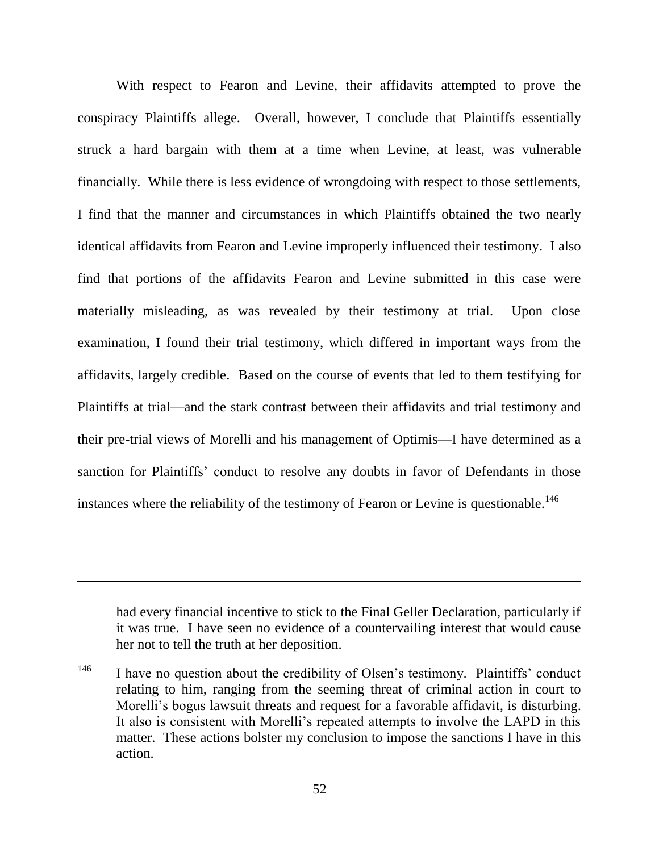With respect to Fearon and Levine, their affidavits attempted to prove the conspiracy Plaintiffs allege. Overall, however, I conclude that Plaintiffs essentially struck a hard bargain with them at a time when Levine, at least, was vulnerable financially. While there is less evidence of wrongdoing with respect to those settlements, I find that the manner and circumstances in which Plaintiffs obtained the two nearly identical affidavits from Fearon and Levine improperly influenced their testimony. I also find that portions of the affidavits Fearon and Levine submitted in this case were materially misleading, as was revealed by their testimony at trial. Upon close examination, I found their trial testimony, which differed in important ways from the affidavits, largely credible. Based on the course of events that led to them testifying for Plaintiffs at trial—and the stark contrast between their affidavits and trial testimony and their pre-trial views of Morelli and his management of Optimis—I have determined as a sanction for Plaintiffs' conduct to resolve any doubts in favor of Defendants in those instances where the reliability of the testimony of Fearon or Levine is questionable.<sup>146</sup>

had every financial incentive to stick to the Final Geller Declaration, particularly if it was true. I have seen no evidence of a countervailing interest that would cause her not to tell the truth at her deposition.

<sup>&</sup>lt;sup>146</sup> I have no question about the credibility of Olsen's testimony. Plaintiffs' conduct relating to him, ranging from the seeming threat of criminal action in court to Morelli's bogus lawsuit threats and request for a favorable affidavit, is disturbing. It also is consistent with Morelli's repeated attempts to involve the LAPD in this matter. These actions bolster my conclusion to impose the sanctions I have in this action.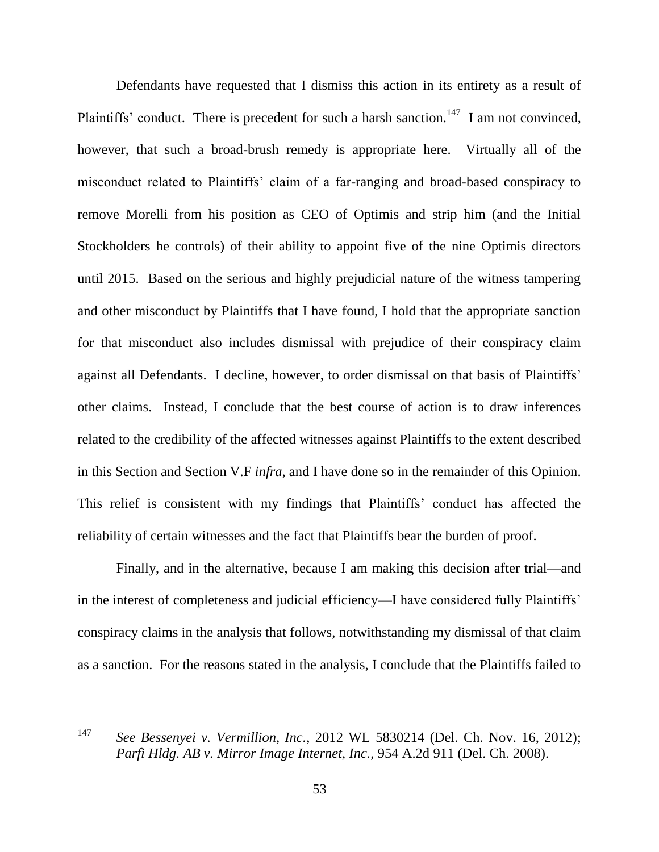Defendants have requested that I dismiss this action in its entirety as a result of Plaintiffs' conduct. There is precedent for such a harsh sanction.<sup>147</sup> I am not convinced, however, that such a broad-brush remedy is appropriate here. Virtually all of the misconduct related to Plaintiffs' claim of a far-ranging and broad-based conspiracy to remove Morelli from his position as CEO of Optimis and strip him (and the Initial Stockholders he controls) of their ability to appoint five of the nine Optimis directors until 2015. Based on the serious and highly prejudicial nature of the witness tampering and other misconduct by Plaintiffs that I have found, I hold that the appropriate sanction for that misconduct also includes dismissal with prejudice of their conspiracy claim against all Defendants. I decline, however, to order dismissal on that basis of Plaintiffs' other claims. Instead, I conclude that the best course of action is to draw inferences related to the credibility of the affected witnesses against Plaintiffs to the extent described in this Section and Section V.F *infra*, and I have done so in the remainder of this Opinion. This relief is consistent with my findings that Plaintiffs' conduct has affected the reliability of certain witnesses and the fact that Plaintiffs bear the burden of proof.

Finally, and in the alternative, because I am making this decision after trial—and in the interest of completeness and judicial efficiency—I have considered fully Plaintiffs' conspiracy claims in the analysis that follows, notwithstanding my dismissal of that claim as a sanction. For the reasons stated in the analysis, I conclude that the Plaintiffs failed to

<sup>147</sup> *See Bessenyei v. Vermillion, Inc.*, 2012 WL 5830214 (Del. Ch. Nov. 16, 2012); *Parfi Hldg. AB v. Mirror Image Internet, Inc.*, 954 A.2d 911 (Del. Ch. 2008).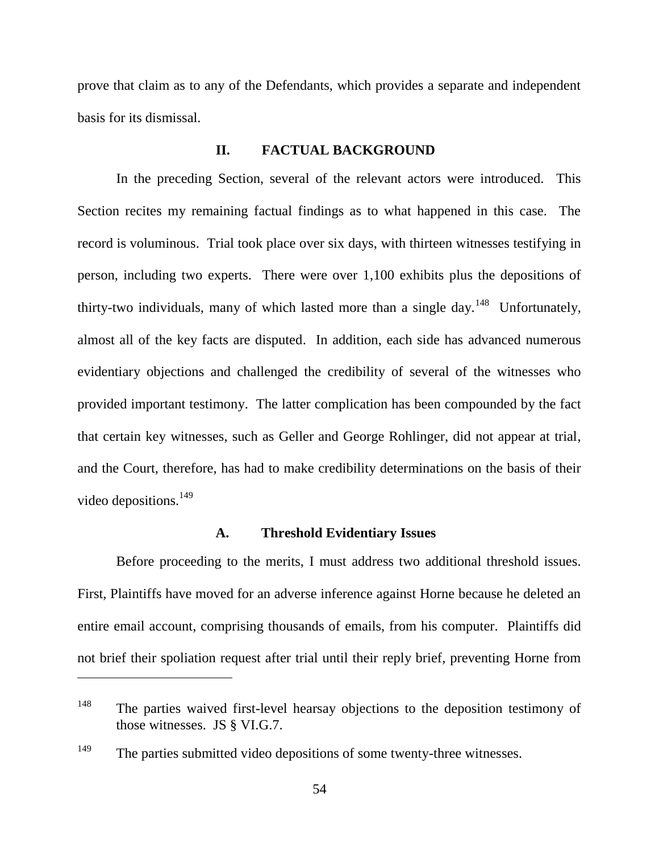prove that claim as to any of the Defendants, which provides a separate and independent basis for its dismissal.

## **II. FACTUAL BACKGROUND**

In the preceding Section, several of the relevant actors were introduced. This Section recites my remaining factual findings as to what happened in this case. The record is voluminous. Trial took place over six days, with thirteen witnesses testifying in person, including two experts. There were over 1,100 exhibits plus the depositions of thirty-two individuals, many of which lasted more than a single day.<sup>148</sup> Unfortunately, almost all of the key facts are disputed. In addition, each side has advanced numerous evidentiary objections and challenged the credibility of several of the witnesses who provided important testimony. The latter complication has been compounded by the fact that certain key witnesses, such as Geller and George Rohlinger, did not appear at trial, and the Court, therefore, has had to make credibility determinations on the basis of their video depositions.<sup>149</sup>

#### **A. Threshold Evidentiary Issues**

Before proceeding to the merits, I must address two additional threshold issues. First, Plaintiffs have moved for an adverse inference against Horne because he deleted an entire email account, comprising thousands of emails, from his computer. Plaintiffs did not brief their spoliation request after trial until their reply brief, preventing Horne from

<sup>&</sup>lt;sup>148</sup> The parties waived first-level hearsay objections to the deposition testimony of those witnesses. JS § VI.G.7.

<sup>&</sup>lt;sup>149</sup> The parties submitted video depositions of some twenty-three witnesses.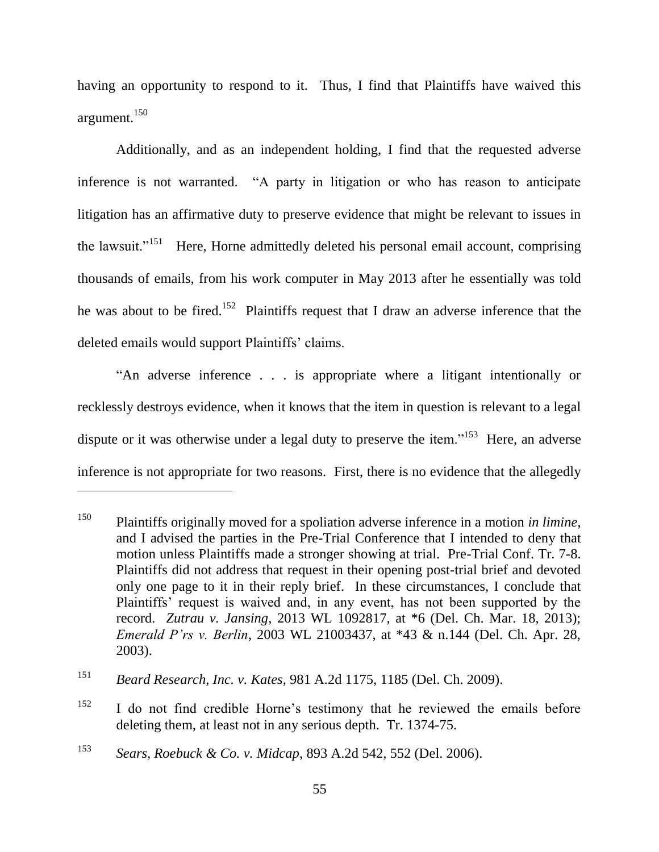having an opportunity to respond to it. Thus, I find that Plaintiffs have waived this argument.<sup>150</sup>

Additionally, and as an independent holding, I find that the requested adverse inference is not warranted. "A party in litigation or who has reason to anticipate litigation has an affirmative duty to preserve evidence that might be relevant to issues in the lawsuit."<sup>151</sup> Here, Horne admittedly deleted his personal email account, comprising thousands of emails, from his work computer in May 2013 after he essentially was told he was about to be fired.<sup>152</sup> Plaintiffs request that I draw an adverse inference that the deleted emails would support Plaintiffs' claims.

―An adverse inference . . . is appropriate where a litigant intentionally or recklessly destroys evidence, when it knows that the item in question is relevant to a legal dispute or it was otherwise under a legal duty to preserve the item."<sup>153</sup> Here, an adverse inference is not appropriate for two reasons. First, there is no evidence that the allegedly

<sup>150</sup> Plaintiffs originally moved for a spoliation adverse inference in a motion *in limine*, and I advised the parties in the Pre-Trial Conference that I intended to deny that motion unless Plaintiffs made a stronger showing at trial. Pre-Trial Conf. Tr. 7-8. Plaintiffs did not address that request in their opening post-trial brief and devoted only one page to it in their reply brief. In these circumstances, I conclude that Plaintiffs' request is waived and, in any event, has not been supported by the record. *Zutrau v. Jansing*, 2013 WL 1092817, at \*6 (Del. Ch. Mar. 18, 2013); *Emerald P'rs v. Berlin*, 2003 WL 21003437, at \*43 & n.144 (Del. Ch. Apr. 28, 2003).

<sup>151</sup> *Beard Research, Inc. v. Kates*, 981 A.2d 1175, 1185 (Del. Ch. 2009).

<sup>&</sup>lt;sup>152</sup> I do not find credible Horne's testimony that he reviewed the emails before deleting them, at least not in any serious depth. Tr. 1374-75.

<sup>153</sup> *Sears, Roebuck & Co. v. Midcap*, 893 A.2d 542, 552 (Del. 2006).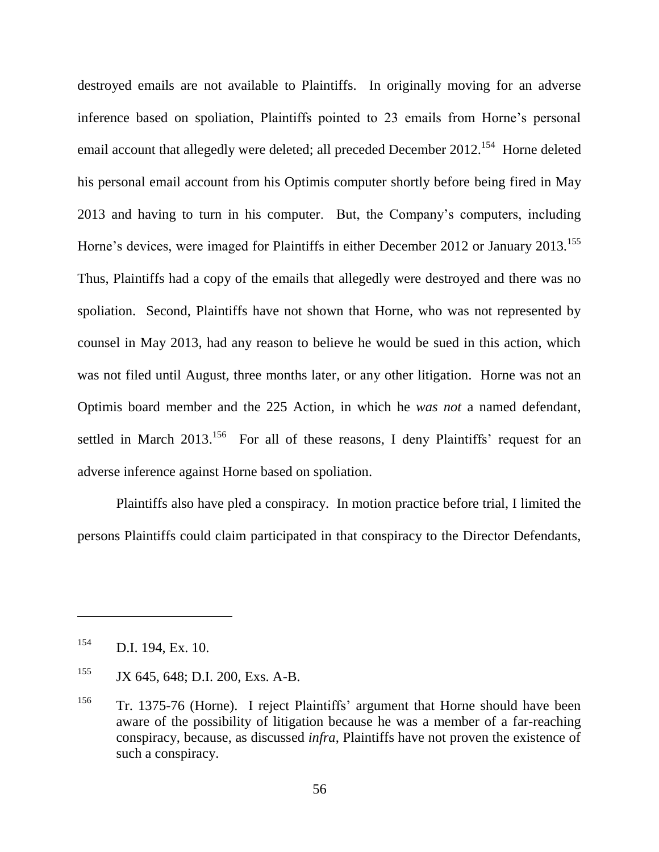destroyed emails are not available to Plaintiffs. In originally moving for an adverse inference based on spoliation, Plaintiffs pointed to 23 emails from Horne's personal email account that allegedly were deleted; all preceded December 2012.<sup>154</sup> Horne deleted his personal email account from his Optimis computer shortly before being fired in May 2013 and having to turn in his computer. But, the Company's computers, including Horne's devices, were imaged for Plaintiffs in either December 2012 or January 2013.<sup>155</sup> Thus, Plaintiffs had a copy of the emails that allegedly were destroyed and there was no spoliation. Second, Plaintiffs have not shown that Horne, who was not represented by counsel in May 2013, had any reason to believe he would be sued in this action, which was not filed until August, three months later, or any other litigation. Horne was not an Optimis board member and the 225 Action, in which he *was not* a named defendant, settled in March 2013.<sup>156</sup> For all of these reasons, I deny Plaintiffs' request for an adverse inference against Horne based on spoliation.

Plaintiffs also have pled a conspiracy. In motion practice before trial, I limited the persons Plaintiffs could claim participated in that conspiracy to the Director Defendants,

<sup>154</sup> D.I. 194, Ex. 10.

<sup>&</sup>lt;sup>155</sup> JX 645, 648; D.I. 200, Exs. A-B.

<sup>156</sup> Tr. 1375-76 (Horne). I reject Plaintiffs' argument that Horne should have been aware of the possibility of litigation because he was a member of a far-reaching conspiracy, because, as discussed *infra*, Plaintiffs have not proven the existence of such a conspiracy.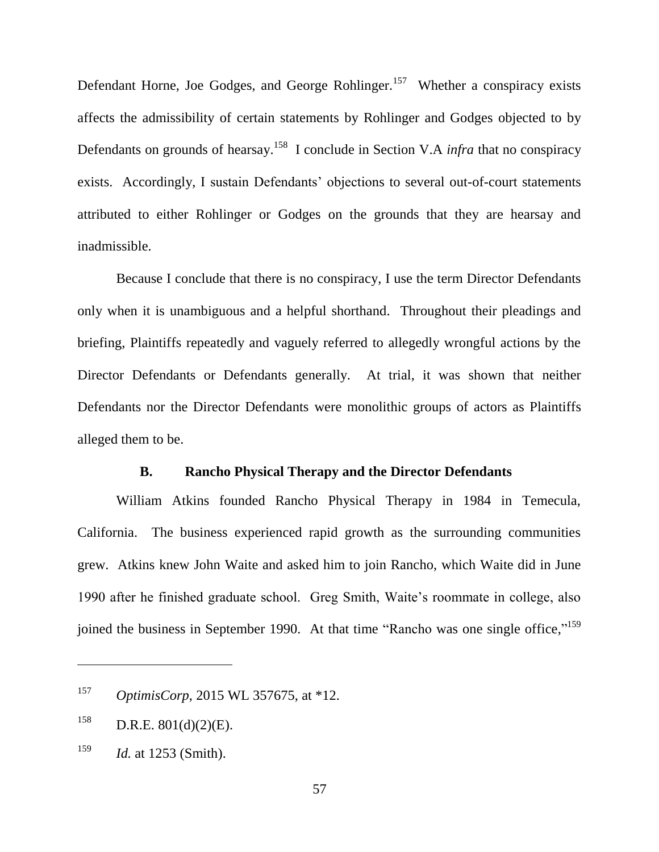Defendant Horne, Joe Godges, and George Rohlinger.<sup>157</sup> Whether a conspiracy exists affects the admissibility of certain statements by Rohlinger and Godges objected to by Defendants on grounds of hearsay.<sup>158</sup> I conclude in Section V.A *infra* that no conspiracy exists. Accordingly, I sustain Defendants' objections to several out-of-court statements attributed to either Rohlinger or Godges on the grounds that they are hearsay and inadmissible.

Because I conclude that there is no conspiracy, I use the term Director Defendants only when it is unambiguous and a helpful shorthand. Throughout their pleadings and briefing, Plaintiffs repeatedly and vaguely referred to allegedly wrongful actions by the Director Defendants or Defendants generally. At trial, it was shown that neither Defendants nor the Director Defendants were monolithic groups of actors as Plaintiffs alleged them to be.

## **B. Rancho Physical Therapy and the Director Defendants**

William Atkins founded Rancho Physical Therapy in 1984 in Temecula, California. The business experienced rapid growth as the surrounding communities grew. Atkins knew John Waite and asked him to join Rancho, which Waite did in June 1990 after he finished graduate school. Greg Smith, Waite's roommate in college, also joined the business in September 1990. At that time "Rancho was one single office,"<sup>159</sup>

<sup>157</sup> *OptimisCorp*, 2015 WL 357675, at \*12.

 $158$  D.R.E.  $801(d)(2)(E)$ .

<sup>159</sup> *Id.* at 1253 (Smith).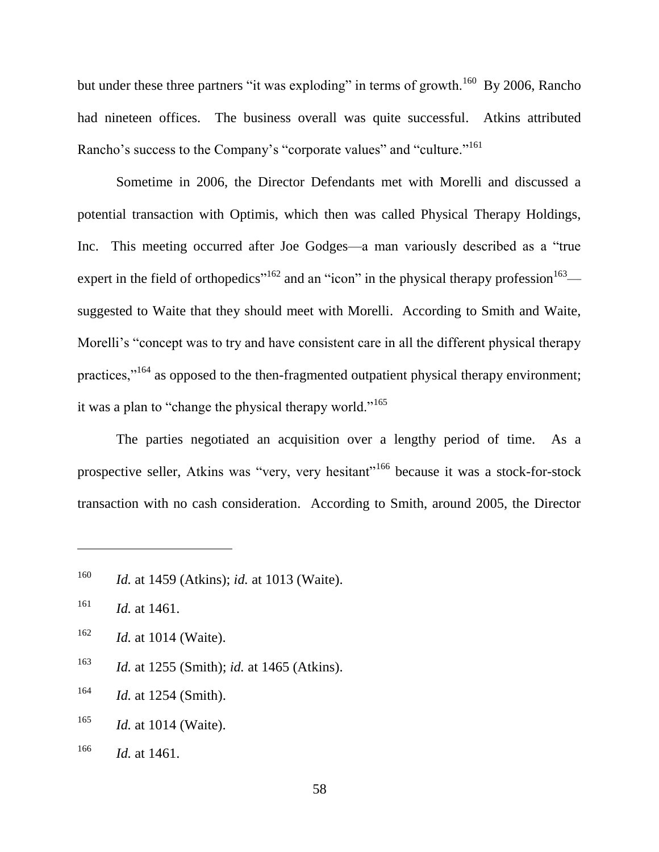but under these three partners "it was exploding" in terms of growth.<sup>160</sup> By 2006, Rancho had nineteen offices. The business overall was quite successful. Atkins attributed Rancho's success to the Company's "corporate values" and "culture."<sup>161</sup>

Sometime in 2006, the Director Defendants met with Morelli and discussed a potential transaction with Optimis, which then was called Physical Therapy Holdings, Inc. This meeting occurred after Joe Godges—a man variously described as a "true" expert in the field of orthopedics<sup>"162</sup> and an "icon" in the physical therapy profession<sup>163</sup> suggested to Waite that they should meet with Morelli. According to Smith and Waite, Morelli's "concept was to try and have consistent care in all the different physical therapy practices,"<sup>164</sup> as opposed to the then-fragmented outpatient physical therapy environment; it was a plan to "change the physical therapy world."<sup>165</sup>

The parties negotiated an acquisition over a lengthy period of time. As a prospective seller, Atkins was "very, very hesitant"<sup>166</sup> because it was a stock-for-stock transaction with no cash consideration. According to Smith, around 2005, the Director

 $\overline{a}$ 

<sup>163</sup> *Id.* at 1255 (Smith); *id.* at 1465 (Atkins).

<sup>164</sup> *Id.* at 1254 (Smith).

<sup>165</sup> *Id.* at 1014 (Waite).

<sup>160</sup> *Id.* at 1459 (Atkins); *id.* at 1013 (Waite).

<sup>161</sup> *Id.* at 1461.

<sup>162</sup> *Id.* at 1014 (Waite).

<sup>166</sup> *Id.* at 1461.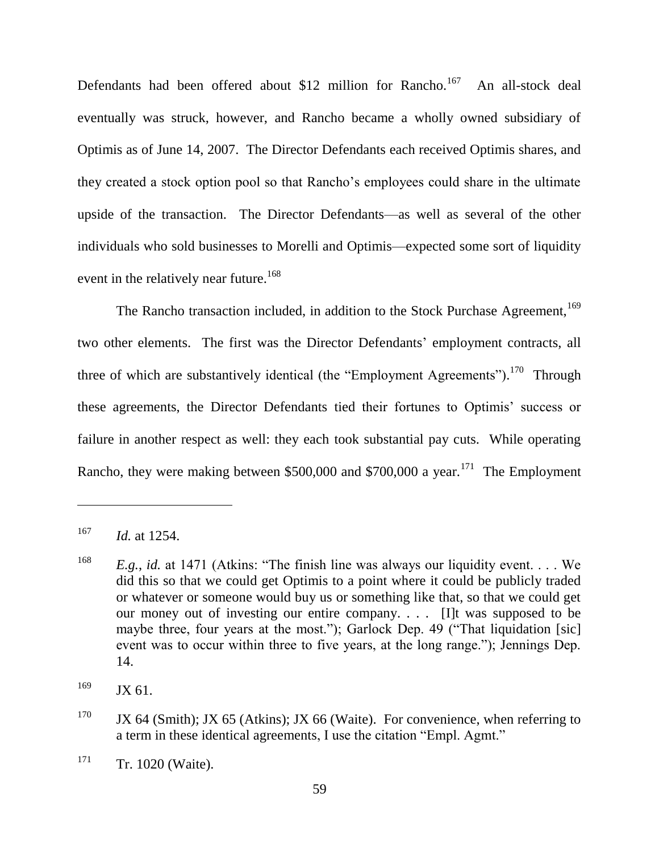Defendants had been offered about \$12 million for Rancho.<sup>167</sup> An all-stock deal eventually was struck, however, and Rancho became a wholly owned subsidiary of Optimis as of June 14, 2007. The Director Defendants each received Optimis shares, and they created a stock option pool so that Rancho's employees could share in the ultimate upside of the transaction. The Director Defendants—as well as several of the other individuals who sold businesses to Morelli and Optimis—expected some sort of liquidity event in the relatively near future.<sup>168</sup>

The Rancho transaction included, in addition to the Stock Purchase Agreement,<sup>169</sup> two other elements. The first was the Director Defendants' employment contracts, all three of which are substantively identical (the "Employment Agreements").<sup>170</sup> Through these agreements, the Director Defendants tied their fortunes to Optimis' success or failure in another respect as well: they each took substantial pay cuts. While operating Rancho, they were making between  $$500,000$  and  $$700,000$  a year.<sup>171</sup> The Employment

<sup>167</sup> *Id.* at 1254.

<sup>&</sup>lt;sup>168</sup> *E.g.*, *id.* at 1471 (Atkins: "The finish line was always our liquidity event... We did this so that we could get Optimis to a point where it could be publicly traded or whatever or someone would buy us or something like that, so that we could get our money out of investing our entire company. . . . [I]t was supposed to be maybe three, four years at the most."); Garlock Dep. 49 ("That liquidation [sic] event was to occur within three to five years, at the long range."); Jennings Dep. 14.

 $^{169}$  JX 61.

<sup>&</sup>lt;sup>170</sup> JX 64 (Smith); JX 65 (Atkins); JX 66 (Waite). For convenience, when referring to a term in these identical agreements, I use the citation "Empl. Agmt."

 $171$  Tr. 1020 (Waite).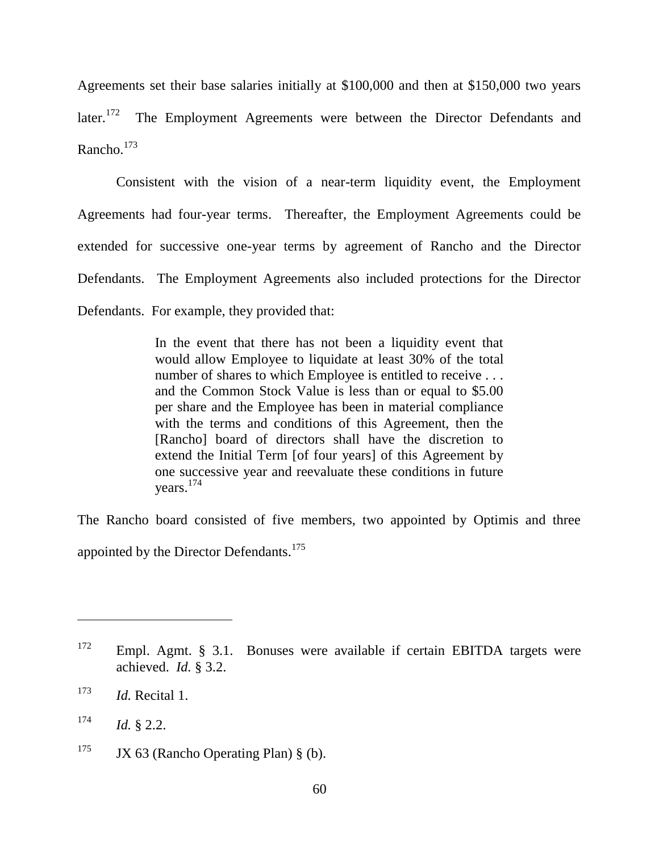Agreements set their base salaries initially at \$100,000 and then at \$150,000 two years later. $172$  The Employment Agreements were between the Director Defendants and Rancho. 173

Consistent with the vision of a near-term liquidity event, the Employment Agreements had four-year terms. Thereafter, the Employment Agreements could be extended for successive one-year terms by agreement of Rancho and the Director Defendants. The Employment Agreements also included protections for the Director Defendants. For example, they provided that:

> In the event that there has not been a liquidity event that would allow Employee to liquidate at least 30% of the total number of shares to which Employee is entitled to receive . . . and the Common Stock Value is less than or equal to \$5.00 per share and the Employee has been in material compliance with the terms and conditions of this Agreement, then the [Rancho] board of directors shall have the discretion to extend the Initial Term [of four years] of this Agreement by one successive year and reevaluate these conditions in future years. 174

The Rancho board consisted of five members, two appointed by Optimis and three appointed by the Director Defendants.<sup>175</sup>

 $172$  Empl. Agmt. § 3.1. Bonuses were available if certain EBITDA targets were achieved. *Id.* § 3.2.

<sup>173</sup> *Id.* Recital 1.

 $174$  *Id.* § 2.2.

<sup>&</sup>lt;sup>175</sup> JX 63 (Rancho Operating Plan) § (b).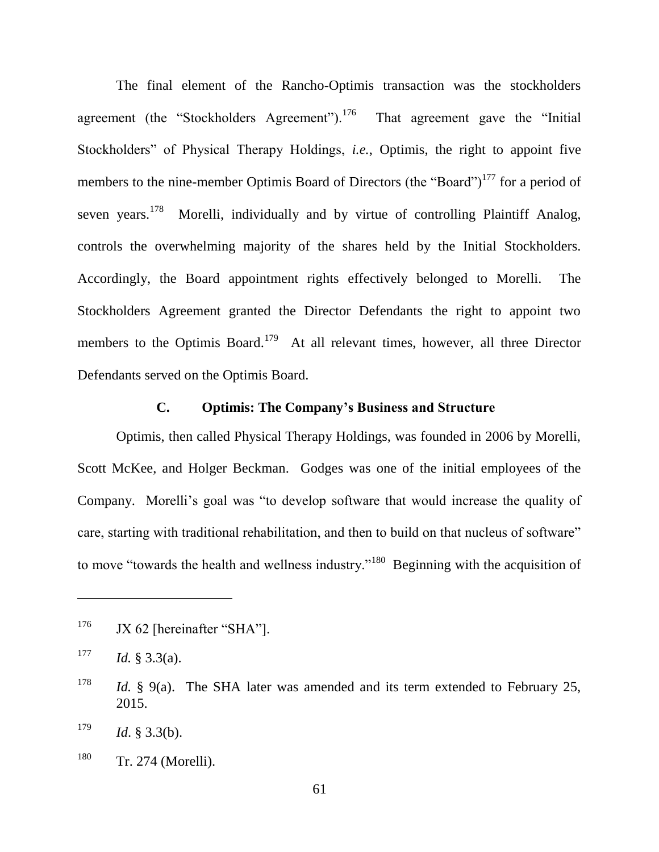The final element of the Rancho-Optimis transaction was the stockholders agreement (the "Stockholders Agreement"). $176$ That agreement gave the "Initial" Stockholders<sup>"</sup> of Physical Therapy Holdings, *i.e.*, Optimis, the right to appoint five members to the nine-member Optimis Board of Directors (the "Board")<sup>177</sup> for a period of seven years.<sup>178</sup> Morelli, individually and by virtue of controlling Plaintiff Analog, controls the overwhelming majority of the shares held by the Initial Stockholders. Accordingly, the Board appointment rights effectively belonged to Morelli. The Stockholders Agreement granted the Director Defendants the right to appoint two members to the Optimis Board.<sup>179</sup> At all relevant times, however, all three Director Defendants served on the Optimis Board.

## **C. Optimis: The Company's Business and Structure**

Optimis, then called Physical Therapy Holdings, was founded in 2006 by Morelli, Scott McKee, and Holger Beckman. Godges was one of the initial employees of the Company. Morelli's goal was "to develop software that would increase the quality of care, starting with traditional rehabilitation, and then to build on that nucleus of software" to move "towards the health and wellness industry."<sup>180</sup> Beginning with the acquisition of

 $176$  JX 62 [hereinafter "SHA"].

 $177$  *Id.* § 3.3(a).

<sup>&</sup>lt;sup>178</sup> *Id.* § 9(a). The SHA later was amended and its term extended to February 25, 2015.

 $179$  *Id.* § 3.3(b).

<sup>&</sup>lt;sup>180</sup> Tr. 274 (Morelli).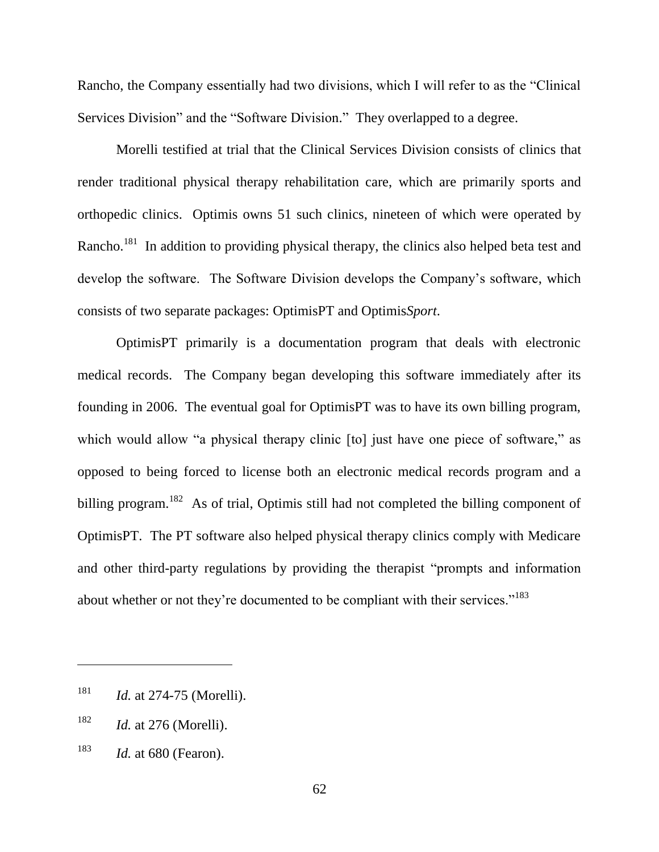Rancho, the Company essentially had two divisions, which I will refer to as the "Clinical" Services Division" and the "Software Division." They overlapped to a degree.

Morelli testified at trial that the Clinical Services Division consists of clinics that render traditional physical therapy rehabilitation care, which are primarily sports and orthopedic clinics. Optimis owns 51 such clinics, nineteen of which were operated by Rancho.<sup>181</sup> In addition to providing physical therapy, the clinics also helped beta test and develop the software. The Software Division develops the Company's software, which consists of two separate packages: OptimisPT and Optimis*Sport*.

OptimisPT primarily is a documentation program that deals with electronic medical records. The Company began developing this software immediately after its founding in 2006. The eventual goal for OptimisPT was to have its own billing program, which would allow "a physical therapy clinic [to] just have one piece of software," as opposed to being forced to license both an electronic medical records program and a billing program.<sup>182</sup> As of trial, Optimis still had not completed the billing component of OptimisPT. The PT software also helped physical therapy clinics comply with Medicare and other third-party regulations by providing the therapist "prompts and information about whether or not they're documented to be compliant with their services."<sup>183</sup>

<sup>181</sup> *Id.* at 274-75 (Morelli).

<sup>182</sup> *Id.* at 276 (Morelli).

<sup>183</sup> *Id.* at 680 (Fearon).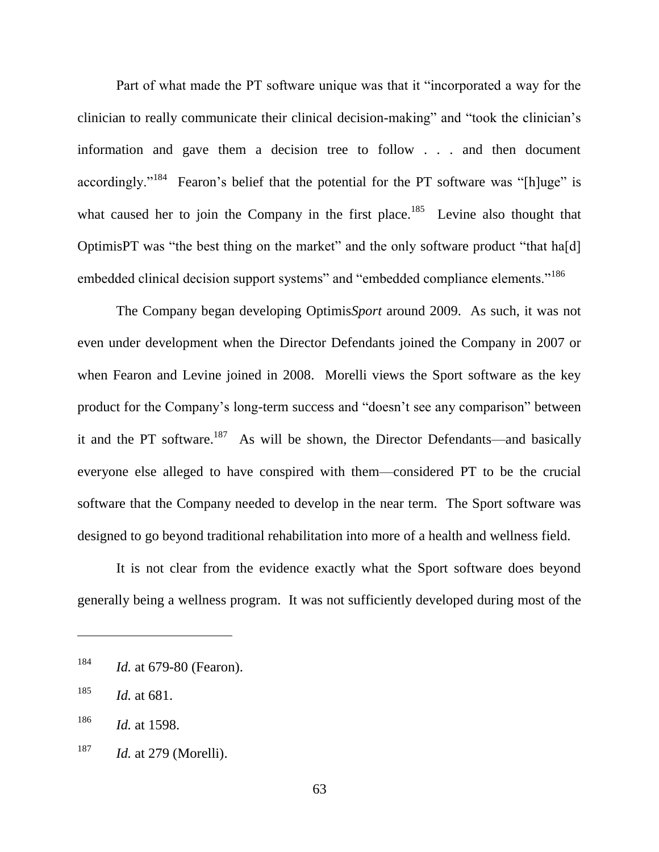Part of what made the PT software unique was that it "incorporated a way for the clinician to really communicate their clinical decision-making" and "took the clinician's information and gave them a decision tree to follow . . . and then document accordingly."<sup>184</sup> Fearon's belief that the potential for the PT software was "[h]uge" is what caused her to join the Company in the first place.<sup>185</sup> Levine also thought that OptimisPT was "the best thing on the market" and the only software product "that ha[d] embedded clinical decision support systems" and "embedded compliance elements."<sup>186</sup>

The Company began developing Optimis*Sport* around 2009. As such, it was not even under development when the Director Defendants joined the Company in 2007 or when Fearon and Levine joined in 2008. Morelli views the Sport software as the key product for the Company's long-term success and "doesn't see any comparison" between it and the PT software.<sup>187</sup> As will be shown, the Director Defendants—and basically everyone else alleged to have conspired with them—considered PT to be the crucial software that the Company needed to develop in the near term. The Sport software was designed to go beyond traditional rehabilitation into more of a health and wellness field.

It is not clear from the evidence exactly what the Sport software does beyond generally being a wellness program. It was not sufficiently developed during most of the

<sup>184</sup> *Id.* at 679-80 (Fearon).

<sup>185</sup> *Id.* at 681.

<sup>186</sup> *Id.* at 1598.

<sup>187</sup> *Id.* at 279 (Morelli).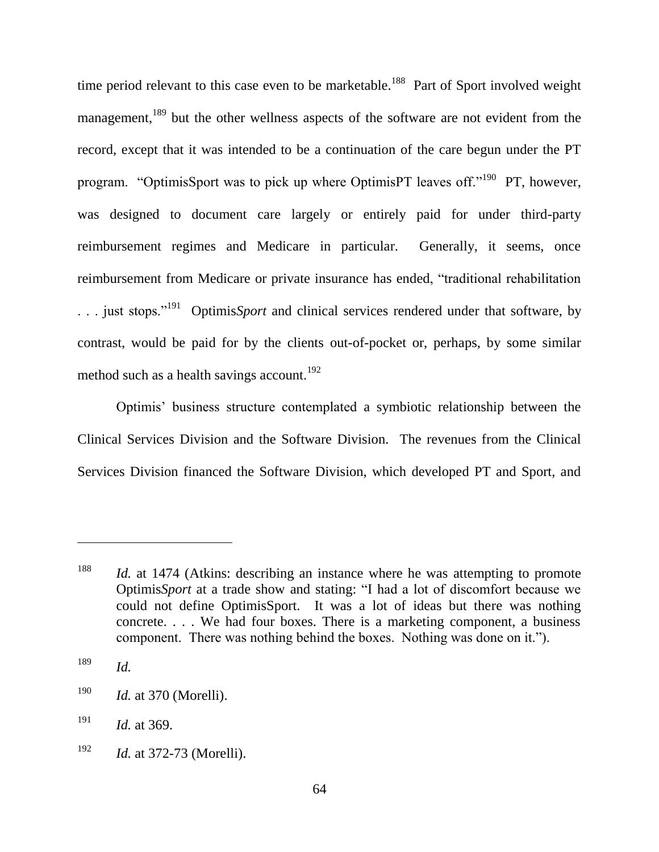time period relevant to this case even to be marketable.<sup>188</sup> Part of Sport involved weight management,<sup>189</sup> but the other wellness aspects of the software are not evident from the record, except that it was intended to be a continuation of the care begun under the PT program. "OptimisSport was to pick up where OptimisPT leaves off."<sup>190</sup> PT, however, was designed to document care largely or entirely paid for under third-party reimbursement regimes and Medicare in particular. Generally, it seems, once reimbursement from Medicare or private insurance has ended, "traditional rehabilitation ... just stops."<sup>191</sup> Optimis*Sport* and clinical services rendered under that software, by contrast, would be paid for by the clients out-of-pocket or, perhaps, by some similar method such as a health savings account.<sup>192</sup>

Optimis' business structure contemplated a symbiotic relationship between the Clinical Services Division and the Software Division. The revenues from the Clinical Services Division financed the Software Division, which developed PT and Sport, and

<sup>&</sup>lt;sup>188</sup> *Id.* at 1474 (Atkins: describing an instance where he was attempting to promote Optimis*Sport* at a trade show and stating: "I had a lot of discomfort because we could not define OptimisSport. It was a lot of ideas but there was nothing concrete. . . . We had four boxes. There is a marketing component, a business component. There was nothing behind the boxes. Nothing was done on it.").

<sup>189</sup> *Id.*

<sup>190</sup> *Id.* at 370 (Morelli).

<sup>191</sup> *Id.* at 369.

<sup>192</sup> *Id.* at 372-73 (Morelli).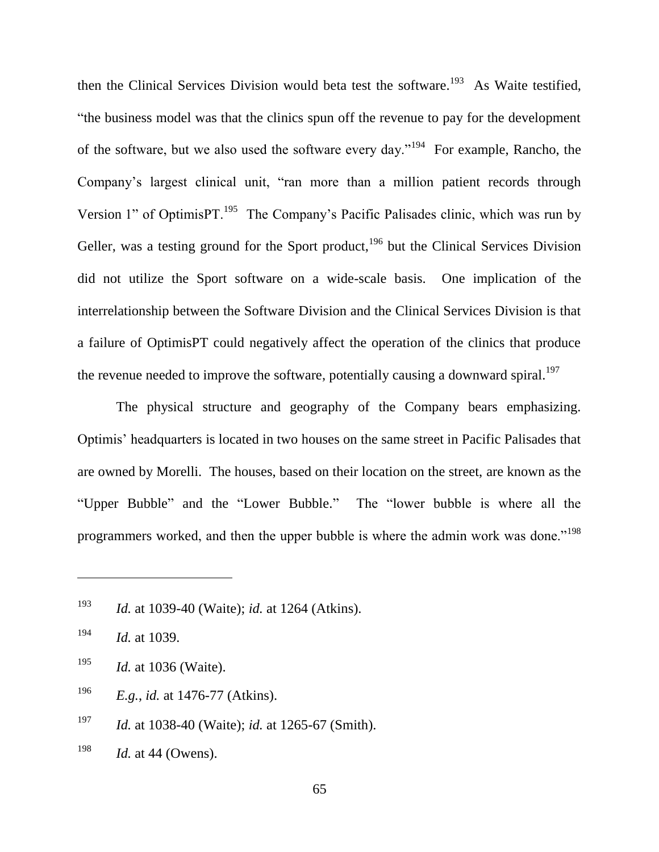then the Clinical Services Division would beta test the software.<sup>193</sup> As Waite testified, ―the business model was that the clinics spun off the revenue to pay for the development of the software, but we also used the software every day."<sup>194</sup> For example, Rancho, the Company's largest clinical unit, "ran more than a million patient records through Version 1" of OptimisPT.<sup>195</sup> The Company's Pacific Palisades clinic, which was run by Geller, was a testing ground for the Sport product,  $196$  but the Clinical Services Division did not utilize the Sport software on a wide-scale basis. One implication of the interrelationship between the Software Division and the Clinical Services Division is that a failure of OptimisPT could negatively affect the operation of the clinics that produce the revenue needed to improve the software, potentially causing a downward spiral.<sup>197</sup>

The physical structure and geography of the Company bears emphasizing. Optimis' headquarters is located in two houses on the same street in Pacific Palisades that are owned by Morelli. The houses, based on their location on the street, are known as the "Upper Bubble" and the "Lower Bubble." The "lower bubble is where all the programmers worked, and then the upper bubble is where the admin work was done."<sup>198</sup>

- <sup>196</sup> *E.g.*, *id.* at 1476-77 (Atkins).
- <sup>197</sup> *Id.* at 1038-40 (Waite); *id.* at 1265-67 (Smith).
- <sup>198</sup> *Id.* at 44 (Owens).

<sup>193</sup> *Id.* at 1039-40 (Waite); *id.* at 1264 (Atkins).

<sup>194</sup> *Id.* at 1039.

<sup>195</sup> *Id.* at 1036 (Waite).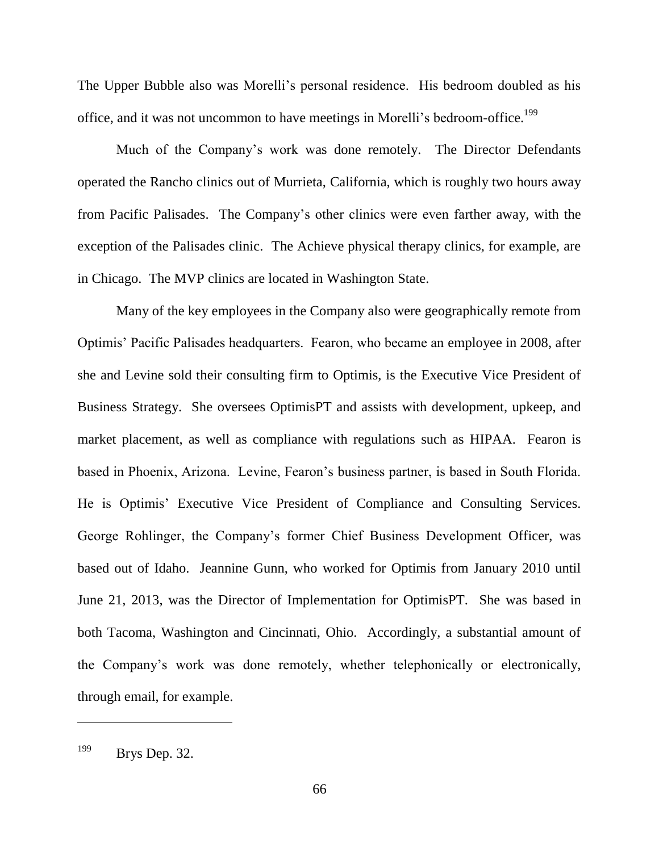The Upper Bubble also was Morelli's personal residence. His bedroom doubled as his office, and it was not uncommon to have meetings in Morelli's bedroom-office.<sup>199</sup>

Much of the Company's work was done remotely. The Director Defendants operated the Rancho clinics out of Murrieta, California, which is roughly two hours away from Pacific Palisades. The Company's other clinics were even farther away, with the exception of the Palisades clinic. The Achieve physical therapy clinics, for example, are in Chicago. The MVP clinics are located in Washington State.

Many of the key employees in the Company also were geographically remote from Optimis' Pacific Palisades headquarters. Fearon, who became an employee in 2008, after she and Levine sold their consulting firm to Optimis, is the Executive Vice President of Business Strategy. She oversees OptimisPT and assists with development, upkeep, and market placement, as well as compliance with regulations such as HIPAA. Fearon is based in Phoenix, Arizona. Levine, Fearon's business partner, is based in South Florida. He is Optimis' Executive Vice President of Compliance and Consulting Services. George Rohlinger, the Company's former Chief Business Development Officer, was based out of Idaho. Jeannine Gunn, who worked for Optimis from January 2010 until June 21, 2013, was the Director of Implementation for OptimisPT. She was based in both Tacoma, Washington and Cincinnati, Ohio. Accordingly, a substantial amount of the Company's work was done remotely, whether telephonically or electronically, through email, for example.

<sup>199</sup> Brys Dep. 32.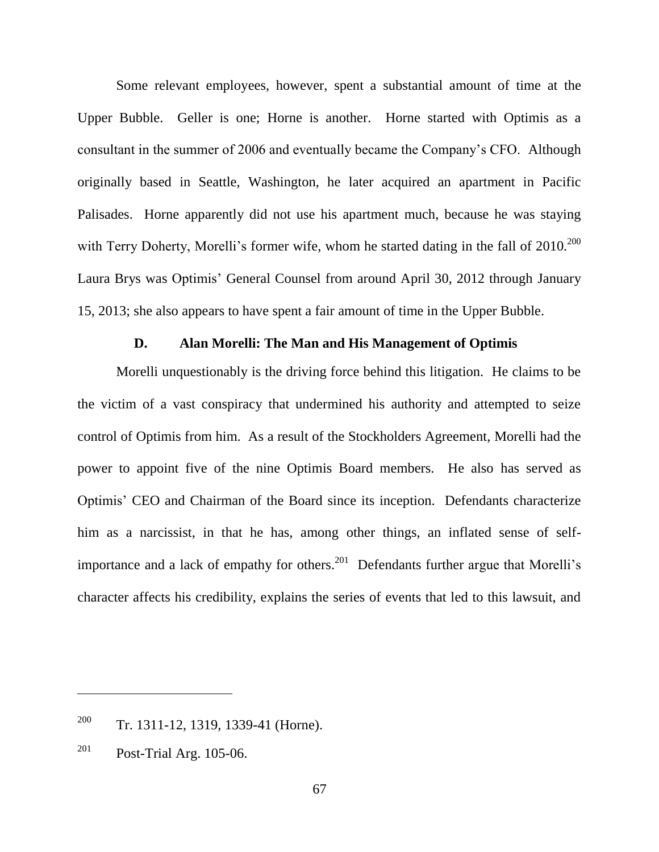Some relevant employees, however, spent a substantial amount of time at the Upper Bubble. Geller is one; Horne is another. Horne started with Optimis as a consultant in the summer of 2006 and eventually became the Company's CFO. Although originally based in Seattle, Washington, he later acquired an apartment in Pacific Palisades. Horne apparently did not use his apartment much, because he was staying with Terry Doherty, Morelli's former wife, whom he started dating in the fall of  $2010^{200}$ Laura Brys was Optimis' General Counsel from around April 30, 2012 through January 15, 2013; she also appears to have spent a fair amount of time in the Upper Bubble.

#### **D. Alan Morelli: The Man and His Management of Optimis**

Morelli unquestionably is the driving force behind this litigation. He claims to be the victim of a vast conspiracy that undermined his authority and attempted to seize control of Optimis from him. As a result of the Stockholders Agreement, Morelli had the power to appoint five of the nine Optimis Board members. He also has served as Optimis' CEO and Chairman of the Board since its inception. Defendants characterize him as a narcissist, in that he has, among other things, an inflated sense of selfimportance and a lack of empathy for others.<sup>201</sup> Defendants further argue that Morelli's character affects his credibility, explains the series of events that led to this lawsuit, and

<sup>&</sup>lt;sup>200</sup> Tr. 1311-12, 1319, 1339-41 (Horne).

 $^{201}$  Post-Trial Arg. 105-06.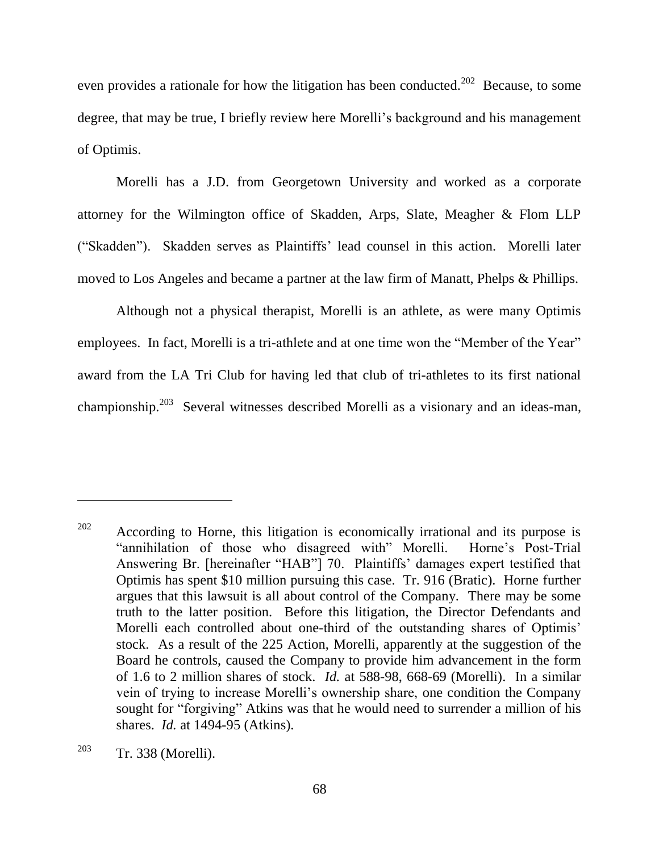even provides a rationale for how the litigation has been conducted.<sup>202</sup> Because, to some degree, that may be true, I briefly review here Morelli's background and his management of Optimis.

Morelli has a J.D. from Georgetown University and worked as a corporate attorney for the Wilmington office of Skadden, Arps, Slate, Meagher & Flom LLP (―Skadden‖). Skadden serves as Plaintiffs' lead counsel in this action. Morelli later moved to Los Angeles and became a partner at the law firm of Manatt, Phelps & Phillips.

Although not a physical therapist, Morelli is an athlete, as were many Optimis employees. In fact, Morelli is a tri-athlete and at one time won the "Member of the Year" award from the LA Tri Club for having led that club of tri-athletes to its first national championship.<sup>203</sup> Several witnesses described Morelli as a visionary and an ideas-man,

 $202$  According to Horne, this litigation is economically irrational and its purpose is "annihilation of those who disagreed with" Morelli. Horne's Post-Trial Answering Br. [hereinafter "HAB"] 70. Plaintiffs' damages expert testified that Optimis has spent \$10 million pursuing this case. Tr. 916 (Bratic). Horne further argues that this lawsuit is all about control of the Company. There may be some truth to the latter position. Before this litigation, the Director Defendants and Morelli each controlled about one-third of the outstanding shares of Optimis' stock. As a result of the 225 Action, Morelli, apparently at the suggestion of the Board he controls, caused the Company to provide him advancement in the form of 1.6 to 2 million shares of stock. *Id.* at 588-98, 668-69 (Morelli). In a similar vein of trying to increase Morelli's ownership share, one condition the Company sought for "forgiving" Atkins was that he would need to surrender a million of his shares. *Id.* at 1494-95 (Atkins).

 $203$  Tr. 338 (Morelli).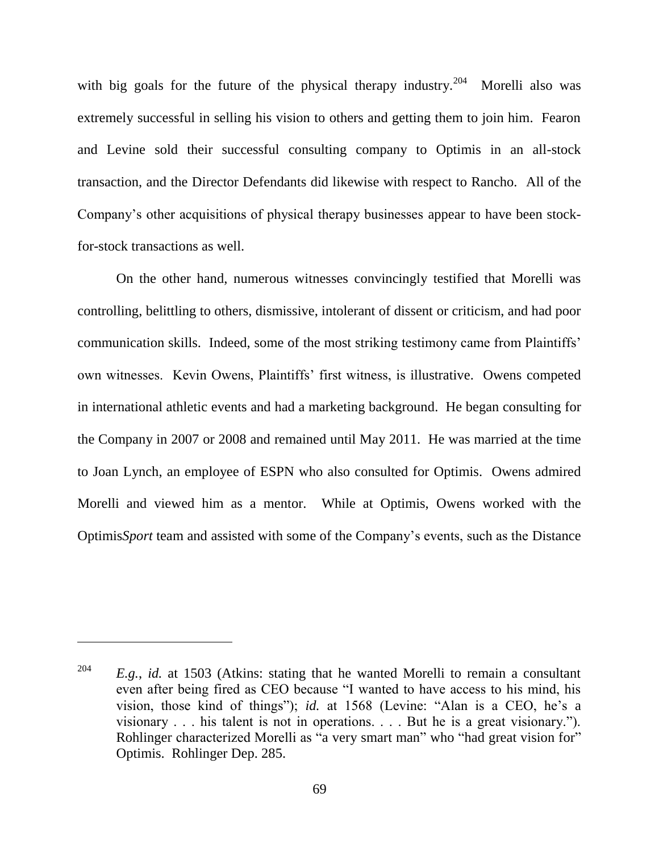with big goals for the future of the physical therapy industry.<sup>204</sup> Morelli also was extremely successful in selling his vision to others and getting them to join him. Fearon and Levine sold their successful consulting company to Optimis in an all-stock transaction, and the Director Defendants did likewise with respect to Rancho. All of the Company's other acquisitions of physical therapy businesses appear to have been stockfor-stock transactions as well.

On the other hand, numerous witnesses convincingly testified that Morelli was controlling, belittling to others, dismissive, intolerant of dissent or criticism, and had poor communication skills. Indeed, some of the most striking testimony came from Plaintiffs' own witnesses. Kevin Owens, Plaintiffs' first witness, is illustrative. Owens competed in international athletic events and had a marketing background. He began consulting for the Company in 2007 or 2008 and remained until May 2011. He was married at the time to Joan Lynch, an employee of ESPN who also consulted for Optimis. Owens admired Morelli and viewed him as a mentor. While at Optimis, Owens worked with the Optimis*Sport* team and assisted with some of the Company's events, such as the Distance

<sup>204</sup> *E.g.*, *id.* at 1503 (Atkins: stating that he wanted Morelli to remain a consultant even after being fired as CEO because "I wanted to have access to his mind, his vision, those kind of things"); *id.* at 1568 (Levine: "Alan is a CEO, he's a visionary  $\ldots$  his talent is not in operations.  $\ldots$  But he is a great visionary."). Rohlinger characterized Morelli as "a very smart man" who "had great vision for" Optimis. Rohlinger Dep. 285.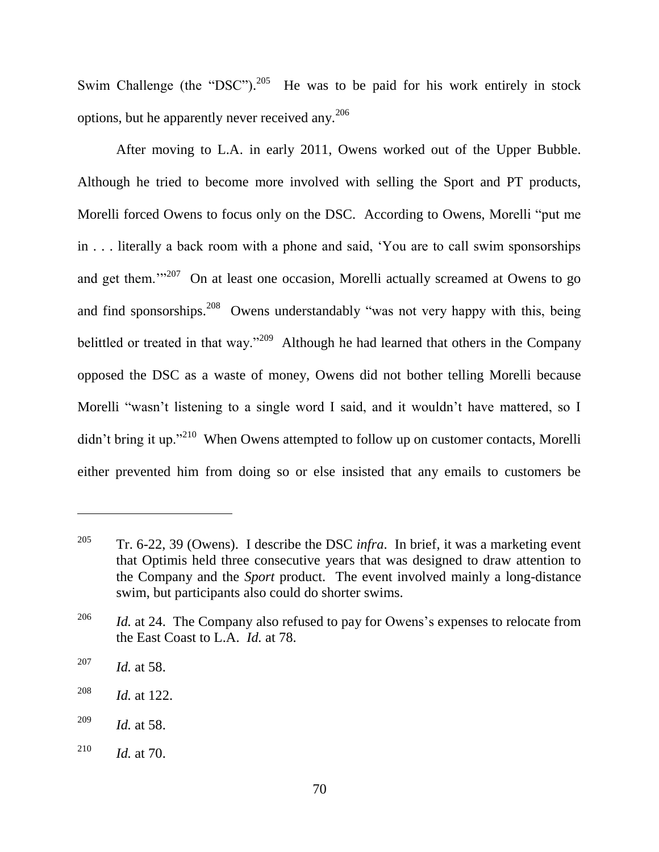Swim Challenge (the "DSC").<sup>205</sup> He was to be paid for his work entirely in stock options, but he apparently never received any. $^{206}$ 

After moving to L.A. in early 2011, Owens worked out of the Upper Bubble. Although he tried to become more involved with selling the Sport and PT products, Morelli forced Owens to focus only on the DSC. According to Owens, Morelli "put me in . . . literally a back room with a phone and said, 'You are to call swim sponsorships and get them.<sup> $1207$ </sup> On at least one occasion, Morelli actually screamed at Owens to go and find sponsorships.<sup>208</sup> Owens understandably "was not very happy with this, being belittled or treated in that way."<sup>209</sup> Although he had learned that others in the Company opposed the DSC as a waste of money, Owens did not bother telling Morelli because Morelli "wasn't listening to a single word I said, and it wouldn't have mattered, so I  $\frac{d}{d}$  didn't bring it up."<sup>210</sup> When Owens attempted to follow up on customer contacts, Morelli either prevented him from doing so or else insisted that any emails to customers be

<sup>205</sup> Tr. 6-22, 39 (Owens). I describe the DSC *infra*. In brief, it was a marketing event that Optimis held three consecutive years that was designed to draw attention to the Company and the *Sport* product. The event involved mainly a long-distance swim, but participants also could do shorter swims.

<sup>&</sup>lt;sup>206</sup> *Id.* at 24. The Company also refused to pay for Owens's expenses to relocate from the East Coast to L.A. *Id.* at 78.

<sup>207</sup> *Id.* at 58.

<sup>208</sup> *Id.* at 122.

<sup>209</sup> *Id.* at 58.

<sup>210</sup> *Id.* at 70.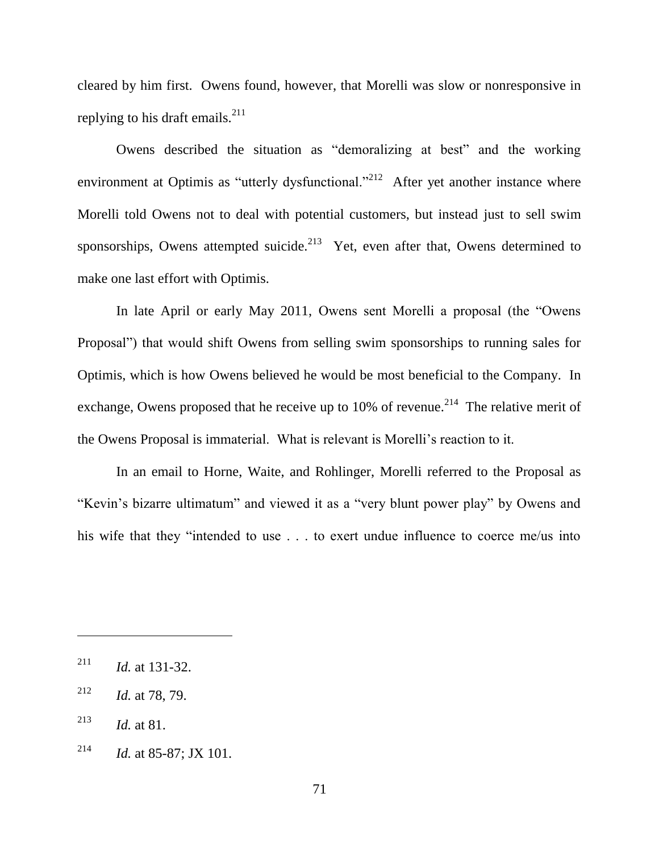cleared by him first. Owens found, however, that Morelli was slow or nonresponsive in replying to his draft emails. $^{211}$ 

Owens described the situation as "demoralizing at best" and the working environment at Optimis as "utterly dysfunctional."<sup>212</sup> After yet another instance where Morelli told Owens not to deal with potential customers, but instead just to sell swim sponsorships, Owens attempted suicide.<sup>213</sup> Yet, even after that, Owens determined to make one last effort with Optimis.

In late April or early May 2011, Owens sent Morelli a proposal (the "Owens" Proposal") that would shift Owens from selling swim sponsorships to running sales for Optimis, which is how Owens believed he would be most beneficial to the Company. In exchange, Owens proposed that he receive up to 10% of revenue.<sup>214</sup> The relative merit of the Owens Proposal is immaterial. What is relevant is Morelli's reaction to it.

In an email to Horne, Waite, and Rohlinger, Morelli referred to the Proposal as "Kevin's bizarre ultimatum" and viewed it as a "very blunt power play" by Owens and his wife that they "intended to use . . . to exert undue influence to coerce me/us into

<sup>211</sup> *Id.* at 131-32.

<sup>212</sup> *Id.* at 78, 79.

<sup>213</sup> *Id.* at 81.

<sup>&</sup>lt;sup>214</sup> *Id.* at 85-87; JX 101.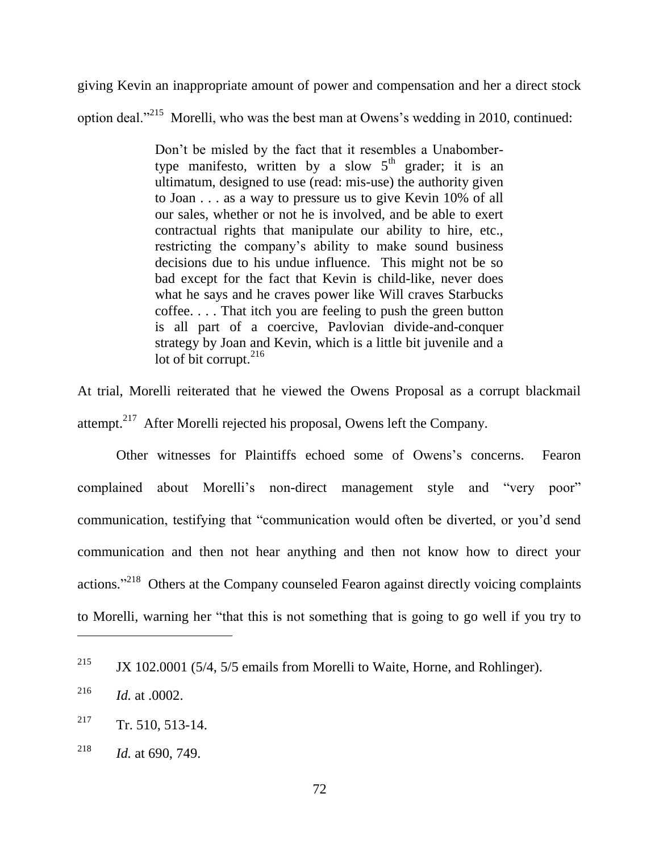giving Kevin an inappropriate amount of power and compensation and her a direct stock option deal. $1^{215}$  Morelli, who was the best man at Owens's wedding in 2010, continued:

> Don't be misled by the fact that it resembles a Unabombertype manifesto, written by a slow  $5<sup>th</sup>$  grader; it is an ultimatum, designed to use (read: mis-use) the authority given to Joan . . . as a way to pressure us to give Kevin 10% of all our sales, whether or not he is involved, and be able to exert contractual rights that manipulate our ability to hire, etc., restricting the company's ability to make sound business decisions due to his undue influence. This might not be so bad except for the fact that Kevin is child-like, never does what he says and he craves power like Will craves Starbucks coffee. . . . That itch you are feeling to push the green button is all part of a coercive, Pavlovian divide-and-conquer strategy by Joan and Kevin, which is a little bit juvenile and a lot of bit corrupt. $^{216}$

At trial, Morelli reiterated that he viewed the Owens Proposal as a corrupt blackmail attempt. $217$  After Morelli rejected his proposal, Owens left the Company.

Other witnesses for Plaintiffs echoed some of Owens's concerns. Fearon complained about Morelli's non-direct management style and "very poor" communication, testifying that "communication would often be diverted, or you'd send communication and then not hear anything and then not know how to direct your actions."<sup>218</sup> Others at the Company counseled Fearon against directly voicing complaints to Morelli, warning her "that this is not something that is going to go well if you try to

<sup>&</sup>lt;sup>215</sup> JX 102.0001 (5/4, 5/5 emails from Morelli to Waite, Horne, and Rohlinger).

<sup>216</sup> *Id.* at .0002.

 $217$  Tr. 510, 513-14.

<sup>218</sup> *Id.* at 690, 749.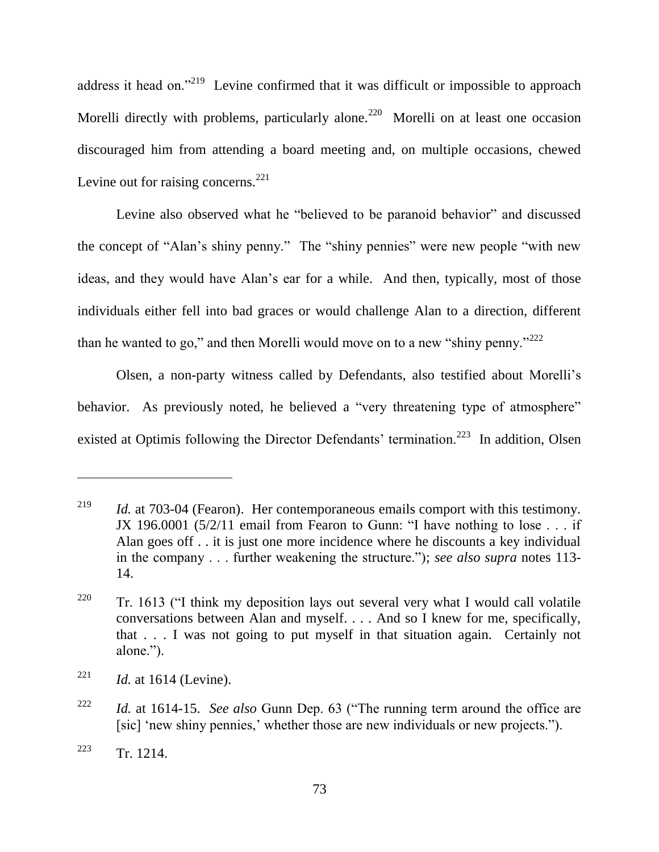address it head on."<sup>219</sup> Levine confirmed that it was difficult or impossible to approach Morelli directly with problems, particularly alone.<sup>220</sup> Morelli on at least one occasion discouraged him from attending a board meeting and, on multiple occasions, chewed Levine out for raising concerns.<sup>221</sup>

Levine also observed what he "believed to be paranoid behavior" and discussed the concept of "Alan's shiny penny." The "shiny pennies" were new people "with new ideas, and they would have Alan's ear for a while. And then, typically, most of those individuals either fell into bad graces or would challenge Alan to a direction, different than he wanted to go," and then Morelli would move on to a new "shiny penny." $^{222}$ 

Olsen, a non-party witness called by Defendants, also testified about Morelli's behavior. As previously noted, he believed a "very threatening type of atmosphere" existed at Optimis following the Director Defendants' termination.<sup>223</sup> In addition, Olsen

<sup>&</sup>lt;sup>219</sup> *Id.* at 703-04 (Fearon). Her contemporaneous emails comport with this testimony. JX 196.0001 ( $5/2/11$  email from Fearon to Gunn: "I have nothing to lose . . . if Alan goes off . . it is just one more incidence where he discounts a key individual in the company . . . further weakening the structure."); *see also supra* notes 113-14.

<sup>&</sup>lt;sup>220</sup> Tr. 1613 ( $\cdot$ I think my deposition lays out several very what I would call volatile conversations between Alan and myself. . . . And so I knew for me, specifically, that . . . I was not going to put myself in that situation again. Certainly not alone.").

<sup>&</sup>lt;sup>221</sup> *Id.* at 1614 (Levine).

<sup>&</sup>lt;sup>222</sup> *Id.* at 1614-15. *See also* Gunn Dep. 63 ("The running term around the office are [sic] 'new shiny pennies,' whether those are new individuals or new projects.").

 $223$  Tr. 1214.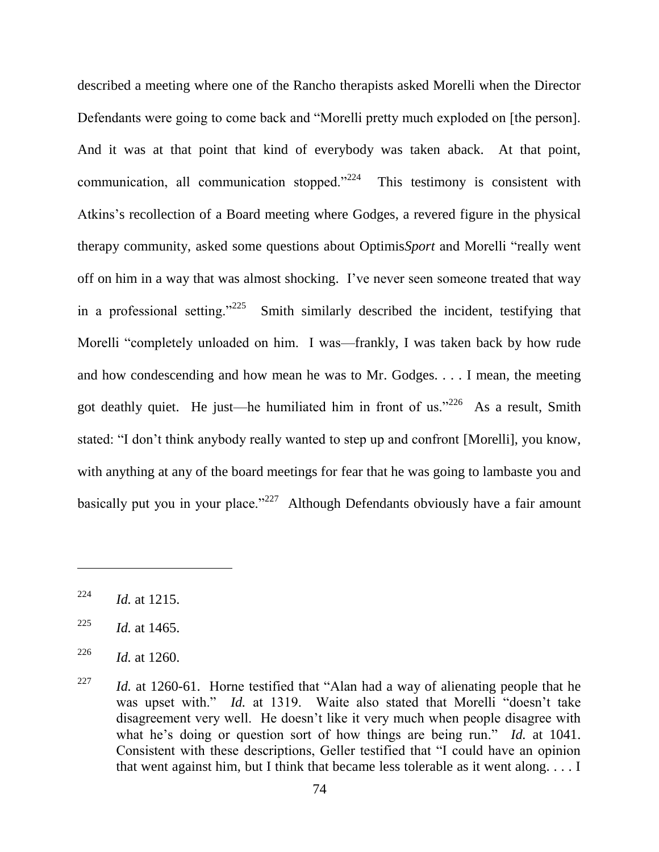described a meeting where one of the Rancho therapists asked Morelli when the Director Defendants were going to come back and "Morelli pretty much exploded on [the person]. And it was at that point that kind of everybody was taken aback. At that point, communication, all communication stopped. $224$  This testimony is consistent with Atkins's recollection of a Board meeting where Godges, a revered figure in the physical therapy community, asked some questions about Optimis*Sport* and Morelli "really went off on him in a way that was almost shocking. I've never seen someone treated that way in a professional setting." $^{225}$  Smith similarly described the incident, testifying that Morelli "completely unloaded on him. I was—frankly, I was taken back by how rude and how condescending and how mean he was to Mr. Godges. . . . I mean, the meeting got deathly quiet. He just—he humiliated him in front of us."  $226$  As a result, Smith stated: "I don't think anybody really wanted to step up and confront [Morelli], you know, with anything at any of the board meetings for fear that he was going to lambaste you and basically put you in your place." $227$  Although Defendants obviously have a fair amount

 $^{224}$  *Id.* at 1215.

 $^{225}$  *Id.* at 1465.

<sup>&</sup>lt;sup>226</sup> *Id.* at 1260.

<sup>&</sup>lt;sup>227</sup> *Id.* at 1260-61. Horne testified that "Alan had a way of alienating people that he was upset with." *Id.* at 1319. Waite also stated that Morelli "doesn't take disagreement very well. He doesn't like it very much when people disagree with what he's doing or question sort of how things are being run." *Id.* at 1041. Consistent with these descriptions, Geller testified that "I could have an opinion that went against him, but I think that became less tolerable as it went along. . . . I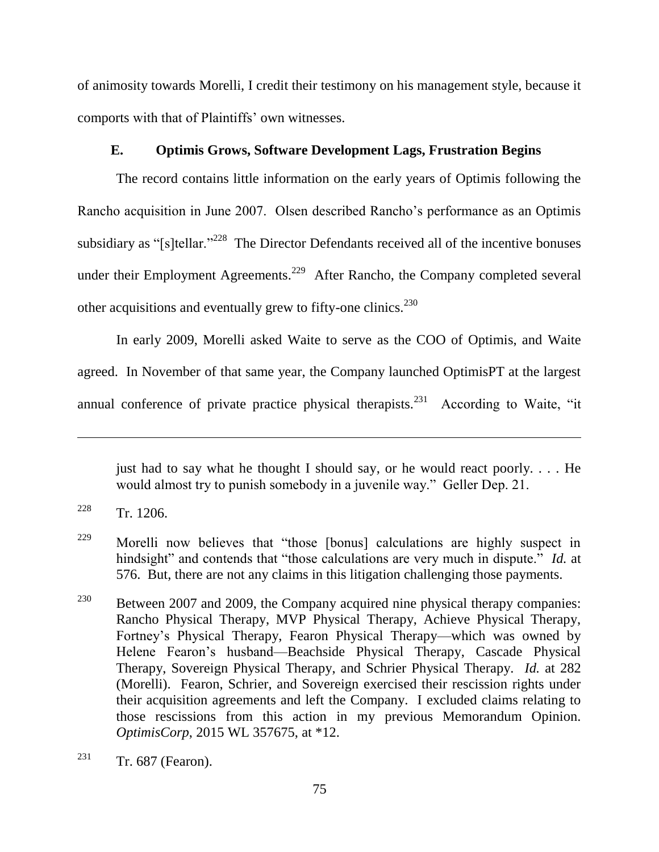of animosity towards Morelli, I credit their testimony on his management style, because it comports with that of Plaintiffs' own witnesses.

## **E. Optimis Grows, Software Development Lags, Frustration Begins**

The record contains little information on the early years of Optimis following the Rancho acquisition in June 2007. Olsen described Rancho's performance as an Optimis subsidiary as "[s]tellar."<sup>228</sup> The Director Defendants received all of the incentive bonuses under their Employment Agreements.<sup>229</sup> After Rancho, the Company completed several other acquisitions and eventually grew to fifty-one clinics.<sup>230</sup>

In early 2009, Morelli asked Waite to serve as the COO of Optimis, and Waite agreed. In November of that same year, the Company launched OptimisPT at the largest annual conference of private practice physical therapists.<sup>231</sup> According to Waite, "it

just had to say what he thought I should say, or he would react poorly.  $\ldots$  He would almost try to punish somebody in a juvenile way." Geller Dep. 21.

 $228$  Tr. 1206.

<sup>&</sup>lt;sup>229</sup> Morelli now believes that "those [bonus] calculations are highly suspect in hindsight" and contends that "those calculations are very much in dispute." *Id.* at 576. But, there are not any claims in this litigation challenging those payments.

<sup>&</sup>lt;sup>230</sup> Between 2007 and 2009, the Company acquired nine physical therapy companies: Rancho Physical Therapy, MVP Physical Therapy, Achieve Physical Therapy, Fortney's Physical Therapy, Fearon Physical Therapy—which was owned by Helene Fearon's husband—Beachside Physical Therapy, Cascade Physical Therapy, Sovereign Physical Therapy, and Schrier Physical Therapy. *Id.* at 282 (Morelli). Fearon, Schrier, and Sovereign exercised their rescission rights under their acquisition agreements and left the Company. I excluded claims relating to those rescissions from this action in my previous Memorandum Opinion. *OptimisCorp*, 2015 WL 357675, at \*12.

<sup>&</sup>lt;sup>231</sup> Tr. 687 (Fearon).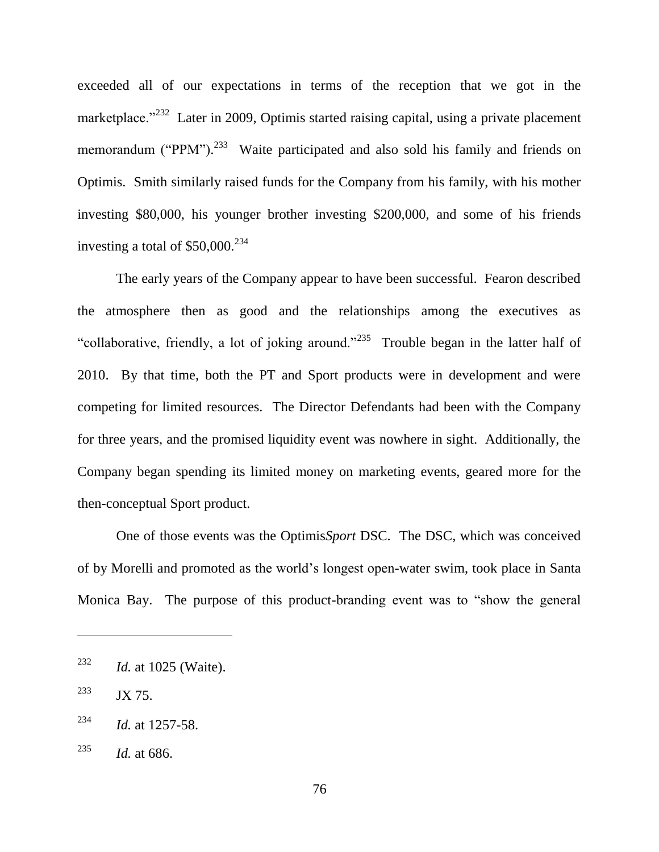exceeded all of our expectations in terms of the reception that we got in the marketplace.<sup>2232</sup> Later in 2009, Optimis started raising capital, using a private placement memorandum ("PPM").<sup>233</sup> Waite participated and also sold his family and friends on Optimis. Smith similarly raised funds for the Company from his family, with his mother investing \$80,000, his younger brother investing \$200,000, and some of his friends investing a total of  $$50,000.<sup>234</sup>$ 

The early years of the Company appear to have been successful. Fearon described the atmosphere then as good and the relationships among the executives as "collaborative, friendly, a lot of joking around."<sup>235</sup> Trouble began in the latter half of 2010. By that time, both the PT and Sport products were in development and were competing for limited resources. The Director Defendants had been with the Company for three years, and the promised liquidity event was nowhere in sight. Additionally, the Company began spending its limited money on marketing events, geared more for the then-conceptual Sport product.

One of those events was the Optimis*Sport* DSC. The DSC, which was conceived of by Morelli and promoted as the world's longest open-water swim, took place in Santa Monica Bay. The purpose of this product-branding event was to "show the general

<sup>232</sup> *Id.* at 1025 (Waite).

<sup>&</sup>lt;sup>233</sup> JX 75.

<sup>234</sup> *Id.* at 1257-58.

<sup>235</sup> *Id.* at 686.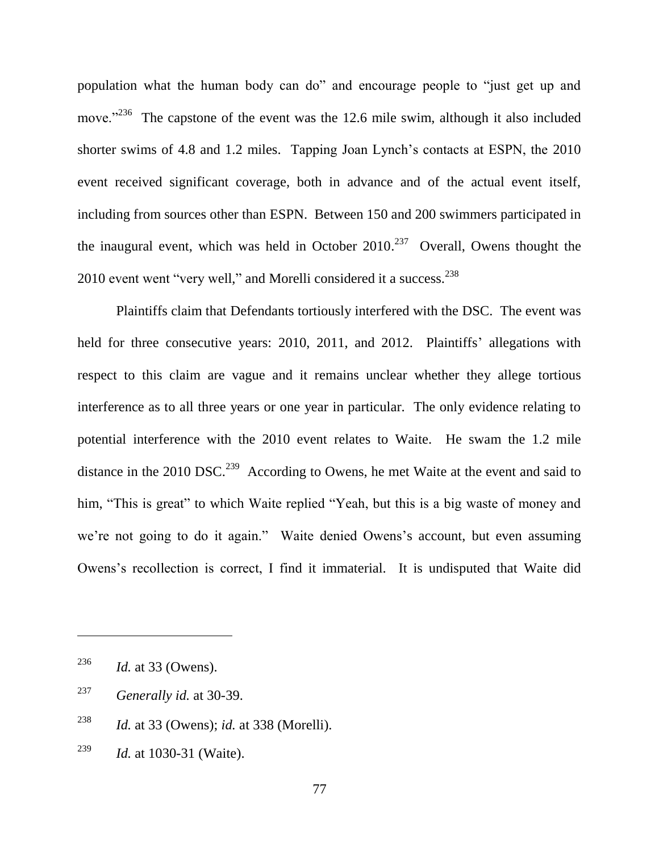population what the human body can do" and encourage people to "just get up and move."<sup>236</sup> The capstone of the event was the 12.6 mile swim, although it also included shorter swims of 4.8 and 1.2 miles. Tapping Joan Lynch's contacts at ESPN, the 2010 event received significant coverage, both in advance and of the actual event itself, including from sources other than ESPN. Between 150 and 200 swimmers participated in the inaugural event, which was held in October  $2010^{237}$  Overall, Owens thought the 2010 event went "very well," and Morelli considered it a success. $238$ 

Plaintiffs claim that Defendants tortiously interfered with the DSC. The event was held for three consecutive years: 2010, 2011, and 2012. Plaintiffs' allegations with respect to this claim are vague and it remains unclear whether they allege tortious interference as to all three years or one year in particular. The only evidence relating to potential interference with the 2010 event relates to Waite. He swam the 1.2 mile distance in the 2010 DSC.<sup>239</sup> According to Owens, he met Waite at the event and said to him, "This is great" to which Waite replied "Yeah, but this is a big waste of money and we're not going to do it again." Waite denied Owens's account, but even assuming Owens's recollection is correct, I find it immaterial. It is undisputed that Waite did

<sup>236</sup> *Id.* at 33 (Owens).

<sup>237</sup> *Generally id.* at 30-39.

<sup>238</sup> *Id.* at 33 (Owens); *id.* at 338 (Morelli).

<sup>239</sup> *Id.* at 1030-31 (Waite).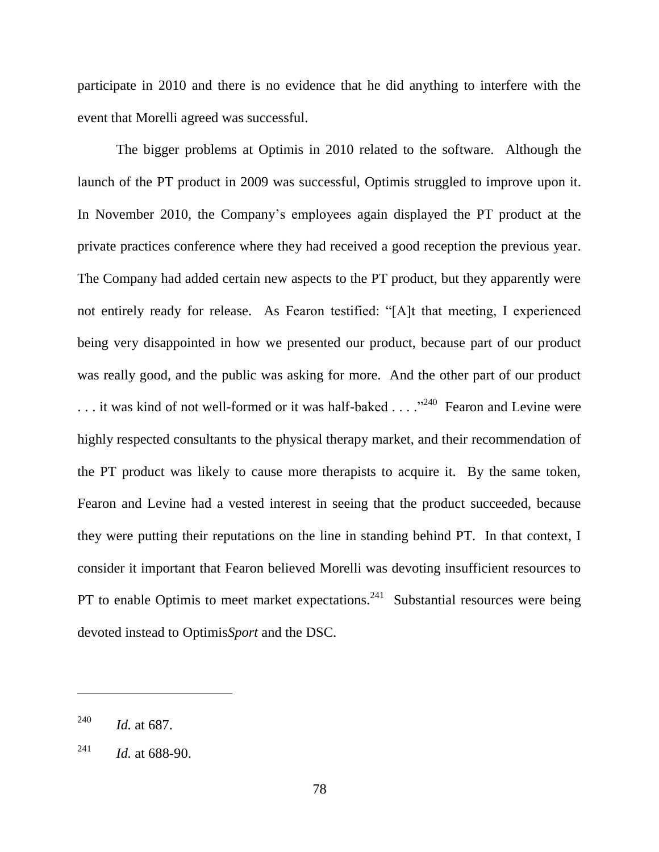participate in 2010 and there is no evidence that he did anything to interfere with the event that Morelli agreed was successful.

The bigger problems at Optimis in 2010 related to the software. Although the launch of the PT product in 2009 was successful, Optimis struggled to improve upon it. In November 2010, the Company's employees again displayed the PT product at the private practices conference where they had received a good reception the previous year. The Company had added certain new aspects to the PT product, but they apparently were not entirely ready for release. As Fearon testified: "[A]t that meeting, I experienced being very disappointed in how we presented our product, because part of our product was really good, and the public was asking for more. And the other part of our product ... it was kind of not well-formed or it was half-baked ... .<sup>240</sup> Fearon and Levine were highly respected consultants to the physical therapy market, and their recommendation of the PT product was likely to cause more therapists to acquire it. By the same token, Fearon and Levine had a vested interest in seeing that the product succeeded, because they were putting their reputations on the line in standing behind PT. In that context, I consider it important that Fearon believed Morelli was devoting insufficient resources to PT to enable Optimis to meet market expectations.<sup>241</sup> Substantial resources were being devoted instead to Optimis*Sport* and the DSC.

<sup>240</sup> *Id.* at 687.

<sup>&</sup>lt;sup>241</sup> *Id.* at 688-90.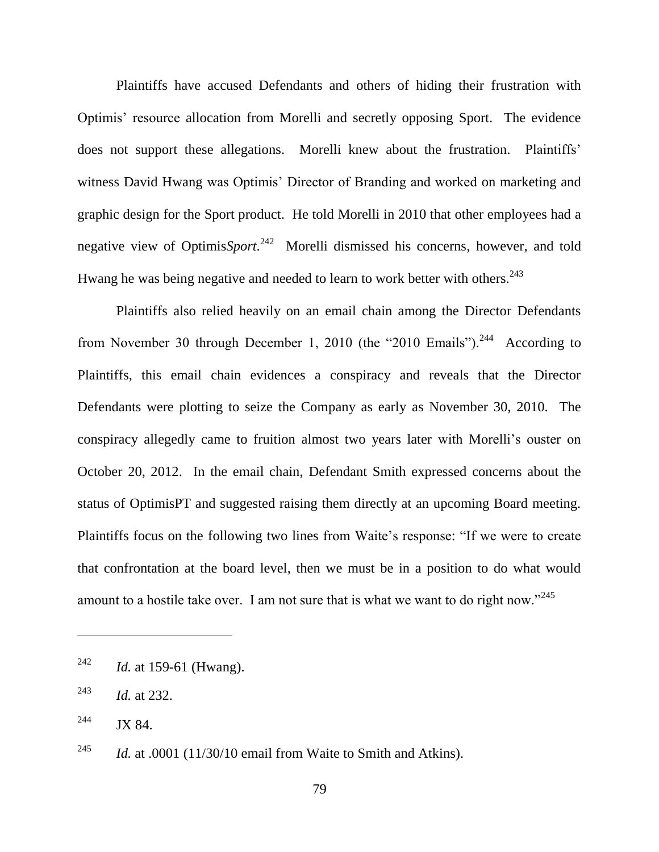Plaintiffs have accused Defendants and others of hiding their frustration with Optimis' resource allocation from Morelli and secretly opposing Sport. The evidence does not support these allegations. Morelli knew about the frustration. Plaintiffs' witness David Hwang was Optimis' Director of Branding and worked on marketing and graphic design for the Sport product. He told Morelli in 2010 that other employees had a negative view of Optimis*Sport*. 242 Morelli dismissed his concerns, however, and told Hwang he was being negative and needed to learn to work better with others.<sup>243</sup>

Plaintiffs also relied heavily on an email chain among the Director Defendants from November 30 through December 1, 2010 (the "2010 Emails").<sup>244</sup> According to Plaintiffs, this email chain evidences a conspiracy and reveals that the Director Defendants were plotting to seize the Company as early as November 30, 2010. The conspiracy allegedly came to fruition almost two years later with Morelli's ouster on October 20, 2012. In the email chain, Defendant Smith expressed concerns about the status of OptimisPT and suggested raising them directly at an upcoming Board meeting. Plaintiffs focus on the following two lines from Waite's response: "If we were to create that confrontation at the board level, then we must be in a position to do what would amount to a hostile take over. I am not sure that is what we want to do right now."<sup>245</sup>

<sup>242</sup> *Id.* at 159-61 (Hwang).

<sup>243</sup> *Id.* at 232.

 $244$  JX 84.

<sup>&</sup>lt;sup>245</sup> *Id.* at .0001 (11/30/10 email from Waite to Smith and Atkins).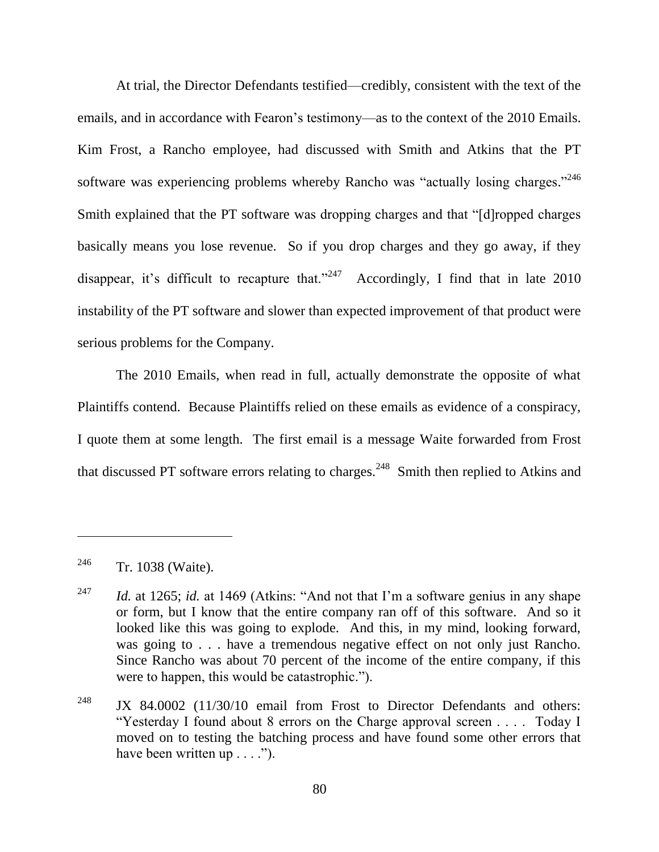At trial, the Director Defendants testified—credibly, consistent with the text of the emails, and in accordance with Fearon's testimony—as to the context of the 2010 Emails. Kim Frost, a Rancho employee, had discussed with Smith and Atkins that the PT software was experiencing problems whereby Rancho was "actually losing charges." $246$ Smith explained that the PT software was dropping charges and that "[d]ropped charges basically means you lose revenue. So if you drop charges and they go away, if they disappear, it's difficult to recapture that."<sup>247</sup> Accordingly, I find that in late 2010 instability of the PT software and slower than expected improvement of that product were serious problems for the Company.

The 2010 Emails, when read in full, actually demonstrate the opposite of what Plaintiffs contend. Because Plaintiffs relied on these emails as evidence of a conspiracy, I quote them at some length. The first email is a message Waite forwarded from Frost that discussed PT software errors relating to charges.<sup>248</sup> Smith then replied to Atkins and

<sup>&</sup>lt;sup>246</sup> Tr. 1038 (Waite).

<sup>&</sup>lt;sup>247</sup> *Id.* at 1265; *id.* at 1469 (Atkins: "And not that I'm a software genius in any shape or form, but I know that the entire company ran off of this software. And so it looked like this was going to explode. And this, in my mind, looking forward, was going to . . . have a tremendous negative effect on not only just Rancho. Since Rancho was about 70 percent of the income of the entire company, if this were to happen, this would be catastrophic.").

<sup>&</sup>lt;sup>248</sup> JX 84.0002 (11/30/10 email from Frost to Director Defendants and others: "Yesterday I found about 8 errors on the Charge approval screen . . . . Today I moved on to testing the batching process and have found some other errors that have been written up  $\dots$ .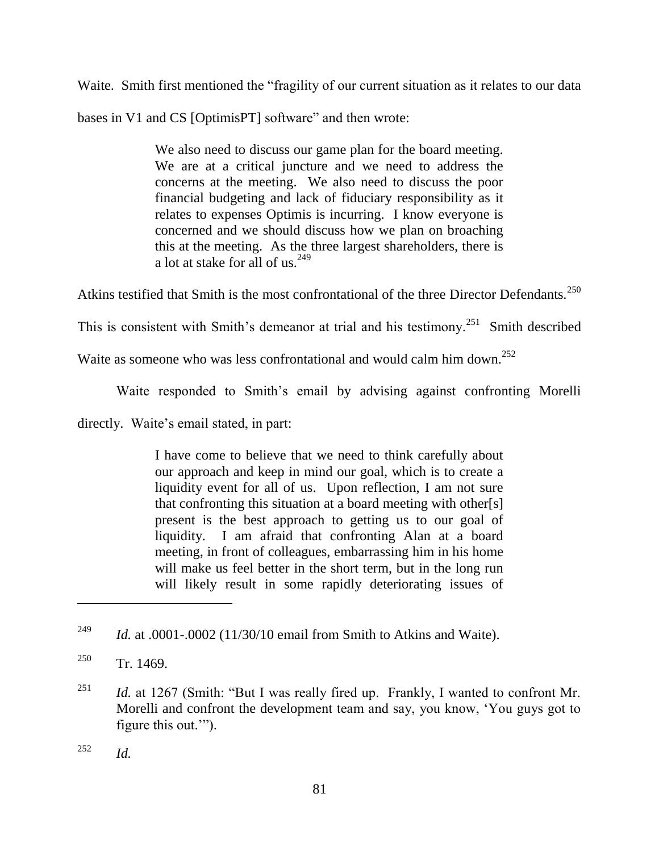Waite. Smith first mentioned the "fragility of our current situation as it relates to our data

bases in V1 and CS [OptimisPT] software" and then wrote:

We also need to discuss our game plan for the board meeting. We are at a critical juncture and we need to address the concerns at the meeting. We also need to discuss the poor financial budgeting and lack of fiduciary responsibility as it relates to expenses Optimis is incurring. I know everyone is concerned and we should discuss how we plan on broaching this at the meeting. As the three largest shareholders, there is a lot at stake for all of us.  $249$ 

Atkins testified that Smith is the most confrontational of the three Director Defendants.<sup>250</sup>

This is consistent with Smith's demeanor at trial and his testimony.<sup>251</sup> Smith described

Waite as someone who was less confrontational and would calm him down.<sup>252</sup>

Waite responded to Smith's email by advising against confronting Morelli

directly. Waite's email stated, in part:

I have come to believe that we need to think carefully about our approach and keep in mind our goal, which is to create a liquidity event for all of us. Upon reflection, I am not sure that confronting this situation at a board meeting with other[s] present is the best approach to getting us to our goal of liquidity. I am afraid that confronting Alan at a board meeting, in front of colleagues, embarrassing him in his home will make us feel better in the short term, but in the long run will likely result in some rapidly deteriorating issues of

<sup>&</sup>lt;sup>249</sup> *Id.* at .0001-.0002 (11/30/10 email from Smith to Atkins and Waite).

 $250$  Tr. 1469.

<sup>&</sup>lt;sup>251</sup> *Id.* at 1267 (Smith: "But I was really fired up. Frankly, I wanted to confront Mr. Morelli and confront the development team and say, you know, 'You guys got to figure this out."").

<sup>252</sup> *Id.*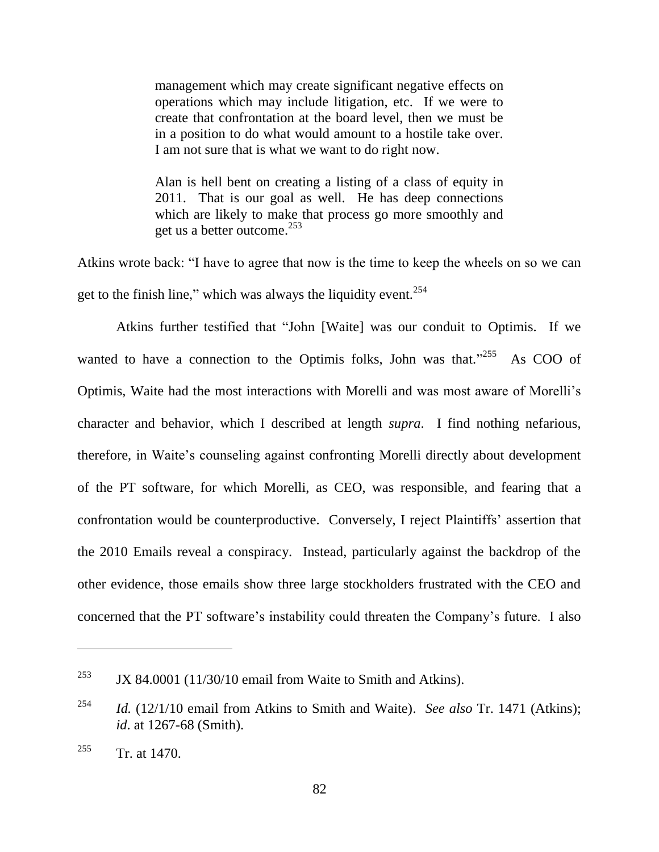management which may create significant negative effects on operations which may include litigation, etc. If we were to create that confrontation at the board level, then we must be in a position to do what would amount to a hostile take over. I am not sure that is what we want to do right now.

Alan is hell bent on creating a listing of a class of equity in 2011. That is our goal as well. He has deep connections which are likely to make that process go more smoothly and get us a better outcome.<sup>253</sup>

Atkins wrote back: "I have to agree that now is the time to keep the wheels on so we can get to the finish line," which was always the liquidity event. $254$ 

Atkins further testified that "John [Waite] was our conduit to Optimis. If we wanted to have a connection to the Optimis folks, John was that."<sup>255</sup> As COO of Optimis, Waite had the most interactions with Morelli and was most aware of Morelli's character and behavior, which I described at length *supra*. I find nothing nefarious, therefore, in Waite's counseling against confronting Morelli directly about development of the PT software, for which Morelli, as CEO, was responsible, and fearing that a confrontation would be counterproductive. Conversely, I reject Plaintiffs' assertion that the 2010 Emails reveal a conspiracy. Instead, particularly against the backdrop of the other evidence, those emails show three large stockholders frustrated with the CEO and concerned that the PT software's instability could threaten the Company's future. I also

<sup>&</sup>lt;sup>253</sup> JX 84.0001 (11/30/10 email from Waite to Smith and Atkins).

<sup>254</sup> *Id.* (12/1/10 email from Atkins to Smith and Waite). *See also* Tr. 1471 (Atkins); *id*. at 1267-68 (Smith).

 $255$  Tr. at 1470.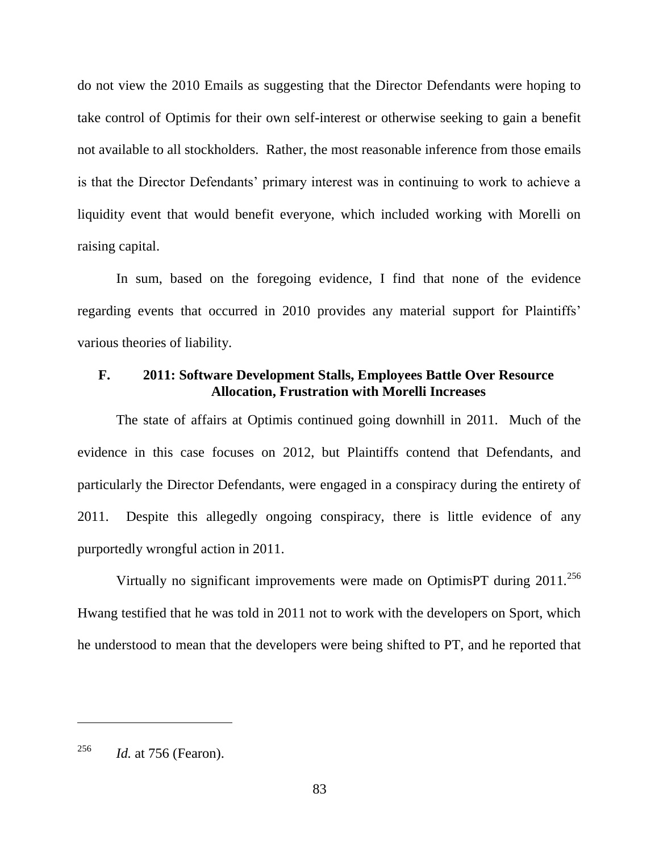do not view the 2010 Emails as suggesting that the Director Defendants were hoping to take control of Optimis for their own self-interest or otherwise seeking to gain a benefit not available to all stockholders. Rather, the most reasonable inference from those emails is that the Director Defendants' primary interest was in continuing to work to achieve a liquidity event that would benefit everyone, which included working with Morelli on raising capital.

In sum, based on the foregoing evidence, I find that none of the evidence regarding events that occurred in 2010 provides any material support for Plaintiffs' various theories of liability.

## **F. 2011: Software Development Stalls, Employees Battle Over Resource Allocation, Frustration with Morelli Increases**

The state of affairs at Optimis continued going downhill in 2011. Much of the evidence in this case focuses on 2012, but Plaintiffs contend that Defendants, and particularly the Director Defendants, were engaged in a conspiracy during the entirety of 2011. Despite this allegedly ongoing conspiracy, there is little evidence of any purportedly wrongful action in 2011.

Virtually no significant improvements were made on OptimisPT during  $2011$ <sup>256</sup> Hwang testified that he was told in 2011 not to work with the developers on Sport, which he understood to mean that the developers were being shifted to PT, and he reported that

<sup>256</sup> *Id.* at 756 (Fearon).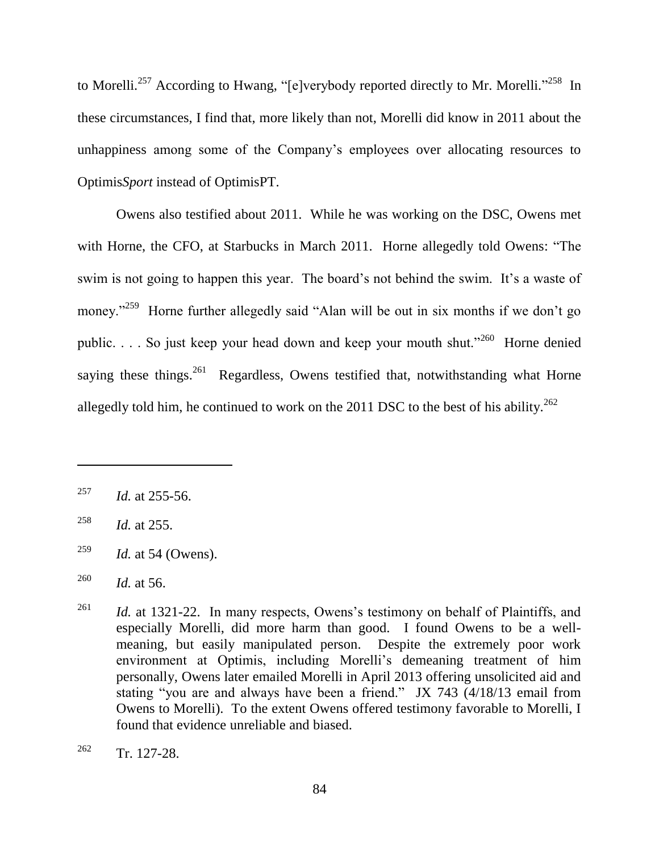to Morelli.<sup>257</sup> According to Hwang, "[e]verybody reported directly to Mr. Morelli."<sup>258</sup> In these circumstances, I find that, more likely than not, Morelli did know in 2011 about the unhappiness among some of the Company's employees over allocating resources to Optimis*Sport* instead of OptimisPT.

Owens also testified about 2011. While he was working on the DSC, Owens met with Horne, the CFO, at Starbucks in March 2011. Horne allegedly told Owens: "The swim is not going to happen this year. The board's not behind the swim. It's a waste of money."<sup>259</sup> Horne further allegedly said "Alan will be out in six months if we don't go public.  $\ldots$  So just keep your head down and keep your mouth shut.<sup>3260</sup> Horne denied saying these things.<sup>261</sup> Regardless, Owens testified that, notwithstanding what Horne allegedly told him, he continued to work on the 2011 DSC to the best of his ability.<sup>262</sup>

<sup>257</sup> *Id.* at 255-56.

<sup>258</sup> *Id.* at 255.

<sup>259</sup> *Id.* at 54 (Owens).

<sup>260</sup> *Id.* at 56.

<sup>&</sup>lt;sup>261</sup> *Id.* at 1321-22. In many respects, Owens's testimony on behalf of Plaintiffs, and especially Morelli, did more harm than good. I found Owens to be a wellmeaning, but easily manipulated person. Despite the extremely poor work environment at Optimis, including Morelli's demeaning treatment of him personally, Owens later emailed Morelli in April 2013 offering unsolicited aid and stating "you are and always have been a friend." JX 743  $(4/18/13 \text{ email from})$ Owens to Morelli). To the extent Owens offered testimony favorable to Morelli, I found that evidence unreliable and biased.

 $262$  Tr. 127-28.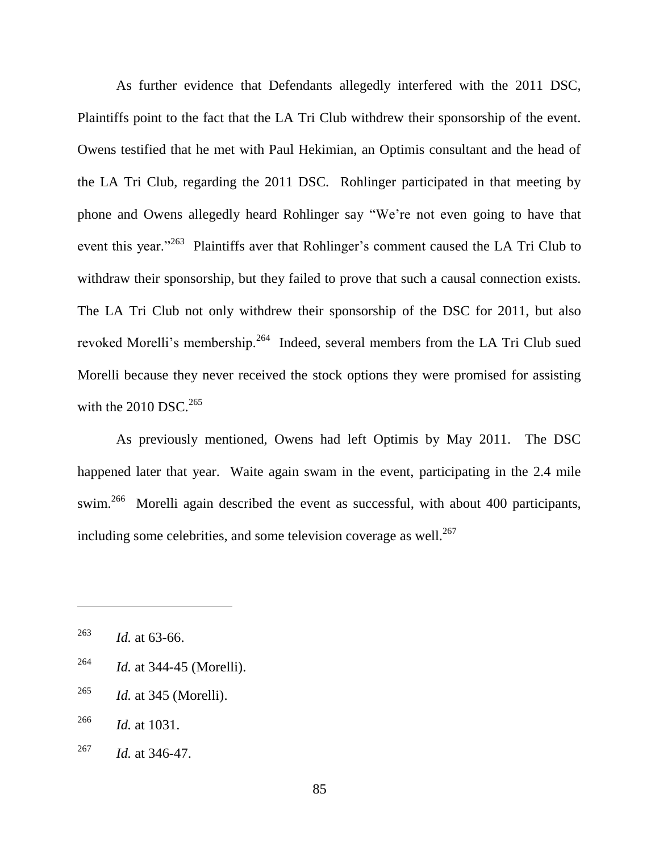As further evidence that Defendants allegedly interfered with the 2011 DSC, Plaintiffs point to the fact that the LA Tri Club withdrew their sponsorship of the event. Owens testified that he met with Paul Hekimian, an Optimis consultant and the head of the LA Tri Club, regarding the 2011 DSC. Rohlinger participated in that meeting by phone and Owens allegedly heard Rohlinger say "We're not even going to have that event this year."<sup>263</sup> Plaintiffs aver that Rohlinger's comment caused the LA Tri Club to withdraw their sponsorship, but they failed to prove that such a causal connection exists. The LA Tri Club not only withdrew their sponsorship of the DSC for 2011, but also revoked Morelli's membership.<sup>264</sup> Indeed, several members from the LA Tri Club sued Morelli because they never received the stock options they were promised for assisting with the  $2010$  DSC.<sup>265</sup>

As previously mentioned, Owens had left Optimis by May 2011. The DSC happened later that year. Waite again swam in the event, participating in the 2.4 mile swim.<sup>266</sup> Morelli again described the event as successful, with about 400 participants, including some celebrities, and some television coverage as well. $^{267}$ 

- <sup>264</sup> *Id.* at 344-45 (Morelli).
- <sup>265</sup> *Id.* at 345 (Morelli).
- <sup>266</sup> *Id.* at 1031.
- <sup>267</sup> *Id.* at 346-47.

<sup>263</sup> *Id.* at 63-66.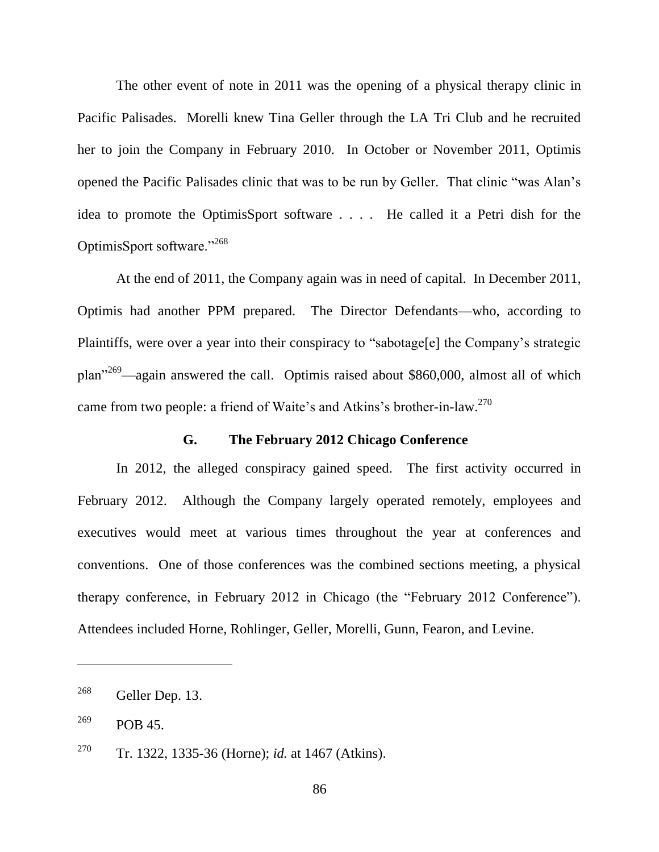The other event of note in 2011 was the opening of a physical therapy clinic in Pacific Palisades. Morelli knew Tina Geller through the LA Tri Club and he recruited her to join the Company in February 2010. In October or November 2011, Optimis opened the Pacific Palisades clinic that was to be run by Geller. That clinic "was Alan's idea to promote the OptimisSport software . . . . He called it a Petri dish for the OptimisSport software."<sup>268</sup>

At the end of 2011, the Company again was in need of capital. In December 2011, Optimis had another PPM prepared. The Director Defendants—who, according to Plaintiffs, were over a year into their conspiracy to "sabotage[e] the Company's strategic plan<sup> $269$ </sup>—again answered the call. Optimis raised about \$860,000, almost all of which came from two people: a friend of Waite's and Atkins's brother-in-law.<sup>270</sup>

### **G. The February 2012 Chicago Conference**

In 2012, the alleged conspiracy gained speed. The first activity occurred in February 2012. Although the Company largely operated remotely, employees and executives would meet at various times throughout the year at conferences and conventions. One of those conferences was the combined sections meeting, a physical therapy conference, in February 2012 in Chicago (the "February 2012 Conference"). Attendees included Horne, Rohlinger, Geller, Morelli, Gunn, Fearon, and Levine.

<sup>268</sup> Geller Dep. 13.

 $^{269}$  POB 45.

<sup>270</sup> Tr. 1322, 1335-36 (Horne); *id.* at 1467 (Atkins).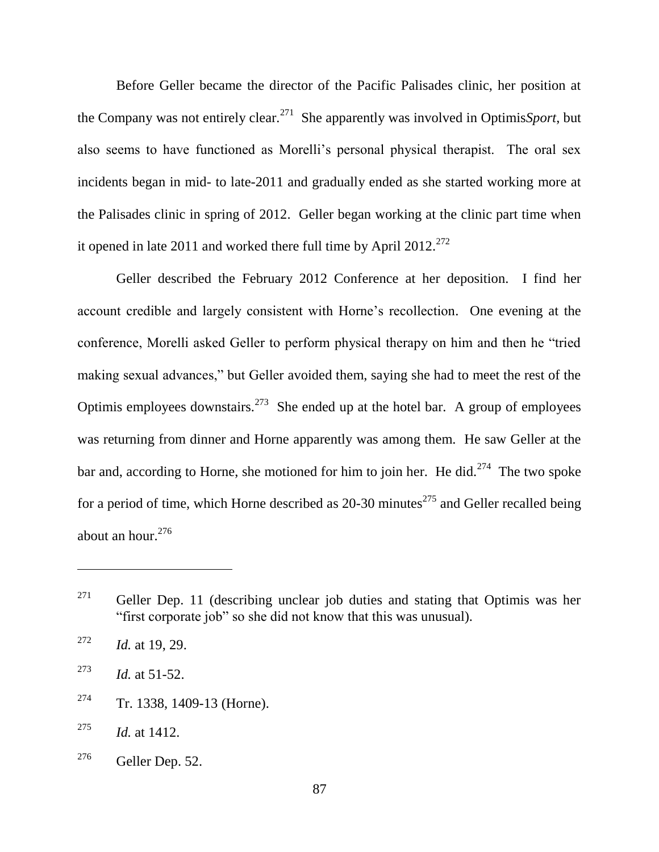Before Geller became the director of the Pacific Palisades clinic, her position at the Company was not entirely clear.<sup>271</sup> She apparently was involved in Optimis*Sport*, but also seems to have functioned as Morelli's personal physical therapist. The oral sex incidents began in mid- to late-2011 and gradually ended as she started working more at the Palisades clinic in spring of 2012. Geller began working at the clinic part time when it opened in late 2011 and worked there full time by April 2012.<sup>272</sup>

Geller described the February 2012 Conference at her deposition. I find her account credible and largely consistent with Horne's recollection. One evening at the conference, Morelli asked Geller to perform physical therapy on him and then he "tried" making sexual advances," but Geller avoided them, saying she had to meet the rest of the Optimis employees downstairs.<sup>273</sup> She ended up at the hotel bar. A group of employees was returning from dinner and Horne apparently was among them. He saw Geller at the bar and, according to Horne, she motioned for him to join her. He did. $^{274}$  The two spoke for a period of time, which Horne described as  $20-30$  minutes<sup>275</sup> and Geller recalled being about an hour. $276$ 

<sup>274</sup> Tr. 1338, 1409-13 (Horne).

 $^{276}$  Geller Dep. 52.

 $271$  Geller Dep. 11 (describing unclear job duties and stating that Optimis was her "first corporate job" so she did not know that this was unusual).

<sup>272</sup> *Id.* at 19, 29.

<sup>&</sup>lt;sup>273</sup> *Id.* at 51-52.

<sup>275</sup> *Id.* at 1412.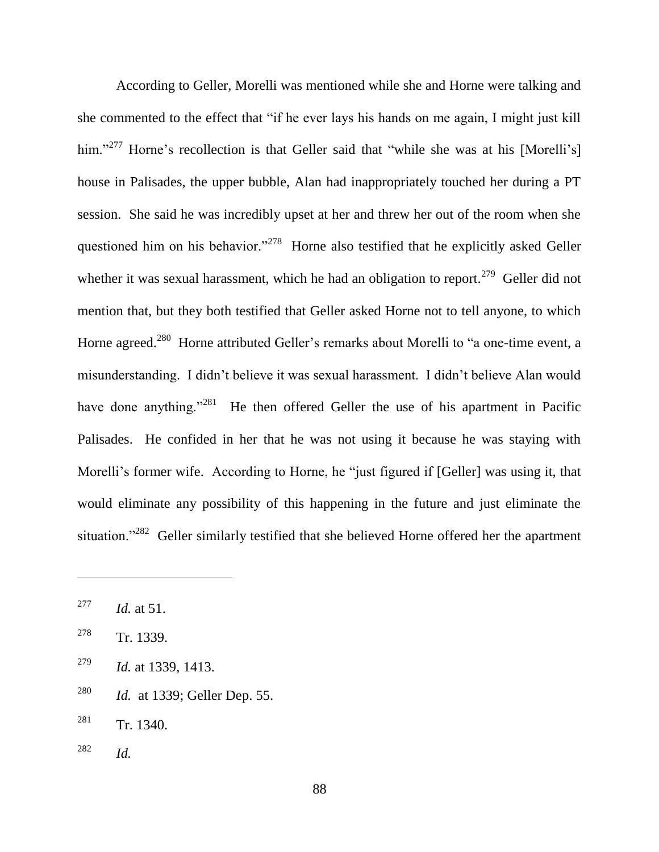According to Geller, Morelli was mentioned while she and Horne were talking and she commented to the effect that "if he ever lays his hands on me again, I might just kill him."<sup>277</sup> Horne's recollection is that Geller said that "while she was at his [Morelli's] house in Palisades, the upper bubble, Alan had inappropriately touched her during a PT session. She said he was incredibly upset at her and threw her out of the room when she questioned him on his behavior."<sup>278</sup> Horne also testified that he explicitly asked Geller whether it was sexual harassment, which he had an obligation to report.<sup>279</sup> Geller did not mention that, but they both testified that Geller asked Horne not to tell anyone, to which Horne agreed.<sup>280</sup> Horne attributed Geller's remarks about Morelli to "a one-time event, a misunderstanding. I didn't believe it was sexual harassment. I didn't believe Alan would have done anything.<sup>281</sup> He then offered Geller the use of his apartment in Pacific Palisades. He confided in her that he was not using it because he was staying with Morelli's former wife. According to Horne, he "just figured if [Geller] was using it, that would eliminate any possibility of this happening in the future and just eliminate the situation."<sup>282</sup> Geller similarly testified that she believed Horne offered her the apartment

<sup>280</sup> *Id.* at 1339; Geller Dep. 55.

<sup>282</sup> *Id.*

<sup>277</sup> *Id.* at 51.

<sup>278</sup> Tr. 1339.

<sup>279</sup> *Id.* at 1339, 1413.

 $281$  Tr. 1340.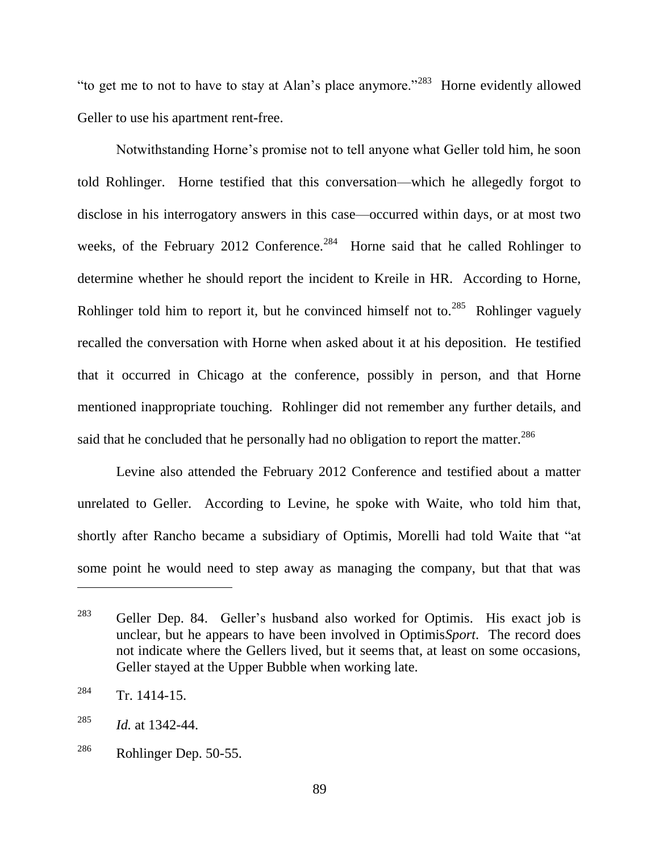"to get me to not to have to stay at Alan's place anymore."<sup>283</sup> Horne evidently allowed Geller to use his apartment rent-free.

Notwithstanding Horne's promise not to tell anyone what Geller told him, he soon told Rohlinger. Horne testified that this conversation—which he allegedly forgot to disclose in his interrogatory answers in this case—occurred within days, or at most two weeks, of the February 2012 Conference.<sup>284</sup> Horne said that he called Rohlinger to determine whether he should report the incident to Kreile in HR. According to Horne, Rohlinger told him to report it, but he convinced himself not to.<sup>285</sup> Rohlinger vaguely recalled the conversation with Horne when asked about it at his deposition. He testified that it occurred in Chicago at the conference, possibly in person, and that Horne mentioned inappropriate touching. Rohlinger did not remember any further details, and said that he concluded that he personally had no obligation to report the matter.<sup>286</sup>

Levine also attended the February 2012 Conference and testified about a matter unrelated to Geller. According to Levine, he spoke with Waite, who told him that, shortly after Rancho became a subsidiary of Optimis, Morelli had told Waite that "at some point he would need to step away as managing the company, but that that was

 $283$  Geller Dep. 84. Geller's husband also worked for Optimis. His exact job is unclear, but he appears to have been involved in Optimis*Sport*. The record does not indicate where the Gellers lived, but it seems that, at least on some occasions, Geller stayed at the Upper Bubble when working late.

 $284$  Tr. 1414-15.

<sup>285</sup> *Id.* at 1342-44.

 $^{286}$  Rohlinger Dep. 50-55.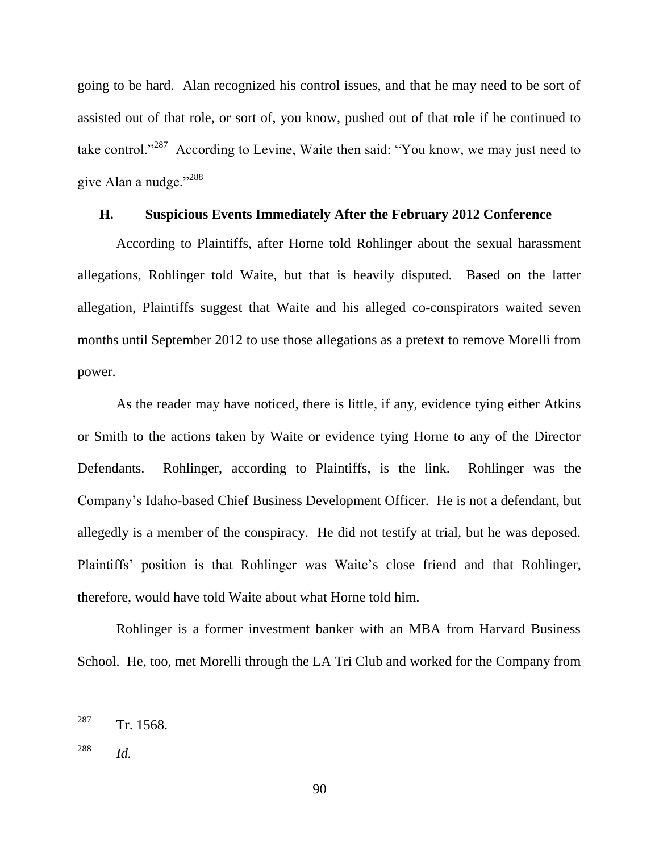going to be hard. Alan recognized his control issues, and that he may need to be sort of assisted out of that role, or sort of, you know, pushed out of that role if he continued to take control.<sup>287</sup> According to Levine, Waite then said: "You know, we may just need to give Alan a nudge."<sup>288</sup>

#### **H. Suspicious Events Immediately After the February 2012 Conference**

According to Plaintiffs, after Horne told Rohlinger about the sexual harassment allegations, Rohlinger told Waite, but that is heavily disputed. Based on the latter allegation, Plaintiffs suggest that Waite and his alleged co-conspirators waited seven months until September 2012 to use those allegations as a pretext to remove Morelli from power.

As the reader may have noticed, there is little, if any, evidence tying either Atkins or Smith to the actions taken by Waite or evidence tying Horne to any of the Director Defendants. Rohlinger, according to Plaintiffs, is the link. Rohlinger was the Company's Idaho-based Chief Business Development Officer. He is not a defendant, but allegedly is a member of the conspiracy. He did not testify at trial, but he was deposed. Plaintiffs' position is that Rohlinger was Waite's close friend and that Rohlinger, therefore, would have told Waite about what Horne told him.

Rohlinger is a former investment banker with an MBA from Harvard Business School. He, too, met Morelli through the LA Tri Club and worked for the Company from

 $287$  Tr. 1568.

<sup>288</sup> *Id.*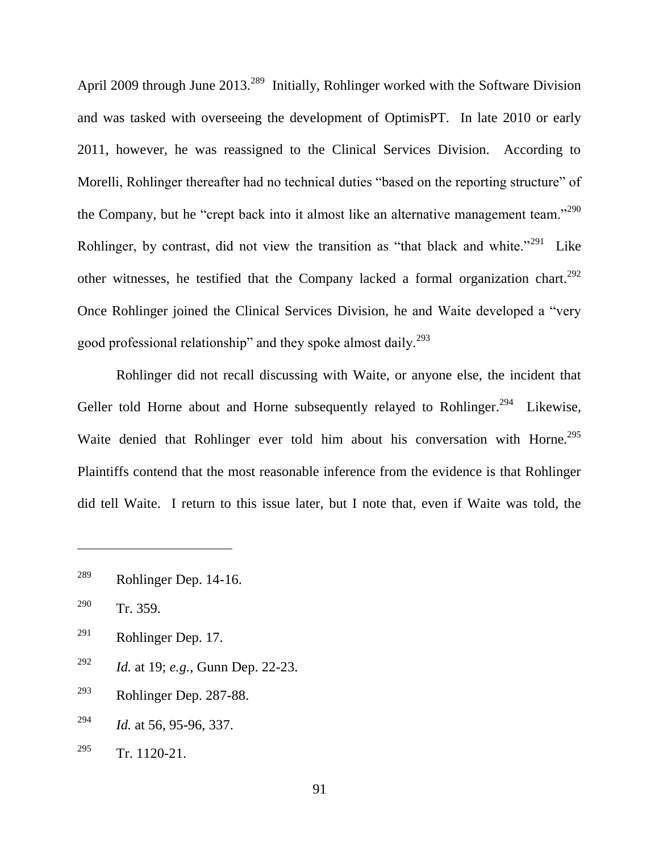April 2009 through June  $2013<sup>289</sup>$  Initially, Rohlinger worked with the Software Division and was tasked with overseeing the development of OptimisPT. In late 2010 or early 2011, however, he was reassigned to the Clinical Services Division. According to Morelli, Rohlinger thereafter had no technical duties "based on the reporting structure" of the Company, but he "crept back into it almost like an alternative management team."<sup>290</sup> Rohlinger, by contrast, did not view the transition as "that black and white."<sup>291</sup> Like other witnesses, he testified that the Company lacked a formal organization chart.<sup>292</sup> Once Rohlinger joined the Clinical Services Division, he and Waite developed a "very" good professional relationship" and they spoke almost daily.<sup>293</sup>

Rohlinger did not recall discussing with Waite, or anyone else, the incident that Geller told Horne about and Horne subsequently relayed to Rohlinger.<sup>294</sup> Likewise, Waite denied that Rohlinger ever told him about his conversation with Horne.<sup>295</sup> Plaintiffs contend that the most reasonable inference from the evidence is that Rohlinger did tell Waite. I return to this issue later, but I note that, even if Waite was told, the

- $^{291}$  Rohlinger Dep. 17.
- <sup>292</sup> *Id.* at 19; *e.g.*, Gunn Dep. 22-23.
- $^{293}$  Rohlinger Dep. 287-88.
- <sup>294</sup> *Id.* at 56, 95-96, 337.
- $295$  Tr. 1120-21.

 $^{289}$  Rohlinger Dep. 14-16.

<sup>290</sup> Tr. 359.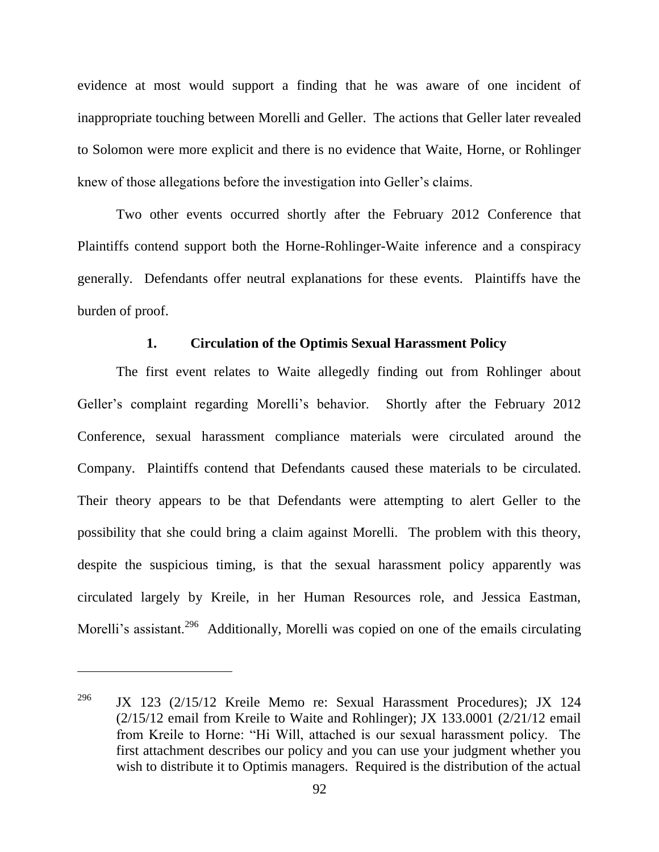evidence at most would support a finding that he was aware of one incident of inappropriate touching between Morelli and Geller. The actions that Geller later revealed to Solomon were more explicit and there is no evidence that Waite, Horne, or Rohlinger knew of those allegations before the investigation into Geller's claims.

Two other events occurred shortly after the February 2012 Conference that Plaintiffs contend support both the Horne-Rohlinger-Waite inference and a conspiracy generally. Defendants offer neutral explanations for these events. Plaintiffs have the burden of proof.

#### **1. Circulation of the Optimis Sexual Harassment Policy**

The first event relates to Waite allegedly finding out from Rohlinger about Geller's complaint regarding Morelli's behavior. Shortly after the February 2012 Conference, sexual harassment compliance materials were circulated around the Company. Plaintiffs contend that Defendants caused these materials to be circulated. Their theory appears to be that Defendants were attempting to alert Geller to the possibility that she could bring a claim against Morelli. The problem with this theory, despite the suspicious timing, is that the sexual harassment policy apparently was circulated largely by Kreile, in her Human Resources role, and Jessica Eastman, Morelli's assistant.<sup>296</sup> Additionally, Morelli was copied on one of the emails circulating

<sup>&</sup>lt;sup>296</sup> JX 123 (2/15/12 Kreile Memo re: Sexual Harassment Procedures); JX 124  $(2/15/12$  email from Kreile to Waite and Rohlinger); JX 133.0001 (2/21/12 email from Kreile to Horne: "Hi Will, attached is our sexual harassment policy. The first attachment describes our policy and you can use your judgment whether you wish to distribute it to Optimis managers. Required is the distribution of the actual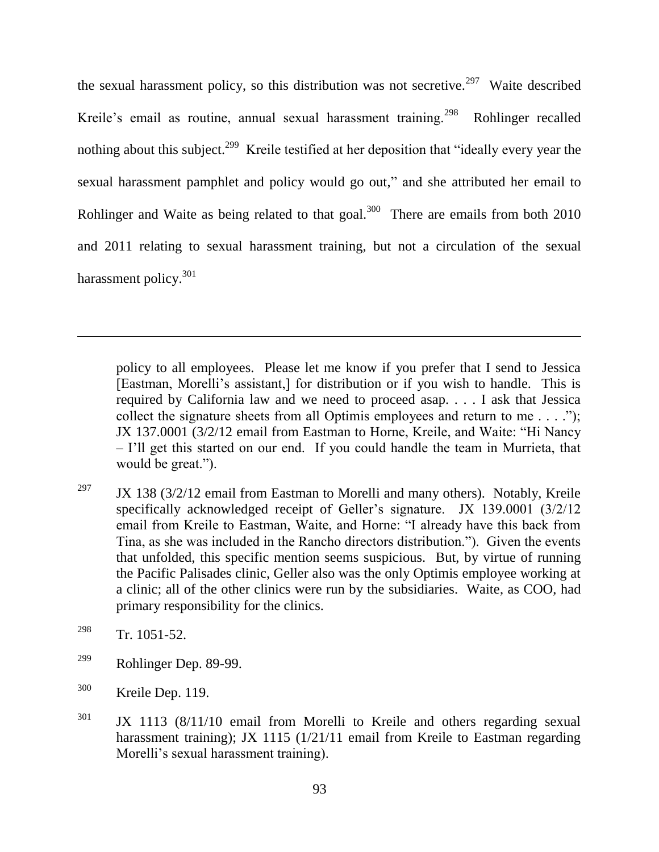the sexual harassment policy, so this distribution was not secretive.<sup>297</sup> Waite described Kreile's email as routine, annual sexual harassment training.<sup>298</sup> Rohlinger recalled nothing about this subject.<sup>299</sup> Kreile testified at her deposition that "ideally every year the sexual harassment pamphlet and policy would go out," and she attributed her email to Rohlinger and Waite as being related to that goal.<sup>300</sup> There are emails from both  $2010$ and 2011 relating to sexual harassment training, but not a circulation of the sexual harassment policy.<sup>301</sup>

policy to all employees. Please let me know if you prefer that I send to Jessica [Eastman, Morelli's assistant,] for distribution or if you wish to handle. This is required by California law and we need to proceed asap. . . . I ask that Jessica collect the signature sheets from all Optimis employees and return to me  $\dots$ . JX 137.0001 (3/2/12 email from Eastman to Horne, Kreile, and Waite: "Hi Nancy – I'll get this started on our end. If you could handle the team in Murrieta, that would be great.").

- <sup>297</sup> JX 138 (3/2/12 email from Eastman to Morelli and many others). Notably, Kreile specifically acknowledged receipt of Geller's signature. JX 139.0001 (3/2/12 email from Kreile to Eastman, Waite, and Horne: "I already have this back from Tina, as she was included in the Rancho directors distribution."). Given the events that unfolded, this specific mention seems suspicious. But, by virtue of running the Pacific Palisades clinic, Geller also was the only Optimis employee working at a clinic; all of the other clinics were run by the subsidiaries. Waite, as COO, had primary responsibility for the clinics.
- <sup>298</sup> Tr. 1051-52.

- $^{299}$  Rohlinger Dep. 89-99.
- <sup>300</sup> Kreile Dep. 119.
- $301$  JX 1113 (8/11/10 email from Morelli to Kreile and others regarding sexual harassment training); JX 1115 (1/21/11 email from Kreile to Eastman regarding Morelli's sexual harassment training).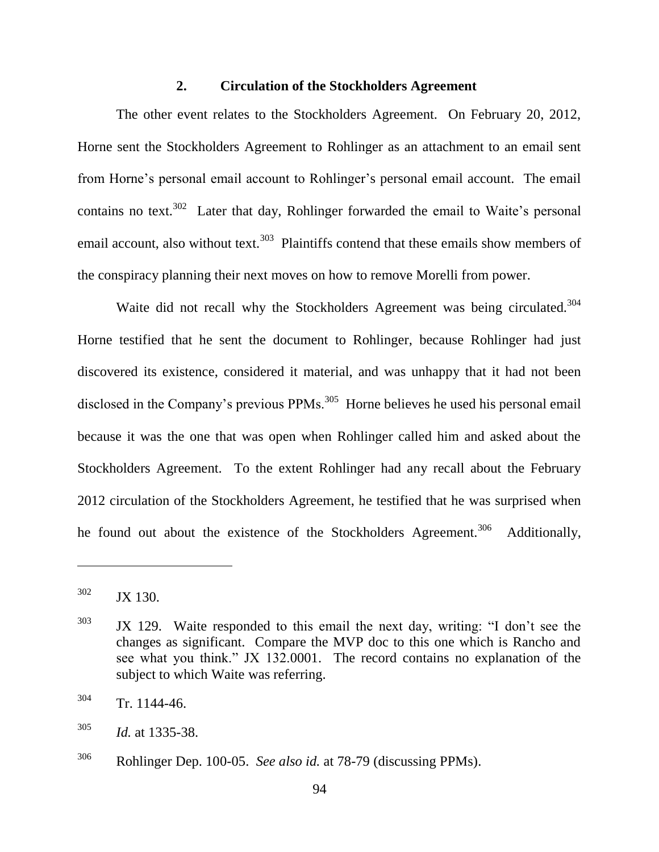#### **2. Circulation of the Stockholders Agreement**

The other event relates to the Stockholders Agreement. On February 20, 2012, Horne sent the Stockholders Agreement to Rohlinger as an attachment to an email sent from Horne's personal email account to Rohlinger's personal email account. The email contains no text.<sup>302</sup> Later that day, Rohlinger forwarded the email to Waite's personal email account, also without text.<sup>303</sup> Plaintiffs contend that these emails show members of the conspiracy planning their next moves on how to remove Morelli from power.

Waite did not recall why the Stockholders Agreement was being circulated.<sup>304</sup> Horne testified that he sent the document to Rohlinger, because Rohlinger had just discovered its existence, considered it material, and was unhappy that it had not been disclosed in the Company's previous  $PPMs$ <sup>305</sup> Horne believes he used his personal email because it was the one that was open when Rohlinger called him and asked about the Stockholders Agreement. To the extent Rohlinger had any recall about the February 2012 circulation of the Stockholders Agreement, he testified that he was surprised when he found out about the existence of the Stockholders Agreement.<sup>306</sup> Additionally,

<sup>302</sup> JX 130.

 $303$  JX 129. Waite responded to this email the next day, writing: "I don't see the changes as significant. Compare the MVP doc to this one which is Rancho and see what you think." JX 132,0001. The record contains no explanation of the subject to which Waite was referring.

 $304$  Tr. 1144-46.

<sup>305</sup> *Id.* at 1335-38.

<sup>306</sup> Rohlinger Dep. 100-05. *See also id.* at 78-79 (discussing PPMs).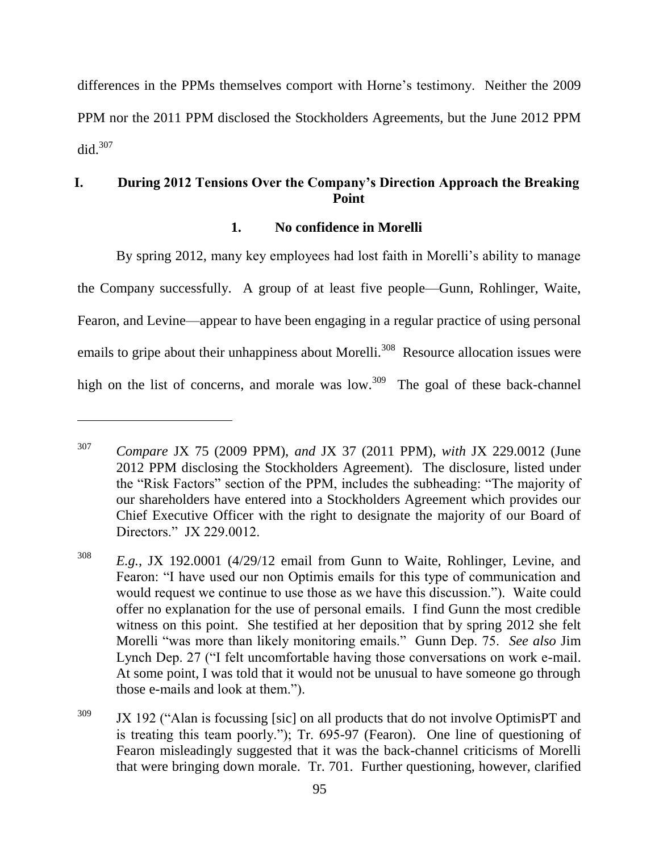differences in the PPMs themselves comport with Horne's testimony. Neither the 2009 PPM nor the 2011 PPM disclosed the Stockholders Agreements, but the June 2012 PPM did. $307$ 

# **I. During 2012 Tensions Over the Company's Direction Approach the Breaking Point**

#### **1. No confidence in Morelli**

By spring 2012, many key employees had lost faith in Morelli's ability to manage the Company successfully. A group of at least five people—Gunn, Rohlinger, Waite, Fearon, and Levine—appear to have been engaging in a regular practice of using personal emails to gripe about their unhappiness about Morelli.<sup>308</sup> Resource allocation issues were high on the list of concerns, and morale was low.<sup>309</sup> The goal of these back-channel

<sup>307</sup> *Compare* JX 75 (2009 PPM), *and* JX 37 (2011 PPM), *with* JX 229.0012 (June 2012 PPM disclosing the Stockholders Agreement). The disclosure, listed under the "Risk Factors" section of the PPM, includes the subheading: "The majority of our shareholders have entered into a Stockholders Agreement which provides our Chief Executive Officer with the right to designate the majority of our Board of Directors." JX 229.0012.

<sup>308</sup> *E.g.*, JX 192.0001 (4/29/12 email from Gunn to Waite, Rohlinger, Levine, and Fearon: "I have used our non Optimis emails for this type of communication and would request we continue to use those as we have this discussion."). Waite could offer no explanation for the use of personal emails. I find Gunn the most credible witness on this point. She testified at her deposition that by spring 2012 she felt Morelli "was more than likely monitoring emails." Gunn Dep. 75. *See also* Jim Lynch Dep. 27 ("I felt uncomfortable having those conversations on work e-mail. At some point, I was told that it would not be unusual to have someone go through those e-mails and look at them.").

 $309$  JX 192 ("Alan is focussing [sic] on all products that do not involve OptimisPT and is treating this team poorly."); Tr. 695-97 (Fearon). One line of questioning of Fearon misleadingly suggested that it was the back-channel criticisms of Morelli that were bringing down morale. Tr. 701. Further questioning, however, clarified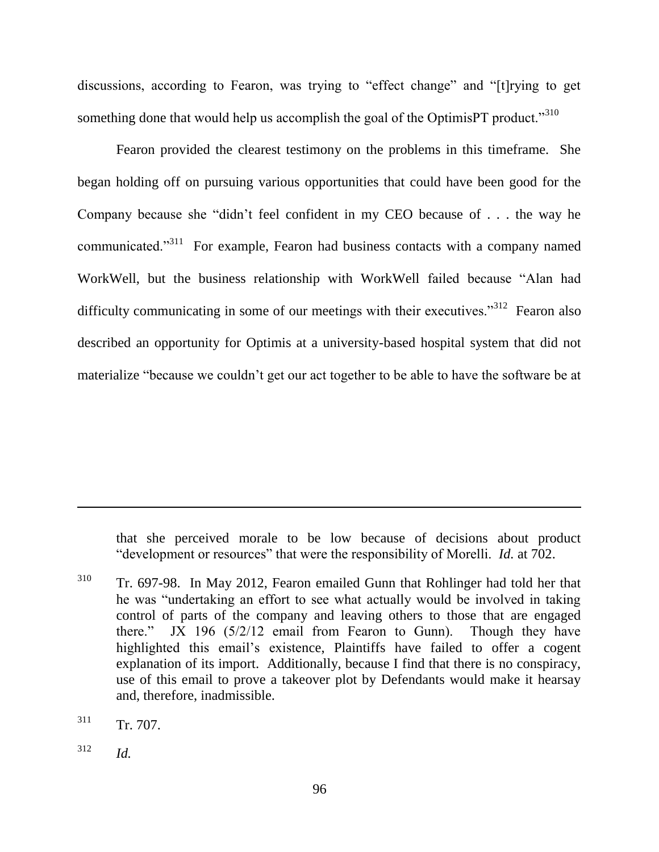discussions, according to Fearon, was trying to "effect change" and "[t]rying to get something done that would help us accomplish the goal of the OptimisPT product."<sup>310</sup>

Fearon provided the clearest testimony on the problems in this timeframe. She began holding off on pursuing various opportunities that could have been good for the Company because she "didn't feel confident in my CEO because of  $\ldots$  the way he communicated.<sup>311</sup> For example, Fearon had business contacts with a company named WorkWell, but the business relationship with WorkWell failed because "Alan had difficulty communicating in some of our meetings with their executives.<sup>312</sup> Fearon also described an opportunity for Optimis at a university-based hospital system that did not materialize "because we couldn't get our act together to be able to have the software be at

that she perceived morale to be low because of decisions about product "development or resources" that were the responsibility of Morelli. *Id.* at 702.

<sup>310</sup> Tr. 697-98. In May 2012, Fearon emailed Gunn that Rohlinger had told her that he was "undertaking an effort to see what actually would be involved in taking control of parts of the company and leaving others to those that are engaged there." JX 196  $(5/2/12$  email from Fearon to Gunn). Though they have highlighted this email's existence, Plaintiffs have failed to offer a cogent explanation of its import. Additionally, because I find that there is no conspiracy, use of this email to prove a takeover plot by Defendants would make it hearsay and, therefore, inadmissible.

 $311$  Tr. 707.

<sup>312</sup> *Id.*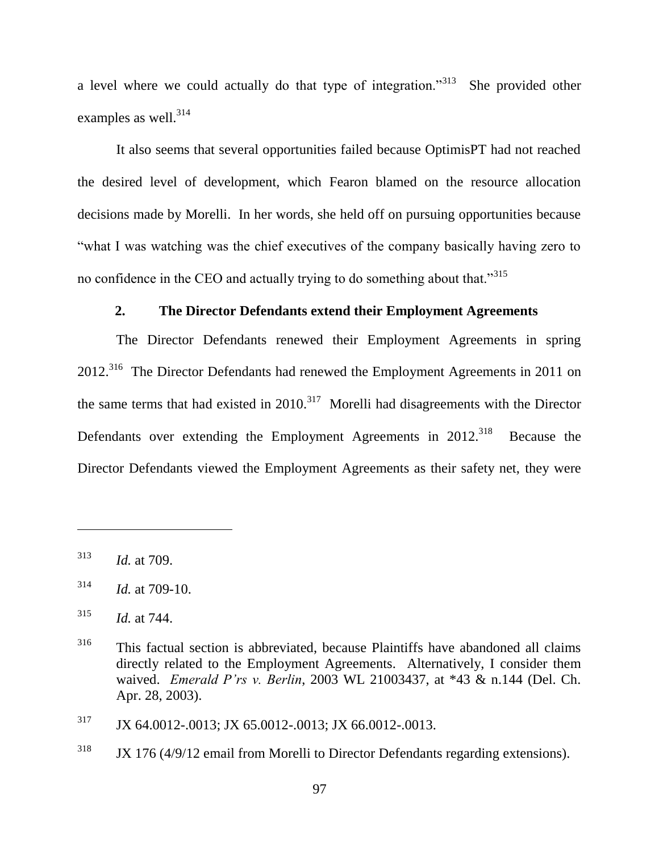a level where we could actually do that type of integration."<sup>313</sup> She provided other examples as well. $314$ 

It also seems that several opportunities failed because OptimisPT had not reached the desired level of development, which Fearon blamed on the resource allocation decisions made by Morelli. In her words, she held off on pursuing opportunities because "what I was watching was the chief executives of the company basically having zero to no confidence in the CEO and actually trying to do something about that."<sup>315</sup>

### **2. The Director Defendants extend their Employment Agreements**

The Director Defendants renewed their Employment Agreements in spring 2012.<sup>316</sup> The Director Defendants had renewed the Employment Agreements in 2011 on the same terms that had existed in  $2010$ .<sup>317</sup> Morelli had disagreements with the Director Defendants over extending the Employment Agreements in 2012.<sup>318</sup> Because the Director Defendants viewed the Employment Agreements as their safety net, they were

<sup>313</sup> *Id.* at 709.

 $314$  *Id.* at 709-10.

<sup>315</sup> *Id.* at 744.

<sup>316</sup> This factual section is abbreviated, because Plaintiffs have abandoned all claims directly related to the Employment Agreements. Alternatively, I consider them waived. *Emerald P'rs v. Berlin*, 2003 WL 21003437, at \*43 & n.144 (Del. Ch. Apr. 28, 2003).

<sup>317</sup> JX 64.0012-.0013; JX 65.0012-.0013; JX 66.0012-.0013.

<sup>&</sup>lt;sup>318</sup> JX 176 (4/9/12 email from Morelli to Director Defendants regarding extensions).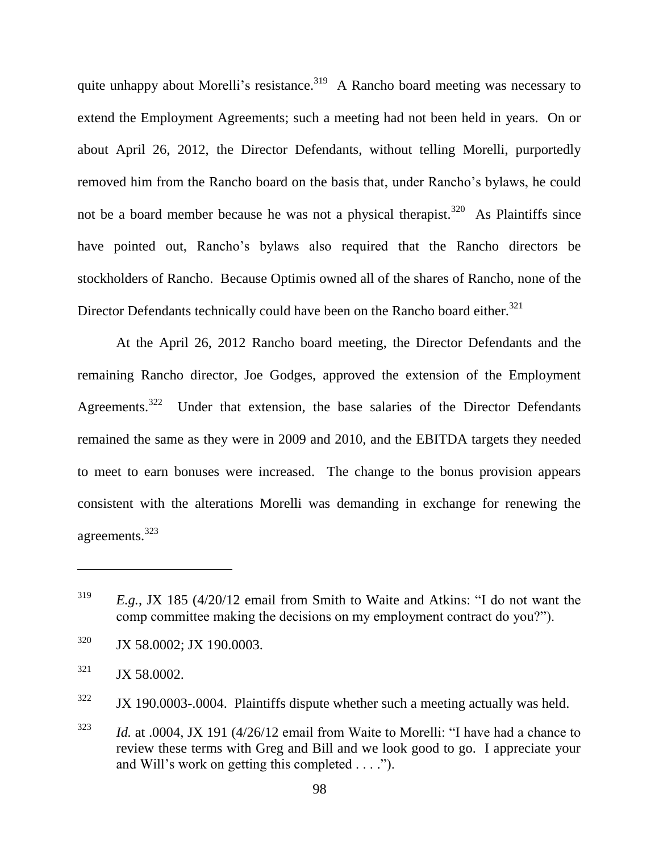quite unhappy about Morelli's resistance.<sup>319</sup> A Rancho board meeting was necessary to extend the Employment Agreements; such a meeting had not been held in years. On or about April 26, 2012, the Director Defendants, without telling Morelli, purportedly removed him from the Rancho board on the basis that, under Rancho's bylaws, he could not be a board member because he was not a physical therapist.<sup>320</sup> As Plaintiffs since have pointed out, Rancho's bylaws also required that the Rancho directors be stockholders of Rancho. Because Optimis owned all of the shares of Rancho, none of the Director Defendants technically could have been on the Rancho board either.<sup>321</sup>

At the April 26, 2012 Rancho board meeting, the Director Defendants and the remaining Rancho director, Joe Godges, approved the extension of the Employment Agreements.<sup>322</sup> Under that extension, the base salaries of the Director Defendants remained the same as they were in 2009 and 2010, and the EBITDA targets they needed to meet to earn bonuses were increased. The change to the bonus provision appears consistent with the alterations Morelli was demanding in exchange for renewing the agreements.<sup>323</sup>

- <sup>320</sup> JX 58.0002; JX 190.0003.
- $321$  JX 58.0002.

<sup>322</sup> JX 190.0003-.0004. Plaintiffs dispute whether such a meeting actually was held.

 $1323$  *Id.* at .0004, JX 191 (4/26/12 email from Waite to Morelli: "I have had a chance to review these terms with Greg and Bill and we look good to go. I appreciate your and Will's work on getting this completed  $\dots$ .").

 $E.g., JX$  185 (4/20/12 email from Smith to Waite and Atkins: "I do not want the comp committee making the decisions on my employment contract do you?").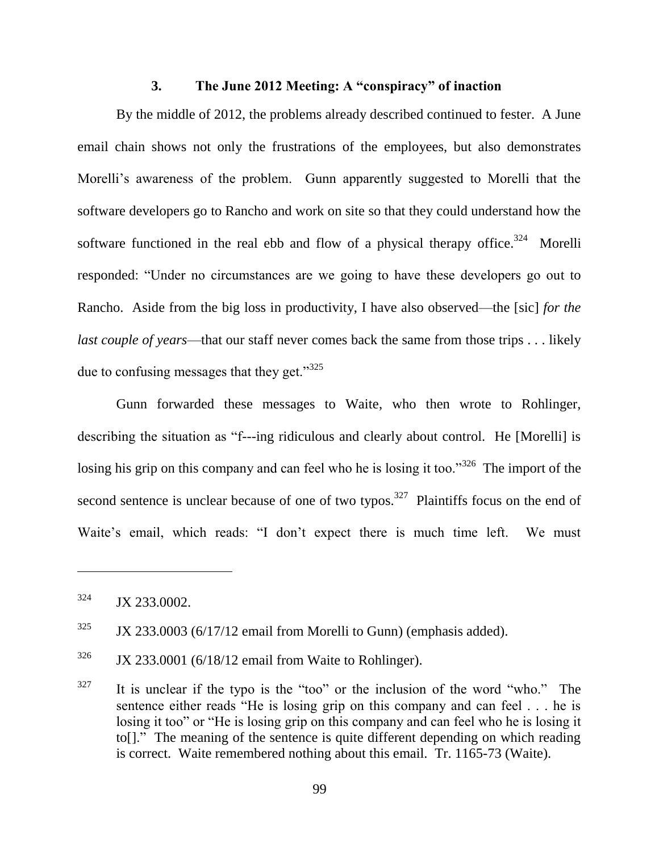#### **3. The June 2012 Meeting: A "conspiracy" of inaction**

By the middle of 2012, the problems already described continued to fester. A June email chain shows not only the frustrations of the employees, but also demonstrates Morelli's awareness of the problem. Gunn apparently suggested to Morelli that the software developers go to Rancho and work on site so that they could understand how the software functioned in the real ebb and flow of a physical therapy office.<sup>324</sup> Morelli responded: "Under no circumstances are we going to have these developers go out to Rancho. Aside from the big loss in productivity, I have also observed—the [sic] *for the last couple of years*—that our staff never comes back the same from those trips . . . likely due to confusing messages that they get. $1^{325}$ 

Gunn forwarded these messages to Waite, who then wrote to Rohlinger, describing the situation as "f---ing ridiculous and clearly about control. He [Morelli] is losing his grip on this company and can feel who he is losing it too."<sup>326</sup> The import of the second sentence is unclear because of one of two typos.<sup>327</sup> Plaintiffs focus on the end of Waite's email, which reads: "I don't expect there is much time left. We must

 $\overline{a}$ 

 $327$  It is unclear if the typo is the "too" or the inclusion of the word "who." The sentence either reads "He is losing grip on this company and can feel  $\ldots$  he is losing it too" or "He is losing grip on this company and can feel who he is losing it to[]." The meaning of the sentence is quite different depending on which reading is correct. Waite remembered nothing about this email. Tr. 1165-73 (Waite).

 $324$  JX 233.0002.

 $325$  JX 233.0003 (6/17/12 email from Morelli to Gunn) (emphasis added).

 $326$  JX 233.0001 (6/18/12 email from Waite to Rohlinger).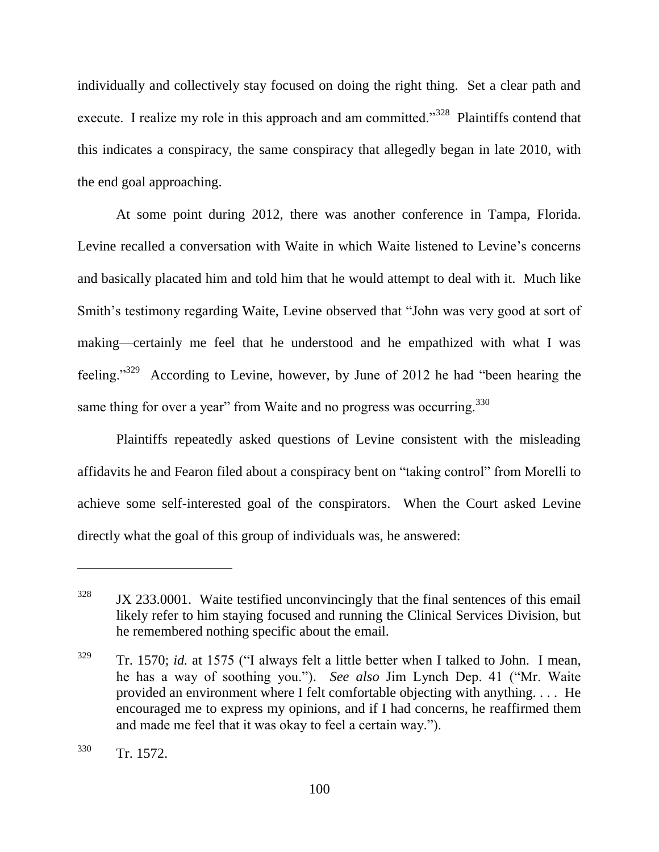individually and collectively stay focused on doing the right thing. Set a clear path and execute. I realize my role in this approach and am committed.<sup>3328</sup> Plaintiffs contend that this indicates a conspiracy, the same conspiracy that allegedly began in late 2010, with the end goal approaching.

At some point during 2012, there was another conference in Tampa, Florida. Levine recalled a conversation with Waite in which Waite listened to Levine's concerns and basically placated him and told him that he would attempt to deal with it. Much like Smith's testimony regarding Waite, Levine observed that "John was very good at sort of making—certainly me feel that he understood and he empathized with what I was feeling."<sup>329</sup> According to Levine, however, by June of 2012 he had "been hearing the same thing for over a year" from Waite and no progress was occurring. $330$ 

Plaintiffs repeatedly asked questions of Levine consistent with the misleading affidavits he and Fearon filed about a conspiracy bent on "taking control" from Morelli to achieve some self-interested goal of the conspirators. When the Court asked Levine directly what the goal of this group of individuals was, he answered:

 $328$  JX 233.0001. Waite testified unconvincingly that the final sentences of this email likely refer to him staying focused and running the Clinical Services Division, but he remembered nothing specific about the email.

 $329$  Tr. 1570; *id.* at 1575 ("I always felt a little better when I talked to John. I mean, he has a way of soothing you."). *See also* Jim Lynch Dep. 41 ("Mr. Waite provided an environment where I felt comfortable objecting with anything. . . . He encouraged me to express my opinions, and if I had concerns, he reaffirmed them and made me feel that it was okay to feel a certain way.").

<sup>330</sup> Tr. 1572.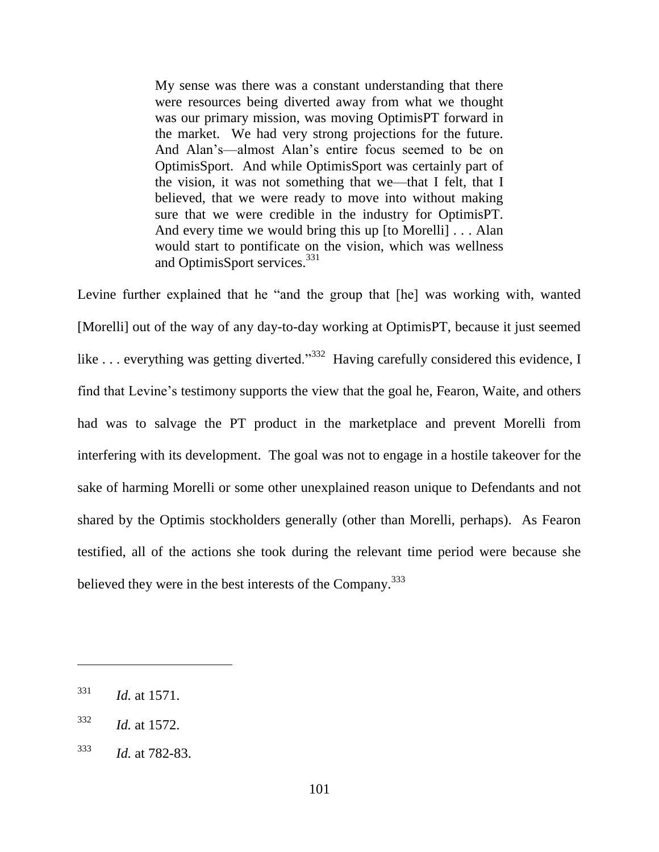My sense was there was a constant understanding that there were resources being diverted away from what we thought was our primary mission, was moving OptimisPT forward in the market. We had very strong projections for the future. And Alan's—almost Alan's entire focus seemed to be on OptimisSport. And while OptimisSport was certainly part of the vision, it was not something that we—that I felt, that I believed, that we were ready to move into without making sure that we were credible in the industry for OptimisPT. And every time we would bring this up [to Morelli] . . . Alan would start to pontificate on the vision, which was wellness and OptimisSport services.<sup>331</sup>

Levine further explained that he "and the group that [he] was working with, wanted [Morelli] out of the way of any day-to-day working at OptimisPT, because it just seemed like ... everything was getting diverted."<sup>332</sup> Having carefully considered this evidence, I find that Levine's testimony supports the view that the goal he, Fearon, Waite, and others had was to salvage the PT product in the marketplace and prevent Morelli from interfering with its development. The goal was not to engage in a hostile takeover for the sake of harming Morelli or some other unexplained reason unique to Defendants and not shared by the Optimis stockholders generally (other than Morelli, perhaps). As Fearon testified, all of the actions she took during the relevant time period were because she believed they were in the best interests of the Company.<sup>333</sup>

<sup>331</sup> *Id.* at 1571.

<sup>332</sup> *Id.* at 1572.

<sup>333</sup> *Id.* at 782-83.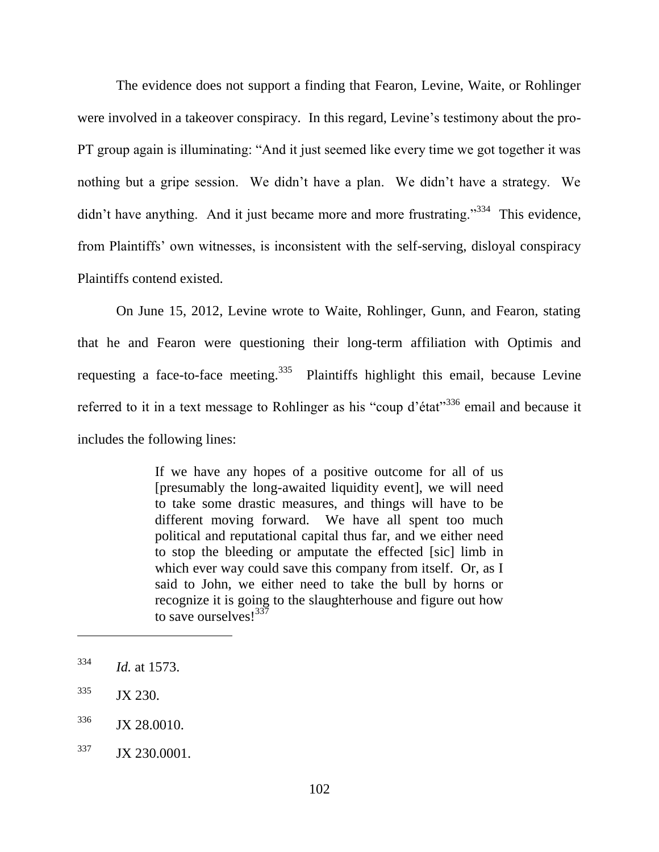The evidence does not support a finding that Fearon, Levine, Waite, or Rohlinger were involved in a takeover conspiracy. In this regard, Levine's testimony about the pro-PT group again is illuminating: "And it just seemed like every time we got together it was nothing but a gripe session. We didn't have a plan. We didn't have a strategy. We didn't have anything. And it just became more and more frustrating."<sup>334</sup> This evidence, from Plaintiffs' own witnesses, is inconsistent with the self-serving, disloyal conspiracy Plaintiffs contend existed.

On June 15, 2012, Levine wrote to Waite, Rohlinger, Gunn, and Fearon, stating that he and Fearon were questioning their long-term affiliation with Optimis and requesting a face-to-face meeting.<sup>335</sup> Plaintiffs highlight this email, because Levine referred to it in a text message to Rohlinger as his "coup d'état"<sup>336</sup> email and because it includes the following lines:

> If we have any hopes of a positive outcome for all of us [presumably the long-awaited liquidity event], we will need to take some drastic measures, and things will have to be different moving forward. We have all spent too much political and reputational capital thus far, and we either need to stop the bleeding or amputate the effected [sic] limb in which ever way could save this company from itself. Or, as I said to John, we either need to take the bull by horns or recognize it is going to the slaughterhouse and figure out how to save ourselves!<sup>337</sup>

<sup>334</sup> *Id.* at 1573.

 $335$  JX 230.

<sup>&</sup>lt;sup>336</sup> JX 28,0010.

<sup>&</sup>lt;sup>337</sup> JX 230.0001.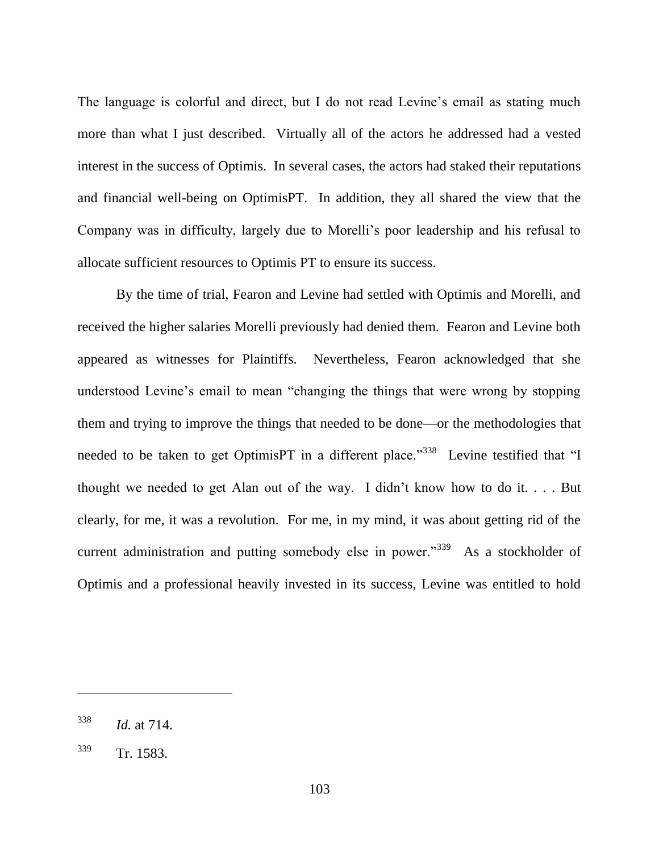The language is colorful and direct, but I do not read Levine's email as stating much more than what I just described. Virtually all of the actors he addressed had a vested interest in the success of Optimis. In several cases, the actors had staked their reputations and financial well-being on OptimisPT. In addition, they all shared the view that the Company was in difficulty, largely due to Morelli's poor leadership and his refusal to allocate sufficient resources to Optimis PT to ensure its success.

By the time of trial, Fearon and Levine had settled with Optimis and Morelli, and received the higher salaries Morelli previously had denied them. Fearon and Levine both appeared as witnesses for Plaintiffs. Nevertheless, Fearon acknowledged that she understood Levine's email to mean "changing the things that were wrong by stopping them and trying to improve the things that needed to be done—or the methodologies that needed to be taken to get OptimisPT in a different place."<sup>338</sup> Levine testified that "I thought we needed to get Alan out of the way. I didn't know how to do it. . . . But clearly, for me, it was a revolution. For me, in my mind, it was about getting rid of the current administration and putting somebody else in power.<sup>339</sup> As a stockholder of Optimis and a professional heavily invested in its success, Levine was entitled to hold

<sup>338</sup> *Id.* at 714.

<sup>339</sup> Tr. 1583.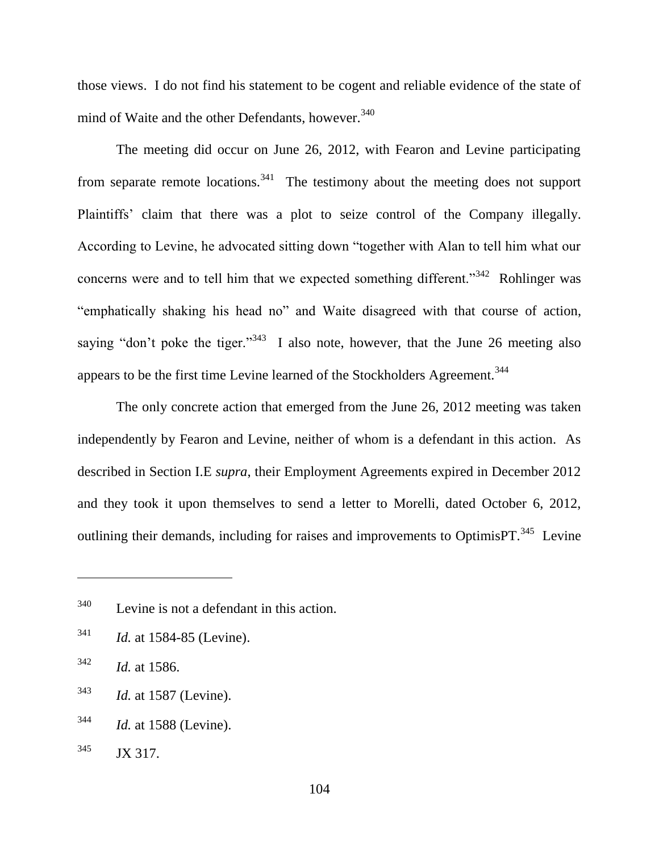those views. I do not find his statement to be cogent and reliable evidence of the state of mind of Waite and the other Defendants, however.<sup>340</sup>

The meeting did occur on June 26, 2012, with Fearon and Levine participating from separate remote locations.<sup>341</sup> The testimony about the meeting does not support Plaintiffs' claim that there was a plot to seize control of the Company illegally. According to Levine, he advocated sitting down "together with Alan to tell him what our concerns were and to tell him that we expected something different."<sup>342</sup> Rohlinger was "emphatically shaking his head no" and Waite disagreed with that course of action, saying "don't poke the tiger."<sup>343</sup> I also note, however, that the June 26 meeting also appears to be the first time Levine learned of the Stockholders Agreement.<sup>344</sup>

The only concrete action that emerged from the June 26, 2012 meeting was taken independently by Fearon and Levine, neither of whom is a defendant in this action. As described in Section I.E *supra*, their Employment Agreements expired in December 2012 and they took it upon themselves to send a letter to Morelli, dated October 6, 2012, outlining their demands, including for raises and improvements to OptimisPT.<sup>345</sup> Levine

<sup>341</sup> *Id.* at 1584-85 (Levine).

- <sup>343</sup> *Id.* at 1587 (Levine).
- <sup>344</sup> *Id.* at 1588 (Levine).
- $345$  JX 317.

<sup>340</sup> Levine is not a defendant in this action.

<sup>342</sup> *Id.* at 1586.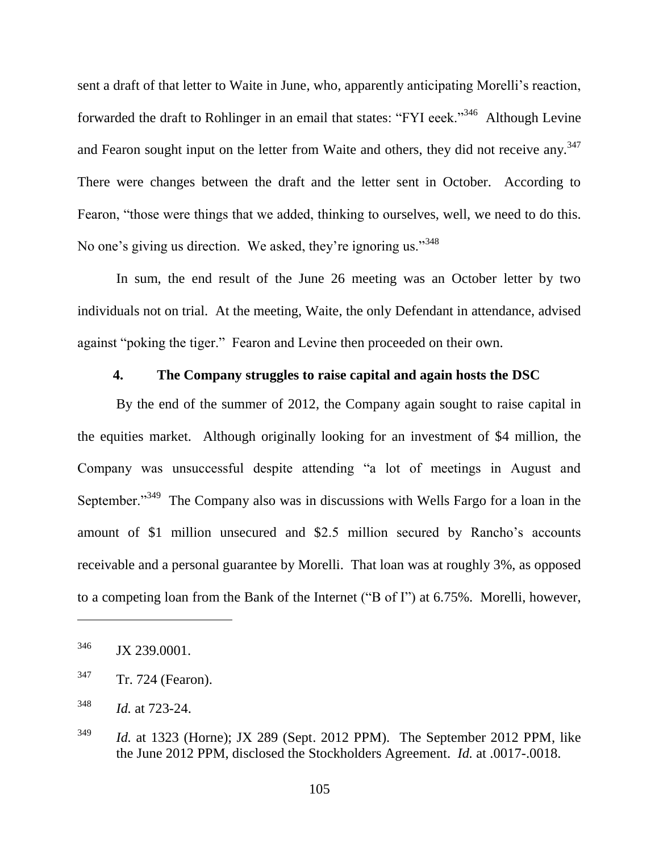sent a draft of that letter to Waite in June, who, apparently anticipating Morelli's reaction, forwarded the draft to Rohlinger in an email that states: "FYI eeek."<sup>346</sup> Although Levine and Fearon sought input on the letter from Waite and others, they did not receive any.<sup>347</sup> There were changes between the draft and the letter sent in October. According to Fearon, "those were things that we added, thinking to ourselves, well, we need to do this. No one's giving us direction. We asked, they're ignoring us."<sup>348</sup>

In sum, the end result of the June 26 meeting was an October letter by two individuals not on trial. At the meeting, Waite, the only Defendant in attendance, advised against "poking the tiger." Fearon and Levine then proceeded on their own.

# **4. The Company struggles to raise capital and again hosts the DSC**

By the end of the summer of 2012, the Company again sought to raise capital in the equities market. Although originally looking for an investment of \$4 million, the Company was unsuccessful despite attending "a lot of meetings in August and September.<sup>349</sup> The Company also was in discussions with Wells Fargo for a loan in the amount of \$1 million unsecured and \$2.5 million secured by Rancho's accounts receivable and a personal guarantee by Morelli. That loan was at roughly 3%, as opposed to a competing loan from the Bank of the Internet ("B of I") at 6.75%. Morelli, however,

<sup>&</sup>lt;sup>346</sup> JX 239,0001.

<sup>347</sup> Tr. 724 (Fearon).

<sup>348</sup> *Id.* at 723-24.

<sup>&</sup>lt;sup>349</sup> *Id.* at 1323 (Horne); JX 289 (Sept. 2012 PPM). The September 2012 PPM, like the June 2012 PPM, disclosed the Stockholders Agreement. *Id.* at .0017-.0018.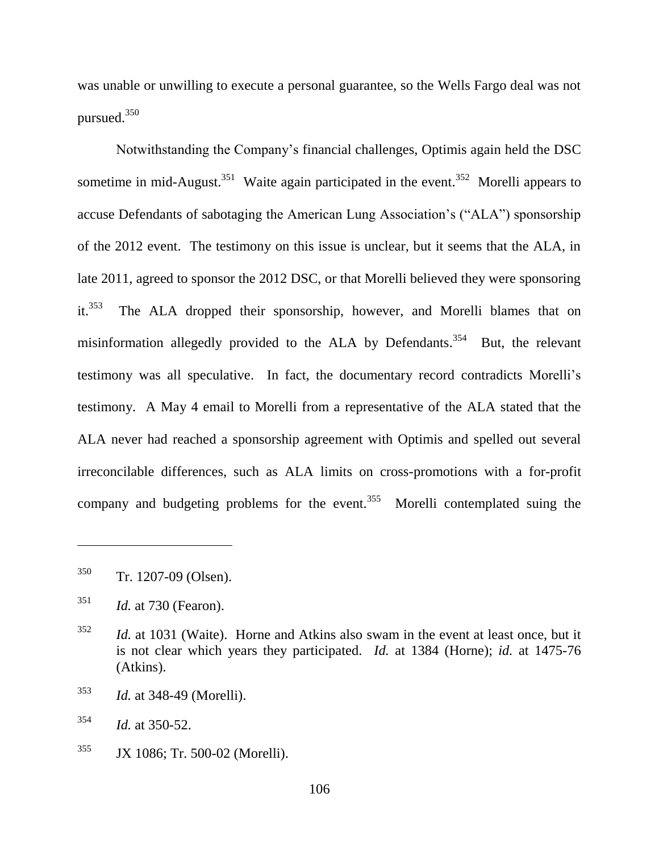was unable or unwilling to execute a personal guarantee, so the Wells Fargo deal was not pursued.<sup>350</sup>

Notwithstanding the Company's financial challenges, Optimis again held the DSC sometime in mid-August.<sup>351</sup> Waite again participated in the event.<sup>352</sup> Morelli appears to accuse Defendants of sabotaging the American Lung Association's ("ALA") sponsorship of the 2012 event. The testimony on this issue is unclear, but it seems that the ALA, in late 2011, agreed to sponsor the 2012 DSC, or that Morelli believed they were sponsoring it. 353 The ALA dropped their sponsorship, however, and Morelli blames that on misinformation allegedly provided to the ALA by Defendants.<sup>354</sup> But, the relevant testimony was all speculative. In fact, the documentary record contradicts Morelli's testimony. A May 4 email to Morelli from a representative of the ALA stated that the ALA never had reached a sponsorship agreement with Optimis and spelled out several irreconcilable differences, such as ALA limits on cross-promotions with a for-profit company and budgeting problems for the event.<sup>355</sup> Morelli contemplated suing the

<sup>350</sup> Tr. 1207-09 (Olsen).

<sup>351</sup> *Id.* at 730 (Fearon).

<sup>352</sup> *Id.* at 1031 (Waite). Horne and Atkins also swam in the event at least once, but it is not clear which years they participated. *Id.* at 1384 (Horne); *id.* at 1475-76 (Atkins).

<sup>353</sup> *Id.* at 348-49 (Morelli).

<sup>354</sup> *Id.* at 350-52.

<sup>355</sup> JX 1086; Tr. 500-02 (Morelli).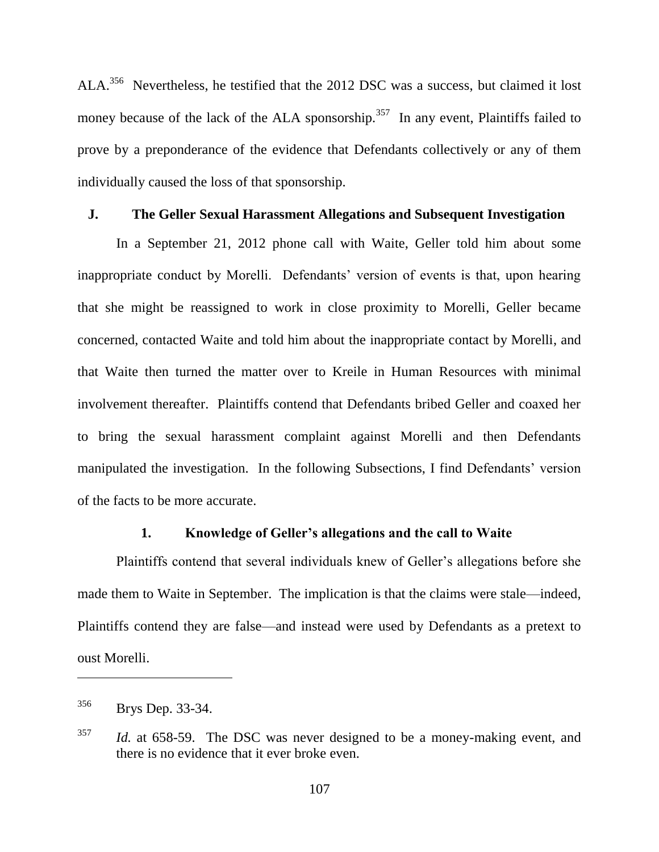ALA.<sup>356</sup> Nevertheless, he testified that the 2012 DSC was a success, but claimed it lost money because of the lack of the ALA sponsorship.<sup>357</sup> In any event, Plaintiffs failed to prove by a preponderance of the evidence that Defendants collectively or any of them individually caused the loss of that sponsorship.

#### **J. The Geller Sexual Harassment Allegations and Subsequent Investigation**

In a September 21, 2012 phone call with Waite, Geller told him about some inappropriate conduct by Morelli. Defendants' version of events is that, upon hearing that she might be reassigned to work in close proximity to Morelli, Geller became concerned, contacted Waite and told him about the inappropriate contact by Morelli, and that Waite then turned the matter over to Kreile in Human Resources with minimal involvement thereafter. Plaintiffs contend that Defendants bribed Geller and coaxed her to bring the sexual harassment complaint against Morelli and then Defendants manipulated the investigation. In the following Subsections, I find Defendants' version of the facts to be more accurate.

#### **1. Knowledge of Geller's allegations and the call to Waite**

Plaintiffs contend that several individuals knew of Geller's allegations before she made them to Waite in September. The implication is that the claims were stale—indeed, Plaintiffs contend they are false—and instead were used by Defendants as a pretext to oust Morelli.

<sup>356</sup> Brys Dep. 33-34.

<sup>357</sup> *Id.* at 658-59. The DSC was never designed to be a money-making event, and there is no evidence that it ever broke even.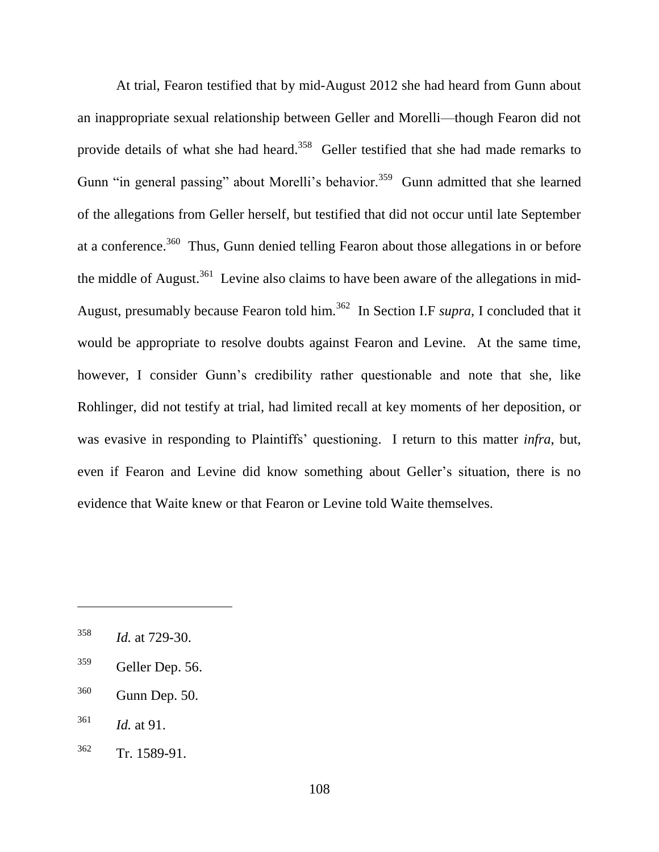At trial, Fearon testified that by mid-August 2012 she had heard from Gunn about an inappropriate sexual relationship between Geller and Morelli—though Fearon did not provide details of what she had heard.<sup>358</sup> Geller testified that she had made remarks to Gunn "in general passing" about Morelli's behavior.<sup>359</sup> Gunn admitted that she learned of the allegations from Geller herself, but testified that did not occur until late September at a conference.<sup>360</sup> Thus, Gunn denied telling Fearon about those allegations in or before the middle of August.<sup>361</sup> Levine also claims to have been aware of the allegations in mid-August, presumably because Fearon told him.<sup>362</sup> In Section I.F *supra*, I concluded that it would be appropriate to resolve doubts against Fearon and Levine. At the same time, however, I consider Gunn's credibility rather questionable and note that she, like Rohlinger, did not testify at trial, had limited recall at key moments of her deposition, or was evasive in responding to Plaintiffs' questioning. I return to this matter *infra*, but, even if Fearon and Levine did know something about Geller's situation, there is no evidence that Waite knew or that Fearon or Levine told Waite themselves.

<sup>358</sup> *Id.* at 729-30.

<sup>359</sup> Geller Dep. 56.

<sup>360</sup> Gunn Dep. 50.

<sup>361</sup> *Id.* at 91.

<sup>362</sup> Tr. 1589-91.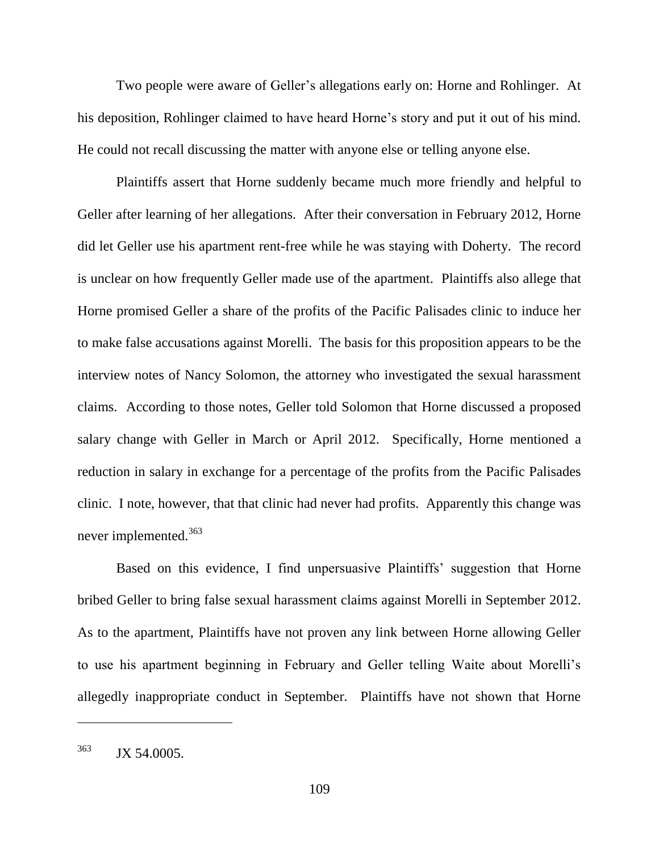Two people were aware of Geller's allegations early on: Horne and Rohlinger. At his deposition, Rohlinger claimed to have heard Horne's story and put it out of his mind. He could not recall discussing the matter with anyone else or telling anyone else.

Plaintiffs assert that Horne suddenly became much more friendly and helpful to Geller after learning of her allegations. After their conversation in February 2012, Horne did let Geller use his apartment rent-free while he was staying with Doherty. The record is unclear on how frequently Geller made use of the apartment. Plaintiffs also allege that Horne promised Geller a share of the profits of the Pacific Palisades clinic to induce her to make false accusations against Morelli. The basis for this proposition appears to be the interview notes of Nancy Solomon, the attorney who investigated the sexual harassment claims. According to those notes, Geller told Solomon that Horne discussed a proposed salary change with Geller in March or April 2012. Specifically, Horne mentioned a reduction in salary in exchange for a percentage of the profits from the Pacific Palisades clinic. I note, however, that that clinic had never had profits. Apparently this change was never implemented.<sup>363</sup>

Based on this evidence, I find unpersuasive Plaintiffs' suggestion that Horne bribed Geller to bring false sexual harassment claims against Morelli in September 2012. As to the apartment, Plaintiffs have not proven any link between Horne allowing Geller to use his apartment beginning in February and Geller telling Waite about Morelli's allegedly inappropriate conduct in September. Plaintiffs have not shown that Horne

<sup>363</sup> JX 54.0005.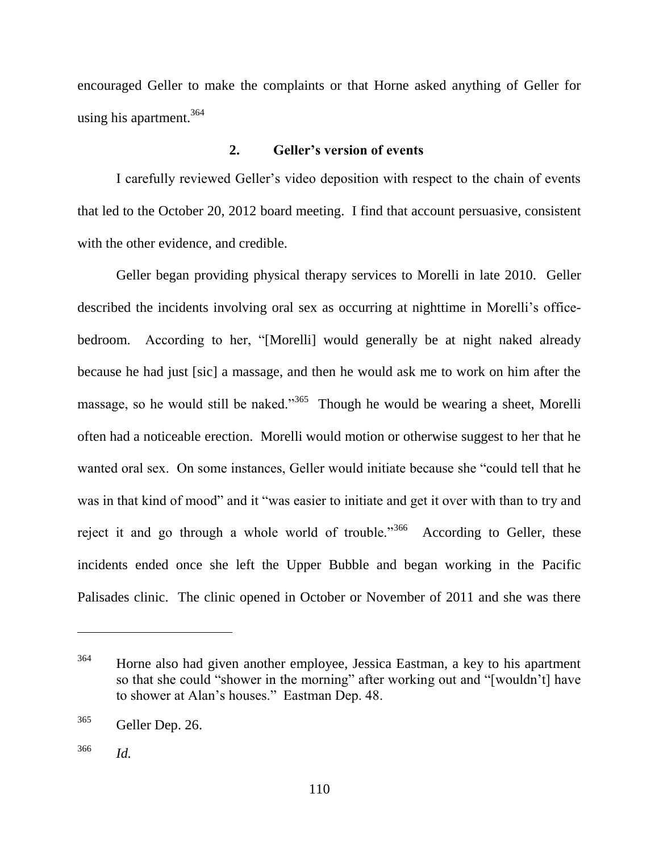encouraged Geller to make the complaints or that Horne asked anything of Geller for using his apartment.<sup>364</sup>

## **2. Geller's version of events**

I carefully reviewed Geller's video deposition with respect to the chain of events that led to the October 20, 2012 board meeting. I find that account persuasive, consistent with the other evidence, and credible.

Geller began providing physical therapy services to Morelli in late 2010. Geller described the incidents involving oral sex as occurring at nighttime in Morelli's officebedroom. According to her, "[Morelli] would generally be at night naked already because he had just [sic] a massage, and then he would ask me to work on him after the massage, so he would still be naked."<sup>365</sup> Though he would be wearing a sheet, Morelli often had a noticeable erection. Morelli would motion or otherwise suggest to her that he wanted oral sex. On some instances. Geller would initiate because she "could tell that he was in that kind of mood" and it "was easier to initiate and get it over with than to try and reject it and go through a whole world of trouble."<sup>366</sup> According to Geller, these incidents ended once she left the Upper Bubble and began working in the Pacific Palisades clinic. The clinic opened in October or November of 2011 and she was there

<sup>&</sup>lt;sup>364</sup> Horne also had given another employee, Jessica Eastman, a key to his apartment so that she could "shower in the morning" after working out and "[wouldn't] have to shower at Alan's houses." Eastman Dep. 48.

<sup>365</sup> Geller Dep. 26.

<sup>366</sup> *Id.*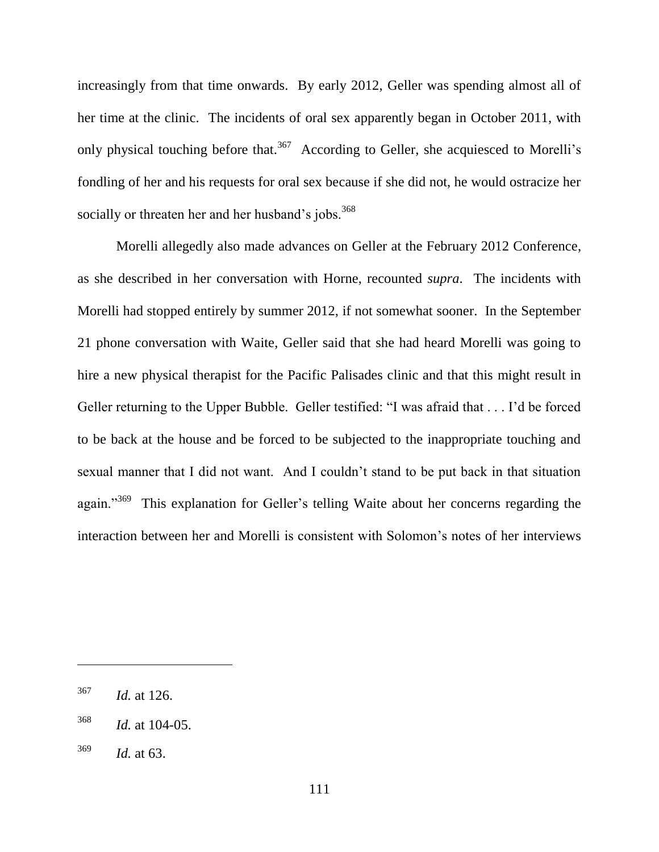increasingly from that time onwards. By early 2012, Geller was spending almost all of her time at the clinic. The incidents of oral sex apparently began in October 2011, with only physical touching before that.<sup>367</sup> According to Geller, she acquiesced to Morelli's fondling of her and his requests for oral sex because if she did not, he would ostracize her socially or threaten her and her husband's jobs.<sup>368</sup>

Morelli allegedly also made advances on Geller at the February 2012 Conference, as she described in her conversation with Horne, recounted *supra*. The incidents with Morelli had stopped entirely by summer 2012, if not somewhat sooner. In the September 21 phone conversation with Waite, Geller said that she had heard Morelli was going to hire a new physical therapist for the Pacific Palisades clinic and that this might result in Geller returning to the Upper Bubble. Geller testified: "I was afraid that . . . I'd be forced to be back at the house and be forced to be subjected to the inappropriate touching and sexual manner that I did not want. And I couldn't stand to be put back in that situation again."<sup>369</sup> This explanation for Geller's telling Waite about her concerns regarding the interaction between her and Morelli is consistent with Solomon's notes of her interviews

<sup>367</sup> *Id.* at 126.

<sup>368</sup> *Id.* at 104-05.

<sup>369</sup> *Id.* at 63.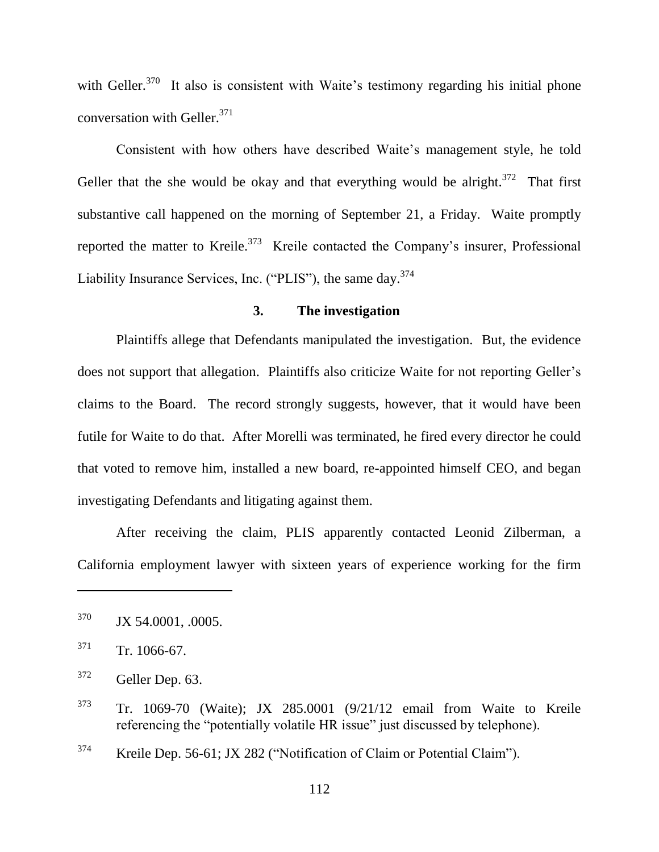with Geller.<sup>370</sup> It also is consistent with Waite's testimony regarding his initial phone conversation with Geller. 371

Consistent with how others have described Waite's management style, he told Geller that the she would be okay and that everything would be alright.<sup>372</sup> That first substantive call happened on the morning of September 21, a Friday. Waite promptly reported the matter to Kreile.<sup>373</sup> Kreile contacted the Company's insurer, Professional Liability Insurance Services, Inc. ("PLIS"), the same day. $374$ 

#### **3. The investigation**

Plaintiffs allege that Defendants manipulated the investigation. But, the evidence does not support that allegation. Plaintiffs also criticize Waite for not reporting Geller's claims to the Board. The record strongly suggests, however, that it would have been futile for Waite to do that. After Morelli was terminated, he fired every director he could that voted to remove him, installed a new board, re-appointed himself CEO, and began investigating Defendants and litigating against them.

After receiving the claim, PLIS apparently contacted Leonid Zilberman, a California employment lawyer with sixteen years of experience working for the firm

 $374$  Kreile Dep. 56-61; JX 282 ("Notification of Claim or Potential Claim").

<sup>370</sup> JX 54.0001, .0005.

 $371$  Tr. 1066-67.

<sup>372</sup> Geller Dep. 63.

<sup>373</sup> Tr. 1069-70 (Waite); JX 285.0001 (9/21/12 email from Waite to Kreile referencing the "potentially volatile HR issue" just discussed by telephone).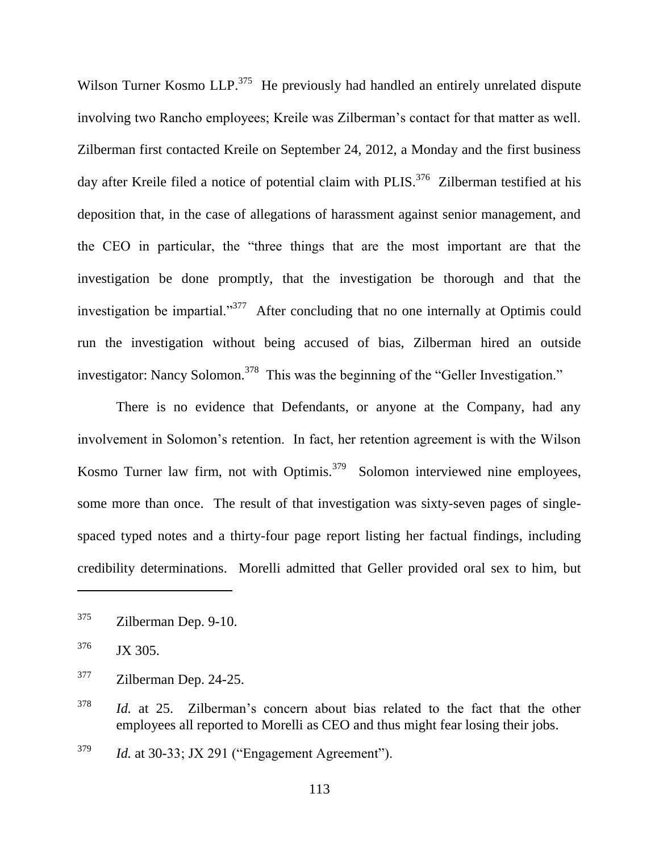Wilson Turner Kosmo LLP.<sup>375</sup> He previously had handled an entirely unrelated dispute involving two Rancho employees; Kreile was Zilberman's contact for that matter as well. Zilberman first contacted Kreile on September 24, 2012, a Monday and the first business day after Kreile filed a notice of potential claim with PLIS.<sup>376</sup> Zilberman testified at his deposition that, in the case of allegations of harassment against senior management, and the CEO in particular, the "three things that are the most important are that the investigation be done promptly, that the investigation be thorough and that the investigation be impartial. $1^{377}$  After concluding that no one internally at Optimis could run the investigation without being accused of bias, Zilberman hired an outside investigator: Nancy Solomon.<sup>378</sup> This was the beginning of the "Geller Investigation."

There is no evidence that Defendants, or anyone at the Company, had any involvement in Solomon's retention. In fact, her retention agreement is with the Wilson Kosmo Turner law firm, not with Optimis.<sup>379</sup> Solomon interviewed nine employees, some more than once. The result of that investigation was sixty-seven pages of singlespaced typed notes and a thirty-four page report listing her factual findings, including credibility determinations. Morelli admitted that Geller provided oral sex to him, but

 $375$  Zilberman Dep. 9-10.

 $376$  JX 305.

<sup>377</sup> Zilberman Dep. 24-25.

<sup>378</sup> *Id.* at 25. Zilberman's concern about bias related to the fact that the other employees all reported to Morelli as CEO and thus might fear losing their jobs.

 $^{379}$  *Id.* at 30-33; JX 291 ("Engagement Agreement").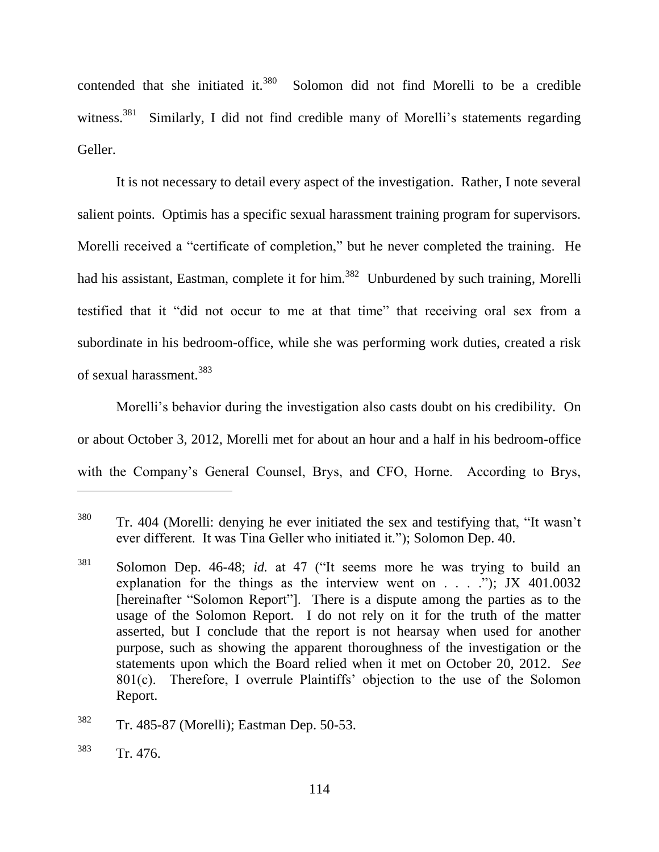contended that she initiated it. $380$  Solomon did not find Morelli to be a credible witness. $381$  Similarly, I did not find credible many of Morelli's statements regarding Geller.

It is not necessary to detail every aspect of the investigation. Rather, I note several salient points. Optimis has a specific sexual harassment training program for supervisors. Morelli received a "certificate of completion," but he never completed the training. He had his assistant, Eastman, complete it for him.<sup>382</sup> Unburdened by such training, Morelli testified that it "did not occur to me at that time" that receiving oral sex from a subordinate in his bedroom-office, while she was performing work duties, created a risk of sexual harassment.<sup>383</sup>

Morelli's behavior during the investigation also casts doubt on his credibility. On or about October 3, 2012, Morelli met for about an hour and a half in his bedroom-office with the Company's General Counsel, Brys, and CFO, Horne. According to Brys,

 $380$  Tr. 404 (Morelli: denying he ever initiated the sex and testifying that, "It wasn't ever different. It was Tina Geller who initiated it."); Solomon Dep. 40.

 $381$  Solomon Dep. 46-48; *id.* at 47 ("It seems more he was trying to build an explanation for the things as the interview went on . . . .‖); JX 401.0032 [hereinafter "Solomon Report"]. There is a dispute among the parties as to the usage of the Solomon Report. I do not rely on it for the truth of the matter asserted, but I conclude that the report is not hearsay when used for another purpose, such as showing the apparent thoroughness of the investigation or the statements upon which the Board relied when it met on October 20, 2012. *See*  801(c). Therefore, I overrule Plaintiffs' objection to the use of the Solomon Report.

<sup>382</sup> Tr. 485-87 (Morelli); Eastman Dep. 50-53.

<sup>383</sup> Tr. 476.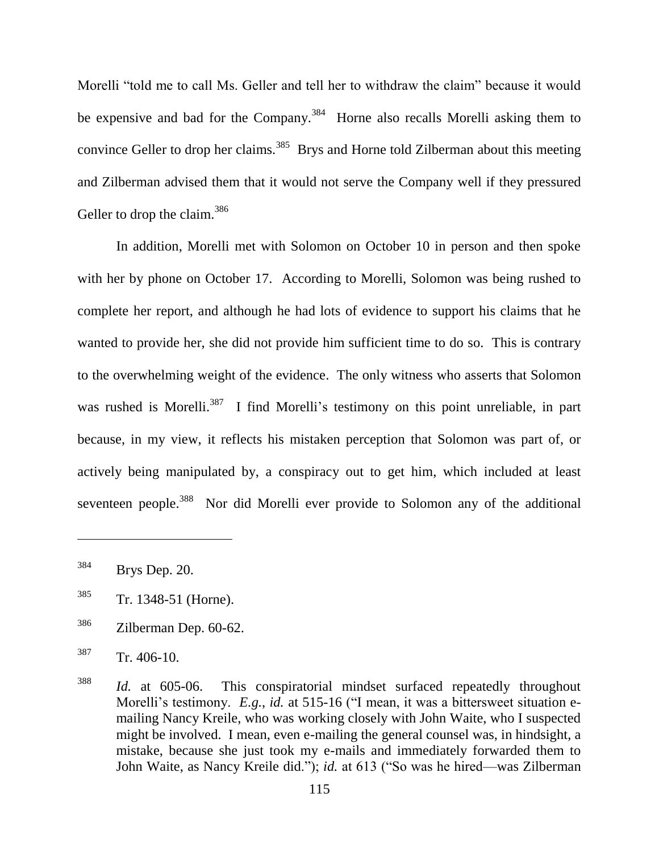Morelli "told me to call Ms. Geller and tell her to withdraw the claim" because it would be expensive and bad for the Company.<sup>384</sup> Horne also recalls Morelli asking them to convince Geller to drop her claims.<sup>385</sup> Brys and Horne told Zilberman about this meeting and Zilberman advised them that it would not serve the Company well if they pressured Geller to drop the claim.<sup>386</sup>

In addition, Morelli met with Solomon on October 10 in person and then spoke with her by phone on October 17. According to Morelli, Solomon was being rushed to complete her report, and although he had lots of evidence to support his claims that he wanted to provide her, she did not provide him sufficient time to do so. This is contrary to the overwhelming weight of the evidence. The only witness who asserts that Solomon was rushed is Morelli.<sup>387</sup> I find Morelli's testimony on this point unreliable, in part because, in my view, it reflects his mistaken perception that Solomon was part of, or actively being manipulated by, a conspiracy out to get him, which included at least seventeen people.<sup>388</sup> Nor did Morelli ever provide to Solomon any of the additional

 $\overline{a}$ 

<sup>386</sup> Zilberman Dep. 60-62.

<sup>384</sup> Brys Dep. 20.

<sup>385</sup> Tr. 1348-51 (Horne).

<sup>387</sup> Tr. 406-10.

<sup>388</sup> *Id.* at 605-06. This conspiratorial mindset surfaced repeatedly throughout Morelli's testimony. *E.g.*, *id.* at 515-16 ("I mean, it was a bittersweet situation emailing Nancy Kreile, who was working closely with John Waite, who I suspected might be involved. I mean, even e-mailing the general counsel was, in hindsight, a mistake, because she just took my e-mails and immediately forwarded them to John Waite, as Nancy Kreile did."); *id.* at 613 ("So was he hired—was Zilberman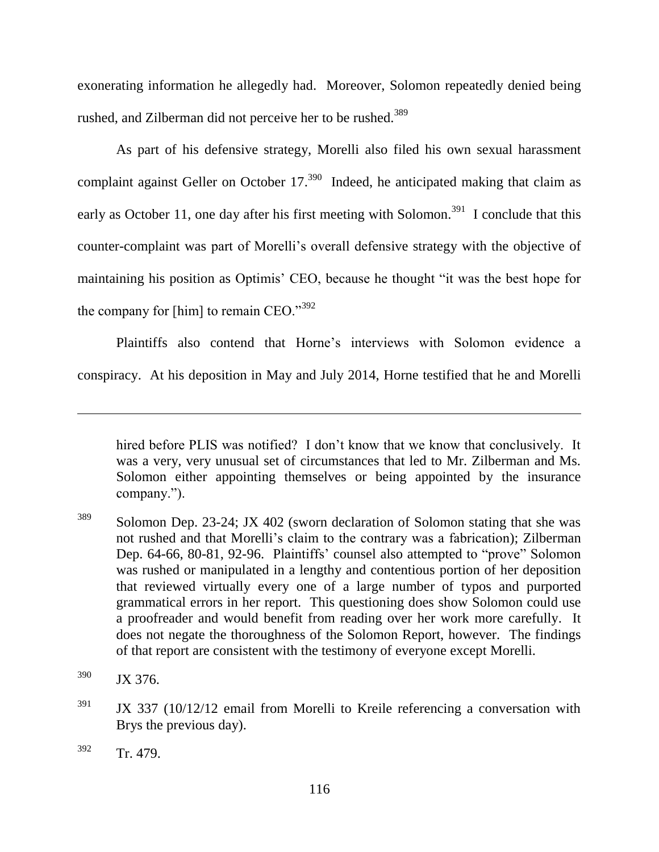exonerating information he allegedly had. Moreover, Solomon repeatedly denied being rushed, and Zilberman did not perceive her to be rushed.<sup>389</sup>

As part of his defensive strategy, Morelli also filed his own sexual harassment complaint against Geller on October  $17.^{390}$  Indeed, he anticipated making that claim as early as October 11, one day after his first meeting with Solomon.<sup>391</sup> I conclude that this counter-complaint was part of Morelli's overall defensive strategy with the objective of maintaining his position as Optimis' CEO, because he thought "it was the best hope for the company for [him] to remain CEO." $392$ 

Plaintiffs also contend that Horne's interviews with Solomon evidence a conspiracy. At his deposition in May and July 2014, Horne testified that he and Morelli

hired before PLIS was notified? I don't know that we know that conclusively. It was a very, very unusual set of circumstances that led to Mr. Zilberman and Ms. Solomon either appointing themselves or being appointed by the insurance company.").

<sup>389</sup> Solomon Dep. 23-24; JX 402 (sworn declaration of Solomon stating that she was not rushed and that Morelli's claim to the contrary was a fabrication); Zilberman Dep. 64-66, 80-81, 92-96. Plaintiffs' counsel also attempted to "prove" Solomon was rushed or manipulated in a lengthy and contentious portion of her deposition that reviewed virtually every one of a large number of typos and purported grammatical errors in her report. This questioning does show Solomon could use a proofreader and would benefit from reading over her work more carefully. It does not negate the thoroughness of the Solomon Report, however. The findings of that report are consistent with the testimony of everyone except Morelli.

 $390$  JX 376.

 $391$  JX 337 (10/12/12 email from Morelli to Kreile referencing a conversation with Brys the previous day).

 $392$  Tr. 479.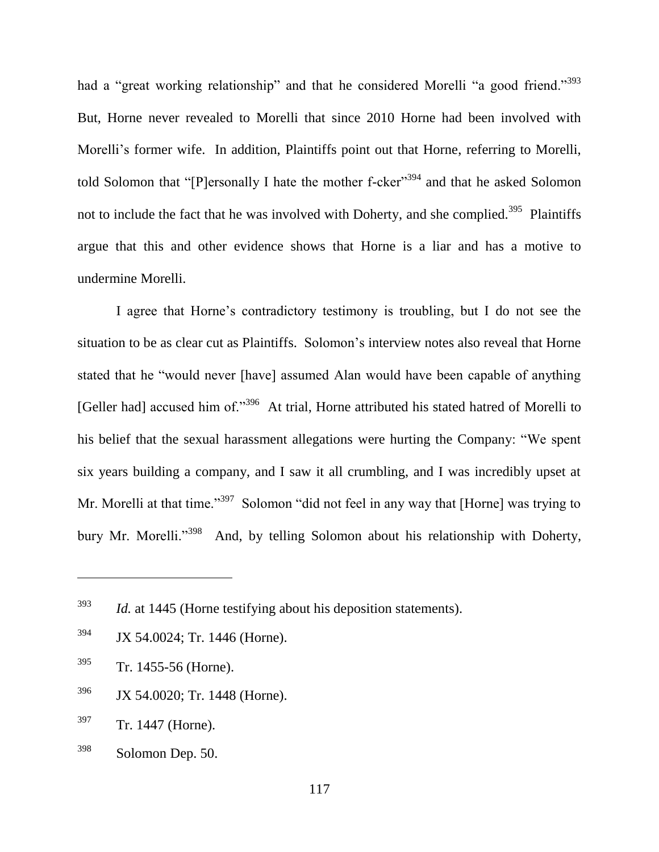had a "great working relationship" and that he considered Morelli "a good friend."<sup>393</sup> But, Horne never revealed to Morelli that since 2010 Horne had been involved with Morelli's former wife. In addition, Plaintiffs point out that Horne, referring to Morelli, told Solomon that "[P]ersonally I hate the mother f-cker"<sup>394</sup> and that he asked Solomon not to include the fact that he was involved with Doherty, and she complied.<sup>395</sup> Plaintiffs argue that this and other evidence shows that Horne is a liar and has a motive to undermine Morelli.

I agree that Horne's contradictory testimony is troubling, but I do not see the situation to be as clear cut as Plaintiffs. Solomon's interview notes also reveal that Horne stated that he "would never [have] assumed Alan would have been capable of anything [Geller had] accused him of."<sup>396</sup> At trial, Horne attributed his stated hatred of Morelli to his belief that the sexual harassment allegations were hurting the Company: "We spent six years building a company, and I saw it all crumbling, and I was incredibly upset at Mr. Morelli at that time."<sup>397</sup> Solomon "did not feel in any way that [Horne] was trying to bury Mr. Morelli."<sup>398</sup> And, by telling Solomon about his relationship with Doherty,

- <sup>394</sup> JX 54.0024; Tr. 1446 (Horne).
- <sup>395</sup> Tr. 1455-56 (Horne).

- <sup>396</sup> JX 54.0020; Tr. 1448 (Horne).
- <sup>397</sup> Tr. 1447 (Horne).
- <sup>398</sup> Solomon Dep. 50.

<sup>393</sup> *Id.* at 1445 (Horne testifying about his deposition statements).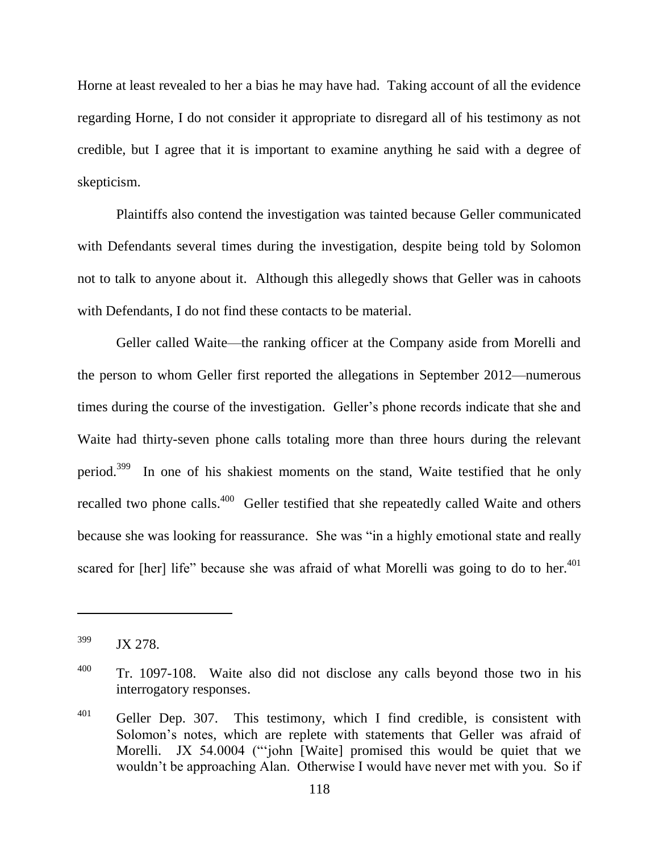Horne at least revealed to her a bias he may have had. Taking account of all the evidence regarding Horne, I do not consider it appropriate to disregard all of his testimony as not credible, but I agree that it is important to examine anything he said with a degree of skepticism.

Plaintiffs also contend the investigation was tainted because Geller communicated with Defendants several times during the investigation, despite being told by Solomon not to talk to anyone about it. Although this allegedly shows that Geller was in cahoots with Defendants, I do not find these contacts to be material.

Geller called Waite—the ranking officer at the Company aside from Morelli and the person to whom Geller first reported the allegations in September 2012—numerous times during the course of the investigation. Geller's phone records indicate that she and Waite had thirty-seven phone calls totaling more than three hours during the relevant period.<sup>399</sup> In one of his shakiest moments on the stand, Waite testified that he only recalled two phone calls.<sup>400</sup> Geller testified that she repeatedly called Waite and others because she was looking for reassurance. She was "in a highly emotional state and really scared for [her] life" because she was afraid of what Morelli was going to do to her. $401$ 

<sup>&</sup>lt;sup>399</sup> JX 278.

<sup>&</sup>lt;sup>400</sup> Tr. 1097-108. Waite also did not disclose any calls beyond those two in his interrogatory responses.

 $401$  Geller Dep. 307. This testimony, which I find credible, is consistent with Solomon's notes, which are replete with statements that Geller was afraid of Morelli. JX 54.0004 ("john [Waite] promised this would be quiet that we wouldn't be approaching Alan. Otherwise I would have never met with you. So if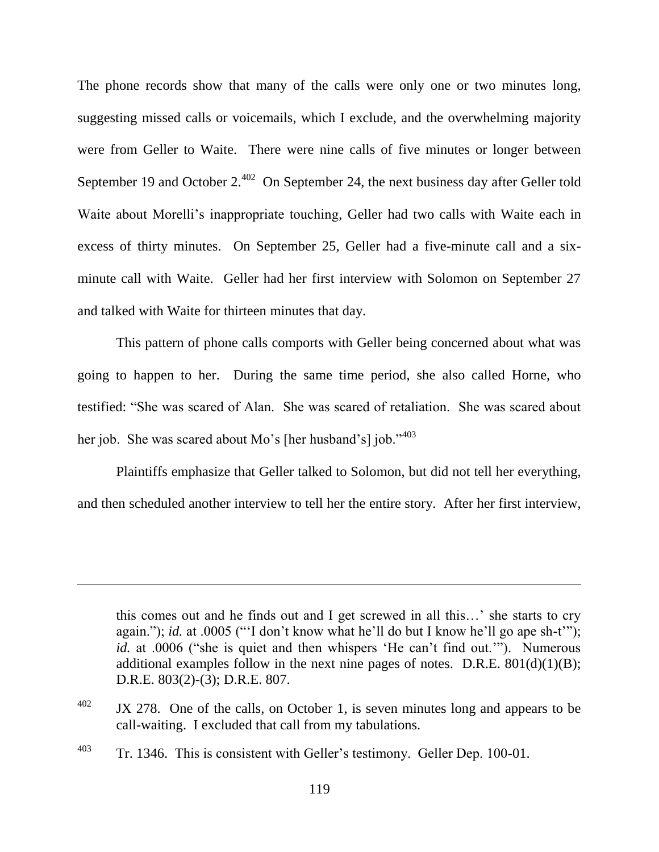The phone records show that many of the calls were only one or two minutes long, suggesting missed calls or voicemails, which I exclude, and the overwhelming majority were from Geller to Waite. There were nine calls of five minutes or longer between September 19 and October  $2^{402}$  On September 24, the next business day after Geller told Waite about Morelli's inappropriate touching, Geller had two calls with Waite each in excess of thirty minutes. On September 25, Geller had a five-minute call and a sixminute call with Waite. Geller had her first interview with Solomon on September 27 and talked with Waite for thirteen minutes that day.

This pattern of phone calls comports with Geller being concerned about what was going to happen to her. During the same time period, she also called Horne, who testified: "She was scared of Alan. She was scared of retaliation. She was scared about her job. She was scared about Mo's [her husband's] job."<sup>403</sup>

Plaintiffs emphasize that Geller talked to Solomon, but did not tell her everything, and then scheduled another interview to tell her the entire story. After her first interview,

this comes out and he finds out and I get screwed in all this…' she starts to cry again."); *id.* at .0005 ("'I don't know what he'll do but I know he'll go ape sh-t"'); *id.* at .0006 ("she is quiet and then whispers 'He can't find out.""). Numerous additional examples follow in the next nine pages of notes. D.R.E.  $801(d)(1)(B)$ ; D.R.E. 803(2)-(3); D.R.E. 807.

 $\frac{402}{1}$  JX 278. One of the calls, on October 1, is seven minutes long and appears to be call-waiting. I excluded that call from my tabulations.

<sup>&</sup>lt;sup>403</sup> Tr. 1346. This is consistent with Geller's testimony. Geller Dep. 100-01.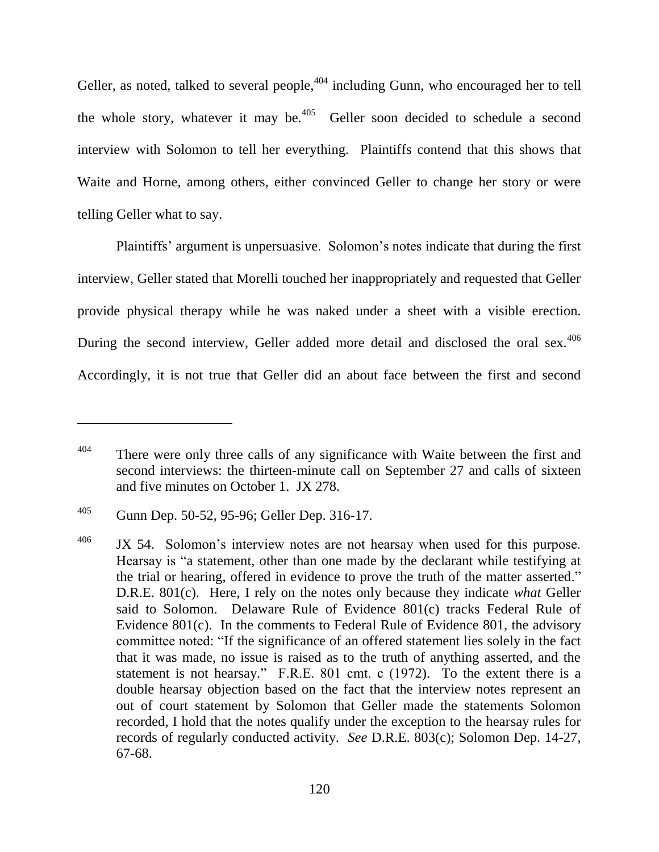Geller, as noted, talked to several people,<sup>404</sup> including Gunn, who encouraged her to tell the whole story, whatever it may be.<sup>405</sup> Geller soon decided to schedule a second interview with Solomon to tell her everything. Plaintiffs contend that this shows that Waite and Horne, among others, either convinced Geller to change her story or were telling Geller what to say.

Plaintiffs' argument is unpersuasive. Solomon's notes indicate that during the first interview, Geller stated that Morelli touched her inappropriately and requested that Geller provide physical therapy while he was naked under a sheet with a visible erection. During the second interview, Geller added more detail and disclosed the oral sex.<sup>406</sup> Accordingly, it is not true that Geller did an about face between the first and second

<sup>&</sup>lt;sup>404</sup> There were only three calls of any significance with Waite between the first and second interviews: the thirteen-minute call on September 27 and calls of sixteen and five minutes on October 1. JX 278.

<sup>405</sup> Gunn Dep. 50-52, 95-96; Geller Dep. 316-17.

 $406$  JX 54. Solomon's interview notes are not hearsay when used for this purpose. Hearsay is "a statement, other than one made by the declarant while testifying at the trial or hearing, offered in evidence to prove the truth of the matter asserted." D.R.E. 801(c). Here, I rely on the notes only because they indicate *what* Geller said to Solomon. Delaware Rule of Evidence 801(c) tracks Federal Rule of Evidence 801(c). In the comments to Federal Rule of Evidence 801, the advisory committee noted: "If the significance of an offered statement lies solely in the fact that it was made, no issue is raised as to the truth of anything asserted, and the statement is not hearsay." F.R.E.  $801$  cmt. c (1972). To the extent there is a double hearsay objection based on the fact that the interview notes represent an out of court statement by Solomon that Geller made the statements Solomon recorded, I hold that the notes qualify under the exception to the hearsay rules for records of regularly conducted activity. *See* D.R.E. 803(c); Solomon Dep. 14-27, 67-68.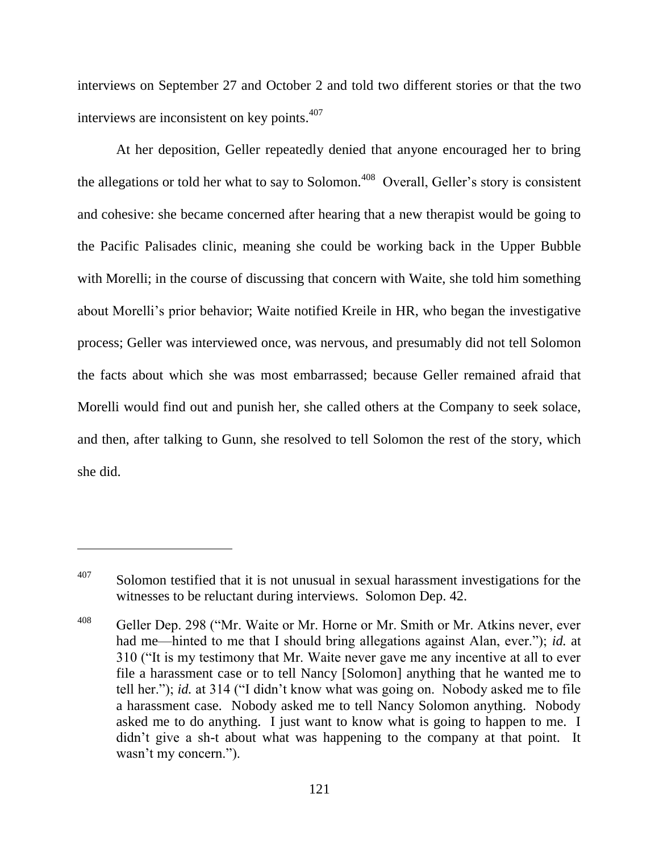interviews on September 27 and October 2 and told two different stories or that the two interviews are inconsistent on key points. 407

At her deposition, Geller repeatedly denied that anyone encouraged her to bring the allegations or told her what to say to Solomon.<sup>408</sup> Overall, Geller's story is consistent and cohesive: she became concerned after hearing that a new therapist would be going to the Pacific Palisades clinic, meaning she could be working back in the Upper Bubble with Morelli; in the course of discussing that concern with Waite, she told him something about Morelli's prior behavior; Waite notified Kreile in HR, who began the investigative process; Geller was interviewed once, was nervous, and presumably did not tell Solomon the facts about which she was most embarrassed; because Geller remained afraid that Morelli would find out and punish her, she called others at the Company to seek solace, and then, after talking to Gunn, she resolved to tell Solomon the rest of the story, which she did.

 $407$  Solomon testified that it is not unusual in sexual harassment investigations for the witnesses to be reluctant during interviews. Solomon Dep. 42.

<sup>&</sup>lt;sup>408</sup> Geller Dep. 298 ("Mr. Waite or Mr. Horne or Mr. Smith or Mr. Atkins never, ever had me—hinted to me that I should bring allegations against Alan, ever."); *id.* at 310 ("It is my testimony that Mr. Waite never gave me any incentive at all to ever file a harassment case or to tell Nancy [Solomon] anything that he wanted me to tell her."); *id.* at 314 ("I didn't know what was going on. Nobody asked me to file a harassment case. Nobody asked me to tell Nancy Solomon anything. Nobody asked me to do anything. I just want to know what is going to happen to me. I didn't give a sh-t about what was happening to the company at that point. It wasn't my concern.").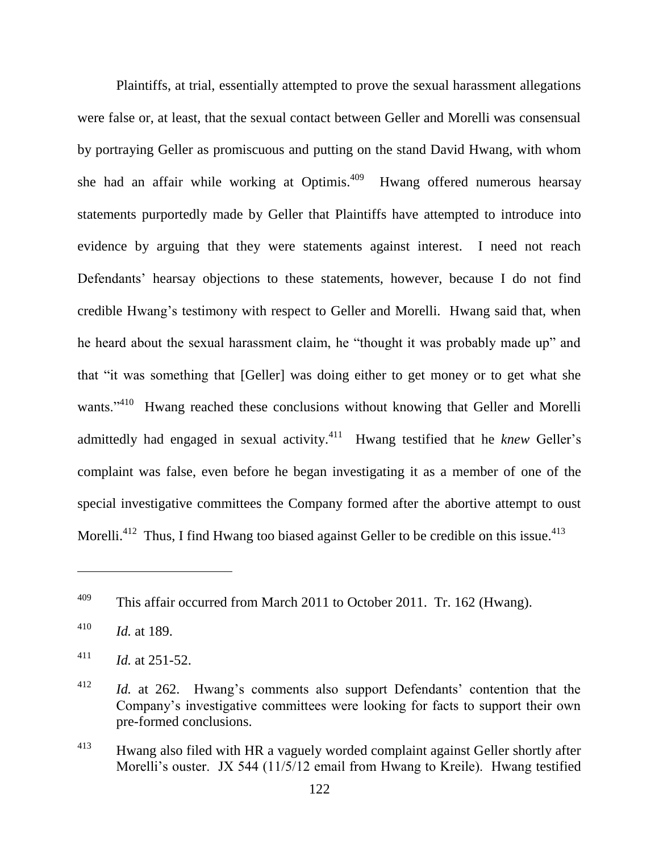Plaintiffs, at trial, essentially attempted to prove the sexual harassment allegations were false or, at least, that the sexual contact between Geller and Morelli was consensual by portraying Geller as promiscuous and putting on the stand David Hwang, with whom she had an affair while working at Optimis.<sup>409</sup> Hwang offered numerous hearsay statements purportedly made by Geller that Plaintiffs have attempted to introduce into evidence by arguing that they were statements against interest. I need not reach Defendants' hearsay objections to these statements, however, because I do not find credible Hwang's testimony with respect to Geller and Morelli. Hwang said that, when he heard about the sexual harassment claim, he "thought it was probably made up" and that "it was something that [Geller] was doing either to get money or to get what she wants."<sup>410</sup> Hwang reached these conclusions without knowing that Geller and Morelli admittedly had engaged in sexual activity.<sup>411</sup> Hwang testified that he *knew* Geller's complaint was false, even before he began investigating it as a member of one of the special investigative committees the Company formed after the abortive attempt to oust Morelli.<sup>412</sup> Thus, I find Hwang too biased against Geller to be credible on this issue.<sup>413</sup>

<sup>&</sup>lt;sup>409</sup> This affair occurred from March 2011 to October 2011. Tr. 162 (Hwang).

<sup>410</sup> *Id.* at 189.

<sup>&</sup>lt;sup>411</sup> *Id.* at 251-52.

<sup>412</sup> *Id.* at 262. Hwang's comments also support Defendants' contention that the Company's investigative committees were looking for facts to support their own pre-formed conclusions.

<sup>&</sup>lt;sup>413</sup> Hwang also filed with HR a vaguely worded complaint against Geller shortly after Morelli's ouster. JX 544 (11/5/12 email from Hwang to Kreile). Hwang testified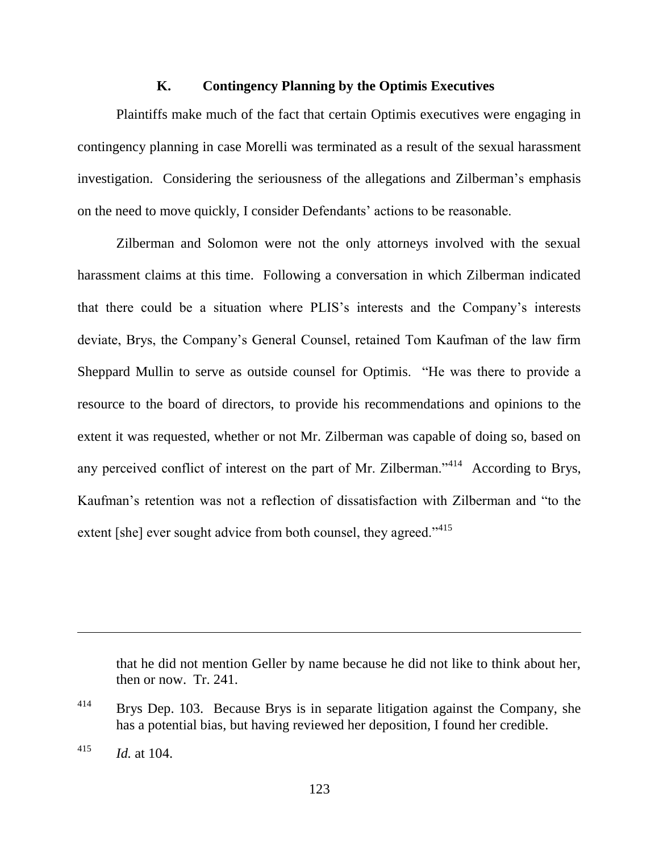### **K. Contingency Planning by the Optimis Executives**

Plaintiffs make much of the fact that certain Optimis executives were engaging in contingency planning in case Morelli was terminated as a result of the sexual harassment investigation. Considering the seriousness of the allegations and Zilberman's emphasis on the need to move quickly, I consider Defendants' actions to be reasonable.

Zilberman and Solomon were not the only attorneys involved with the sexual harassment claims at this time. Following a conversation in which Zilberman indicated that there could be a situation where PLIS's interests and the Company's interests deviate, Brys, the Company's General Counsel, retained Tom Kaufman of the law firm Sheppard Mullin to serve as outside counsel for Optimis. "He was there to provide a resource to the board of directors, to provide his recommendations and opinions to the extent it was requested, whether or not Mr. Zilberman was capable of doing so, based on any perceived conflict of interest on the part of Mr. Zilberman." According to Brys, Kaufman's retention was not a reflection of dissatisfaction with Zilberman and "to the extent [she] ever sought advice from both counsel, they agreed."<sup>415</sup>

that he did not mention Geller by name because he did not like to think about her, then or now. Tr. 241.

<sup>&</sup>lt;sup>414</sup> Brys Dep. 103. Because Brys is in separate litigation against the Company, she has a potential bias, but having reviewed her deposition, I found her credible.

<sup>415</sup> *Id.* at 104.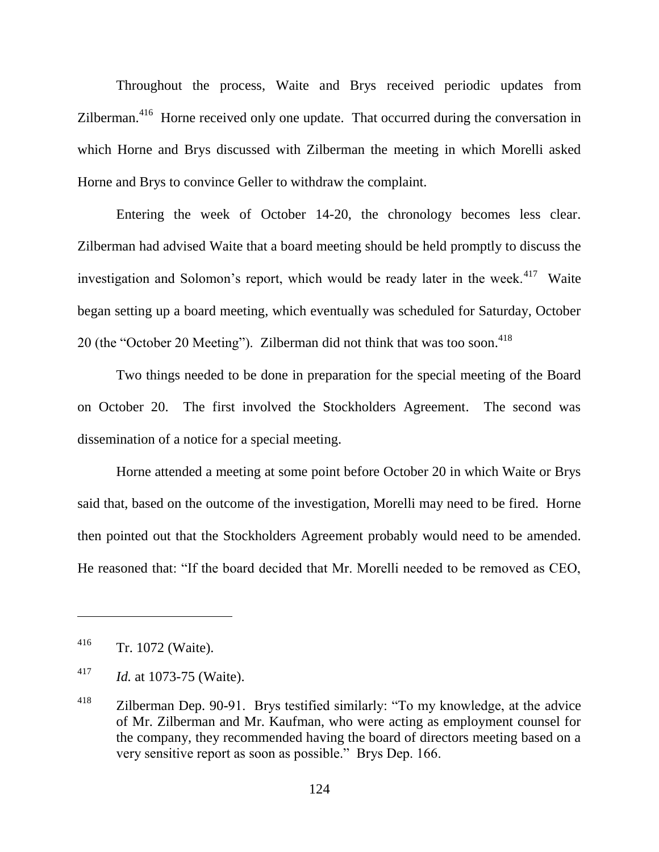Throughout the process, Waite and Brys received periodic updates from Zilberman.<sup>416</sup> Horne received only one update. That occurred during the conversation in which Horne and Brys discussed with Zilberman the meeting in which Morelli asked Horne and Brys to convince Geller to withdraw the complaint.

Entering the week of October 14-20, the chronology becomes less clear. Zilberman had advised Waite that a board meeting should be held promptly to discuss the investigation and Solomon's report, which would be ready later in the week. $417$  Waite began setting up a board meeting, which eventually was scheduled for Saturday, October 20 (the "October 20 Meeting"). Zilberman did not think that was too soon.<sup>418</sup>

Two things needed to be done in preparation for the special meeting of the Board on October 20. The first involved the Stockholders Agreement. The second was dissemination of a notice for a special meeting.

Horne attended a meeting at some point before October 20 in which Waite or Brys said that, based on the outcome of the investigation, Morelli may need to be fired. Horne then pointed out that the Stockholders Agreement probably would need to be amended. He reasoned that: "If the board decided that Mr. Morelli needed to be removed as CEO,

<sup>416</sup> Tr. 1072 (Waite).

<sup>417</sup> *Id.* at 1073-75 (Waite).

 $418$  Zilberman Dep. 90-91. Brys testified similarly: "To my knowledge, at the advice of Mr. Zilberman and Mr. Kaufman, who were acting as employment counsel for the company, they recommended having the board of directors meeting based on a very sensitive report as soon as possible." Brys Dep. 166.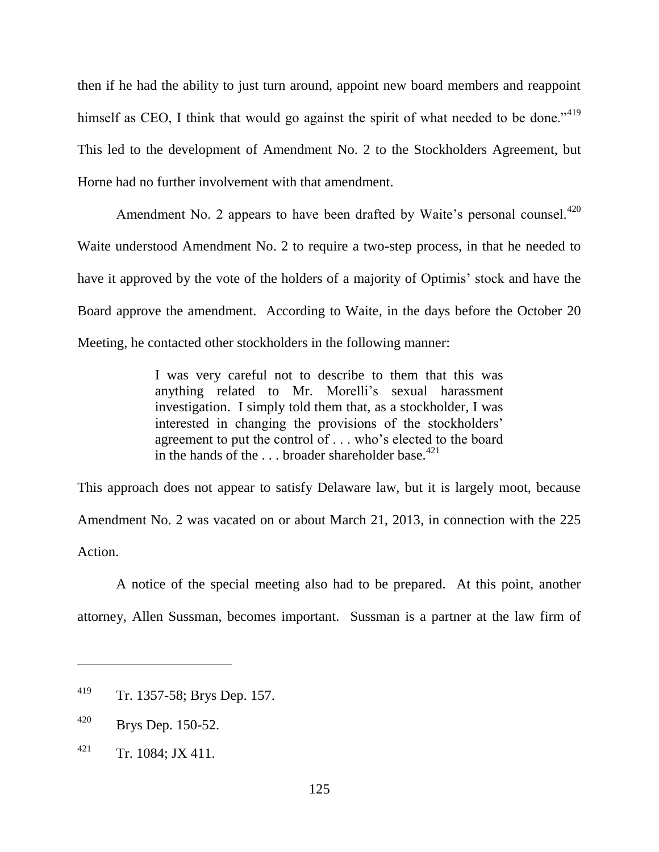then if he had the ability to just turn around, appoint new board members and reappoint himself as CEO, I think that would go against the spirit of what needed to be done." $419$ This led to the development of Amendment No. 2 to the Stockholders Agreement, but Horne had no further involvement with that amendment.

Amendment No. 2 appears to have been drafted by Waite's personal counsel.<sup>420</sup> Waite understood Amendment No. 2 to require a two-step process, in that he needed to have it approved by the vote of the holders of a majority of Optimis' stock and have the Board approve the amendment. According to Waite, in the days before the October 20 Meeting, he contacted other stockholders in the following manner:

> I was very careful not to describe to them that this was anything related to Mr. Morelli's sexual harassment investigation. I simply told them that, as a stockholder, I was interested in changing the provisions of the stockholders' agreement to put the control of . . . who's elected to the board in the hands of the ... broader shareholder base.<sup>421</sup>

This approach does not appear to satisfy Delaware law, but it is largely moot, because Amendment No. 2 was vacated on or about March 21, 2013, in connection with the 225 Action.

A notice of the special meeting also had to be prepared. At this point, another attorney, Allen Sussman, becomes important. Sussman is a partner at the law firm of

<sup>419</sup> Tr. 1357-58; Brys Dep. 157.

<sup>420</sup> Brys Dep. 150-52.

 $^{421}$  Tr. 1084; JX 411.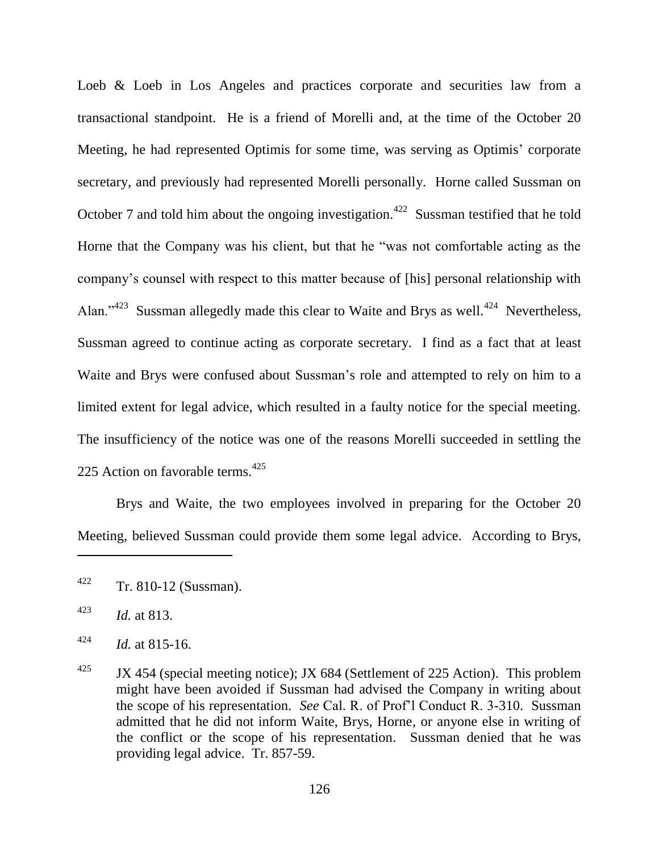Loeb & Loeb in Los Angeles and practices corporate and securities law from a transactional standpoint. He is a friend of Morelli and, at the time of the October 20 Meeting, he had represented Optimis for some time, was serving as Optimis' corporate secretary, and previously had represented Morelli personally. Horne called Sussman on October 7 and told him about the ongoing investigation.<sup>422</sup> Sussman testified that he told Horne that the Company was his client, but that he "was not comfortable acting as the company's counsel with respect to this matter because of [his] personal relationship with Alan."<sup>423</sup> Sussman allegedly made this clear to Waite and Brys as well.<sup>424</sup> Nevertheless, Sussman agreed to continue acting as corporate secretary. I find as a fact that at least Waite and Brys were confused about Sussman's role and attempted to rely on him to a limited extent for legal advice, which resulted in a faulty notice for the special meeting. The insufficiency of the notice was one of the reasons Morelli succeeded in settling the 225 Action on favorable terms.  $425$ 

Brys and Waite, the two employees involved in preparing for the October 20 Meeting, believed Sussman could provide them some legal advice. According to Brys,

 $422$  Tr. 810-12 (Sussman).

<sup>423</sup> *Id.* at 813.

 $^{424}$  *Id.* at 815-16.

<sup>&</sup>lt;sup>425</sup> JX 454 (special meeting notice); JX 684 (Settlement of 225 Action). This problem might have been avoided if Sussman had advised the Company in writing about the scope of his representation. *See* Cal. R. of Prof'l Conduct R. 3-310. Sussman admitted that he did not inform Waite, Brys, Horne, or anyone else in writing of the conflict or the scope of his representation. Sussman denied that he was providing legal advice. Tr. 857-59.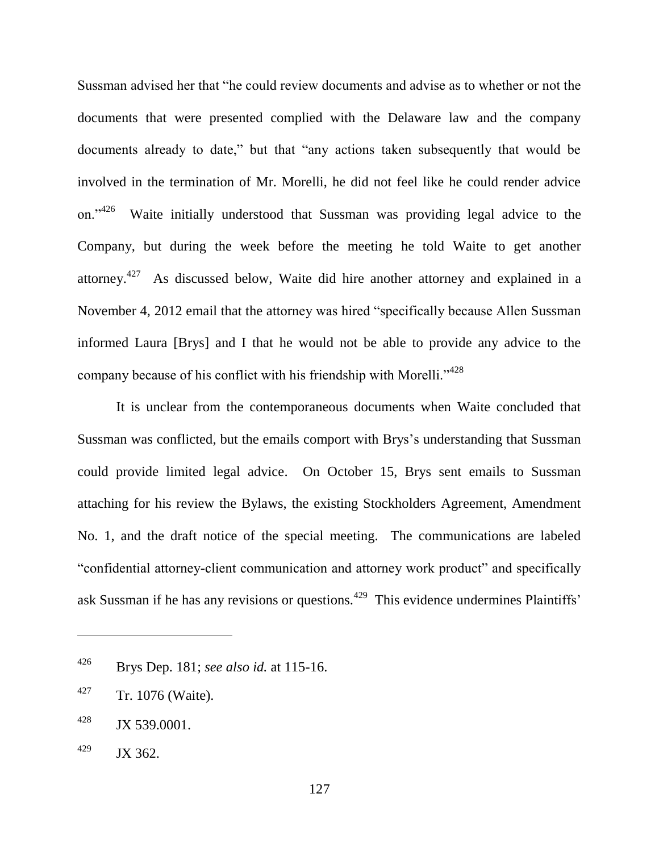Sussman advised her that "he could review documents and advise as to whether or not the documents that were presented complied with the Delaware law and the company documents already to date," but that "any actions taken subsequently that would be involved in the termination of Mr. Morelli, he did not feel like he could render advice on." $426$  Waite initially understood that Sussman was providing legal advice to the Company, but during the week before the meeting he told Waite to get another attorney.<sup>427</sup> As discussed below, Waite did hire another attorney and explained in a November 4, 2012 email that the attorney was hired "specifically because Allen Sussman informed Laura [Brys] and I that he would not be able to provide any advice to the company because of his conflict with his friendship with Morelli."<sup>428</sup>

It is unclear from the contemporaneous documents when Waite concluded that Sussman was conflicted, but the emails comport with Brys's understanding that Sussman could provide limited legal advice. On October 15, Brys sent emails to Sussman attaching for his review the Bylaws, the existing Stockholders Agreement, Amendment No. 1, and the draft notice of the special meeting. The communications are labeled "confidential attorney-client communication and attorney work product" and specifically ask Sussman if he has any revisions or questions.<sup>429</sup> This evidence undermines Plaintiffs'

<sup>426</sup> Brys Dep. 181; *see also id.* at 115-16.

<sup>427</sup> Tr. 1076 (Waite).

 $^{428}$  JX 539.0001.

 $^{429}$  JX 362.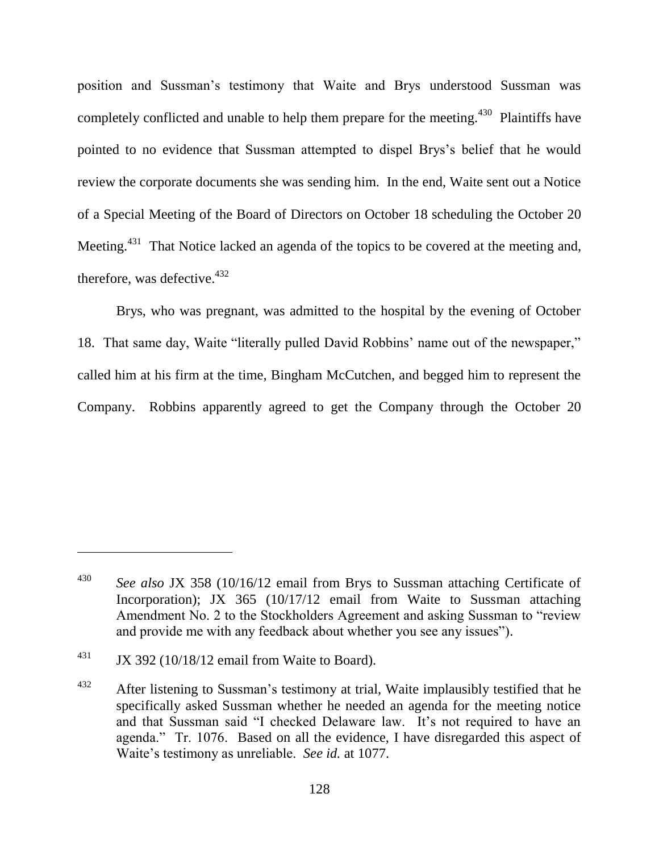position and Sussman's testimony that Waite and Brys understood Sussman was completely conflicted and unable to help them prepare for the meeting.<sup>430</sup> Plaintiffs have pointed to no evidence that Sussman attempted to dispel Brys's belief that he would review the corporate documents she was sending him. In the end, Waite sent out a Notice of a Special Meeting of the Board of Directors on October 18 scheduling the October 20 Meeting.<sup>431</sup> That Notice lacked an agenda of the topics to be covered at the meeting and, therefore, was defective.<sup>432</sup>

Brys, who was pregnant, was admitted to the hospital by the evening of October 18. That same day, Waite "literally pulled David Robbins' name out of the newspaper," called him at his firm at the time, Bingham McCutchen, and begged him to represent the Company. Robbins apparently agreed to get the Company through the October 20

<sup>430</sup> *See also* JX 358 (10/16/12 email from Brys to Sussman attaching Certificate of Incorporation); JX 365 (10/17/12 email from Waite to Sussman attaching Amendment No. 2 to the Stockholders Agreement and asking Sussman to "review" and provide me with any feedback about whether you see any issues").

 $431$  JX 392 (10/18/12 email from Waite to Board).

 $432$  After listening to Sussman's testimony at trial, Waite implausibly testified that he specifically asked Sussman whether he needed an agenda for the meeting notice and that Sussman said "I checked Delaware law. It's not required to have an agenda." Tr. 1076. Based on all the evidence, I have disregarded this aspect of Waite's testimony as unreliable. *See id.* at 1077.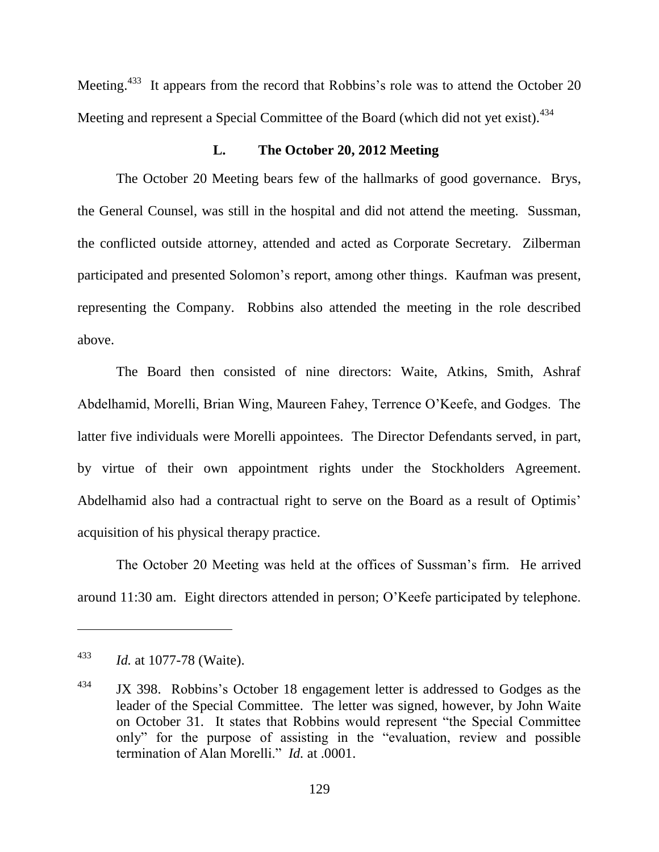Meeting.<sup>433</sup> It appears from the record that Robbins's role was to attend the October 20 Meeting and represent a Special Committee of the Board (which did not yet exist).<sup>434</sup>

### **L. The October 20, 2012 Meeting**

The October 20 Meeting bears few of the hallmarks of good governance. Brys, the General Counsel, was still in the hospital and did not attend the meeting. Sussman, the conflicted outside attorney, attended and acted as Corporate Secretary. Zilberman participated and presented Solomon's report, among other things. Kaufman was present, representing the Company. Robbins also attended the meeting in the role described above.

The Board then consisted of nine directors: Waite, Atkins, Smith, Ashraf Abdelhamid, Morelli, Brian Wing, Maureen Fahey, Terrence O'Keefe, and Godges. The latter five individuals were Morelli appointees. The Director Defendants served, in part, by virtue of their own appointment rights under the Stockholders Agreement. Abdelhamid also had a contractual right to serve on the Board as a result of Optimis' acquisition of his physical therapy practice.

The October 20 Meeting was held at the offices of Sussman's firm. He arrived around 11:30 am. Eight directors attended in person; O'Keefe participated by telephone.

<sup>433</sup> *Id.* at 1077-78 (Waite).

<sup>&</sup>lt;sup>434</sup> JX 398. Robbins's October 18 engagement letter is addressed to Godges as the leader of the Special Committee. The letter was signed, however, by John Waite on October 31. It states that Robbins would represent "the Special Committee" only" for the purpose of assisting in the "evaluation, review and possible termination of Alan Morelli." *Id.* at .0001.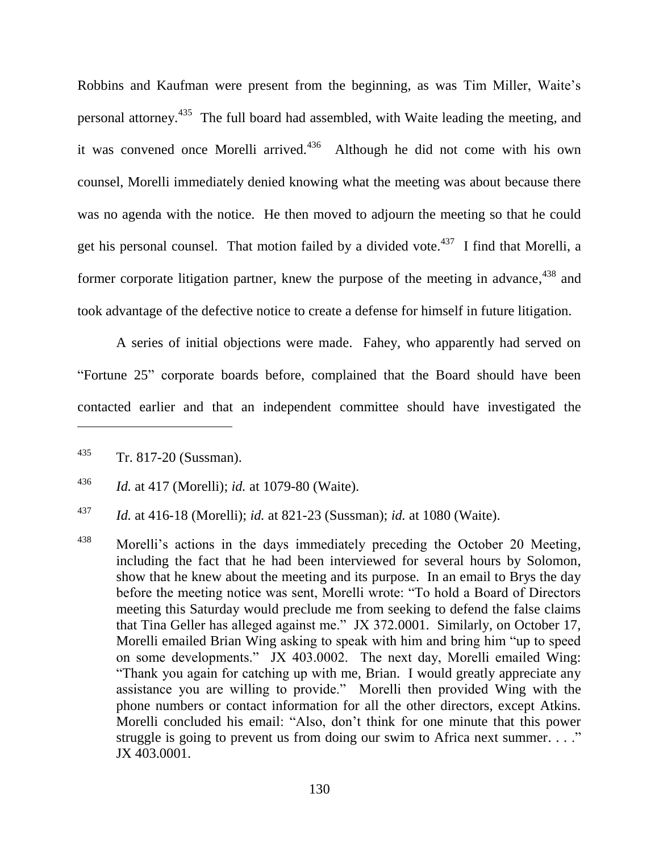Robbins and Kaufman were present from the beginning, as was Tim Miller, Waite's personal attorney.<sup>435</sup> The full board had assembled, with Waite leading the meeting, and it was convened once Morelli arrived. $436$  Although he did not come with his own counsel, Morelli immediately denied knowing what the meeting was about because there was no agenda with the notice. He then moved to adjourn the meeting so that he could get his personal counsel. That motion failed by a divided vote.<sup>437</sup> I find that Morelli, a former corporate litigation partner, knew the purpose of the meeting in advance,<sup>438</sup> and took advantage of the defective notice to create a defense for himself in future litigation.

A series of initial objections were made. Fahey, who apparently had served on "Fortune 25" corporate boards before, complained that the Board should have been contacted earlier and that an independent committee should have investigated the

<sup>435</sup> Tr. 817-20 (Sussman).

<sup>436</sup> *Id.* at 417 (Morelli); *id.* at 1079-80 (Waite).

<sup>437</sup> *Id.* at 416-18 (Morelli); *id.* at 821-23 (Sussman); *id.* at 1080 (Waite).

<sup>&</sup>lt;sup>438</sup> Morelli's actions in the days immediately preceding the October 20 Meeting, including the fact that he had been interviewed for several hours by Solomon, show that he knew about the meeting and its purpose. In an email to Brys the day before the meeting notice was sent, Morelli wrote: "To hold a Board of Directors meeting this Saturday would preclude me from seeking to defend the false claims that Tina Geller has alleged against me." JX 372.0001. Similarly, on October 17, Morelli emailed Brian Wing asking to speak with him and bring him "up to speed on some developments." JX 403.0002. The next day, Morelli emailed Wing: ―Thank you again for catching up with me, Brian. I would greatly appreciate any assistance you are willing to provide." Morelli then provided Wing with the phone numbers or contact information for all the other directors, except Atkins. Morelli concluded his email: "Also, don't think for one minute that this power struggle is going to prevent us from doing our swim to Africa next summer.  $\ldots$ " JX 403.0001.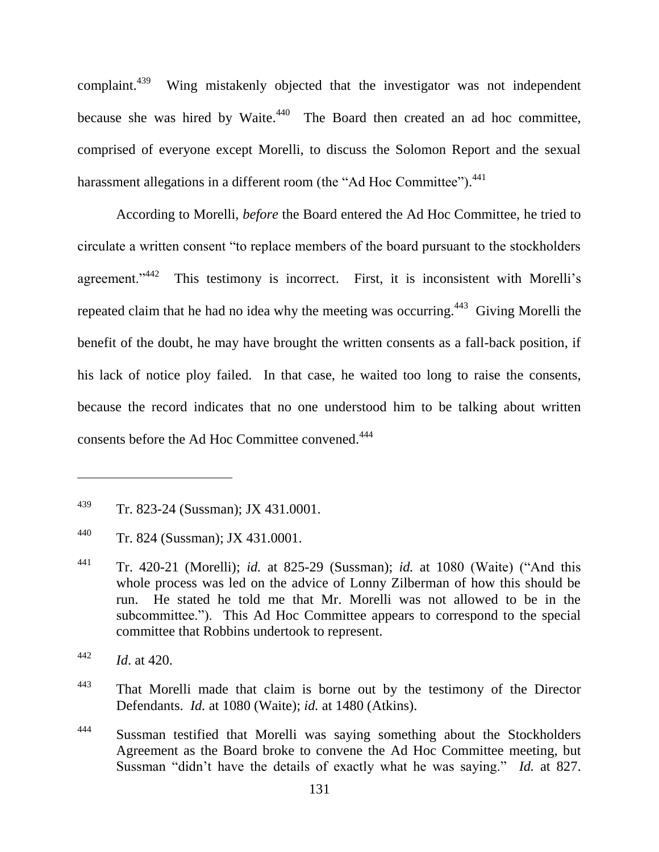complaint.<sup>439</sup> Wing mistakenly objected that the investigator was not independent because she was hired by Waite. $440$  The Board then created an ad hoc committee, comprised of everyone except Morelli, to discuss the Solomon Report and the sexual harassment allegations in a different room (the "Ad Hoc Committee").<sup>441</sup>

According to Morelli, *before* the Board entered the Ad Hoc Committee, he tried to circulate a written consent "to replace members of the board pursuant to the stockholders agreement." <sup>442</sup> This testimony is incorrect. First, it is inconsistent with Morelli's repeated claim that he had no idea why the meeting was occurring.<sup> $443$ </sup> Giving Morelli the benefit of the doubt, he may have brought the written consents as a fall-back position, if his lack of notice ploy failed. In that case, he waited too long to raise the consents, because the record indicates that no one understood him to be talking about written consents before the Ad Hoc Committee convened.<sup>444</sup>

<sup>&</sup>lt;sup>439</sup> Tr. 823-24 (Sussman); JX 431.0001.

<sup>440</sup> Tr. 824 (Sussman); JX 431.0001.

 $441$  Tr. 420-21 (Morelli); *id.* at 825-29 (Sussman); *id.* at 1080 (Waite) ("And this whole process was led on the advice of Lonny Zilberman of how this should be run. He stated he told me that Mr. Morelli was not allowed to be in the subcommittee."). This Ad Hoc Committee appears to correspond to the special committee that Robbins undertook to represent.

<sup>442</sup> *Id*. at 420.

<sup>&</sup>lt;sup>443</sup> That Morelli made that claim is borne out by the testimony of the Director Defendants. *Id.* at 1080 (Waite); *id.* at 1480 (Atkins).

<sup>&</sup>lt;sup>444</sup> Sussman testified that Morelli was saying something about the Stockholders Agreement as the Board broke to convene the Ad Hoc Committee meeting, but Sussman "didn't have the details of exactly what he was saying." *Id.* at 827.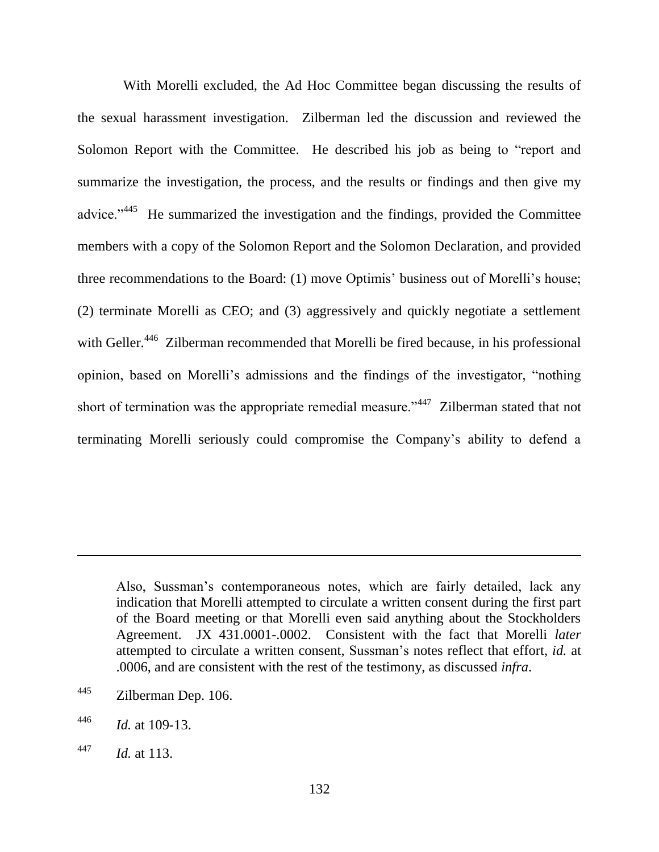With Morelli excluded, the Ad Hoc Committee began discussing the results of the sexual harassment investigation. Zilberman led the discussion and reviewed the Solomon Report with the Committee. He described his job as being to "report and summarize the investigation, the process, and the results or findings and then give my advice."<sup>445</sup> He summarized the investigation and the findings, provided the Committee members with a copy of the Solomon Report and the Solomon Declaration, and provided three recommendations to the Board: (1) move Optimis' business out of Morelli's house; (2) terminate Morelli as CEO; and (3) aggressively and quickly negotiate a settlement with Geller.<sup>446</sup> Zilberman recommended that Morelli be fired because, in his professional opinion, based on Morelli's admissions and the findings of the investigator, "nothing short of termination was the appropriate remedial measure."<sup>447</sup> Zilberman stated that not terminating Morelli seriously could compromise the Company's ability to defend a

Also, Sussman's contemporaneous notes, which are fairly detailed, lack any indication that Morelli attempted to circulate a written consent during the first part of the Board meeting or that Morelli even said anything about the Stockholders Agreement. JX 431.0001-.0002. Consistent with the fact that Morelli *later* attempted to circulate a written consent, Sussman's notes reflect that effort, *id.* at .0006, and are consistent with the rest of the testimony, as discussed *infra*.

<sup>445</sup> Zilberman Dep. 106.

<sup>446</sup> *Id.* at 109-13.

<sup>447</sup> *Id.* at 113.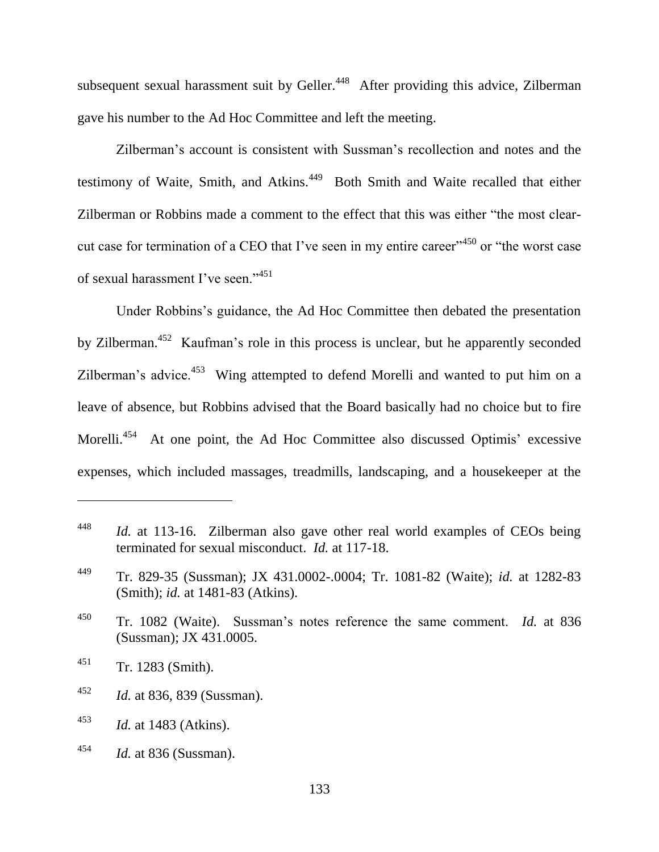subsequent sexual harassment suit by Geller.<sup>448</sup> After providing this advice, Zilberman gave his number to the Ad Hoc Committee and left the meeting.

Zilberman's account is consistent with Sussman's recollection and notes and the testimony of Waite, Smith, and Atkins.<sup>449</sup> Both Smith and Waite recalled that either Zilberman or Robbins made a comment to the effect that this was either "the most clearcut case for termination of a CEO that I've seen in my entire career<sup> $1450$ </sup> or "the worst case of sexual harassment I've seen."<sup>451</sup>

Under Robbins's guidance, the Ad Hoc Committee then debated the presentation by Zilberman.<sup>452</sup> Kaufman's role in this process is unclear, but he apparently seconded Zilberman's advice. $453$  Wing attempted to defend Morelli and wanted to put him on a leave of absence, but Robbins advised that the Board basically had no choice but to fire Morelli.<sup>454</sup> At one point, the Ad Hoc Committee also discussed Optimis' excessive expenses, which included massages, treadmills, landscaping, and a housekeeper at the

 $\overline{a}$ 

<sup>452</sup> *Id.* at 836, 839 (Sussman).

<sup>454</sup> *Id.* at 836 (Sussman).

<sup>448</sup> *Id.* at 113-16. Zilberman also gave other real world examples of CEOs being terminated for sexual misconduct. *Id.* at 117-18.

<sup>449</sup> Tr. 829-35 (Sussman); JX 431.0002-.0004; Tr. 1081-82 (Waite); *id.* at 1282-83 (Smith); *id.* at 1481-83 (Atkins).

<sup>450</sup> Tr. 1082 (Waite). Sussman's notes reference the same comment. *Id.* at 836 (Sussman); JX 431.0005.

 $451$  Tr. 1283 (Smith).

<sup>453</sup> *Id.* at 1483 (Atkins).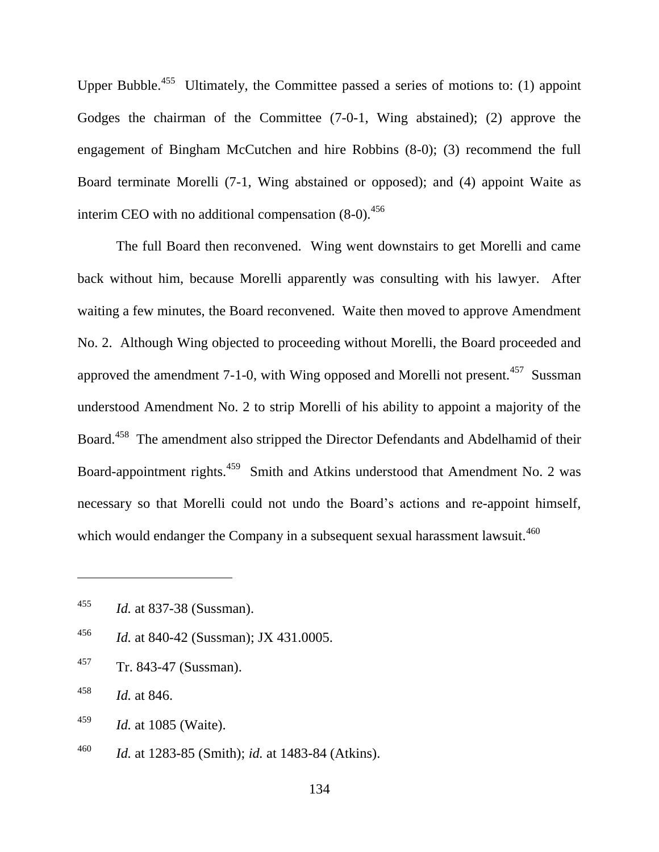Upper Bubble.<sup>455</sup> Ultimately, the Committee passed a series of motions to: (1) appoint Godges the chairman of the Committee (7-0-1, Wing abstained); (2) approve the engagement of Bingham McCutchen and hire Robbins (8-0); (3) recommend the full Board terminate Morelli (7-1, Wing abstained or opposed); and (4) appoint Waite as interim CEO with no additional compensation  $(8-0)$ .<sup>456</sup>

The full Board then reconvened. Wing went downstairs to get Morelli and came back without him, because Morelli apparently was consulting with his lawyer. After waiting a few minutes, the Board reconvened. Waite then moved to approve Amendment No. 2. Although Wing objected to proceeding without Morelli, the Board proceeded and approved the amendment 7-1-0, with Wing opposed and Morelli not present.<sup>457</sup> Sussman understood Amendment No. 2 to strip Morelli of his ability to appoint a majority of the Board.<sup>458</sup> The amendment also stripped the Director Defendants and Abdelhamid of their Board-appointment rights.<sup>459</sup> Smith and Atkins understood that Amendment No. 2 was necessary so that Morelli could not undo the Board's actions and re-appoint himself, which would endanger the Company in a subsequent sexual harassment lawsuit.<sup>460</sup>

- <sup>456</sup> *Id.* at 840-42 (Sussman); JX 431.0005.
- <sup>457</sup> Tr. 843-47 (Sussman).

- <sup>459</sup> *Id.* at 1085 (Waite).
- <sup>460</sup> *Id.* at 1283-85 (Smith); *id.* at 1483-84 (Atkins).

<sup>455</sup> *Id.* at 837-38 (Sussman).

<sup>458</sup> *Id.* at 846.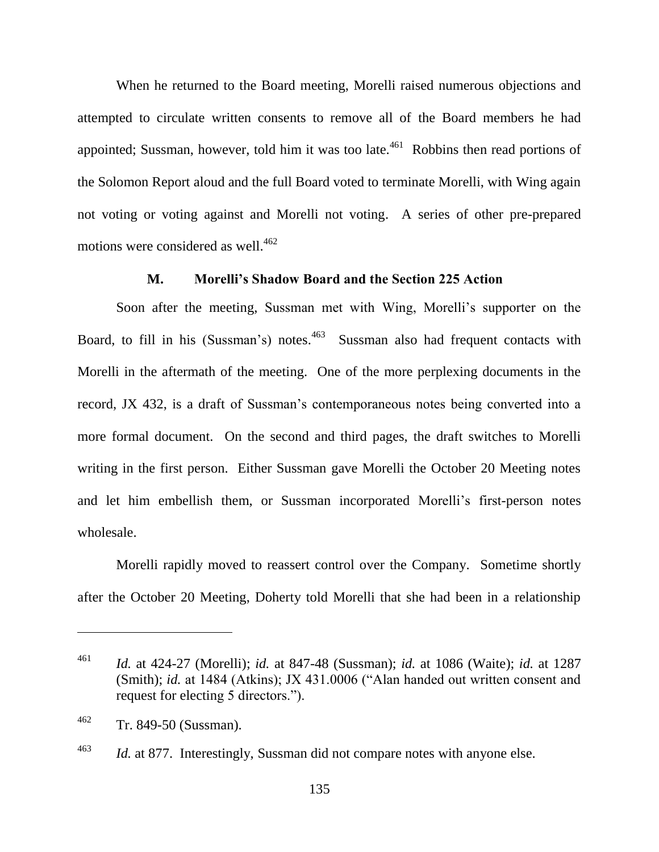When he returned to the Board meeting, Morelli raised numerous objections and attempted to circulate written consents to remove all of the Board members he had appointed; Sussman, however, told him it was too late.<sup>461</sup> Robbins then read portions of the Solomon Report aloud and the full Board voted to terminate Morelli, with Wing again not voting or voting against and Morelli not voting. A series of other pre-prepared motions were considered as well. 462

## **M. Morelli's Shadow Board and the Section 225 Action**

Soon after the meeting, Sussman met with Wing, Morelli's supporter on the Board, to fill in his (Sussman's) notes.<sup>463</sup> Sussman also had frequent contacts with Morelli in the aftermath of the meeting. One of the more perplexing documents in the record, JX 432, is a draft of Sussman's contemporaneous notes being converted into a more formal document. On the second and third pages, the draft switches to Morelli writing in the first person. Either Sussman gave Morelli the October 20 Meeting notes and let him embellish them, or Sussman incorporated Morelli's first-person notes wholesale.

Morelli rapidly moved to reassert control over the Company. Sometime shortly after the October 20 Meeting, Doherty told Morelli that she had been in a relationship

<sup>461</sup> *Id.* at 424-27 (Morelli); *id.* at 847-48 (Sussman); *id.* at 1086 (Waite); *id.* at 1287 (Smith); *id.* at 1484 (Atkins); JX 431.0006 ("Alan handed out written consent and request for electing 5 directors.").

<sup>462</sup> Tr. 849-50 (Sussman).

<sup>&</sup>lt;sup>463</sup> *Id.* at 877. Interestingly, Sussman did not compare notes with anyone else.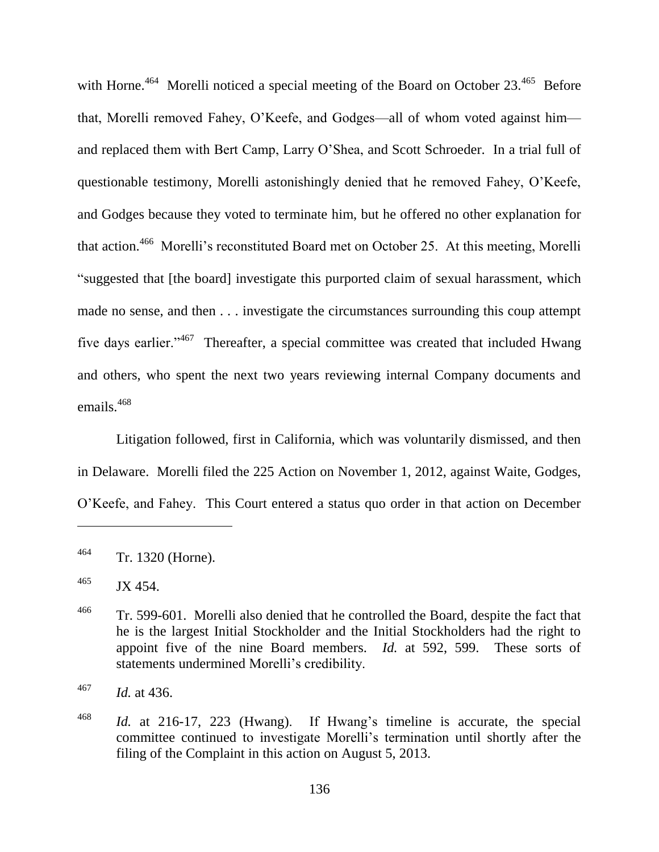with Horne.<sup>464</sup> Morelli noticed a special meeting of the Board on October 23.<sup>465</sup> Before that, Morelli removed Fahey, O'Keefe, and Godges—all of whom voted against him and replaced them with Bert Camp, Larry O'Shea, and Scott Schroeder. In a trial full of questionable testimony, Morelli astonishingly denied that he removed Fahey, O'Keefe, and Godges because they voted to terminate him, but he offered no other explanation for that action.<sup>466</sup> Morelli's reconstituted Board met on October 25. At this meeting, Morelli "suggested that [the board] investigate this purported claim of sexual harassment, which made no sense, and then . . . investigate the circumstances surrounding this coup attempt five days earlier."<sup>467</sup> Thereafter, a special committee was created that included Hwang and others, who spent the next two years reviewing internal Company documents and emails.<sup>468</sup>

Litigation followed, first in California, which was voluntarily dismissed, and then in Delaware. Morelli filed the 225 Action on November 1, 2012, against Waite, Godges, O'Keefe, and Fahey. This Court entered a status quo order in that action on December

<sup>464</sup> Tr. 1320 (Horne).

 $^{465}$  JX 454.

<sup>&</sup>lt;sup>466</sup> Tr. 599-601. Morelli also denied that he controlled the Board, despite the fact that he is the largest Initial Stockholder and the Initial Stockholders had the right to appoint five of the nine Board members. *Id.* at 592, 599. These sorts of statements undermined Morelli's credibility.

<sup>467</sup> *Id.* at 436.

<sup>468</sup> *Id.* at 216-17, 223 (Hwang). If Hwang's timeline is accurate, the special committee continued to investigate Morelli's termination until shortly after the filing of the Complaint in this action on August 5, 2013.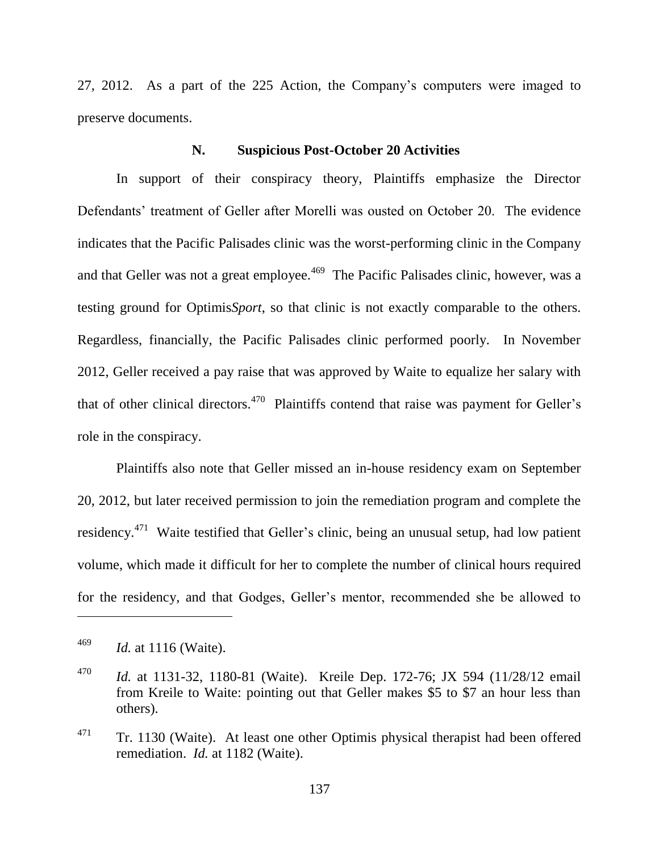27, 2012. As a part of the 225 Action, the Company's computers were imaged to preserve documents.

### **N. Suspicious Post-October 20 Activities**

In support of their conspiracy theory, Plaintiffs emphasize the Director Defendants' treatment of Geller after Morelli was ousted on October 20. The evidence indicates that the Pacific Palisades clinic was the worst-performing clinic in the Company and that Geller was not a great employee.<sup>469</sup> The Pacific Palisades clinic, however, was a testing ground for Optimis*Sport*, so that clinic is not exactly comparable to the others. Regardless, financially, the Pacific Palisades clinic performed poorly. In November 2012, Geller received a pay raise that was approved by Waite to equalize her salary with that of other clinical directors.<sup>470</sup> Plaintiffs contend that raise was payment for Geller's role in the conspiracy.

Plaintiffs also note that Geller missed an in-house residency exam on September 20, 2012, but later received permission to join the remediation program and complete the residency.<sup>471</sup> Waite testified that Geller's clinic, being an unusual setup, had low patient volume, which made it difficult for her to complete the number of clinical hours required for the residency, and that Godges, Geller's mentor, recommended she be allowed to

<sup>469</sup> *Id.* at 1116 (Waite).

<sup>470</sup> *Id.* at 1131-32, 1180-81 (Waite). Kreile Dep. 172-76; JX 594 (11/28/12 email from Kreile to Waite: pointing out that Geller makes \$5 to \$7 an hour less than others).

 $471$  Tr. 1130 (Waite). At least one other Optimis physical therapist had been offered remediation. *Id.* at 1182 (Waite).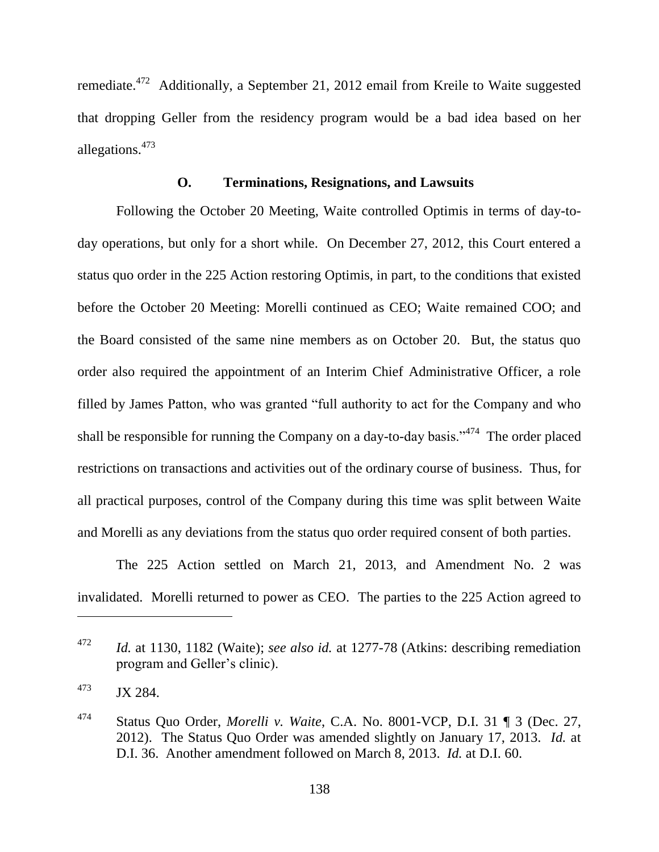remediate.<sup>472</sup> Additionally, a September 21, 2012 email from Kreile to Waite suggested that dropping Geller from the residency program would be a bad idea based on her allegations.<sup>473</sup>

#### **O. Terminations, Resignations, and Lawsuits**

Following the October 20 Meeting, Waite controlled Optimis in terms of day-today operations, but only for a short while. On December 27, 2012, this Court entered a status quo order in the 225 Action restoring Optimis, in part, to the conditions that existed before the October 20 Meeting: Morelli continued as CEO; Waite remained COO; and the Board consisted of the same nine members as on October 20. But, the status quo order also required the appointment of an Interim Chief Administrative Officer, a role filled by James Patton, who was granted "full authority to act for the Company and who shall be responsible for running the Company on a day-to-day basis."<sup> $474$ </sup> The order placed restrictions on transactions and activities out of the ordinary course of business. Thus, for all practical purposes, control of the Company during this time was split between Waite and Morelli as any deviations from the status quo order required consent of both parties.

The 225 Action settled on March 21, 2013, and Amendment No. 2 was invalidated. Morelli returned to power as CEO. The parties to the 225 Action agreed to

<sup>472</sup> *Id.* at 1130, 1182 (Waite); *see also id.* at 1277-78 (Atkins: describing remediation program and Geller's clinic).

 $1473$  JX 284.

<sup>474</sup> Status Quo Order, *Morelli v. Waite*, C.A. No. 8001-VCP, D.I. 31 ¶ 3 (Dec. 27, 2012). The Status Quo Order was amended slightly on January 17, 2013. *Id.* at D.I. 36. Another amendment followed on March 8, 2013. *Id.* at D.I. 60.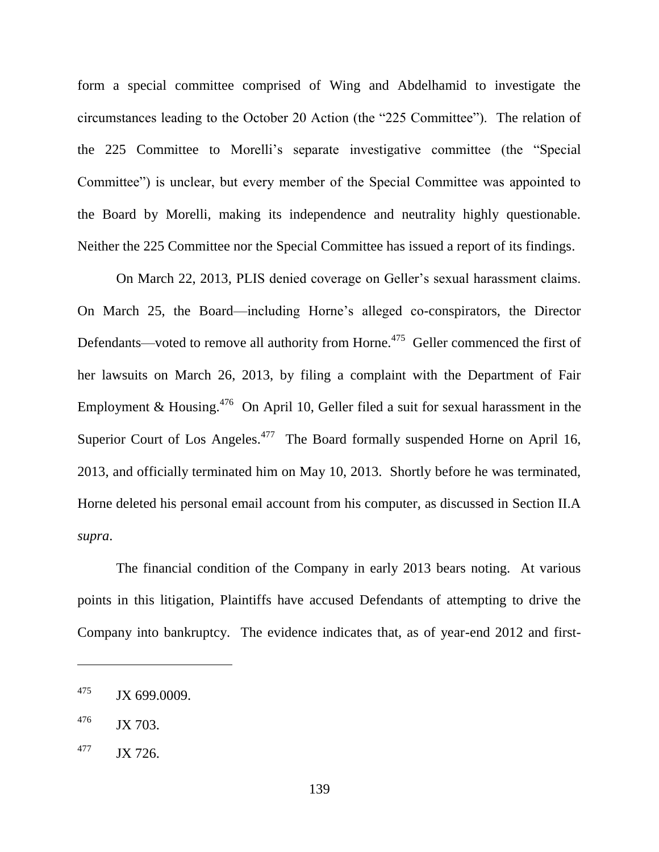form a special committee comprised of Wing and Abdelhamid to investigate the circumstances leading to the October 20 Action (the "225 Committee"). The relation of the 225 Committee to Morelli's separate investigative committee (the "Special Committee") is unclear, but every member of the Special Committee was appointed to the Board by Morelli, making its independence and neutrality highly questionable. Neither the 225 Committee nor the Special Committee has issued a report of its findings.

On March 22, 2013, PLIS denied coverage on Geller's sexual harassment claims. On March 25, the Board—including Horne's alleged co-conspirators, the Director Defendants—voted to remove all authority from Horne.<sup>475</sup> Geller commenced the first of her lawsuits on March 26, 2013, by filing a complaint with the Department of Fair Employment & Housing.<sup>476</sup> On April 10, Geller filed a suit for sexual harassment in the Superior Court of Los Angeles. $477$  The Board formally suspended Horne on April 16, 2013, and officially terminated him on May 10, 2013. Shortly before he was terminated, Horne deleted his personal email account from his computer, as discussed in Section II.A *supra*.

The financial condition of the Company in early 2013 bears noting. At various points in this litigation, Plaintiffs have accused Defendants of attempting to drive the Company into bankruptcy. The evidence indicates that, as of year-end 2012 and first-

 $175$  JX 699.0009.

 $^{476}$  JX 703.

 $1477$  JX 726.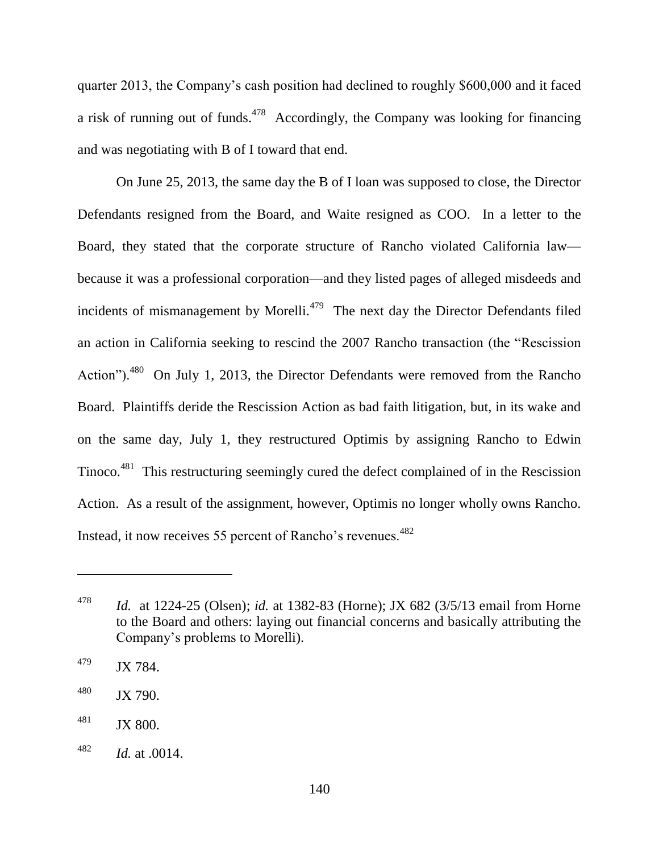quarter 2013, the Company's cash position had declined to roughly \$600,000 and it faced a risk of running out of funds.<sup> $478$ </sup> Accordingly, the Company was looking for financing and was negotiating with B of I toward that end.

On June 25, 2013, the same day the B of I loan was supposed to close, the Director Defendants resigned from the Board, and Waite resigned as COO. In a letter to the Board, they stated that the corporate structure of Rancho violated California law because it was a professional corporation—and they listed pages of alleged misdeeds and incidents of mismanagement by Morelli. $479$  The next day the Director Defendants filed an action in California seeking to rescind the 2007 Rancho transaction (the "Rescission Action"). $480$  On July 1, 2013, the Director Defendants were removed from the Rancho Board. Plaintiffs deride the Rescission Action as bad faith litigation, but, in its wake and on the same day, July 1, they restructured Optimis by assigning Rancho to Edwin Tinoco.<sup>481</sup> This restructuring seemingly cured the defect complained of in the Rescission Action. As a result of the assignment, however, Optimis no longer wholly owns Rancho. Instead, it now receives 55 percent of Rancho's revenues.<sup>482</sup>

<sup>478</sup> *Id.* at 1224-25 (Olsen); *id.* at 1382-83 (Horne); JX 682 (3/5/13 email from Horne to the Board and others: laying out financial concerns and basically attributing the Company's problems to Morelli).

 $^{479}$  JX 784.

 $^{480}$  JX 790.

 $^{481}$  JX 800.

<sup>482</sup> *Id.* at .0014.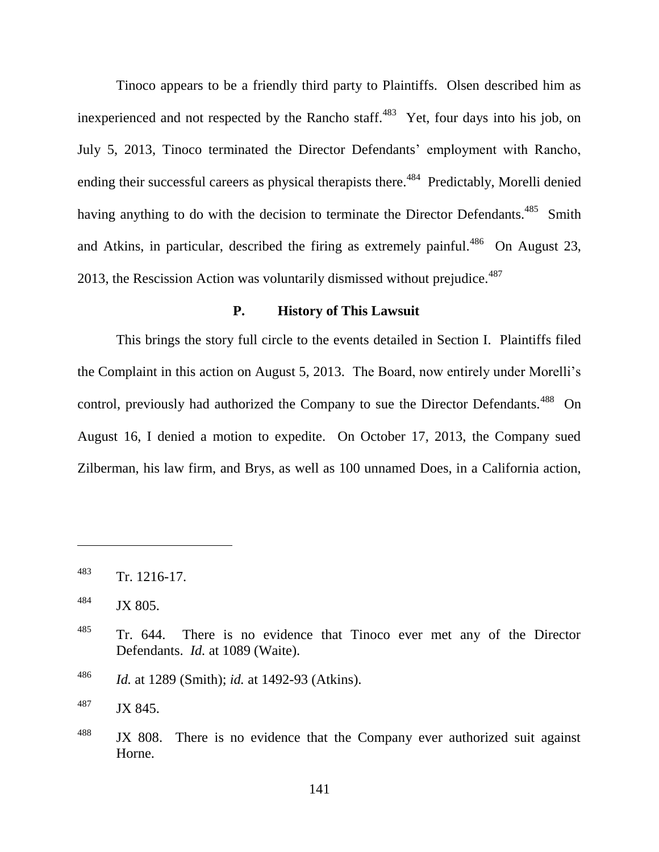Tinoco appears to be a friendly third party to Plaintiffs. Olsen described him as inexperienced and not respected by the Rancho staff. $483$  Yet, four days into his job, on July 5, 2013, Tinoco terminated the Director Defendants' employment with Rancho, ending their successful careers as physical therapists there.<sup>484</sup> Predictably, Morelli denied having anything to do with the decision to terminate the Director Defendants.<sup>485</sup> Smith and Atkins, in particular, described the firing as extremely painful.<sup>486</sup> On August 23, 2013, the Rescission Action was voluntarily dismissed without prejudice. $487$ 

#### **P. History of This Lawsuit**

This brings the story full circle to the events detailed in Section I. Plaintiffs filed the Complaint in this action on August 5, 2013. The Board, now entirely under Morelli's control, previously had authorized the Company to sue the Director Defendants.<sup>488</sup> On August 16, I denied a motion to expedite. On October 17, 2013, the Company sued Zilberman, his law firm, and Brys, as well as 100 unnamed Does, in a California action,

 $483$  Tr. 1216-17.

<sup>&</sup>lt;sup>484</sup> JX 805.

<sup>&</sup>lt;sup>485</sup> Tr. 644. There is no evidence that Tinoco ever met any of the Director Defendants. *Id.* at 1089 (Waite).

<sup>486</sup> *Id.* at 1289 (Smith); *id.* at 1492-93 (Atkins).

<sup>487</sup> JX 845.

 $488$  JX 808. There is no evidence that the Company ever authorized suit against Horne.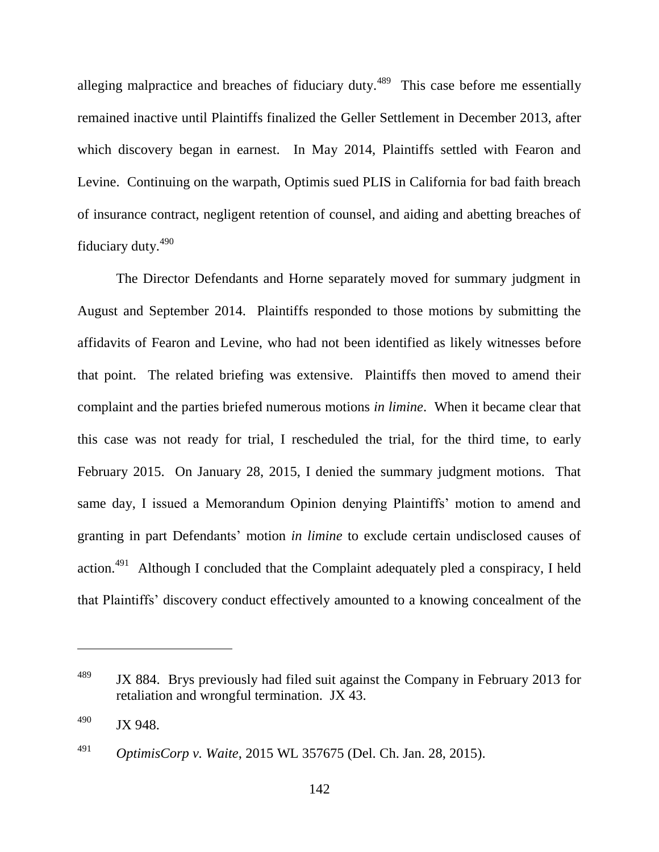alleging malpractice and breaches of fiduciary duty.<sup>489</sup> This case before me essentially remained inactive until Plaintiffs finalized the Geller Settlement in December 2013, after which discovery began in earnest. In May 2014, Plaintiffs settled with Fearon and Levine. Continuing on the warpath, Optimis sued PLIS in California for bad faith breach of insurance contract, negligent retention of counsel, and aiding and abetting breaches of fiduciary duty.<sup>490</sup>

The Director Defendants and Horne separately moved for summary judgment in August and September 2014. Plaintiffs responded to those motions by submitting the affidavits of Fearon and Levine, who had not been identified as likely witnesses before that point. The related briefing was extensive. Plaintiffs then moved to amend their complaint and the parties briefed numerous motions *in limine*. When it became clear that this case was not ready for trial, I rescheduled the trial, for the third time, to early February 2015. On January 28, 2015, I denied the summary judgment motions. That same day, I issued a Memorandum Opinion denying Plaintiffs' motion to amend and granting in part Defendants' motion *in limine* to exclude certain undisclosed causes of action.<sup>491</sup> Although I concluded that the Complaint adequately pled a conspiracy, I held that Plaintiffs' discovery conduct effectively amounted to a knowing concealment of the

<sup>&</sup>lt;sup>489</sup> JX 884. Brys previously had filed suit against the Company in February 2013 for retaliation and wrongful termination. JX 43.

 $^{490}$  JX 948.

<sup>491</sup> *OptimisCorp v. Waite*, 2015 WL 357675 (Del. Ch. Jan. 28, 2015).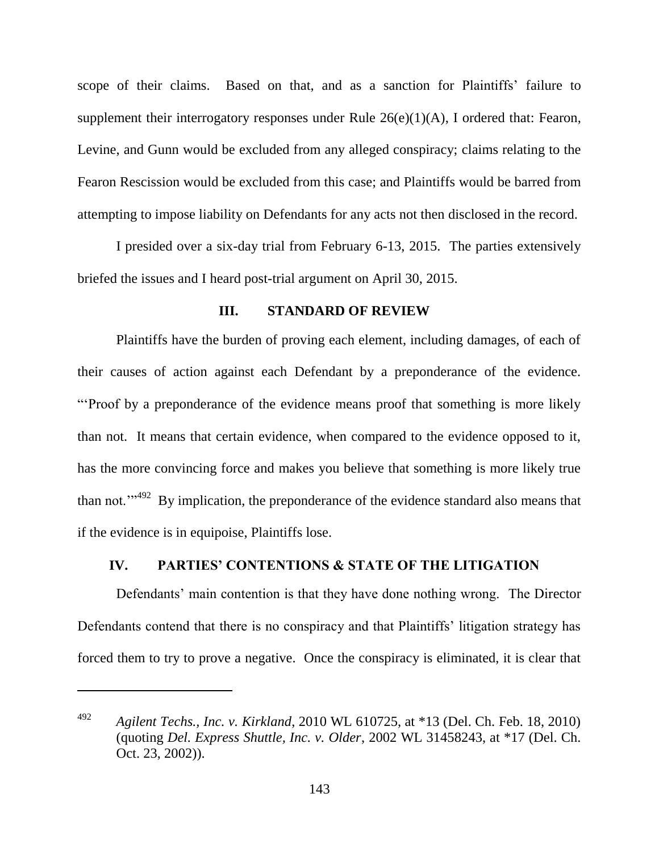scope of their claims. Based on that, and as a sanction for Plaintiffs' failure to supplement their interrogatory responses under Rule  $26(e)(1)(A)$ , I ordered that: Fearon, Levine, and Gunn would be excluded from any alleged conspiracy; claims relating to the Fearon Rescission would be excluded from this case; and Plaintiffs would be barred from attempting to impose liability on Defendants for any acts not then disclosed in the record.

I presided over a six-day trial from February 6-13, 2015. The parties extensively briefed the issues and I heard post-trial argument on April 30, 2015.

## **III. STANDARD OF REVIEW**

Plaintiffs have the burden of proving each element, including damages, of each of their causes of action against each Defendant by a preponderance of the evidence. ―‗Proof by a preponderance of the evidence means proof that something is more likely than not. It means that certain evidence, when compared to the evidence opposed to it, has the more convincing force and makes you believe that something is more likely true than not.<sup> $m492$ </sup> By implication, the preponderance of the evidence standard also means that if the evidence is in equipoise, Plaintiffs lose.

# **IV. PARTIES' CONTENTIONS & STATE OF THE LITIGATION**

Defendants' main contention is that they have done nothing wrong. The Director Defendants contend that there is no conspiracy and that Plaintiffs' litigation strategy has forced them to try to prove a negative. Once the conspiracy is eliminated, it is clear that

<sup>492</sup> *Agilent Techs., Inc. v. Kirkland*, 2010 WL 610725, at \*13 (Del. Ch. Feb. 18, 2010) (quoting *Del. Express Shuttle, Inc. v. Older*, 2002 WL 31458243, at \*17 (Del. Ch. Oct. 23, 2002)).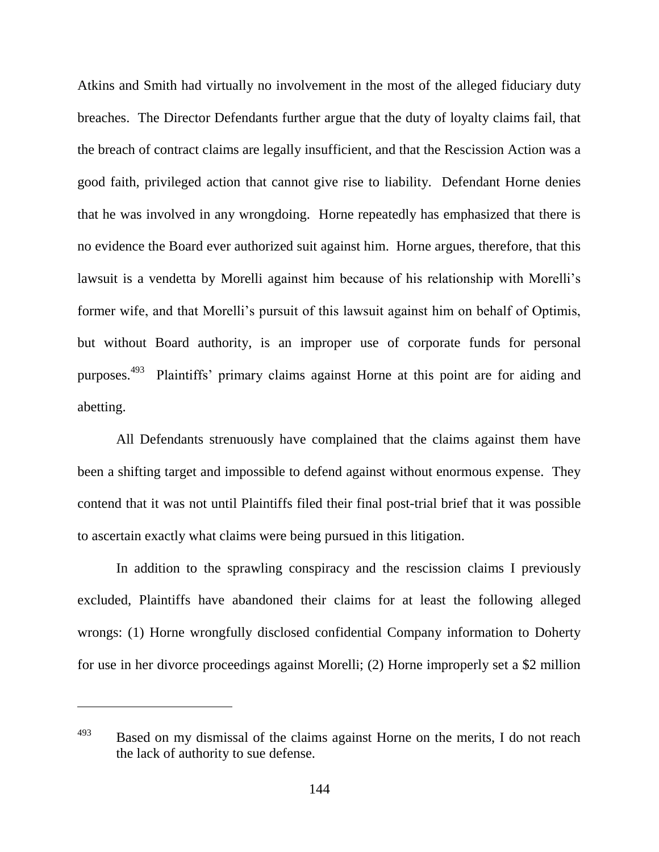Atkins and Smith had virtually no involvement in the most of the alleged fiduciary duty breaches. The Director Defendants further argue that the duty of loyalty claims fail, that the breach of contract claims are legally insufficient, and that the Rescission Action was a good faith, privileged action that cannot give rise to liability. Defendant Horne denies that he was involved in any wrongdoing. Horne repeatedly has emphasized that there is no evidence the Board ever authorized suit against him. Horne argues, therefore, that this lawsuit is a vendetta by Morelli against him because of his relationship with Morelli's former wife, and that Morelli's pursuit of this lawsuit against him on behalf of Optimis, but without Board authority, is an improper use of corporate funds for personal purposes.<sup>493</sup> Plaintiffs' primary claims against Horne at this point are for aiding and abetting.

All Defendants strenuously have complained that the claims against them have been a shifting target and impossible to defend against without enormous expense. They contend that it was not until Plaintiffs filed their final post-trial brief that it was possible to ascertain exactly what claims were being pursued in this litigation.

In addition to the sprawling conspiracy and the rescission claims I previously excluded, Plaintiffs have abandoned their claims for at least the following alleged wrongs: (1) Horne wrongfully disclosed confidential Company information to Doherty for use in her divorce proceedings against Morelli; (2) Horne improperly set a \$2 million

<sup>&</sup>lt;sup>493</sup> Based on my dismissal of the claims against Horne on the merits, I do not reach the lack of authority to sue defense.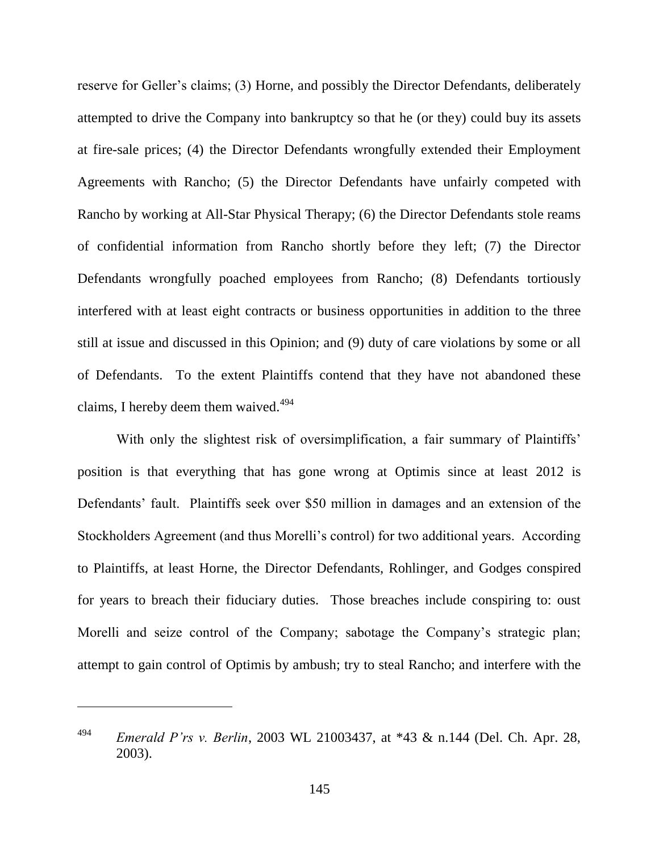reserve for Geller's claims; (3) Horne, and possibly the Director Defendants, deliberately attempted to drive the Company into bankruptcy so that he (or they) could buy its assets at fire-sale prices; (4) the Director Defendants wrongfully extended their Employment Agreements with Rancho; (5) the Director Defendants have unfairly competed with Rancho by working at All-Star Physical Therapy; (6) the Director Defendants stole reams of confidential information from Rancho shortly before they left; (7) the Director Defendants wrongfully poached employees from Rancho; (8) Defendants tortiously interfered with at least eight contracts or business opportunities in addition to the three still at issue and discussed in this Opinion; and (9) duty of care violations by some or all of Defendants. To the extent Plaintiffs contend that they have not abandoned these claims, I hereby deem them waived. $494$ 

With only the slightest risk of oversimplification, a fair summary of Plaintiffs' position is that everything that has gone wrong at Optimis since at least 2012 is Defendants' fault. Plaintiffs seek over \$50 million in damages and an extension of the Stockholders Agreement (and thus Morelli's control) for two additional years. According to Plaintiffs, at least Horne, the Director Defendants, Rohlinger, and Godges conspired for years to breach their fiduciary duties. Those breaches include conspiring to: oust Morelli and seize control of the Company; sabotage the Company's strategic plan; attempt to gain control of Optimis by ambush; try to steal Rancho; and interfere with the

<sup>494</sup> *Emerald P'rs v. Berlin*, 2003 WL 21003437, at \*43 & n.144 (Del. Ch. Apr. 28, 2003).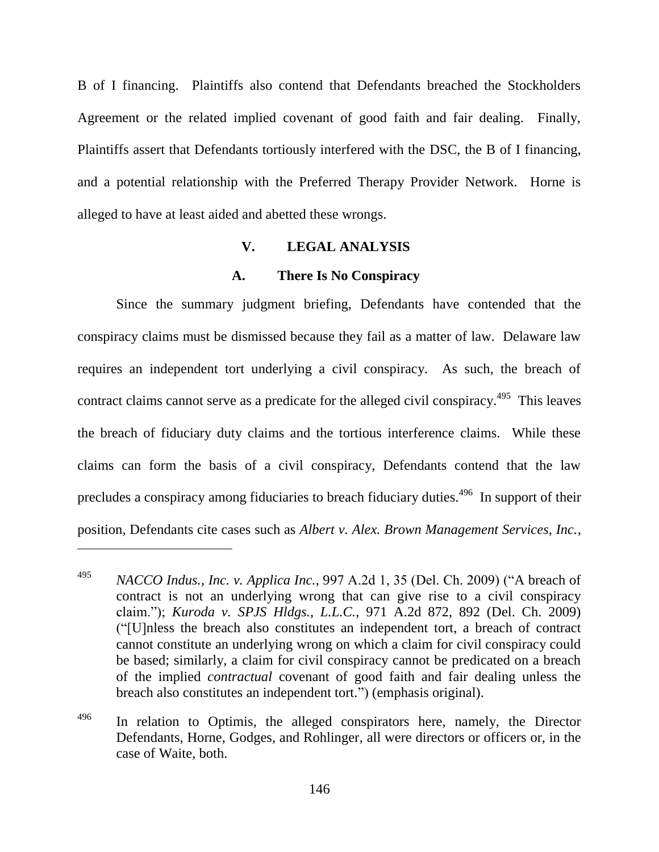B of I financing. Plaintiffs also contend that Defendants breached the Stockholders Agreement or the related implied covenant of good faith and fair dealing. Finally, Plaintiffs assert that Defendants tortiously interfered with the DSC, the B of I financing, and a potential relationship with the Preferred Therapy Provider Network. Horne is alleged to have at least aided and abetted these wrongs.

# **V. LEGAL ANALYSIS**

#### **A. There Is No Conspiracy**

Since the summary judgment briefing, Defendants have contended that the conspiracy claims must be dismissed because they fail as a matter of law. Delaware law requires an independent tort underlying a civil conspiracy. As such, the breach of contract claims cannot serve as a predicate for the alleged civil conspiracy.<sup>495</sup> This leaves the breach of fiduciary duty claims and the tortious interference claims. While these claims can form the basis of a civil conspiracy, Defendants contend that the law precludes a conspiracy among fiduciaries to breach fiduciary duties.<sup>496</sup> In support of their position, Defendants cite cases such as *Albert v. Alex. Brown Management Services, Inc.*,

<sup>&</sup>lt;sup>495</sup> *NACCO Indus., Inc. v. Applica Inc.,* 997 A.2d 1, 35 (Del. Ch. 2009) ("A breach of contract is not an underlying wrong that can give rise to a civil conspiracy claim.‖); *Kuroda v. SPJS Hldgs., L.L.C.*, 971 A.2d 872, 892 (Del. Ch. 2009) (―[U]nless the breach also constitutes an independent tort, a breach of contract cannot constitute an underlying wrong on which a claim for civil conspiracy could be based; similarly, a claim for civil conspiracy cannot be predicated on a breach of the implied *contractual* covenant of good faith and fair dealing unless the breach also constitutes an independent tort.") (emphasis original).

 $496$  In relation to Optimis, the alleged conspirators here, namely, the Director Defendants, Horne, Godges, and Rohlinger, all were directors or officers or, in the case of Waite, both.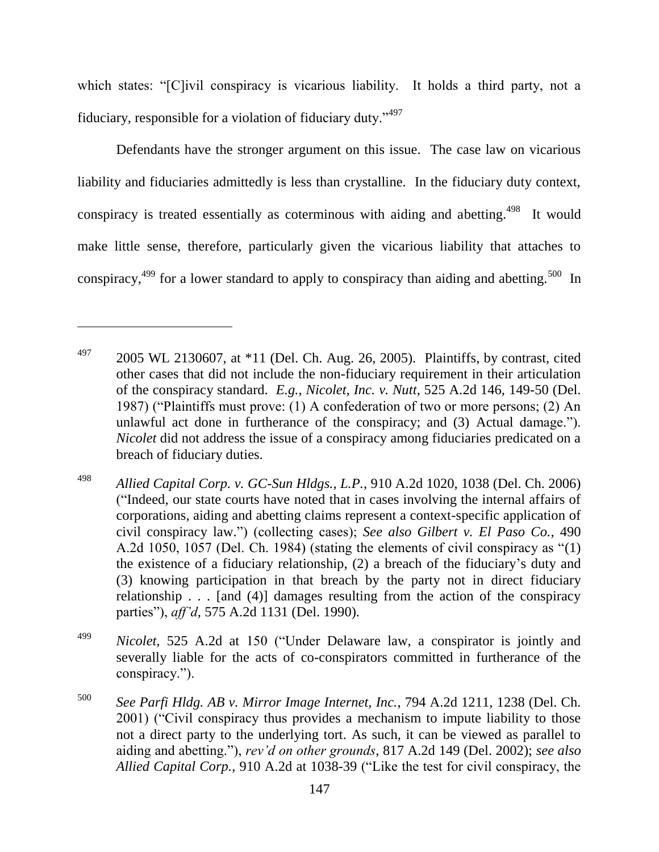which states: "[C]ivil conspiracy is vicarious liability. It holds a third party, not a fiduciary, responsible for a violation of fiduciary duty."497

Defendants have the stronger argument on this issue. The case law on vicarious liability and fiduciaries admittedly is less than crystalline. In the fiduciary duty context, conspiracy is treated essentially as coterminous with aiding and abetting.<sup>498</sup> It would make little sense, therefore, particularly given the vicarious liability that attaches to conspiracy,  $499$  for a lower standard to apply to conspiracy than aiding and abetting.  $500$  In

 $^{497}$  2005 WL 2130607, at  $*11$  (Del. Ch. Aug. 26, 2005). Plaintiffs, by contrast, cited other cases that did not include the non-fiduciary requirement in their articulation of the conspiracy standard. *E.g.*, *Nicolet, Inc. v. Nutt*, 525 A.2d 146, 149-50 (Del. 1987) ("Plaintiffs must prove:  $(1)$  A confederation of two or more persons;  $(2)$  An unlawful act done in furtherance of the conspiracy; and  $(3)$  Actual damage."). *Nicolet* did not address the issue of a conspiracy among fiduciaries predicated on a breach of fiduciary duties.

<sup>498</sup> *Allied Capital Corp. v. GC-Sun Hldgs., L.P.*, 910 A.2d 1020, 1038 (Del. Ch. 2006) (―Indeed, our state courts have noted that in cases involving the internal affairs of corporations, aiding and abetting claims represent a context-specific application of civil conspiracy law.‖) (collecting cases); *See also Gilbert v. El Paso Co.*, 490 A.2d 1050, 1057 (Del. Ch. 1984) (stating the elements of civil conspiracy as  $(1)$ ) the existence of a fiduciary relationship, (2) a breach of the fiduciary's duty and (3) knowing participation in that breach by the party not in direct fiduciary relationship . . . [and (4)] damages resulting from the action of the conspiracy parties"), *aff'd*, 575 A.2d 1131 (Del. 1990).

<sup>&</sup>lt;sup>499</sup> *Nicolet*, 525 A.2d at 150 ("Under Delaware law, a conspirator is jointly and severally liable for the acts of co-conspirators committed in furtherance of the conspiracy.").

<sup>500</sup> *See Parfi Hldg. AB v. Mirror Image Internet, Inc.*, 794 A.2d 1211, 1238 (Del. Ch. 2001) ("Civil conspiracy thus provides a mechanism to impute liability to those not a direct party to the underlying tort. As such, it can be viewed as parallel to aiding and abetting.‖), *rev'd on other grounds*, 817 A.2d 149 (Del. 2002); *see also Allied Capital Corp.*, 910 A.2d at 1038-39 ("Like the test for civil conspiracy, the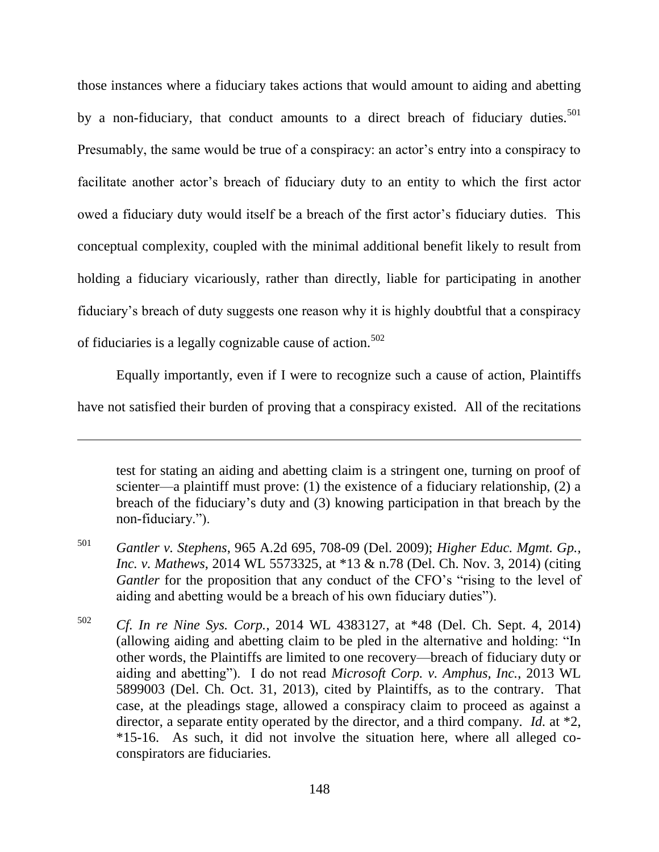those instances where a fiduciary takes actions that would amount to aiding and abetting by a non-fiduciary, that conduct amounts to a direct breach of fiduciary duties.<sup>501</sup> Presumably, the same would be true of a conspiracy: an actor's entry into a conspiracy to facilitate another actor's breach of fiduciary duty to an entity to which the first actor owed a fiduciary duty would itself be a breach of the first actor's fiduciary duties. This conceptual complexity, coupled with the minimal additional benefit likely to result from holding a fiduciary vicariously, rather than directly, liable for participating in another fiduciary's breach of duty suggests one reason why it is highly doubtful that a conspiracy of fiduciaries is a legally cognizable cause of action.<sup>502</sup>

Equally importantly, even if I were to recognize such a cause of action, Plaintiffs have not satisfied their burden of proving that a conspiracy existed. All of the recitations

 $\overline{a}$ 

test for stating an aiding and abetting claim is a stringent one, turning on proof of scienter—a plaintiff must prove: (1) the existence of a fiduciary relationship, (2) a breach of the fiduciary's duty and (3) knowing participation in that breach by the non-fiduciary.").

<sup>501</sup> *Gantler v. Stephens*, 965 A.2d 695, 708-09 (Del. 2009); *Higher Educ. Mgmt. Gp., Inc. v. Mathews*, 2014 WL 5573325, at \*13 & n.78 (Del. Ch. Nov. 3, 2014) (citing *Gantler* for the proposition that any conduct of the CFO's "rising to the level of aiding and abetting would be a breach of his own fiduciary duties".

<sup>502</sup> *Cf. In re Nine Sys. Corp.*, 2014 WL 4383127, at \*48 (Del. Ch. Sept. 4, 2014) (allowing aiding and abetting claim to be pled in the alternative and holding: "In other words, the Plaintiffs are limited to one recovery—breach of fiduciary duty or aiding and abetting"). I do not read *Microsoft Corp. v. Amphus, Inc.*, 2013 WL 5899003 (Del. Ch. Oct. 31, 2013), cited by Plaintiffs, as to the contrary. That case, at the pleadings stage, allowed a conspiracy claim to proceed as against a director, a separate entity operated by the director, and a third company. *Id.* at \*2, \*15-16. As such, it did not involve the situation here, where all alleged coconspirators are fiduciaries.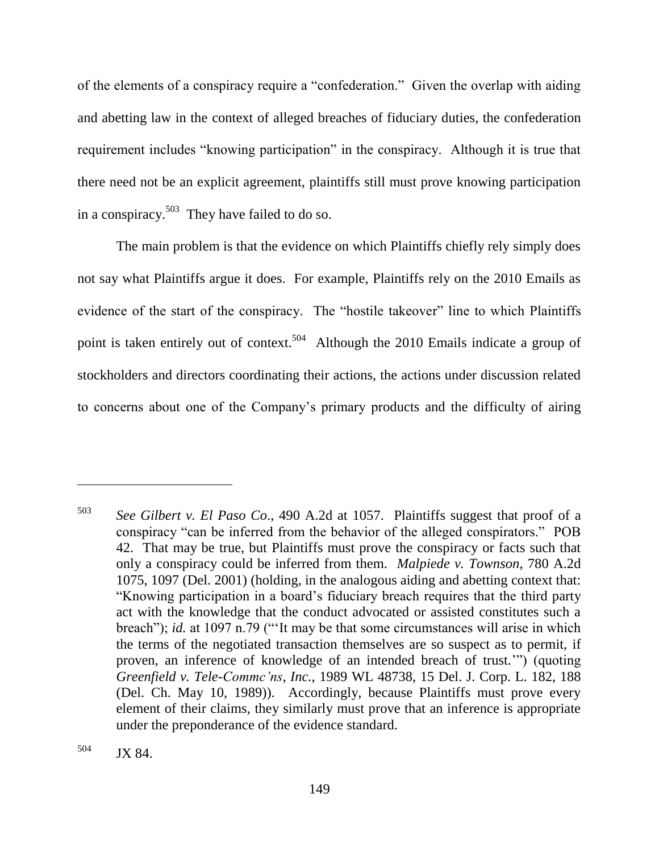of the elements of a conspiracy require a "confederation." Given the overlap with aiding and abetting law in the context of alleged breaches of fiduciary duties, the confederation requirement includes "knowing participation" in the conspiracy. Although it is true that there need not be an explicit agreement, plaintiffs still must prove knowing participation in a conspiracy.<sup>503</sup> They have failed to do so.

The main problem is that the evidence on which Plaintiffs chiefly rely simply does not say what Plaintiffs argue it does. For example, Plaintiffs rely on the 2010 Emails as evidence of the start of the conspiracy. The "hostile takeover" line to which Plaintiffs point is taken entirely out of context.<sup>504</sup> Although the 2010 Emails indicate a group of stockholders and directors coordinating their actions, the actions under discussion related to concerns about one of the Company's primary products and the difficulty of airing

<sup>503</sup> *See Gilbert v. El Paso Co*., 490 A.2d at 1057. Plaintiffs suggest that proof of a conspiracy "can be inferred from the behavior of the alleged conspirators." POB 42. That may be true, but Plaintiffs must prove the conspiracy or facts such that only a conspiracy could be inferred from them. *Malpiede v. Townson*, 780 A.2d 1075, 1097 (Del. 2001) (holding, in the analogous aiding and abetting context that: ―Knowing participation in a board's fiduciary breach requires that the third party act with the knowledge that the conduct advocated or assisted constitutes such a breach"); *id.* at 1097 n.79 ("It may be that some circumstances will arise in which the terms of the negotiated transaction themselves are so suspect as to permit, if proven, an inference of knowledge of an intended breach of trust.") (quoting *Greenfield v. Tele-Commc'ns, Inc.*, 1989 WL 48738, 15 Del. J. Corp. L. 182, 188 (Del. Ch. May 10, 1989)). Accordingly, because Plaintiffs must prove every element of their claims, they similarly must prove that an inference is appropriate under the preponderance of the evidence standard.

<sup>504</sup> JX 84.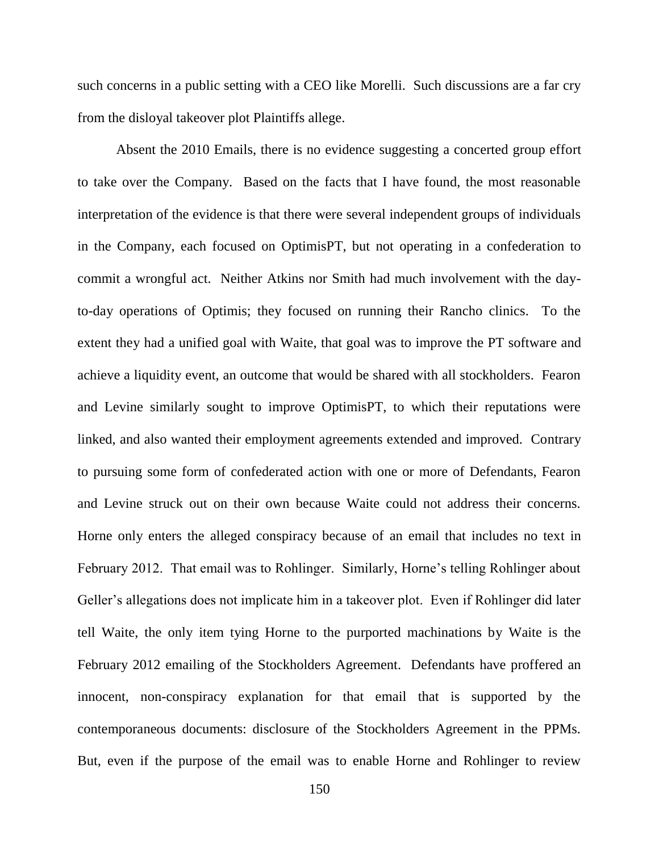such concerns in a public setting with a CEO like Morelli. Such discussions are a far cry from the disloyal takeover plot Plaintiffs allege.

Absent the 2010 Emails, there is no evidence suggesting a concerted group effort to take over the Company. Based on the facts that I have found, the most reasonable interpretation of the evidence is that there were several independent groups of individuals in the Company, each focused on OptimisPT, but not operating in a confederation to commit a wrongful act. Neither Atkins nor Smith had much involvement with the dayto-day operations of Optimis; they focused on running their Rancho clinics. To the extent they had a unified goal with Waite, that goal was to improve the PT software and achieve a liquidity event, an outcome that would be shared with all stockholders. Fearon and Levine similarly sought to improve OptimisPT, to which their reputations were linked, and also wanted their employment agreements extended and improved. Contrary to pursuing some form of confederated action with one or more of Defendants, Fearon and Levine struck out on their own because Waite could not address their concerns. Horne only enters the alleged conspiracy because of an email that includes no text in February 2012. That email was to Rohlinger. Similarly, Horne's telling Rohlinger about Geller's allegations does not implicate him in a takeover plot. Even if Rohlinger did later tell Waite, the only item tying Horne to the purported machinations by Waite is the February 2012 emailing of the Stockholders Agreement. Defendants have proffered an innocent, non-conspiracy explanation for that email that is supported by the contemporaneous documents: disclosure of the Stockholders Agreement in the PPMs. But, even if the purpose of the email was to enable Horne and Rohlinger to review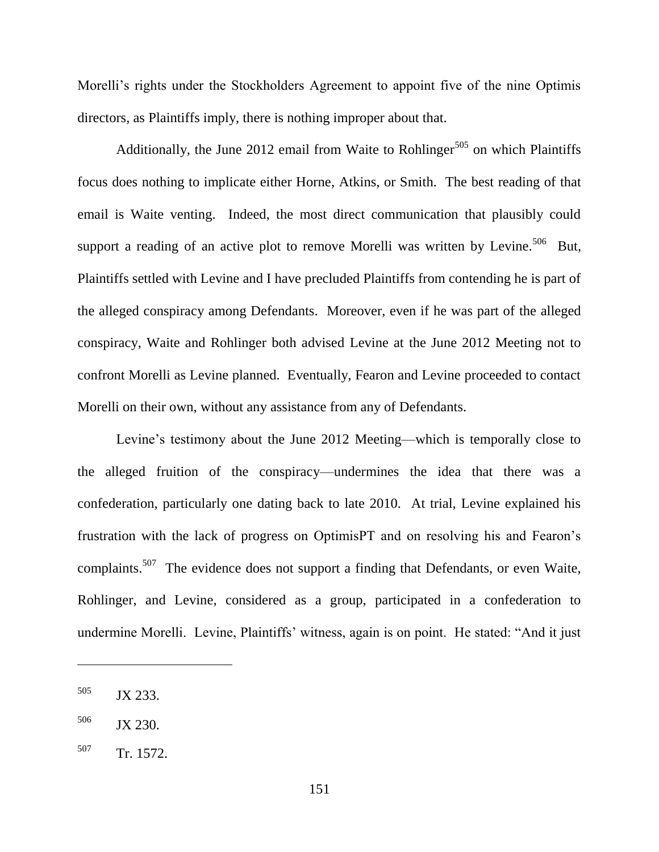Morelli's rights under the Stockholders Agreement to appoint five of the nine Optimis directors, as Plaintiffs imply, there is nothing improper about that.

Additionally, the June 2012 email from Waite to Rohlinger<sup>505</sup> on which Plaintiffs focus does nothing to implicate either Horne, Atkins, or Smith. The best reading of that email is Waite venting. Indeed, the most direct communication that plausibly could support a reading of an active plot to remove Morelli was written by Levine.<sup>506</sup> But, Plaintiffs settled with Levine and I have precluded Plaintiffs from contending he is part of the alleged conspiracy among Defendants. Moreover, even if he was part of the alleged conspiracy, Waite and Rohlinger both advised Levine at the June 2012 Meeting not to confront Morelli as Levine planned. Eventually, Fearon and Levine proceeded to contact Morelli on their own, without any assistance from any of Defendants.

Levine's testimony about the June 2012 Meeting—which is temporally close to the alleged fruition of the conspiracy—undermines the idea that there was a confederation, particularly one dating back to late 2010. At trial, Levine explained his frustration with the lack of progress on OptimisPT and on resolving his and Fearon's complaints.<sup>507</sup> The evidence does not support a finding that Defendants, or even Waite, Rohlinger, and Levine, considered as a group, participated in a confederation to undermine Morelli. Levine, Plaintiffs' witness, again is on point. He stated: "And it just

<sup>505</sup> JX 233.

<sup>506</sup> JX 230.

<sup>507</sup> Tr. 1572.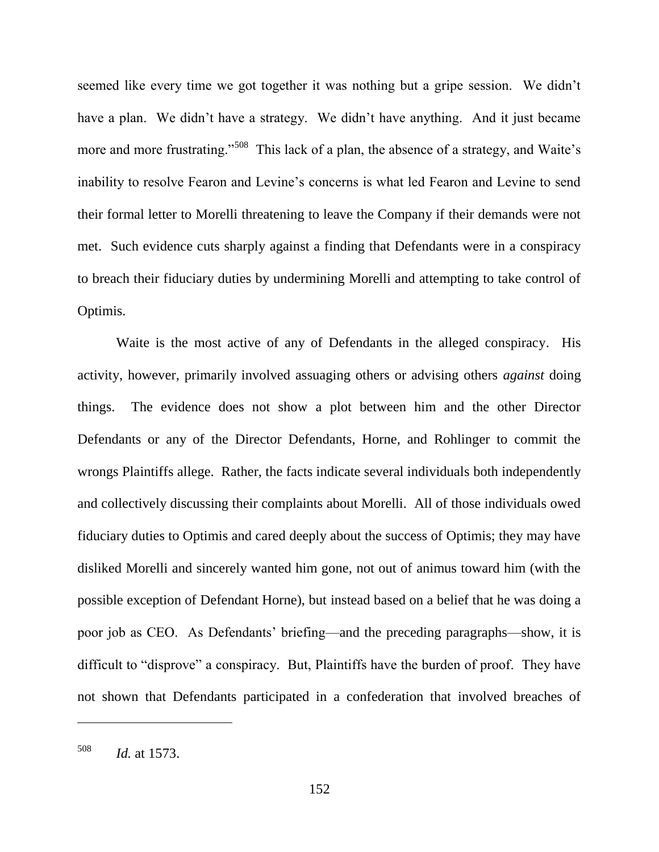seemed like every time we got together it was nothing but a gripe session. We didn't have a plan. We didn't have a strategy. We didn't have anything. And it just became more and more frustrating."<sup>508</sup> This lack of a plan, the absence of a strategy, and Waite's inability to resolve Fearon and Levine's concerns is what led Fearon and Levine to send their formal letter to Morelli threatening to leave the Company if their demands were not met. Such evidence cuts sharply against a finding that Defendants were in a conspiracy to breach their fiduciary duties by undermining Morelli and attempting to take control of Optimis.

Waite is the most active of any of Defendants in the alleged conspiracy. His activity, however, primarily involved assuaging others or advising others *against* doing things. The evidence does not show a plot between him and the other Director Defendants or any of the Director Defendants, Horne, and Rohlinger to commit the wrongs Plaintiffs allege. Rather, the facts indicate several individuals both independently and collectively discussing their complaints about Morelli. All of those individuals owed fiduciary duties to Optimis and cared deeply about the success of Optimis; they may have disliked Morelli and sincerely wanted him gone, not out of animus toward him (with the possible exception of Defendant Horne), but instead based on a belief that he was doing a poor job as CEO. As Defendants' briefing—and the preceding paragraphs—show, it is difficult to "disprove" a conspiracy. But, Plaintiffs have the burden of proof. They have not shown that Defendants participated in a confederation that involved breaches of

<sup>508</sup> *Id.* at 1573.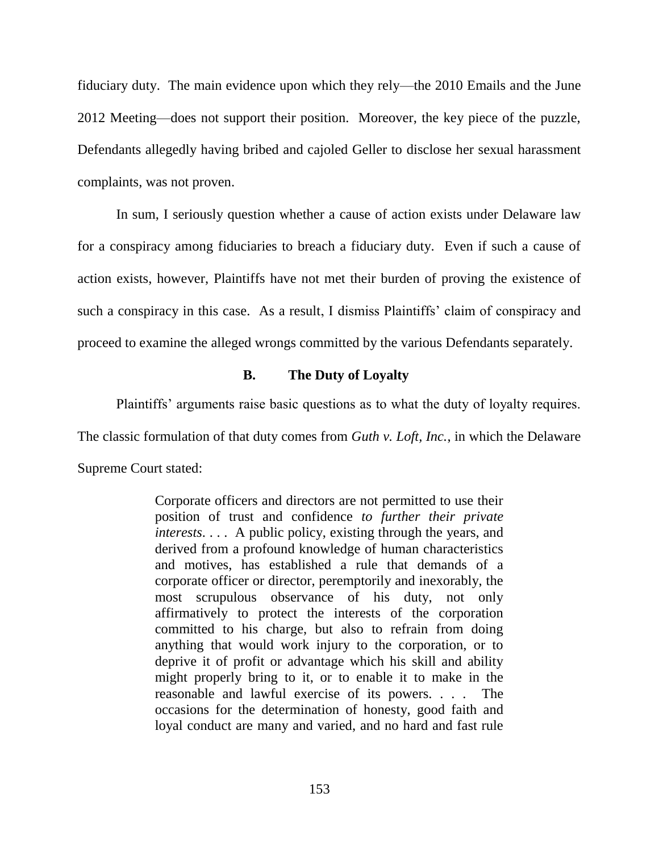fiduciary duty. The main evidence upon which they rely—the 2010 Emails and the June 2012 Meeting—does not support their position. Moreover, the key piece of the puzzle, Defendants allegedly having bribed and cajoled Geller to disclose her sexual harassment complaints, was not proven.

In sum, I seriously question whether a cause of action exists under Delaware law for a conspiracy among fiduciaries to breach a fiduciary duty. Even if such a cause of action exists, however, Plaintiffs have not met their burden of proving the existence of such a conspiracy in this case. As a result, I dismiss Plaintiffs' claim of conspiracy and proceed to examine the alleged wrongs committed by the various Defendants separately.

# **B. The Duty of Loyalty**

Plaintiffs' arguments raise basic questions as to what the duty of loyalty requires.

The classic formulation of that duty comes from *Guth v. Loft, Inc.*, in which the Delaware

Supreme Court stated:

Corporate officers and directors are not permitted to use their position of trust and confidence *to further their private interests*. . . . A public policy, existing through the years, and derived from a profound knowledge of human characteristics and motives, has established a rule that demands of a corporate officer or director, peremptorily and inexorably, the most scrupulous observance of his duty, not only affirmatively to protect the interests of the corporation committed to his charge, but also to refrain from doing anything that would work injury to the corporation, or to deprive it of profit or advantage which his skill and ability might properly bring to it, or to enable it to make in the reasonable and lawful exercise of its powers. . . . The occasions for the determination of honesty, good faith and loyal conduct are many and varied, and no hard and fast rule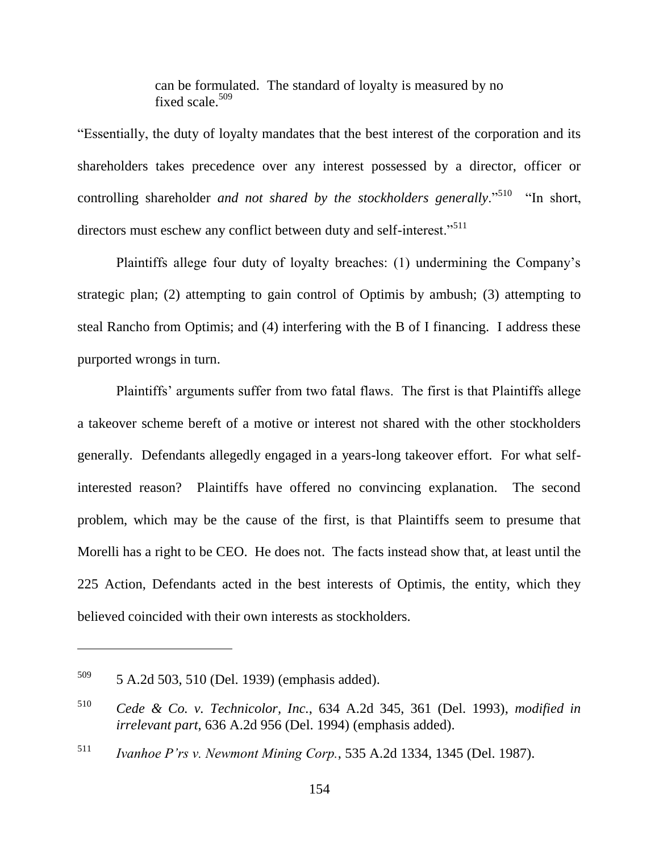can be formulated. The standard of loyalty is measured by no fixed scale. $509$ 

―Essentially, the duty of loyalty mandates that the best interest of the corporation and its shareholders takes precedence over any interest possessed by a director, officer or controlling shareholder *and not shared by the stockholders generally*."<sup>510</sup> "In short, directors must eschew any conflict between duty and self-interest."<sup>511</sup>

Plaintiffs allege four duty of loyalty breaches: (1) undermining the Company's strategic plan; (2) attempting to gain control of Optimis by ambush; (3) attempting to steal Rancho from Optimis; and (4) interfering with the B of I financing. I address these purported wrongs in turn.

Plaintiffs' arguments suffer from two fatal flaws. The first is that Plaintiffs allege a takeover scheme bereft of a motive or interest not shared with the other stockholders generally. Defendants allegedly engaged in a years-long takeover effort. For what selfinterested reason? Plaintiffs have offered no convincing explanation. The second problem, which may be the cause of the first, is that Plaintiffs seem to presume that Morelli has a right to be CEO. He does not. The facts instead show that, at least until the 225 Action, Defendants acted in the best interests of Optimis, the entity, which they believed coincided with their own interests as stockholders.

<sup>509</sup> 5 A.2d 503, 510 (Del. 1939) (emphasis added).

<sup>510</sup> *Cede & Co. v. Technicolor, Inc.*, 634 A.2d 345, 361 (Del. 1993), *modified in irrelevant part*, 636 A.2d 956 (Del. 1994) (emphasis added).

<sup>511</sup> *Ivanhoe P'rs v. Newmont Mining Corp.*, 535 A.2d 1334, 1345 (Del. 1987).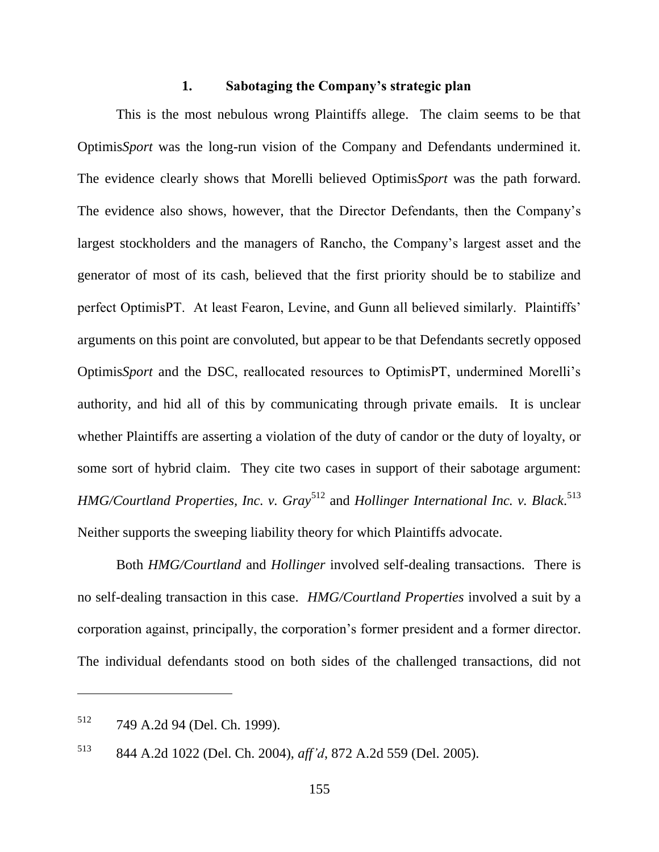#### **1. Sabotaging the Company's strategic plan**

This is the most nebulous wrong Plaintiffs allege. The claim seems to be that Optimis*Sport* was the long-run vision of the Company and Defendants undermined it. The evidence clearly shows that Morelli believed Optimis*Sport* was the path forward. The evidence also shows, however, that the Director Defendants, then the Company's largest stockholders and the managers of Rancho, the Company's largest asset and the generator of most of its cash, believed that the first priority should be to stabilize and perfect OptimisPT. At least Fearon, Levine, and Gunn all believed similarly. Plaintiffs' arguments on this point are convoluted, but appear to be that Defendants secretly opposed Optimis*Sport* and the DSC, reallocated resources to OptimisPT, undermined Morelli's authority, and hid all of this by communicating through private emails. It is unclear whether Plaintiffs are asserting a violation of the duty of candor or the duty of loyalty, or some sort of hybrid claim. They cite two cases in support of their sabotage argument: HMG/Courtland Properties, Inc. v. Gray<sup>512</sup> and *Hollinger International Inc. v. Black*.<sup>513</sup> Neither supports the sweeping liability theory for which Plaintiffs advocate.

Both *HMG/Courtland* and *Hollinger* involved self-dealing transactions. There is no self-dealing transaction in this case. *HMG/Courtland Properties* involved a suit by a corporation against, principally, the corporation's former president and a former director. The individual defendants stood on both sides of the challenged transactions, did not

<sup>512</sup> 749 A.2d 94 (Del. Ch. 1999).

<sup>513</sup> 844 A.2d 1022 (Del. Ch. 2004), *aff'd*, 872 A.2d 559 (Del. 2005).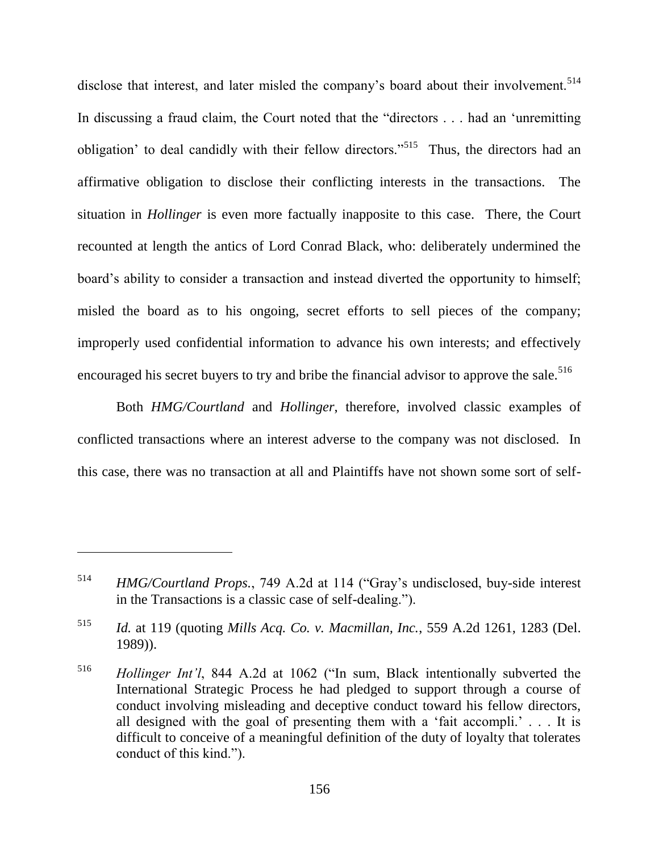disclose that interest, and later misled the company's board about their involvement.<sup>514</sup> In discussing a fraud claim, the Court noted that the "directors . . . had an 'unremitting obligation' to deal candidly with their fellow directors."<sup>515</sup> Thus, the directors had an affirmative obligation to disclose their conflicting interests in the transactions. The situation in *Hollinger* is even more factually inapposite to this case. There, the Court recounted at length the antics of Lord Conrad Black, who: deliberately undermined the board's ability to consider a transaction and instead diverted the opportunity to himself; misled the board as to his ongoing, secret efforts to sell pieces of the company; improperly used confidential information to advance his own interests; and effectively encouraged his secret buyers to try and bribe the financial advisor to approve the sale.<sup>516</sup>

Both *HMG/Courtland* and *Hollinger*, therefore, involved classic examples of conflicted transactions where an interest adverse to the company was not disclosed. In this case, there was no transaction at all and Plaintiffs have not shown some sort of self-

<sup>&</sup>lt;sup>514</sup> *HMG/Courtland Props.*, 749 A.2d at 114 ("Gray's undisclosed, buy-side interest in the Transactions is a classic case of self-dealing.").

<sup>515</sup> *Id.* at 119 (quoting *Mills Acq. Co. v. Macmillan, Inc.*, 559 A.2d 1261, 1283 (Del. 1989)).

<sup>&</sup>lt;sup>516</sup> *Hollinger Int'l*, 844 A.2d at 1062 ("In sum, Black intentionally subverted the International Strategic Process he had pledged to support through a course of conduct involving misleading and deceptive conduct toward his fellow directors, all designed with the goal of presenting them with a 'fait accompli.'  $\ldots$  It is difficult to conceive of a meaningful definition of the duty of loyalty that tolerates conduct of this kind.").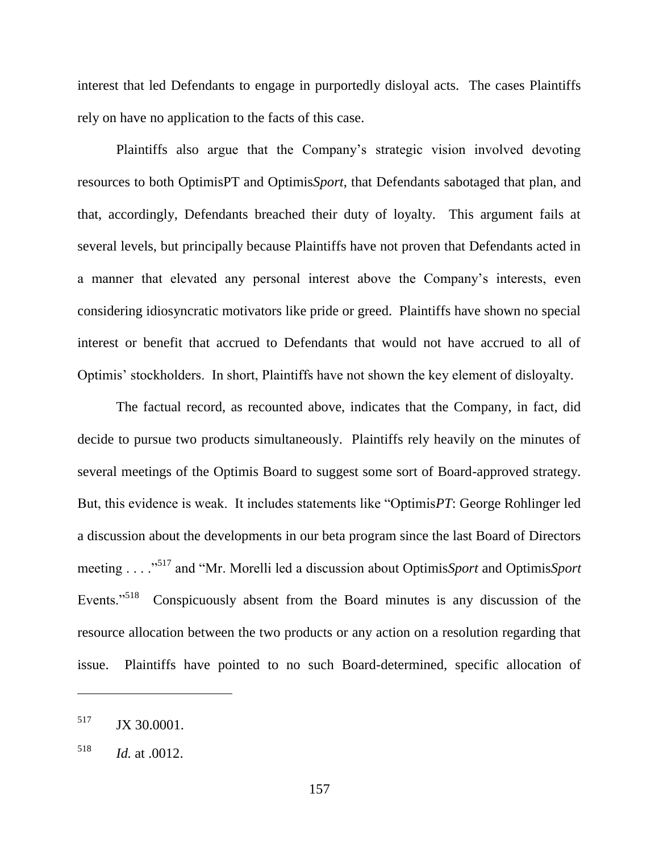interest that led Defendants to engage in purportedly disloyal acts. The cases Plaintiffs rely on have no application to the facts of this case.

Plaintiffs also argue that the Company's strategic vision involved devoting resources to both OptimisPT and Optimis*Sport*, that Defendants sabotaged that plan, and that, accordingly, Defendants breached their duty of loyalty. This argument fails at several levels, but principally because Plaintiffs have not proven that Defendants acted in a manner that elevated any personal interest above the Company's interests, even considering idiosyncratic motivators like pride or greed. Plaintiffs have shown no special interest or benefit that accrued to Defendants that would not have accrued to all of Optimis' stockholders. In short, Plaintiffs have not shown the key element of disloyalty.

The factual record, as recounted above, indicates that the Company, in fact, did decide to pursue two products simultaneously. Plaintiffs rely heavily on the minutes of several meetings of the Optimis Board to suggest some sort of Board-approved strategy. But, this evidence is weak. It includes statements like "Optimis*PT*: George Rohlinger led a discussion about the developments in our beta program since the last Board of Directors meeting . . . .<sup>517</sup> and "Mr. Morelli led a discussion about Optimis*Sport* and Optimis*Sport* Events."<sup>518</sup> Conspicuously absent from the Board minutes is any discussion of the resource allocation between the two products or any action on a resolution regarding that issue. Plaintiffs have pointed to no such Board-determined, specific allocation of

<sup>&</sup>lt;sup>517</sup> JX 30.0001.

<sup>518</sup> *Id.* at .0012.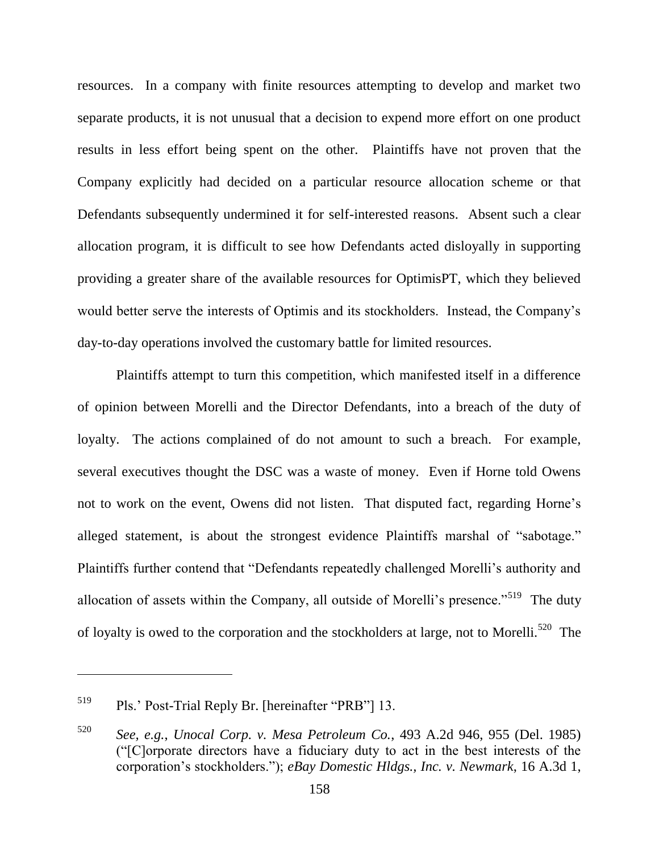resources. In a company with finite resources attempting to develop and market two separate products, it is not unusual that a decision to expend more effort on one product results in less effort being spent on the other. Plaintiffs have not proven that the Company explicitly had decided on a particular resource allocation scheme or that Defendants subsequently undermined it for self-interested reasons. Absent such a clear allocation program, it is difficult to see how Defendants acted disloyally in supporting providing a greater share of the available resources for OptimisPT, which they believed would better serve the interests of Optimis and its stockholders. Instead, the Company's day-to-day operations involved the customary battle for limited resources.

Plaintiffs attempt to turn this competition, which manifested itself in a difference of opinion between Morelli and the Director Defendants, into a breach of the duty of loyalty. The actions complained of do not amount to such a breach. For example, several executives thought the DSC was a waste of money. Even if Horne told Owens not to work on the event, Owens did not listen. That disputed fact, regarding Horne's alleged statement, is about the strongest evidence Plaintiffs marshal of "sabotage." Plaintiffs further contend that "Defendants repeatedly challenged Morelli's authority and allocation of assets within the Company, all outside of Morelli's presence."<sup>519</sup> The duty of loyalty is owed to the corporation and the stockholders at large, not to Morelli.<sup>520</sup> The

 $^{519}$  Pls.' Post-Trial Reply Br. [hereinafter "PRB"] 13.

<sup>520</sup> *See, e.g.*, *Unocal Corp. v. Mesa Petroleum Co.*, 493 A.2d 946, 955 (Del. 1985) (―[C]orporate directors have a fiduciary duty to act in the best interests of the corporation's stockholders.‖); *eBay Domestic Hldgs., Inc. v. Newmark*, 16 A.3d 1,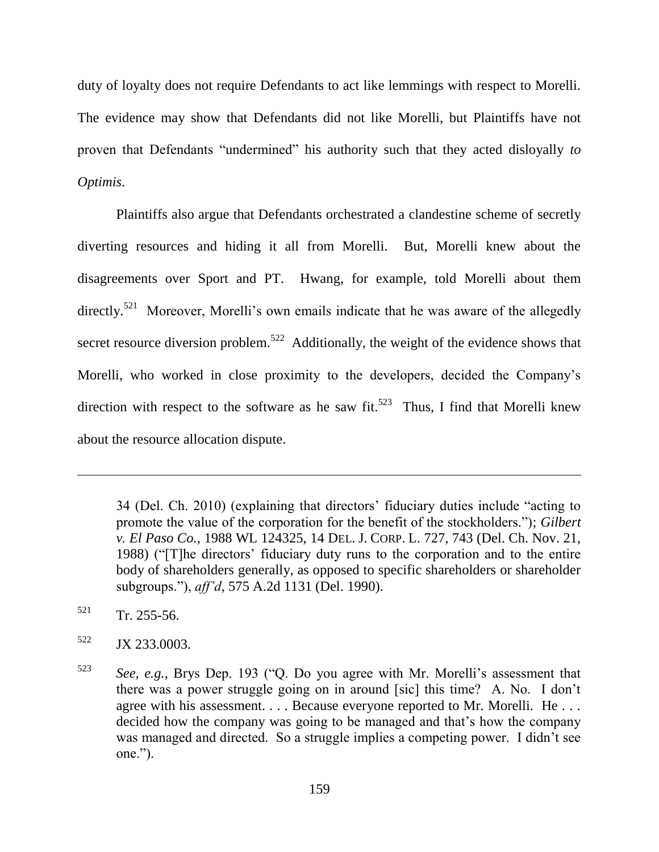duty of loyalty does not require Defendants to act like lemmings with respect to Morelli. The evidence may show that Defendants did not like Morelli, but Plaintiffs have not proven that Defendants "undermined" his authority such that they acted disloyally *to Optimis*.

Plaintiffs also argue that Defendants orchestrated a clandestine scheme of secretly diverting resources and hiding it all from Morelli. But, Morelli knew about the disagreements over Sport and PT. Hwang, for example, told Morelli about them directly.<sup>521</sup> Moreover, Morelli's own emails indicate that he was aware of the allegedly secret resource diversion problem.<sup>522</sup> Additionally, the weight of the evidence shows that Morelli, who worked in close proximity to the developers, decided the Company's direction with respect to the software as he saw fit.<sup>523</sup> Thus, I find that Morelli knew about the resource allocation dispute.

34 (Del. Ch. 2010) (explaining that directors' fiduciary duties include "acting to promote the value of the corporation for the benefit of the stockholders."); *Gilbert v. El Paso Co.*, 1988 WL 124325, 14 DEL. J. CORP. L. 727, 743 (Del. Ch. Nov. 21, 1988) ("The directors' fiduciary duty runs to the corporation and to the entire body of shareholders generally, as opposed to specific shareholders or shareholder subgroups.‖), *aff'd*, 575 A.2d 1131 (Del. 1990).

 $521$  Tr. 255-56.

 $\overline{a}$ 

 $522$  JX 233.0003.

 $523$  *See, e.g.*, Brys Dep. 193 ( $^{\circ}$ Q. Do you agree with Mr. Morelli's assessment that there was a power struggle going on in around [sic] this time? A. No. I don't agree with his assessment. . . . Because everyone reported to Mr. Morelli. He . . . decided how the company was going to be managed and that's how the company was managed and directed. So a struggle implies a competing power. I didn't see  $one.$ ").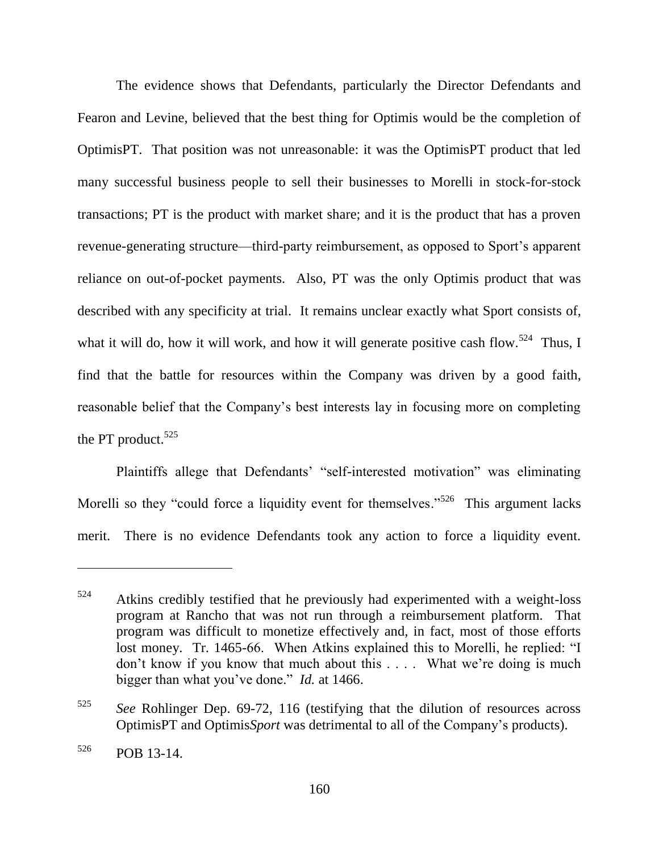The evidence shows that Defendants, particularly the Director Defendants and Fearon and Levine, believed that the best thing for Optimis would be the completion of OptimisPT. That position was not unreasonable: it was the OptimisPT product that led many successful business people to sell their businesses to Morelli in stock-for-stock transactions; PT is the product with market share; and it is the product that has a proven revenue-generating structure—third-party reimbursement, as opposed to Sport's apparent reliance on out-of-pocket payments. Also, PT was the only Optimis product that was described with any specificity at trial. It remains unclear exactly what Sport consists of, what it will do, how it will work, and how it will generate positive cash flow.<sup>524</sup> Thus, I find that the battle for resources within the Company was driven by a good faith, reasonable belief that the Company's best interests lay in focusing more on completing the PT product. $525$ 

Plaintiffs allege that Defendants' "self-interested motivation" was eliminating Morelli so they "could force a liquidity event for themselves."<sup>526</sup> This argument lacks merit. There is no evidence Defendants took any action to force a liquidity event.

 $524$  Atkins credibly testified that he previously had experimented with a weight-loss program at Rancho that was not run through a reimbursement platform. That program was difficult to monetize effectively and, in fact, most of those efforts lost money. Tr. 1465-66. When Atkins explained this to Morelli, he replied: "I don't know if you know that much about this . . . . What we're doing is much bigger than what you've done." *Id.* at 1466.

<sup>525</sup> *See* Rohlinger Dep. 69-72, 116 (testifying that the dilution of resources across OptimisPT and Optimis*Sport* was detrimental to all of the Company's products).

<sup>526</sup> POB 13-14.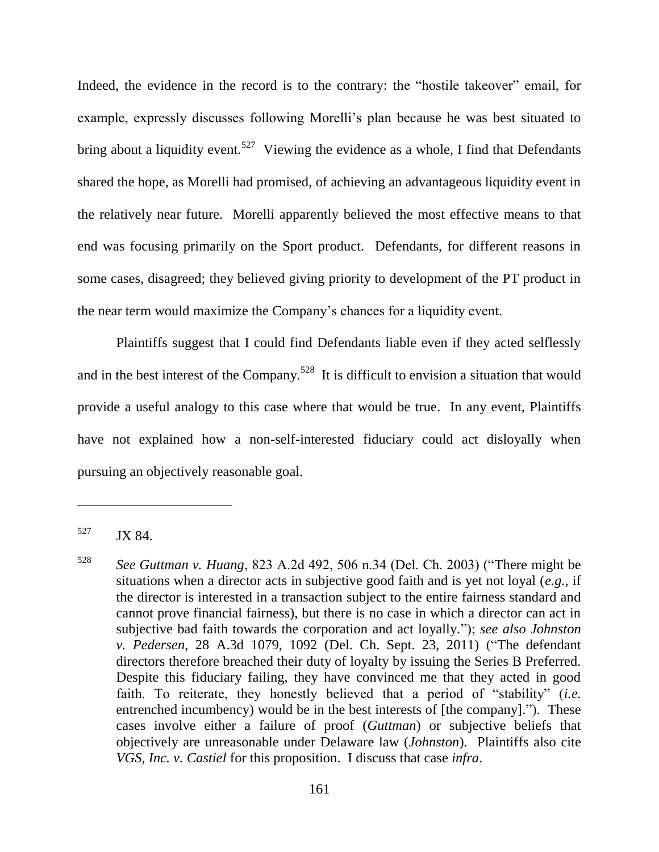Indeed, the evidence in the record is to the contrary: the "hostile takeover" email, for example, expressly discusses following Morelli's plan because he was best situated to bring about a liquidity event.<sup>527</sup> Viewing the evidence as a whole, I find that Defendants shared the hope, as Morelli had promised, of achieving an advantageous liquidity event in the relatively near future. Morelli apparently believed the most effective means to that end was focusing primarily on the Sport product. Defendants, for different reasons in some cases, disagreed; they believed giving priority to development of the PT product in the near term would maximize the Company's chances for a liquidity event.

Plaintiffs suggest that I could find Defendants liable even if they acted selflessly and in the best interest of the Company.<sup>528</sup> It is difficult to envision a situation that would provide a useful analogy to this case where that would be true. In any event, Plaintiffs have not explained how a non-self-interested fiduciary could act disloyally when pursuing an objectively reasonable goal.

<sup>527</sup> JX 84.

 $528$  *See Guttman v. Huang*, 823 A.2d 492, 506 n.34 (Del. Ch. 2003) ("There might be situations when a director acts in subjective good faith and is yet not loyal (*e.g.*, if the director is interested in a transaction subject to the entire fairness standard and cannot prove financial fairness), but there is no case in which a director can act in subjective bad faith towards the corporation and act loyally.‖); *see also Johnston v. Pedersen*, 28 A.3d 1079, 1092 (Del. Ch. Sept. 23, 2011) ("The defendant directors therefore breached their duty of loyalty by issuing the Series B Preferred. Despite this fiduciary failing, they have convinced me that they acted in good faith. To reiterate, they honestly believed that a period of "stability" (*i.e.* entrenched incumbency) would be in the best interests of  $[the company].$  These cases involve either a failure of proof (*Guttman*) or subjective beliefs that objectively are unreasonable under Delaware law (*Johnston*). Plaintiffs also cite *VGS, Inc. v. Castiel* for this proposition. I discuss that case *infra*.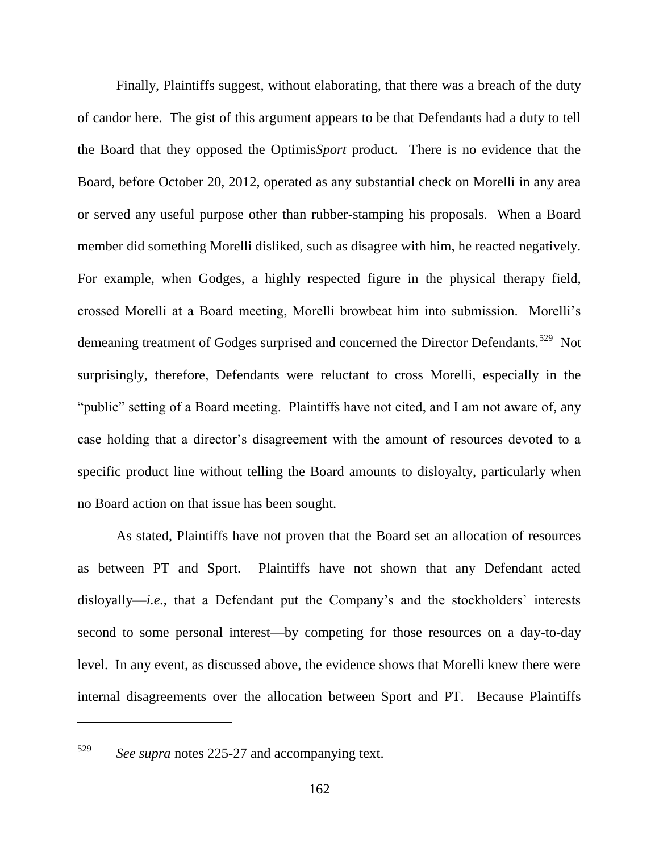Finally, Plaintiffs suggest, without elaborating, that there was a breach of the duty of candor here. The gist of this argument appears to be that Defendants had a duty to tell the Board that they opposed the Optimis*Sport* product. There is no evidence that the Board, before October 20, 2012, operated as any substantial check on Morelli in any area or served any useful purpose other than rubber-stamping his proposals. When a Board member did something Morelli disliked, such as disagree with him, he reacted negatively. For example, when Godges, a highly respected figure in the physical therapy field, crossed Morelli at a Board meeting, Morelli browbeat him into submission. Morelli's demeaning treatment of Godges surprised and concerned the Director Defendants.<sup>529</sup> Not surprisingly, therefore, Defendants were reluctant to cross Morelli, especially in the "public" setting of a Board meeting. Plaintiffs have not cited, and I am not aware of, any case holding that a director's disagreement with the amount of resources devoted to a specific product line without telling the Board amounts to disloyalty, particularly when no Board action on that issue has been sought.

As stated, Plaintiffs have not proven that the Board set an allocation of resources as between PT and Sport. Plaintiffs have not shown that any Defendant acted disloyally—*i.e.*, that a Defendant put the Company's and the stockholders' interests second to some personal interest—by competing for those resources on a day-to-day level. In any event, as discussed above, the evidence shows that Morelli knew there were internal disagreements over the allocation between Sport and PT. Because Plaintiffs

<sup>529</sup> *See supra* notes 225-27 and accompanying text.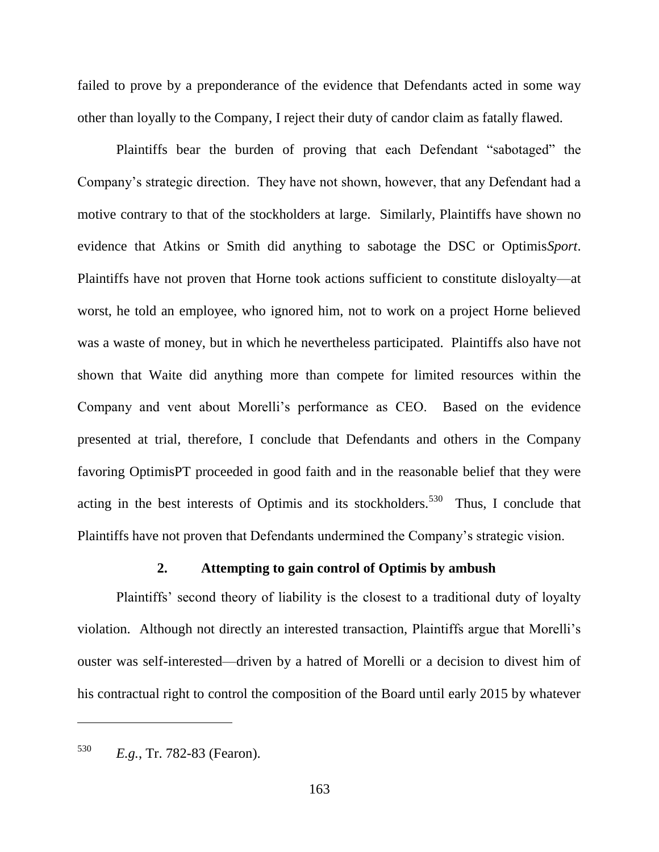failed to prove by a preponderance of the evidence that Defendants acted in some way other than loyally to the Company, I reject their duty of candor claim as fatally flawed.

Plaintiffs bear the burden of proving that each Defendant "sabotaged" the Company's strategic direction. They have not shown, however, that any Defendant had a motive contrary to that of the stockholders at large. Similarly, Plaintiffs have shown no evidence that Atkins or Smith did anything to sabotage the DSC or Optimis*Sport*. Plaintiffs have not proven that Horne took actions sufficient to constitute disloyalty—at worst, he told an employee, who ignored him, not to work on a project Horne believed was a waste of money, but in which he nevertheless participated. Plaintiffs also have not shown that Waite did anything more than compete for limited resources within the Company and vent about Morelli's performance as CEO. Based on the evidence presented at trial, therefore, I conclude that Defendants and others in the Company favoring OptimisPT proceeded in good faith and in the reasonable belief that they were acting in the best interests of Optimis and its stockholders.<sup>530</sup> Thus, I conclude that Plaintiffs have not proven that Defendants undermined the Company's strategic vision.

# **2. Attempting to gain control of Optimis by ambush**

Plaintiffs' second theory of liability is the closest to a traditional duty of loyalty violation. Although not directly an interested transaction, Plaintiffs argue that Morelli's ouster was self-interested—driven by a hatred of Morelli or a decision to divest him of his contractual right to control the composition of the Board until early 2015 by whatever

<sup>530</sup> *E.g.*, Tr. 782-83 (Fearon).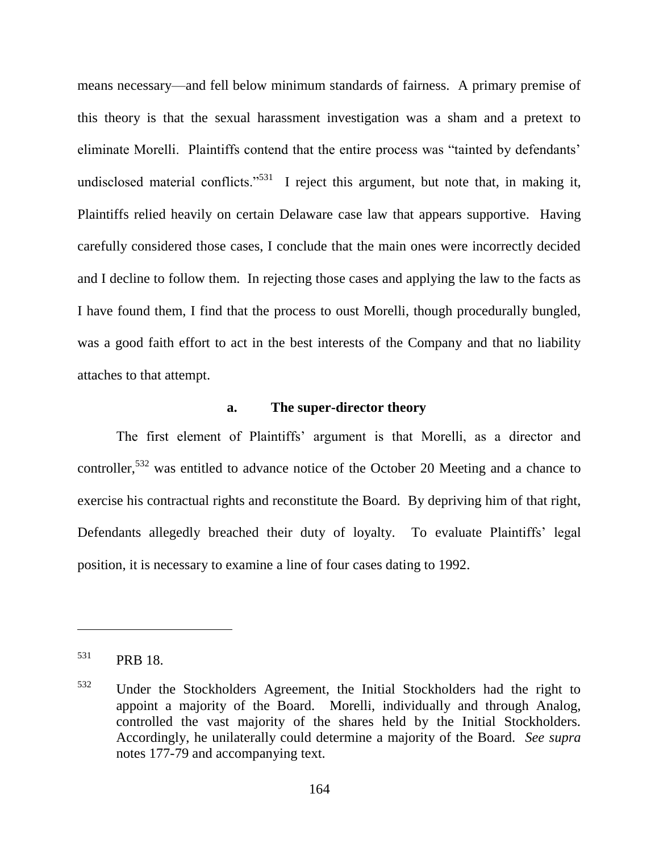means necessary—and fell below minimum standards of fairness. A primary premise of this theory is that the sexual harassment investigation was a sham and a pretext to eliminate Morelli. Plaintiffs contend that the entire process was "tainted by defendants' undisclosed material conflicts."<sup>531</sup> I reject this argument, but note that, in making it, Plaintiffs relied heavily on certain Delaware case law that appears supportive. Having carefully considered those cases, I conclude that the main ones were incorrectly decided and I decline to follow them. In rejecting those cases and applying the law to the facts as I have found them, I find that the process to oust Morelli, though procedurally bungled, was a good faith effort to act in the best interests of the Company and that no liability attaches to that attempt.

# **a. The super-director theory**

The first element of Plaintiffs' argument is that Morelli, as a director and controller,<sup>532</sup> was entitled to advance notice of the October 20 Meeting and a chance to exercise his contractual rights and reconstitute the Board. By depriving him of that right, Defendants allegedly breached their duty of loyalty. To evaluate Plaintiffs' legal position, it is necessary to examine a line of four cases dating to 1992.

<sup>531</sup> PRB 18.

<sup>532</sup> Under the Stockholders Agreement, the Initial Stockholders had the right to appoint a majority of the Board. Morelli, individually and through Analog, controlled the vast majority of the shares held by the Initial Stockholders. Accordingly, he unilaterally could determine a majority of the Board. *See supra*  notes 177-79 and accompanying text.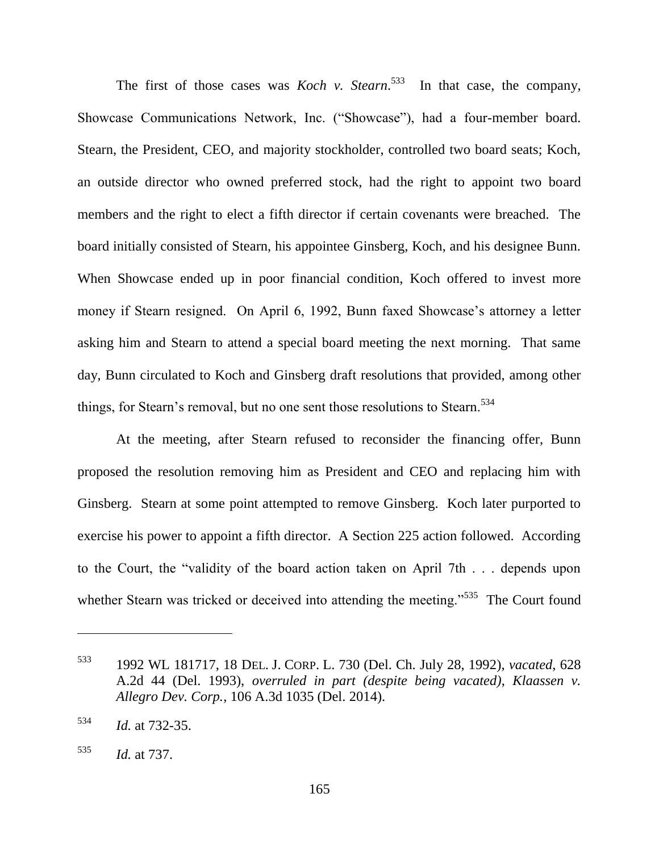The first of those cases was *Koch v. Stearn*.<sup>533</sup> In that case, the company, Showcase Communications Network, Inc. ("Showcase"), had a four-member board. Stearn, the President, CEO, and majority stockholder, controlled two board seats; Koch, an outside director who owned preferred stock, had the right to appoint two board members and the right to elect a fifth director if certain covenants were breached. The board initially consisted of Stearn, his appointee Ginsberg, Koch, and his designee Bunn. When Showcase ended up in poor financial condition, Koch offered to invest more money if Stearn resigned. On April 6, 1992, Bunn faxed Showcase's attorney a letter asking him and Stearn to attend a special board meeting the next morning. That same day, Bunn circulated to Koch and Ginsberg draft resolutions that provided, among other things, for Stearn's removal, but no one sent those resolutions to Stearn.<sup>534</sup>

At the meeting, after Stearn refused to reconsider the financing offer, Bunn proposed the resolution removing him as President and CEO and replacing him with Ginsberg. Stearn at some point attempted to remove Ginsberg. Koch later purported to exercise his power to appoint a fifth director. A Section 225 action followed. According to the Court, the "validity of the board action taken on April 7th . . . depends upon whether Stearn was tricked or deceived into attending the meeting.<sup>5535</sup> The Court found

<sup>533</sup> 1992 WL 181717, 18 DEL. J. CORP. L. 730 (Del. Ch. July 28, 1992), *vacated*, 628 A.2d 44 (Del. 1993), *overruled in part (despite being vacated)*, *Klaassen v. Allegro Dev. Corp.*, 106 A.3d 1035 (Del. 2014).

<sup>534</sup> *Id.* at 732-35.

<sup>535</sup> *Id.* at 737.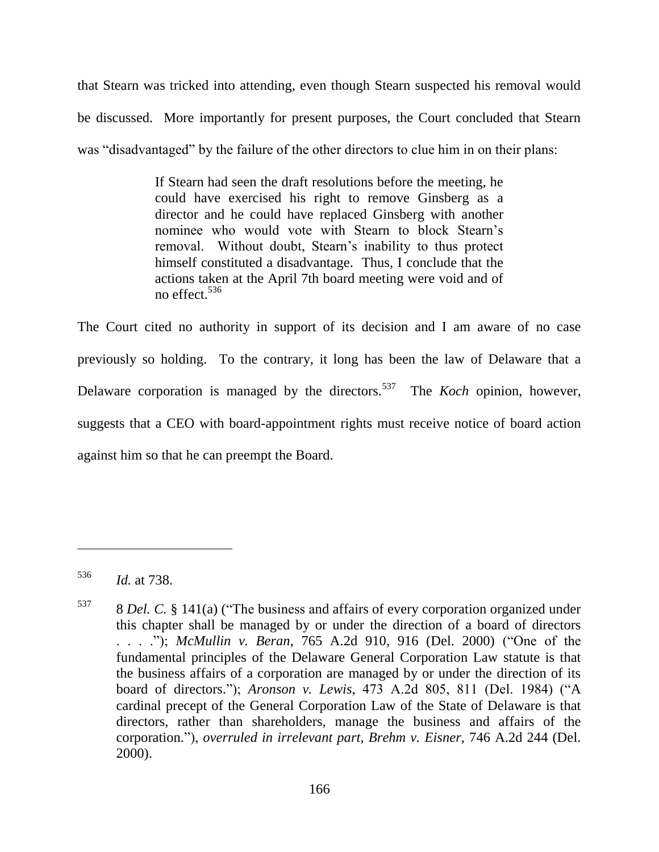that Stearn was tricked into attending, even though Stearn suspected his removal would be discussed. More importantly for present purposes, the Court concluded that Stearn was "disadvantaged" by the failure of the other directors to clue him in on their plans:

> If Stearn had seen the draft resolutions before the meeting, he could have exercised his right to remove Ginsberg as a director and he could have replaced Ginsberg with another nominee who would vote with Stearn to block Stearn's removal. Without doubt, Stearn's inability to thus protect himself constituted a disadvantage. Thus, I conclude that the actions taken at the April 7th board meeting were void and of no effect.<sup>536</sup>

The Court cited no authority in support of its decision and I am aware of no case previously so holding. To the contrary, it long has been the law of Delaware that a Delaware corporation is managed by the directors.<sup>537</sup> The *Koch* opinion, however, suggests that a CEO with board-appointment rights must receive notice of board action against him so that he can preempt the Board.

<sup>536</sup> *Id.* at 738.

 $537$  8 *Del. C.* § 141(a) ("The business and affairs of every corporation organized under this chapter shall be managed by or under the direction of a board of directors . . . . . . . . . . . . *McMullin v. Beran*, 765 A.2d 910, 916 (Del. 2000) ("One of the fundamental principles of the Delaware General Corporation Law statute is that the business affairs of a corporation are managed by or under the direction of its board of directors."); *Aronson v. Lewis*, 473 A.2d 805, 811 (Del. 1984) ("A cardinal precept of the General Corporation Law of the State of Delaware is that directors, rather than shareholders, manage the business and affairs of the corporation.‖), *overruled in irrelevant part*, *Brehm v. Eisner*, 746 A.2d 244 (Del. 2000).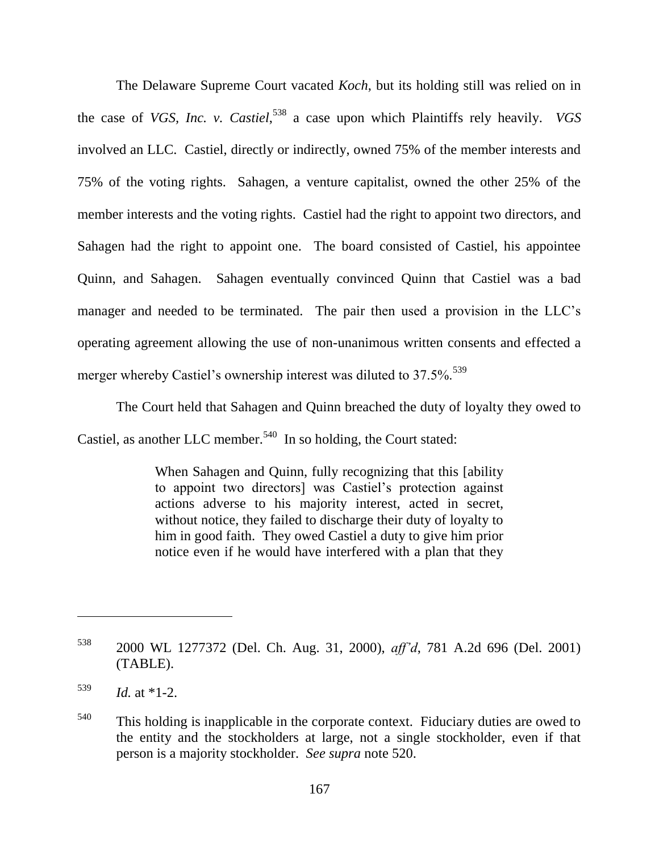The Delaware Supreme Court vacated *Koch*, but its holding still was relied on in the case of *VGS, Inc. v. Castiel*, 538 a case upon which Plaintiffs rely heavily. *VGS* involved an LLC. Castiel, directly or indirectly, owned 75% of the member interests and 75% of the voting rights. Sahagen, a venture capitalist, owned the other 25% of the member interests and the voting rights. Castiel had the right to appoint two directors, and Sahagen had the right to appoint one. The board consisted of Castiel, his appointee Quinn, and Sahagen. Sahagen eventually convinced Quinn that Castiel was a bad manager and needed to be terminated. The pair then used a provision in the LLC's operating agreement allowing the use of non-unanimous written consents and effected a merger whereby Castiel's ownership interest was diluted to  $37.5\%$ .<sup>539</sup>

The Court held that Sahagen and Quinn breached the duty of loyalty they owed to Castiel, as another LLC member.<sup>540</sup> In so holding, the Court stated:

> When Sahagen and Quinn, fully recognizing that this [ability to appoint two directors] was Castiel's protection against actions adverse to his majority interest, acted in secret, without notice, they failed to discharge their duty of loyalty to him in good faith. They owed Castiel a duty to give him prior notice even if he would have interfered with a plan that they

<sup>538</sup> 2000 WL 1277372 (Del. Ch. Aug. 31, 2000), *aff'd*, 781 A.2d 696 (Del. 2001) (TABLE).

 $\frac{539}{1}$  *Id.* at \*1-2.

<sup>&</sup>lt;sup>540</sup> This holding is inapplicable in the corporate context. Fiduciary duties are owed to the entity and the stockholders at large, not a single stockholder, even if that person is a majority stockholder. *See supra* note 520.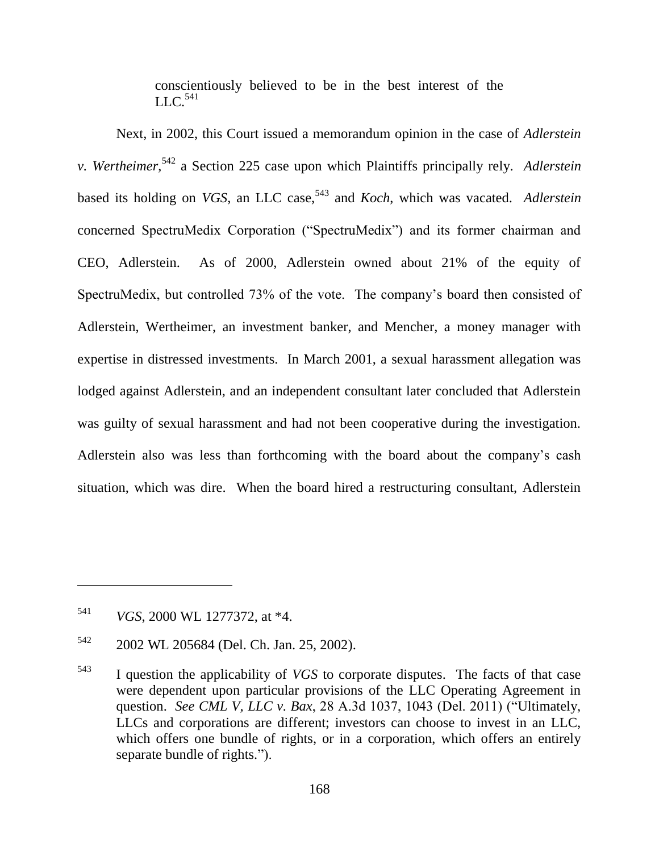conscientiously believed to be in the best interest of the  $LLC.<sup>541</sup>$ 

Next, in 2002, this Court issued a memorandum opinion in the case of *Adlerstein v. Wertheimer*, <sup>542</sup> a Section 225 case upon which Plaintiffs principally rely. *Adlerstein*  based its holding on *VGS*, an LLC case,<sup>543</sup> and *Koch*, which was vacated. *Adlerstein* concerned SpectruMedix Corporation ("SpectruMedix") and its former chairman and CEO, Adlerstein. As of 2000, Adlerstein owned about 21% of the equity of SpectruMedix, but controlled 73% of the vote. The company's board then consisted of Adlerstein, Wertheimer, an investment banker, and Mencher, a money manager with expertise in distressed investments. In March 2001, a sexual harassment allegation was lodged against Adlerstein, and an independent consultant later concluded that Adlerstein was guilty of sexual harassment and had not been cooperative during the investigation. Adlerstein also was less than forthcoming with the board about the company's cash situation, which was dire. When the board hired a restructuring consultant, Adlerstein

<sup>541</sup> *VGS*, 2000 WL 1277372, at \*4.

<sup>542</sup> 2002 WL 205684 (Del. Ch. Jan. 25, 2002).

<sup>543</sup> I question the applicability of *VGS* to corporate disputes. The facts of that case were dependent upon particular provisions of the LLC Operating Agreement in question. *See CML V, LLC v. Bax,* 28 A.3d 1037, 1043 (Del. 2011) ("Ultimately, LLCs and corporations are different; investors can choose to invest in an LLC, which offers one bundle of rights, or in a corporation, which offers an entirely separate bundle of rights.").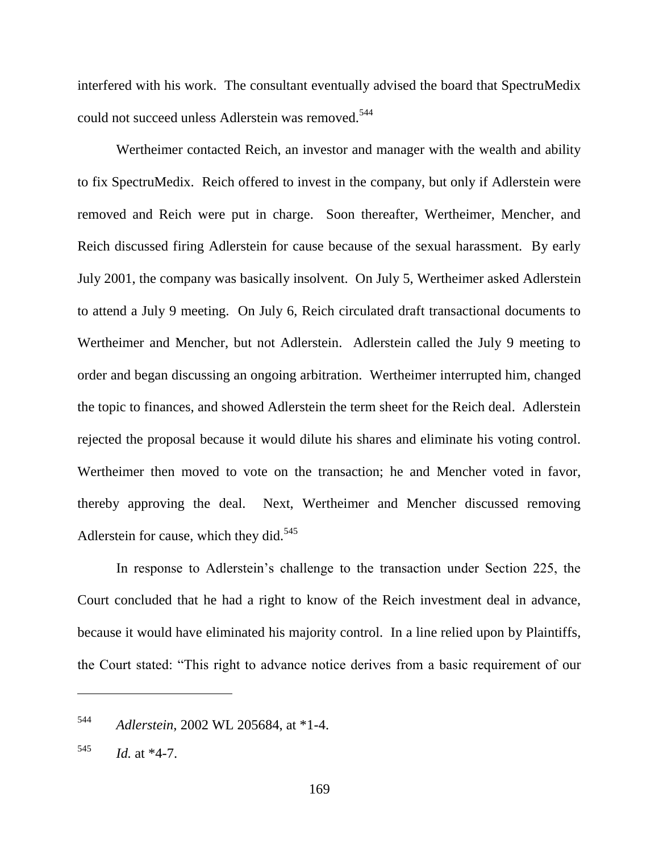interfered with his work. The consultant eventually advised the board that SpectruMedix could not succeed unless Adlerstein was removed.<sup>544</sup>

Wertheimer contacted Reich, an investor and manager with the wealth and ability to fix SpectruMedix. Reich offered to invest in the company, but only if Adlerstein were removed and Reich were put in charge. Soon thereafter, Wertheimer, Mencher, and Reich discussed firing Adlerstein for cause because of the sexual harassment. By early July 2001, the company was basically insolvent. On July 5, Wertheimer asked Adlerstein to attend a July 9 meeting. On July 6, Reich circulated draft transactional documents to Wertheimer and Mencher, but not Adlerstein. Adlerstein called the July 9 meeting to order and began discussing an ongoing arbitration. Wertheimer interrupted him, changed the topic to finances, and showed Adlerstein the term sheet for the Reich deal. Adlerstein rejected the proposal because it would dilute his shares and eliminate his voting control. Wertheimer then moved to vote on the transaction; he and Mencher voted in favor, thereby approving the deal. Next, Wertheimer and Mencher discussed removing Adlerstein for cause, which they did. $545$ 

In response to Adlerstein's challenge to the transaction under Section 225, the Court concluded that he had a right to know of the Reich investment deal in advance, because it would have eliminated his majority control. In a line relied upon by Plaintiffs, the Court stated: "This right to advance notice derives from a basic requirement of our

<sup>544</sup> *Adlerstein*, 2002 WL 205684, at \*1-4.

 $^{545}$  *Id.* at \*4-7.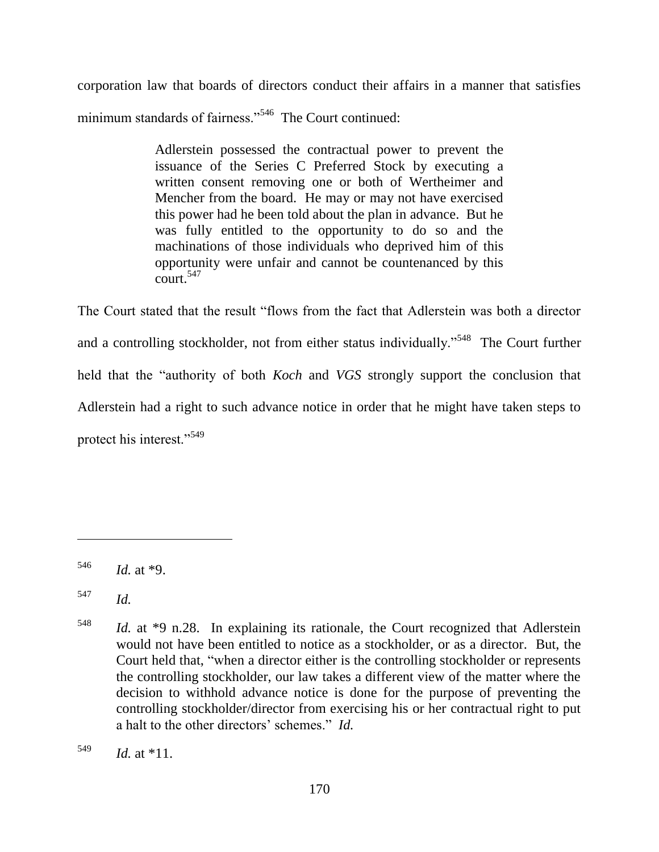corporation law that boards of directors conduct their affairs in a manner that satisfies minimum standards of fairness."<sup>546</sup> The Court continued:

> Adlerstein possessed the contractual power to prevent the issuance of the Series C Preferred Stock by executing a written consent removing one or both of Wertheimer and Mencher from the board. He may or may not have exercised this power had he been told about the plan in advance. But he was fully entitled to the opportunity to do so and the machinations of those individuals who deprived him of this opportunity were unfair and cannot be countenanced by this  $\frac{1}{\text{cent}}$  547

The Court stated that the result "flows from the fact that Adlerstein was both a director and a controlling stockholder, not from either status individually."<sup>548</sup> The Court further held that the "authority of both *Koch* and *VGS* strongly support the conclusion that Adlerstein had a right to such advance notice in order that he might have taken steps to protect his interest."<sup>549</sup>

 $546$  *Id.* at \*9.

<sup>547</sup> *Id.*

<sup>548</sup> *Id.* at \*9 n.28. In explaining its rationale, the Court recognized that Adlerstein would not have been entitled to notice as a stockholder, or as a director. But, the Court held that, "when a director either is the controlling stockholder or represents the controlling stockholder, our law takes a different view of the matter where the decision to withhold advance notice is done for the purpose of preventing the controlling stockholder/director from exercising his or her contractual right to put a halt to the other directors' schemes." *Id.* 

 $^{549}$  *Id.* at \*11.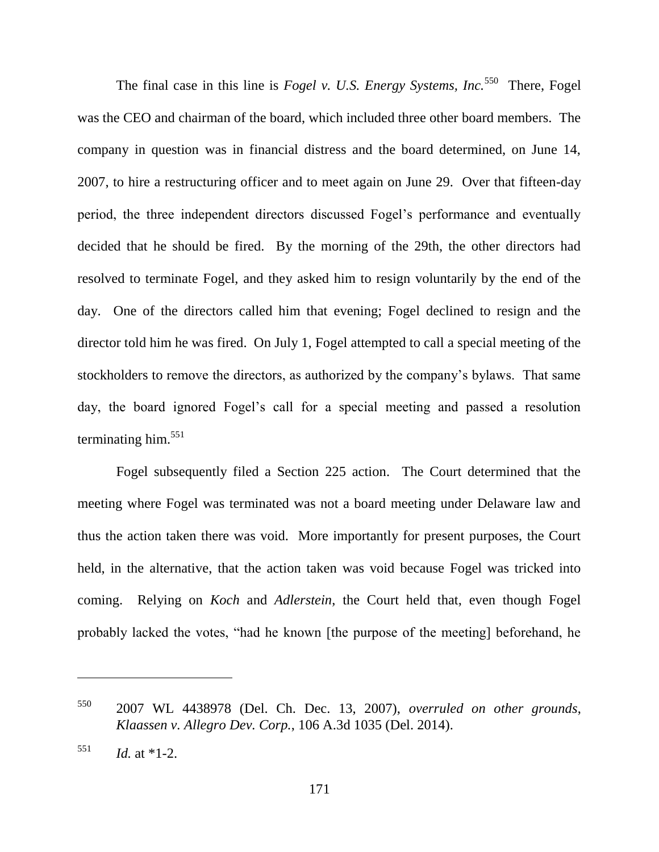The final case in this line is *Fogel v. U.S. Energy Systems, Inc.*<sup>550</sup> There, Fogel was the CEO and chairman of the board, which included three other board members. The company in question was in financial distress and the board determined, on June 14, 2007, to hire a restructuring officer and to meet again on June 29. Over that fifteen-day period, the three independent directors discussed Fogel's performance and eventually decided that he should be fired. By the morning of the 29th, the other directors had resolved to terminate Fogel, and they asked him to resign voluntarily by the end of the day. One of the directors called him that evening; Fogel declined to resign and the director told him he was fired. On July 1, Fogel attempted to call a special meeting of the stockholders to remove the directors, as authorized by the company's bylaws. That same day, the board ignored Fogel's call for a special meeting and passed a resolution terminating him. $551$ 

Fogel subsequently filed a Section 225 action. The Court determined that the meeting where Fogel was terminated was not a board meeting under Delaware law and thus the action taken there was void. More importantly for present purposes, the Court held, in the alternative, that the action taken was void because Fogel was tricked into coming. Relying on *Koch* and *Adlerstein*, the Court held that, even though Fogel probably lacked the votes, "had he known [the purpose of the meeting] beforehand, he

<sup>550</sup> 2007 WL 4438978 (Del. Ch. Dec. 13, 2007), *overruled on other grounds*, *Klaassen v. Allegro Dev. Corp.*, 106 A.3d 1035 (Del. 2014).

 $\frac{551}{1}$  *Id.* at \*1-2.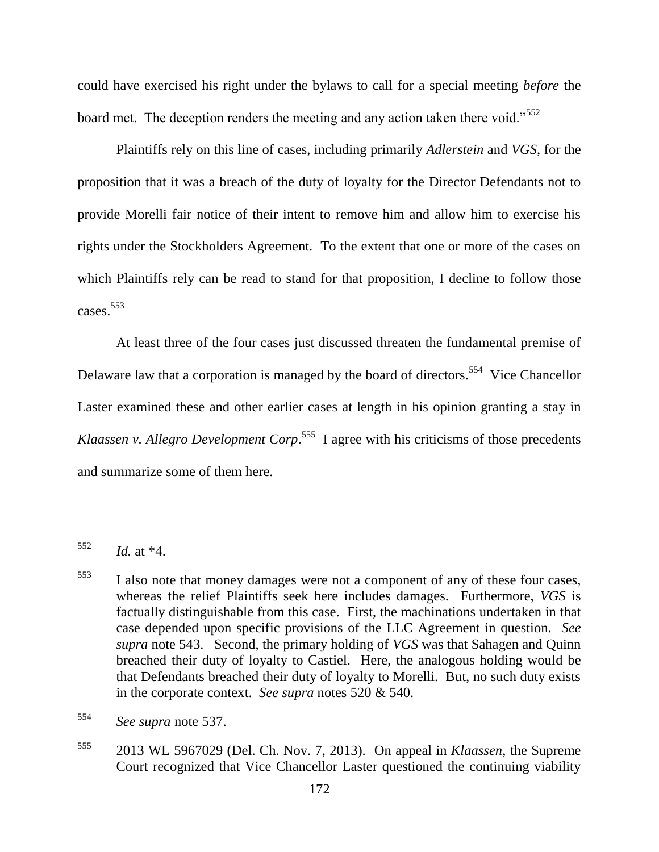could have exercised his right under the bylaws to call for a special meeting *before* the board met. The deception renders the meeting and any action taken there void."<sup>552</sup>

Plaintiffs rely on this line of cases, including primarily *Adlerstein* and *VGS*, for the proposition that it was a breach of the duty of loyalty for the Director Defendants not to provide Morelli fair notice of their intent to remove him and allow him to exercise his rights under the Stockholders Agreement. To the extent that one or more of the cases on which Plaintiffs rely can be read to stand for that proposition, I decline to follow those cases. 553

At least three of the four cases just discussed threaten the fundamental premise of Delaware law that a corporation is managed by the board of directors.<sup>554</sup> Vice Chancellor Laster examined these and other earlier cases at length in his opinion granting a stay in *Klaassen v. Allegro Development Corp*. 555 I agree with his criticisms of those precedents and summarize some of them here.

<sup>555</sup> 2013 WL 5967029 (Del. Ch. Nov. 7, 2013). On appeal in *Klaassen*, the Supreme Court recognized that Vice Chancellor Laster questioned the continuing viability

<sup>552</sup> *Id.* at \*4.

<sup>553</sup> I also note that money damages were not a component of any of these four cases, whereas the relief Plaintiffs seek here includes damages. Furthermore, *VGS* is factually distinguishable from this case. First, the machinations undertaken in that case depended upon specific provisions of the LLC Agreement in question. *See supra* note 543. Second, the primary holding of *VGS* was that Sahagen and Quinn breached their duty of loyalty to Castiel. Here, the analogous holding would be that Defendants breached their duty of loyalty to Morelli. But, no such duty exists in the corporate context. *See supra* notes 520 & 540.

<sup>554</sup> *See supra* note 537.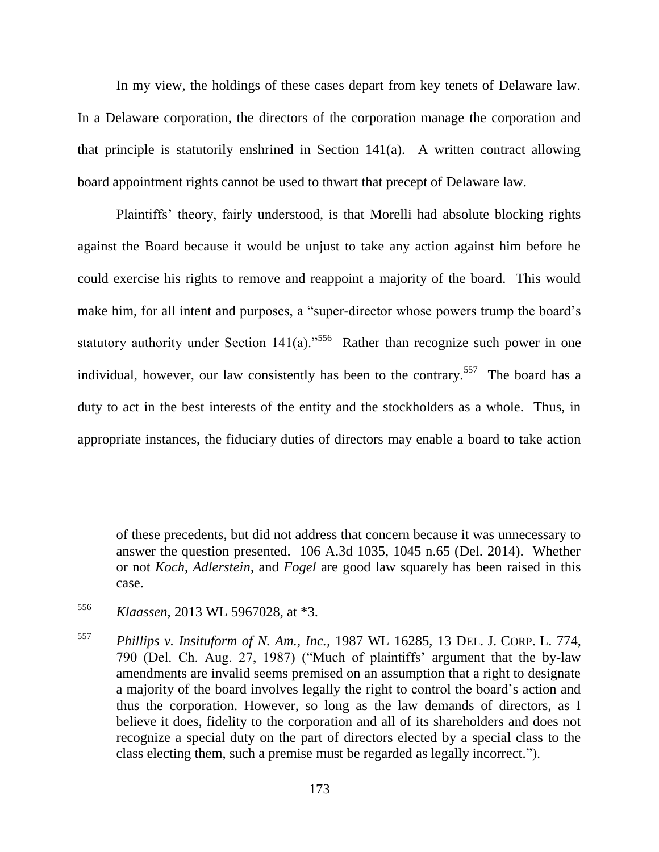In my view, the holdings of these cases depart from key tenets of Delaware law. In a Delaware corporation, the directors of the corporation manage the corporation and that principle is statutorily enshrined in Section 141(a). A written contract allowing board appointment rights cannot be used to thwart that precept of Delaware law.

Plaintiffs' theory, fairly understood, is that Morelli had absolute blocking rights against the Board because it would be unjust to take any action against him before he could exercise his rights to remove and reappoint a majority of the board. This would make him, for all intent and purposes, a "super-director whose powers trump the board's statutory authority under Section  $141(a)$ .<sup>556</sup> Rather than recognize such power in one individual, however, our law consistently has been to the contrary.<sup>557</sup> The board has a duty to act in the best interests of the entity and the stockholders as a whole. Thus, in appropriate instances, the fiduciary duties of directors may enable a board to take action

of these precedents, but did not address that concern because it was unnecessary to answer the question presented. 106 A.3d 1035, 1045 n.65 (Del. 2014). Whether or not *Koch*, *Adlerstein*, and *Fogel* are good law squarely has been raised in this case.

<sup>556</sup> *Klaassen*, 2013 WL 5967028, at \*3.

<sup>557</sup> *Phillips v. Insituform of N. Am., Inc.*, 1987 WL 16285, 13 DEL. J. CORP. L. 774, 790 (Del. Ch. Aug. 27, 1987) ("Much of plaintiffs' argument that the by-law amendments are invalid seems premised on an assumption that a right to designate a majority of the board involves legally the right to control the board's action and thus the corporation. However, so long as the law demands of directors, as I believe it does, fidelity to the corporation and all of its shareholders and does not recognize a special duty on the part of directors elected by a special class to the class electing them, such a premise must be regarded as legally incorrect.").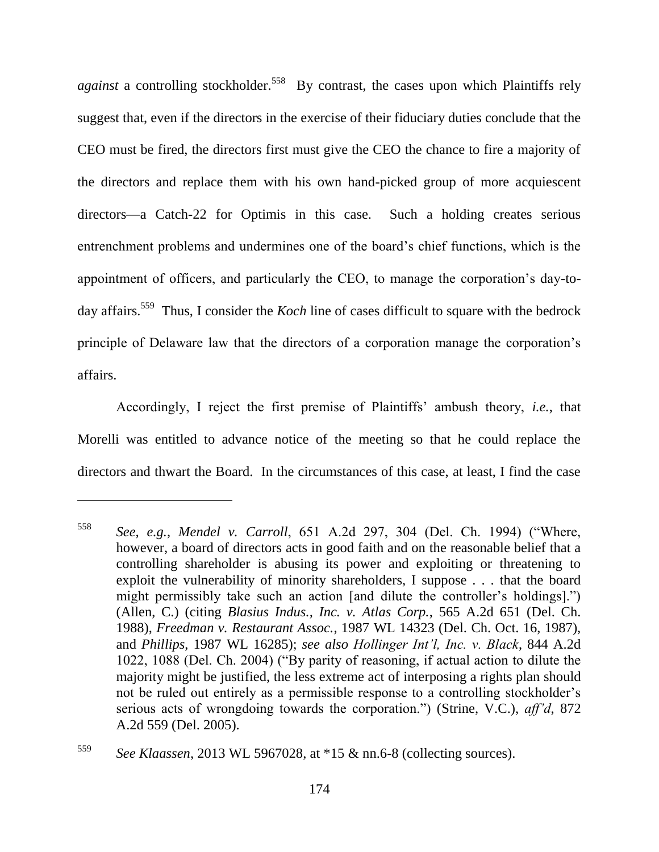against a controlling stockholder.<sup>558</sup> By contrast, the cases upon which Plaintiffs rely suggest that, even if the directors in the exercise of their fiduciary duties conclude that the CEO must be fired, the directors first must give the CEO the chance to fire a majority of the directors and replace them with his own hand-picked group of more acquiescent directors—a Catch-22 for Optimis in this case. Such a holding creates serious entrenchment problems and undermines one of the board's chief functions, which is the appointment of officers, and particularly the CEO, to manage the corporation's day-today affairs.<sup>559</sup> Thus, I consider the *Koch* line of cases difficult to square with the bedrock principle of Delaware law that the directors of a corporation manage the corporation's affairs.

Accordingly, I reject the first premise of Plaintiffs' ambush theory, *i.e.*, that Morelli was entitled to advance notice of the meeting so that he could replace the directors and thwart the Board. In the circumstances of this case, at least, I find the case

<sup>558</sup> *See, e.g., Mendel v. Carroll, 651 A.2d 297, 304 (Del. Ch. 1994) ("Where,* however, a board of directors acts in good faith and on the reasonable belief that a controlling shareholder is abusing its power and exploiting or threatening to exploit the vulnerability of minority shareholders, I suppose . . . that the board might permissibly take such an action [and dilute the controller's holdings].") (Allen, C.) (citing *Blasius Indus., Inc. v. Atlas Corp.*, 565 A.2d 651 (Del. Ch. 1988), *Freedman v. Restaurant Assoc.*, 1987 WL 14323 (Del. Ch. Oct. 16, 1987), and *Phillips*, 1987 WL 16285); *see also Hollinger Int'l, Inc. v. Black*, 844 A.2d 1022, 1088 (Del. Ch. 2004) ("By parity of reasoning, if actual action to dilute the majority might be justified, the less extreme act of interposing a rights plan should not be ruled out entirely as a permissible response to a controlling stockholder's serious acts of wrongdoing towards the corporation.") (Strine, V.C.), *aff'd*, 872 A.2d 559 (Del. 2005).

<sup>559</sup> *See Klaassen*, 2013 WL 5967028, at \*15 & nn.6-8 (collecting sources).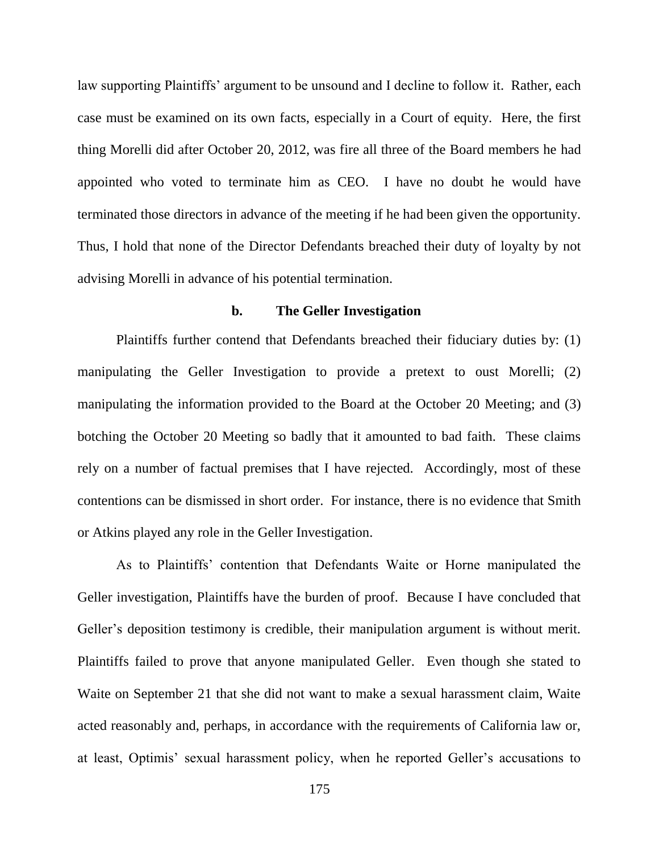law supporting Plaintiffs' argument to be unsound and I decline to follow it. Rather, each case must be examined on its own facts, especially in a Court of equity. Here, the first thing Morelli did after October 20, 2012, was fire all three of the Board members he had appointed who voted to terminate him as CEO. I have no doubt he would have terminated those directors in advance of the meeting if he had been given the opportunity. Thus, I hold that none of the Director Defendants breached their duty of loyalty by not advising Morelli in advance of his potential termination.

# **b. The Geller Investigation**

Plaintiffs further contend that Defendants breached their fiduciary duties by: (1) manipulating the Geller Investigation to provide a pretext to oust Morelli; (2) manipulating the information provided to the Board at the October 20 Meeting; and (3) botching the October 20 Meeting so badly that it amounted to bad faith. These claims rely on a number of factual premises that I have rejected. Accordingly, most of these contentions can be dismissed in short order. For instance, there is no evidence that Smith or Atkins played any role in the Geller Investigation.

As to Plaintiffs' contention that Defendants Waite or Horne manipulated the Geller investigation, Plaintiffs have the burden of proof. Because I have concluded that Geller's deposition testimony is credible, their manipulation argument is without merit. Plaintiffs failed to prove that anyone manipulated Geller. Even though she stated to Waite on September 21 that she did not want to make a sexual harassment claim, Waite acted reasonably and, perhaps, in accordance with the requirements of California law or, at least, Optimis' sexual harassment policy, when he reported Geller's accusations to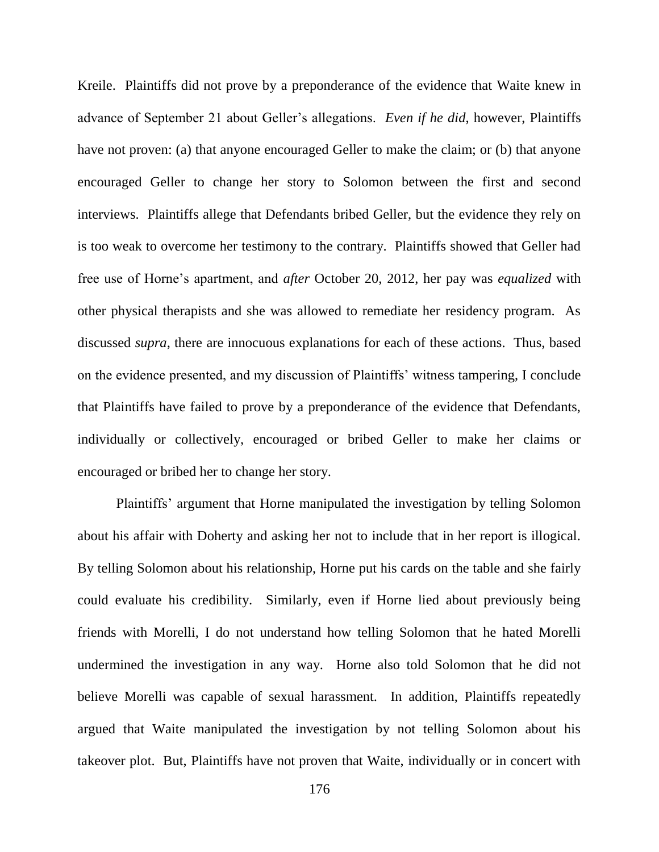Kreile. Plaintiffs did not prove by a preponderance of the evidence that Waite knew in advance of September 21 about Geller's allegations. *Even if he did*, however, Plaintiffs have not proven: (a) that anyone encouraged Geller to make the claim; or (b) that anyone encouraged Geller to change her story to Solomon between the first and second interviews. Plaintiffs allege that Defendants bribed Geller, but the evidence they rely on is too weak to overcome her testimony to the contrary. Plaintiffs showed that Geller had free use of Horne's apartment, and *after* October 20, 2012, her pay was *equalized* with other physical therapists and she was allowed to remediate her residency program. As discussed *supra*, there are innocuous explanations for each of these actions.Thus, based on the evidence presented, and my discussion of Plaintiffs' witness tampering, I conclude that Plaintiffs have failed to prove by a preponderance of the evidence that Defendants, individually or collectively, encouraged or bribed Geller to make her claims or encouraged or bribed her to change her story.

Plaintiffs' argument that Horne manipulated the investigation by telling Solomon about his affair with Doherty and asking her not to include that in her report is illogical. By telling Solomon about his relationship, Horne put his cards on the table and she fairly could evaluate his credibility. Similarly, even if Horne lied about previously being friends with Morelli, I do not understand how telling Solomon that he hated Morelli undermined the investigation in any way. Horne also told Solomon that he did not believe Morelli was capable of sexual harassment. In addition, Plaintiffs repeatedly argued that Waite manipulated the investigation by not telling Solomon about his takeover plot. But, Plaintiffs have not proven that Waite, individually or in concert with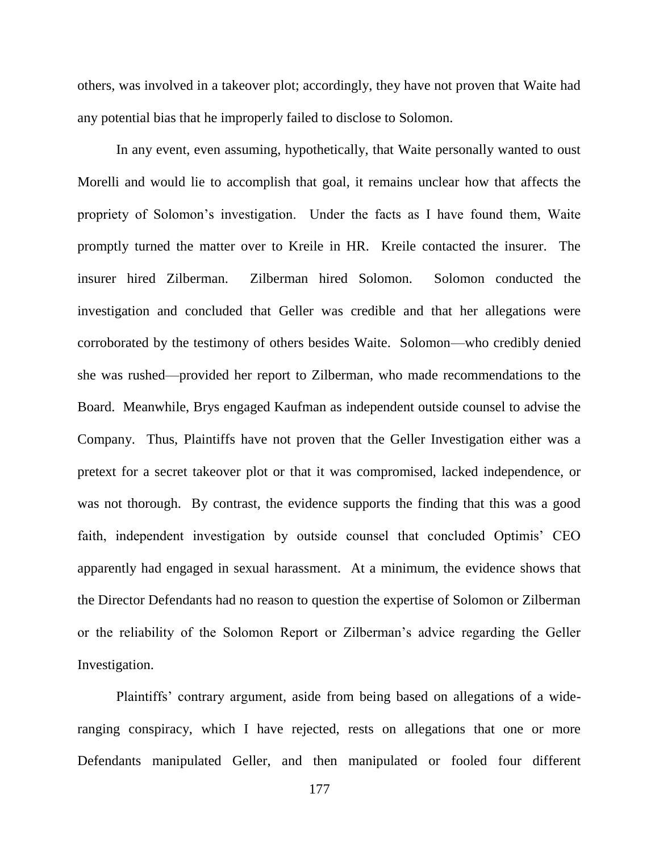others, was involved in a takeover plot; accordingly, they have not proven that Waite had any potential bias that he improperly failed to disclose to Solomon.

In any event, even assuming, hypothetically, that Waite personally wanted to oust Morelli and would lie to accomplish that goal, it remains unclear how that affects the propriety of Solomon's investigation. Under the facts as I have found them, Waite promptly turned the matter over to Kreile in HR. Kreile contacted the insurer. The insurer hired Zilberman. Zilberman hired Solomon. Solomon conducted the investigation and concluded that Geller was credible and that her allegations were corroborated by the testimony of others besides Waite. Solomon—who credibly denied she was rushed—provided her report to Zilberman, who made recommendations to the Board. Meanwhile, Brys engaged Kaufman as independent outside counsel to advise the Company. Thus, Plaintiffs have not proven that the Geller Investigation either was a pretext for a secret takeover plot or that it was compromised, lacked independence, or was not thorough. By contrast, the evidence supports the finding that this was a good faith, independent investigation by outside counsel that concluded Optimis' CEO apparently had engaged in sexual harassment. At a minimum, the evidence shows that the Director Defendants had no reason to question the expertise of Solomon or Zilberman or the reliability of the Solomon Report or Zilberman's advice regarding the Geller Investigation.

Plaintiffs' contrary argument, aside from being based on allegations of a wideranging conspiracy, which I have rejected, rests on allegations that one or more Defendants manipulated Geller, and then manipulated or fooled four different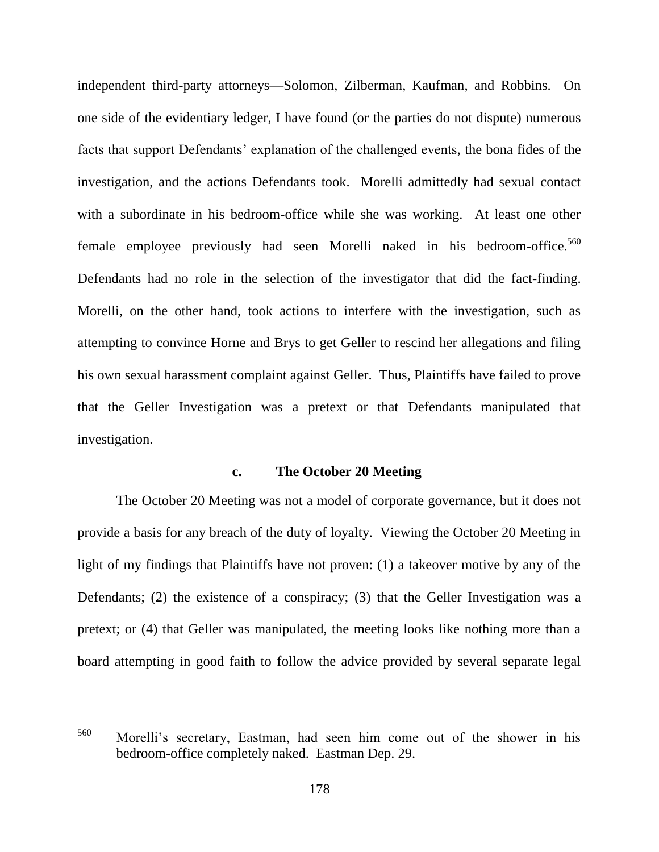independent third-party attorneys—Solomon, Zilberman, Kaufman, and Robbins. On one side of the evidentiary ledger, I have found (or the parties do not dispute) numerous facts that support Defendants' explanation of the challenged events, the bona fides of the investigation, and the actions Defendants took. Morelli admittedly had sexual contact with a subordinate in his bedroom-office while she was working. At least one other female employee previously had seen Morelli naked in his bedroom-office.<sup>560</sup> Defendants had no role in the selection of the investigator that did the fact-finding. Morelli, on the other hand, took actions to interfere with the investigation, such as attempting to convince Horne and Brys to get Geller to rescind her allegations and filing his own sexual harassment complaint against Geller. Thus, Plaintiffs have failed to prove that the Geller Investigation was a pretext or that Defendants manipulated that investigation.

#### **c. The October 20 Meeting**

The October 20 Meeting was not a model of corporate governance, but it does not provide a basis for any breach of the duty of loyalty. Viewing the October 20 Meeting in light of my findings that Plaintiffs have not proven: (1) a takeover motive by any of the Defendants; (2) the existence of a conspiracy; (3) that the Geller Investigation was a pretext; or (4) that Geller was manipulated, the meeting looks like nothing more than a board attempting in good faith to follow the advice provided by several separate legal

<sup>560</sup> Morelli's secretary, Eastman, had seen him come out of the shower in his bedroom-office completely naked. Eastman Dep. 29.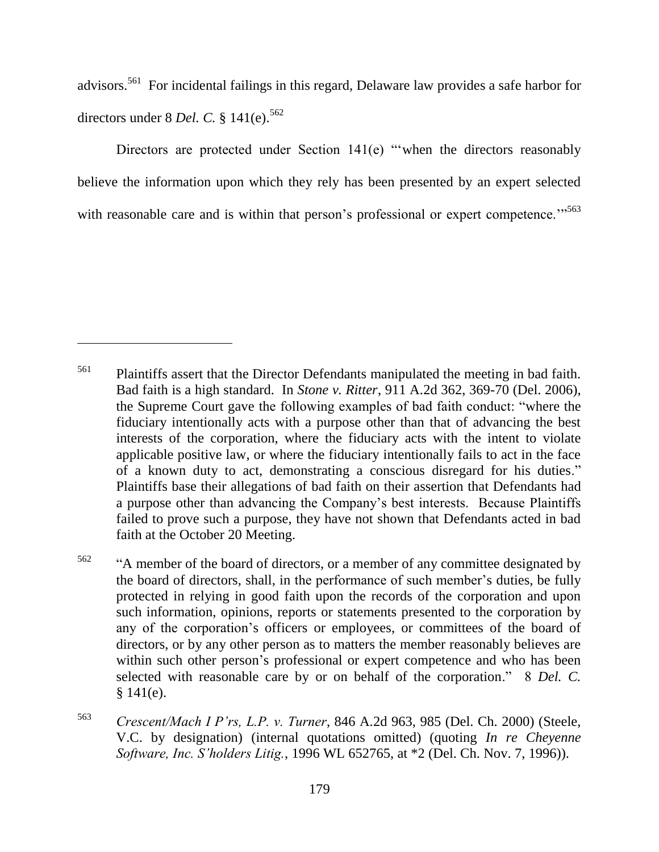advisors.<sup>561</sup> For incidental failings in this regard, Delaware law provides a safe harbor for directors under 8 *Del. C.* § 141(e).<sup>562</sup>

Directors are protected under Section  $141(e)$  "when the directors reasonably believe the information upon which they rely has been presented by an expert selected with reasonable care and is within that person's professional or expert competence."<sup>563</sup>

<sup>&</sup>lt;sup>561</sup> Plaintiffs assert that the Director Defendants manipulated the meeting in bad faith. Bad faith is a high standard. In *Stone v. Ritter*, 911 A.2d 362, 369-70 (Del. 2006), the Supreme Court gave the following examples of bad faith conduct: "where the fiduciary intentionally acts with a purpose other than that of advancing the best interests of the corporation, where the fiduciary acts with the intent to violate applicable positive law, or where the fiduciary intentionally fails to act in the face of a known duty to act, demonstrating a conscious disregard for his duties." Plaintiffs base their allegations of bad faith on their assertion that Defendants had a purpose other than advancing the Company's best interests. Because Plaintiffs failed to prove such a purpose, they have not shown that Defendants acted in bad faith at the October 20 Meeting.

 $562$  "<sup>4</sup> A member of the board of directors, or a member of any committee designated by the board of directors, shall, in the performance of such member's duties, be fully protected in relying in good faith upon the records of the corporation and upon such information, opinions, reports or statements presented to the corporation by any of the corporation's officers or employees, or committees of the board of directors, or by any other person as to matters the member reasonably believes are within such other person's professional or expert competence and who has been selected with reasonable care by or on behalf of the corporation." 8 *Del. C.*  $§ 141(e).$ 

<sup>563</sup> *Crescent/Mach I P'rs, L.P. v. Turner*, 846 A.2d 963, 985 (Del. Ch. 2000) (Steele, V.C. by designation) (internal quotations omitted) (quoting *In re Cheyenne Software, Inc. S'holders Litig.*, 1996 WL 652765, at \*2 (Del. Ch. Nov. 7, 1996)).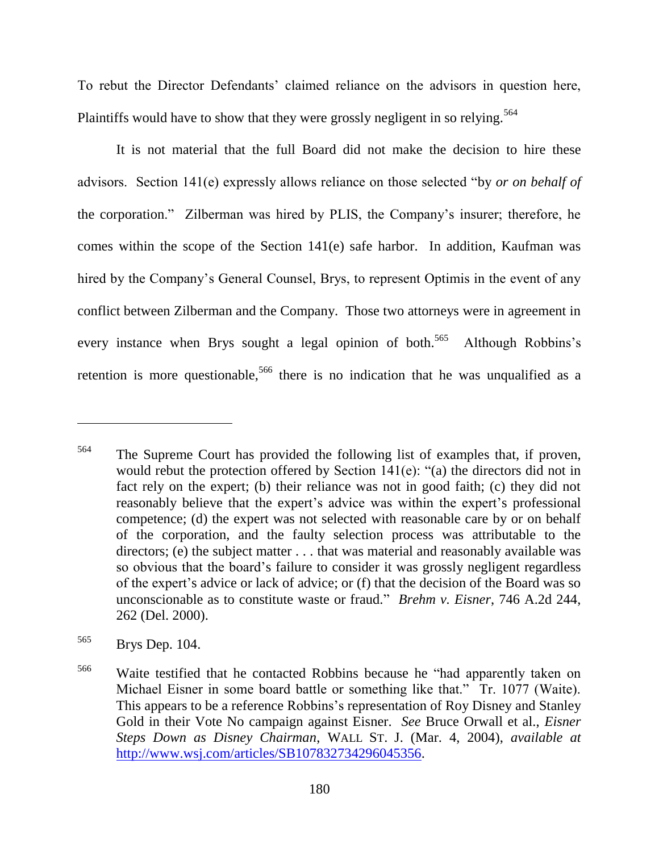To rebut the Director Defendants' claimed reliance on the advisors in question here, Plaintiffs would have to show that they were grossly negligent in so relying.<sup>564</sup>

It is not material that the full Board did not make the decision to hire these advisors. Section 141(e) expressly allows reliance on those selected "by *or on behalf of* the corporation.‖ Zilberman was hired by PLIS, the Company's insurer; therefore, he comes within the scope of the Section 141(e) safe harbor. In addition, Kaufman was hired by the Company's General Counsel, Brys, to represent Optimis in the event of any conflict between Zilberman and the Company. Those two attorneys were in agreement in every instance when Brys sought a legal opinion of both.<sup>565</sup> Although Robbins's retention is more questionable,<sup>566</sup> there is no indication that he was unqualified as a

<sup>564</sup> The Supreme Court has provided the following list of examples that, if proven, would rebut the protection offered by Section  $141(e)$ : "(a) the directors did not in fact rely on the expert; (b) their reliance was not in good faith; (c) they did not reasonably believe that the expert's advice was within the expert's professional competence; (d) the expert was not selected with reasonable care by or on behalf of the corporation, and the faulty selection process was attributable to the directors; (e) the subject matter . . . that was material and reasonably available was so obvious that the board's failure to consider it was grossly negligent regardless of the expert's advice or lack of advice; or (f) that the decision of the Board was so unconscionable as to constitute waste or fraud.‖ *Brehm v. Eisner*, 746 A.2d 244, 262 (Del. 2000).

<sup>565</sup> Brys Dep. 104.

<sup>&</sup>lt;sup>566</sup> Waite testified that he contacted Robbins because he "had apparently taken on Michael Eisner in some board battle or something like that." Tr. 1077 (Waite). This appears to be a reference Robbins's representation of Roy Disney and Stanley Gold in their Vote No campaign against Eisner. *See* Bruce Orwall et al., *Eisner Steps Down as Disney Chairman*, WALL ST. J. (Mar. 4, 2004), *available at* [http://www.wsj.com/articles/SB107832734296045356.](http://www.wsj.com/articles/SB107832734296045356)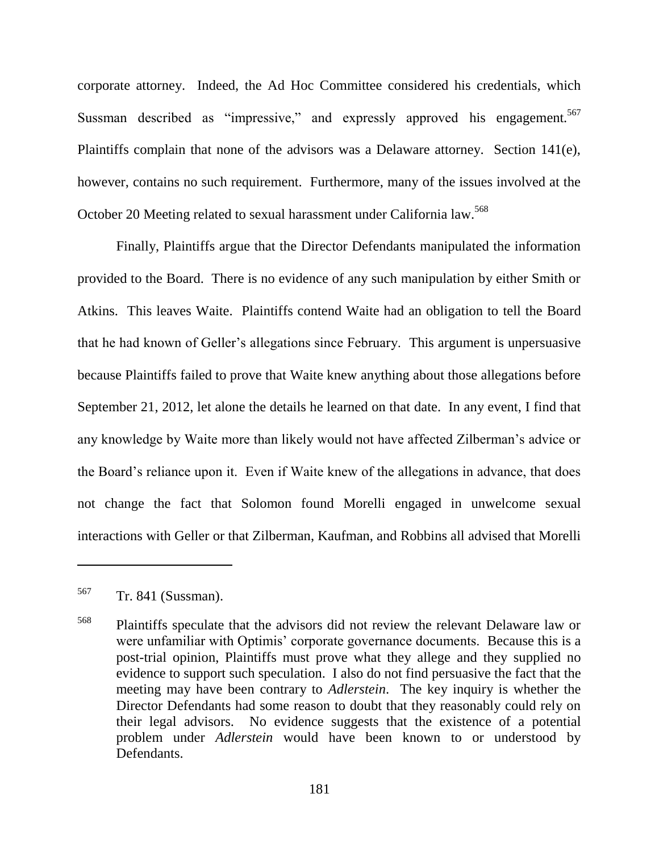corporate attorney. Indeed, the Ad Hoc Committee considered his credentials, which Sussman described as "impressive," and expressly approved his engagement.<sup>567</sup> Plaintiffs complain that none of the advisors was a Delaware attorney. Section 141(e), however, contains no such requirement. Furthermore, many of the issues involved at the October 20 Meeting related to sexual harassment under California law.<sup>568</sup>

Finally, Plaintiffs argue that the Director Defendants manipulated the information provided to the Board. There is no evidence of any such manipulation by either Smith or Atkins. This leaves Waite. Plaintiffs contend Waite had an obligation to tell the Board that he had known of Geller's allegations since February. This argument is unpersuasive because Plaintiffs failed to prove that Waite knew anything about those allegations before September 21, 2012, let alone the details he learned on that date. In any event, I find that any knowledge by Waite more than likely would not have affected Zilberman's advice or the Board's reliance upon it. Even if Waite knew of the allegations in advance, that does not change the fact that Solomon found Morelli engaged in unwelcome sexual interactions with Geller or that Zilberman, Kaufman, and Robbins all advised that Morelli

<sup>567</sup> Tr. 841 (Sussman).

<sup>568</sup> Plaintiffs speculate that the advisors did not review the relevant Delaware law or were unfamiliar with Optimis' corporate governance documents. Because this is a post-trial opinion, Plaintiffs must prove what they allege and they supplied no evidence to support such speculation. I also do not find persuasive the fact that the meeting may have been contrary to *Adlerstein*. The key inquiry is whether the Director Defendants had some reason to doubt that they reasonably could rely on their legal advisors. No evidence suggests that the existence of a potential problem under *Adlerstein* would have been known to or understood by Defendants.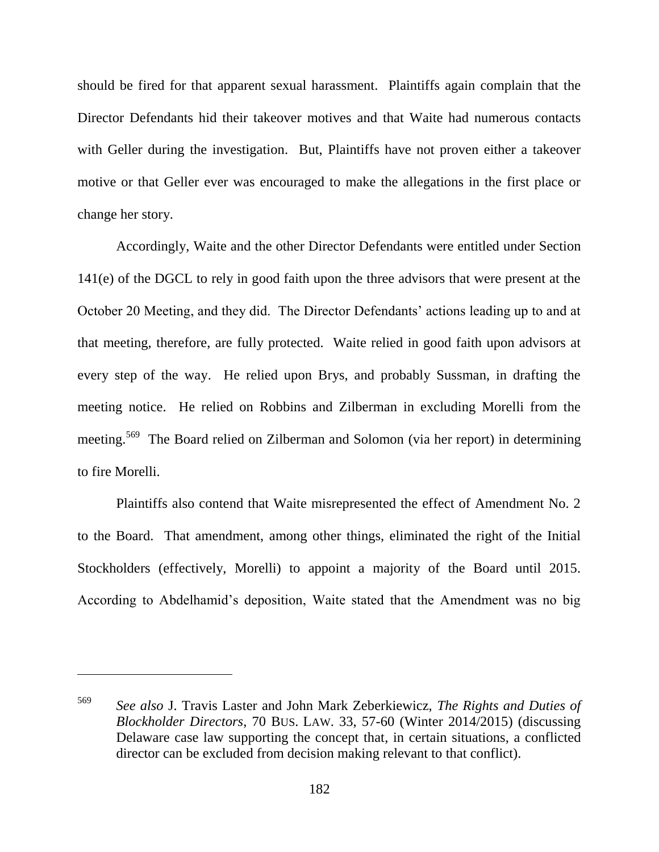should be fired for that apparent sexual harassment. Plaintiffs again complain that the Director Defendants hid their takeover motives and that Waite had numerous contacts with Geller during the investigation. But, Plaintiffs have not proven either a takeover motive or that Geller ever was encouraged to make the allegations in the first place or change her story.

Accordingly, Waite and the other Director Defendants were entitled under Section 141(e) of the DGCL to rely in good faith upon the three advisors that were present at the October 20 Meeting, and they did. The Director Defendants' actions leading up to and at that meeting, therefore, are fully protected. Waite relied in good faith upon advisors at every step of the way. He relied upon Brys, and probably Sussman, in drafting the meeting notice. He relied on Robbins and Zilberman in excluding Morelli from the meeting.<sup>569</sup> The Board relied on Zilberman and Solomon (via her report) in determining to fire Morelli.

Plaintiffs also contend that Waite misrepresented the effect of Amendment No. 2 to the Board. That amendment, among other things, eliminated the right of the Initial Stockholders (effectively, Morelli) to appoint a majority of the Board until 2015. According to Abdelhamid's deposition, Waite stated that the Amendment was no big

<sup>569</sup> *See also* J. Travis Laster and John Mark Zeberkiewicz, *The Rights and Duties of Blockholder Directors*, 70 BUS. LAW. 33, 57-60 (Winter 2014/2015) (discussing Delaware case law supporting the concept that, in certain situations, a conflicted director can be excluded from decision making relevant to that conflict).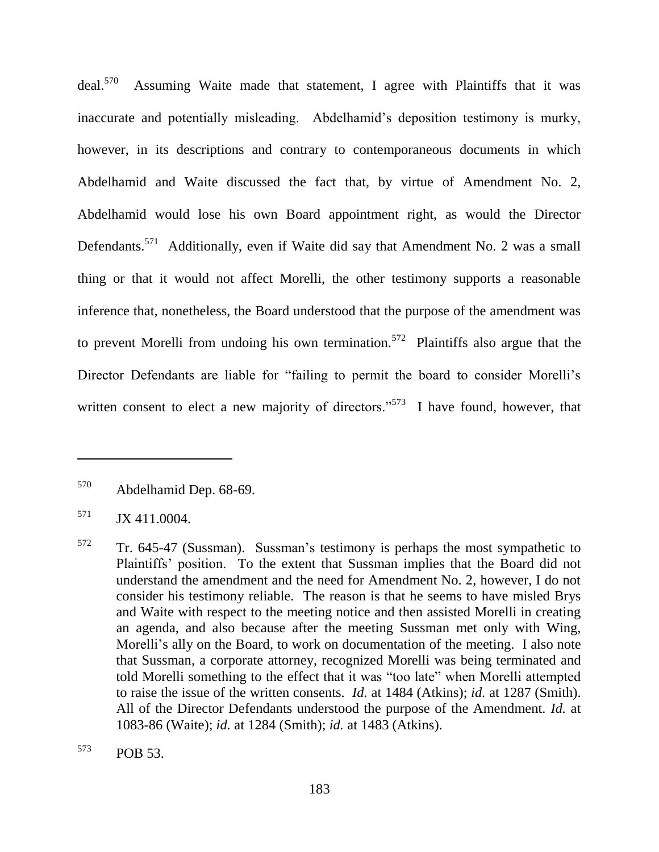$deal.<sup>570</sup>$  Assuming Waite made that statement, I agree with Plaintiffs that it was inaccurate and potentially misleading. Abdelhamid's deposition testimony is murky, however, in its descriptions and contrary to contemporaneous documents in which Abdelhamid and Waite discussed the fact that, by virtue of Amendment No. 2, Abdelhamid would lose his own Board appointment right, as would the Director Defendants.<sup>571</sup> Additionally, even if Waite did say that Amendment No. 2 was a small thing or that it would not affect Morelli, the other testimony supports a reasonable inference that, nonetheless, the Board understood that the purpose of the amendment was to prevent Morelli from undoing his own termination.<sup>572</sup> Plaintiffs also argue that the Director Defendants are liable for "failing to permit the board to consider Morelli's written consent to elect a new majority of directors."<sup>573</sup> I have found, however, that

<sup>570</sup> Abdelhamid Dep. 68-69.

 $571$  JX 411.0004.

<sup>572</sup> Tr. 645-47 (Sussman). Sussman's testimony is perhaps the most sympathetic to Plaintiffs' position. To the extent that Sussman implies that the Board did not understand the amendment and the need for Amendment No. 2, however, I do not consider his testimony reliable. The reason is that he seems to have misled Brys and Waite with respect to the meeting notice and then assisted Morelli in creating an agenda, and also because after the meeting Sussman met only with Wing, Morelli's ally on the Board, to work on documentation of the meeting. I also note that Sussman, a corporate attorney, recognized Morelli was being terminated and told Morelli something to the effect that it was "too late" when Morelli attempted to raise the issue of the written consents. *Id.* at 1484 (Atkins); *id.* at 1287 (Smith). All of the Director Defendants understood the purpose of the Amendment. *Id.* at 1083-86 (Waite); *id.* at 1284 (Smith); *id.* at 1483 (Atkins).

<sup>573</sup> POB 53.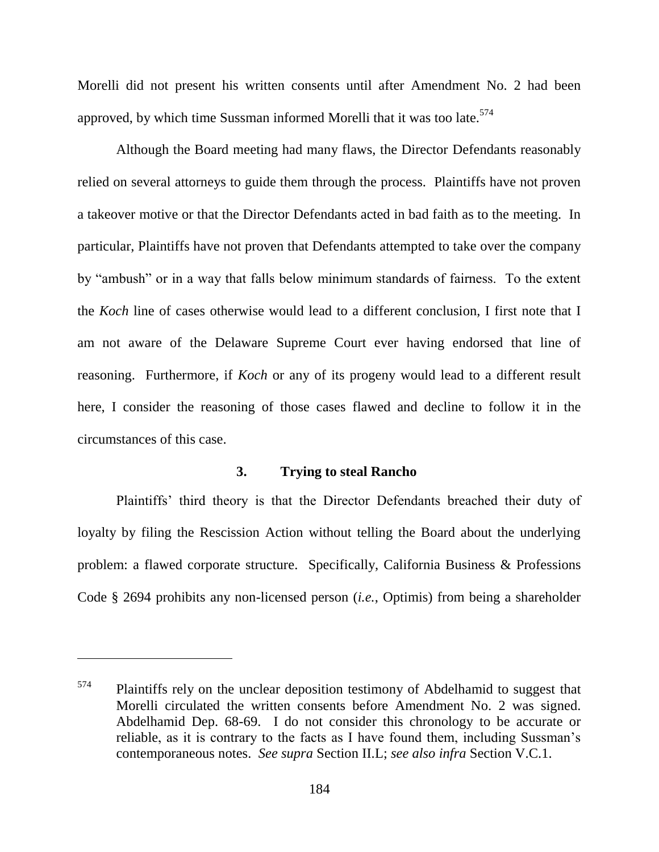Morelli did not present his written consents until after Amendment No. 2 had been approved, by which time Sussman informed Morelli that it was too late.<sup>574</sup>

Although the Board meeting had many flaws, the Director Defendants reasonably relied on several attorneys to guide them through the process. Plaintiffs have not proven a takeover motive or that the Director Defendants acted in bad faith as to the meeting. In particular, Plaintiffs have not proven that Defendants attempted to take over the company by "ambush" or in a way that falls below minimum standards of fairness. To the extent the *Koch* line of cases otherwise would lead to a different conclusion, I first note that I am not aware of the Delaware Supreme Court ever having endorsed that line of reasoning. Furthermore, if *Koch* or any of its progeny would lead to a different result here, I consider the reasoning of those cases flawed and decline to follow it in the circumstances of this case.

#### **3. Trying to steal Rancho**

Plaintiffs' third theory is that the Director Defendants breached their duty of loyalty by filing the Rescission Action without telling the Board about the underlying problem: a flawed corporate structure. Specifically, California Business & Professions Code § 2694 prohibits any non-licensed person (*i.e.*, Optimis) from being a shareholder

 $574$  Plaintiffs rely on the unclear deposition testimony of Abdelhamid to suggest that Morelli circulated the written consents before Amendment No. 2 was signed. Abdelhamid Dep. 68-69. I do not consider this chronology to be accurate or reliable, as it is contrary to the facts as I have found them, including Sussman's contemporaneous notes. *See supra* Section II.L; *see also infra* Section V.C.1.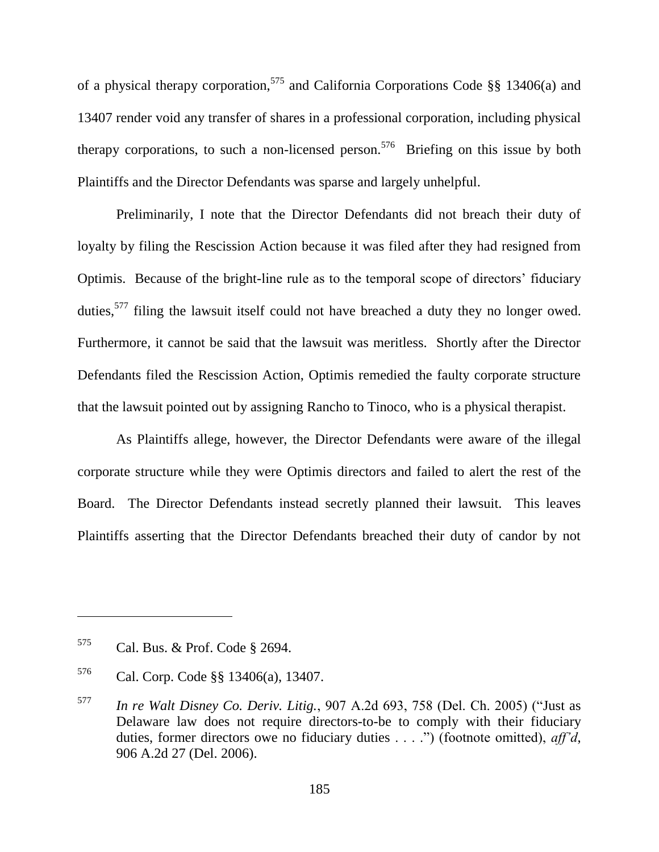of a physical therapy corporation,<sup>575</sup> and California Corporations Code §§ 13406(a) and 13407 render void any transfer of shares in a professional corporation, including physical therapy corporations, to such a non-licensed person.<sup>576</sup> Briefing on this issue by both Plaintiffs and the Director Defendants was sparse and largely unhelpful.

Preliminarily, I note that the Director Defendants did not breach their duty of loyalty by filing the Rescission Action because it was filed after they had resigned from Optimis. Because of the bright-line rule as to the temporal scope of directors' fiduciary duties,<sup>577</sup> filing the lawsuit itself could not have breached a duty they no longer owed. Furthermore, it cannot be said that the lawsuit was meritless. Shortly after the Director Defendants filed the Rescission Action, Optimis remedied the faulty corporate structure that the lawsuit pointed out by assigning Rancho to Tinoco, who is a physical therapist.

As Plaintiffs allege, however, the Director Defendants were aware of the illegal corporate structure while they were Optimis directors and failed to alert the rest of the Board. The Director Defendants instead secretly planned their lawsuit. This leaves Plaintiffs asserting that the Director Defendants breached their duty of candor by not

<sup>575</sup> Cal. Bus. & Prof. Code § 2694.

<sup>576</sup> Cal. Corp. Code §§ 13406(a), 13407.

 $577$  *In re Walt Disney Co. Deriv. Litig.*, 907 A.2d 693, 758 (Del. Ch. 2005) ("Just as Delaware law does not require directors-to-be to comply with their fiduciary duties, former directors owe no fiduciary duties . . . .") (footnote omitted), *aff'd*, 906 A.2d 27 (Del. 2006).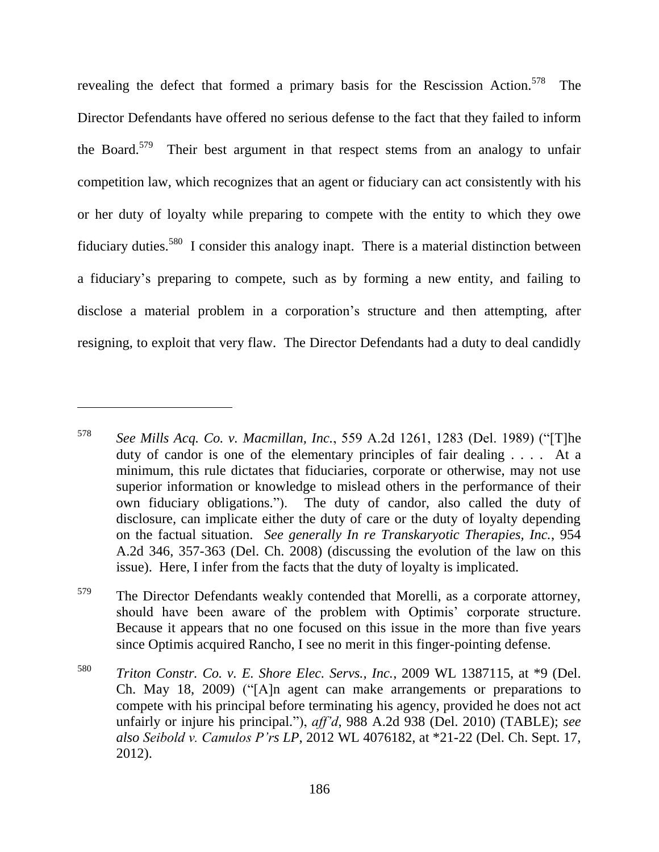revealing the defect that formed a primary basis for the Rescission Action.<sup>578</sup> The Director Defendants have offered no serious defense to the fact that they failed to inform the Board.<sup>579</sup> Their best argument in that respect stems from an analogy to unfair competition law, which recognizes that an agent or fiduciary can act consistently with his or her duty of loyalty while preparing to compete with the entity to which they owe fiduciary duties.<sup>580</sup> I consider this analogy inapt. There is a material distinction between a fiduciary's preparing to compete, such as by forming a new entity, and failing to disclose a material problem in a corporation's structure and then attempting, after resigning, to exploit that very flaw. The Director Defendants had a duty to deal candidly

 $578$  *See Mills Acq. Co. v. Macmillan, Inc.*, 559 A.2d 1261, 1283 (Del. 1989) ("[T]he duty of candor is one of the elementary principles of fair dealing . . . . At a minimum, this rule dictates that fiduciaries, corporate or otherwise, may not use superior information or knowledge to mislead others in the performance of their own fiduciary obligations."). The duty of candor, also called the duty of disclosure, can implicate either the duty of care or the duty of loyalty depending on the factual situation. *See generally In re Transkaryotic Therapies, Inc.*, 954 A.2d 346, 357-363 (Del. Ch. 2008) (discussing the evolution of the law on this issue). Here, I infer from the facts that the duty of loyalty is implicated.

<sup>&</sup>lt;sup>579</sup> The Director Defendants weakly contended that Morelli, as a corporate attorney, should have been aware of the problem with Optimis' corporate structure. Because it appears that no one focused on this issue in the more than five years since Optimis acquired Rancho, I see no merit in this finger-pointing defense.

<sup>580</sup> *Triton Constr. Co. v. E. Shore Elec. Servs., Inc.*, 2009 WL 1387115, at \*9 (Del. Ch. May 18, 2009) ( $\frac{4}{1}$ A]n agent can make arrangements or preparations to compete with his principal before terminating his agency, provided he does not act unfairly or injure his principal."), *aff'd*, 988 A.2d 938 (Del. 2010) (TABLE); *see also Seibold v. Camulos P'rs LP*, 2012 WL 4076182, at \*21-22 (Del. Ch. Sept. 17, 2012).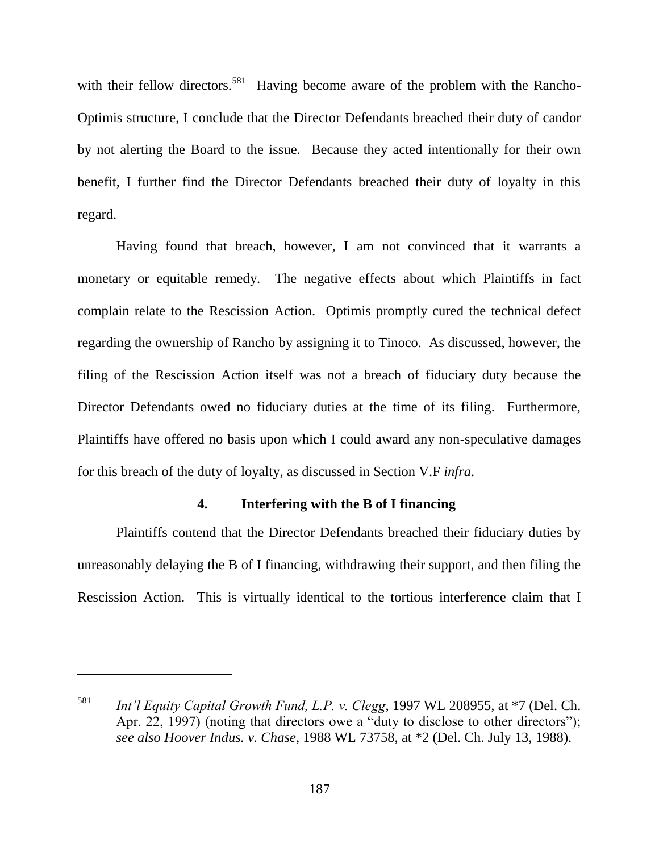with their fellow directors.<sup>581</sup> Having become aware of the problem with the Rancho-Optimis structure, I conclude that the Director Defendants breached their duty of candor by not alerting the Board to the issue. Because they acted intentionally for their own benefit, I further find the Director Defendants breached their duty of loyalty in this regard.

Having found that breach, however, I am not convinced that it warrants a monetary or equitable remedy. The negative effects about which Plaintiffs in fact complain relate to the Rescission Action. Optimis promptly cured the technical defect regarding the ownership of Rancho by assigning it to Tinoco. As discussed, however, the filing of the Rescission Action itself was not a breach of fiduciary duty because the Director Defendants owed no fiduciary duties at the time of its filing. Furthermore, Plaintiffs have offered no basis upon which I could award any non-speculative damages for this breach of the duty of loyalty, as discussed in Section V.F *infra*.

### **4. Interfering with the B of I financing**

Plaintiffs contend that the Director Defendants breached their fiduciary duties by unreasonably delaying the B of I financing, withdrawing their support, and then filing the Rescission Action. This is virtually identical to the tortious interference claim that I

<sup>581</sup> *Int'l Equity Capital Growth Fund, L.P. v. Clegg*, 1997 WL 208955, at \*7 (Del. Ch. Apr. 22, 1997) (noting that directors owe a "duty to disclose to other directors"); *see also Hoover Indus. v. Chase*, 1988 WL 73758, at \*2 (Del. Ch. July 13, 1988).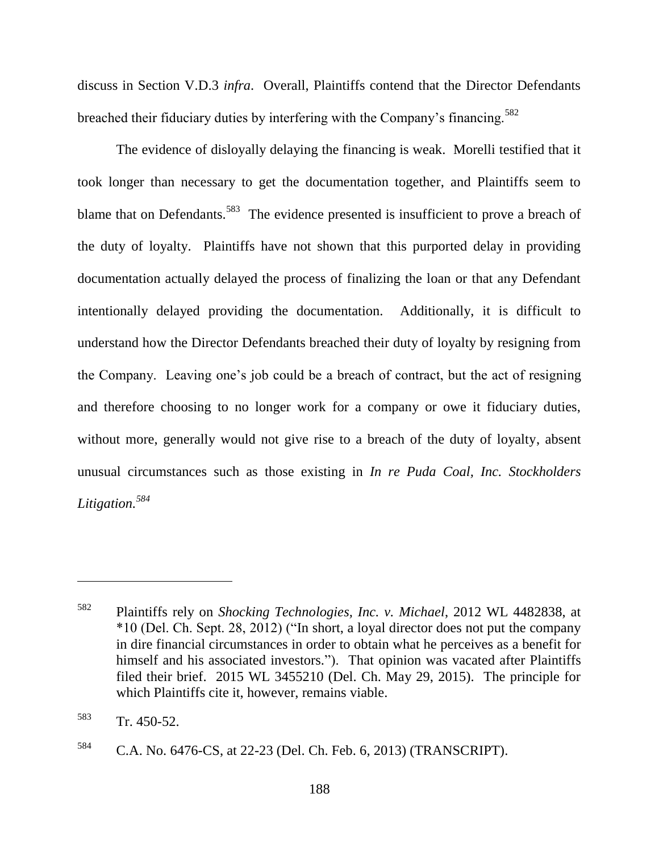discuss in Section V.D.3 *infra*. Overall, Plaintiffs contend that the Director Defendants breached their fiduciary duties by interfering with the Company's financing.<sup>582</sup>

The evidence of disloyally delaying the financing is weak. Morelli testified that it took longer than necessary to get the documentation together, and Plaintiffs seem to blame that on Defendants.<sup>583</sup> The evidence presented is insufficient to prove a breach of the duty of loyalty. Plaintiffs have not shown that this purported delay in providing documentation actually delayed the process of finalizing the loan or that any Defendant intentionally delayed providing the documentation. Additionally, it is difficult to understand how the Director Defendants breached their duty of loyalty by resigning from the Company. Leaving one's job could be a breach of contract, but the act of resigning and therefore choosing to no longer work for a company or owe it fiduciary duties, without more, generally would not give rise to a breach of the duty of loyalty, absent unusual circumstances such as those existing in *In re Puda Coal, Inc. Stockholders Litigation. 584*

<sup>582</sup> Plaintiffs rely on *Shocking Technologies, Inc. v. Michael*, 2012 WL 4482838, at  $*10$  (Del. Ch. Sept. 28, 2012) ("In short, a loyal director does not put the company in dire financial circumstances in order to obtain what he perceives as a benefit for himself and his associated investors."). That opinion was vacated after Plaintiffs filed their brief. 2015 WL 3455210 (Del. Ch. May 29, 2015). The principle for which Plaintiffs cite it, however, remains viable.

<sup>583</sup> Tr. 450-52.

<sup>584</sup> C.A. No. 6476-CS, at 22-23 (Del. Ch. Feb. 6, 2013) (TRANSCRIPT).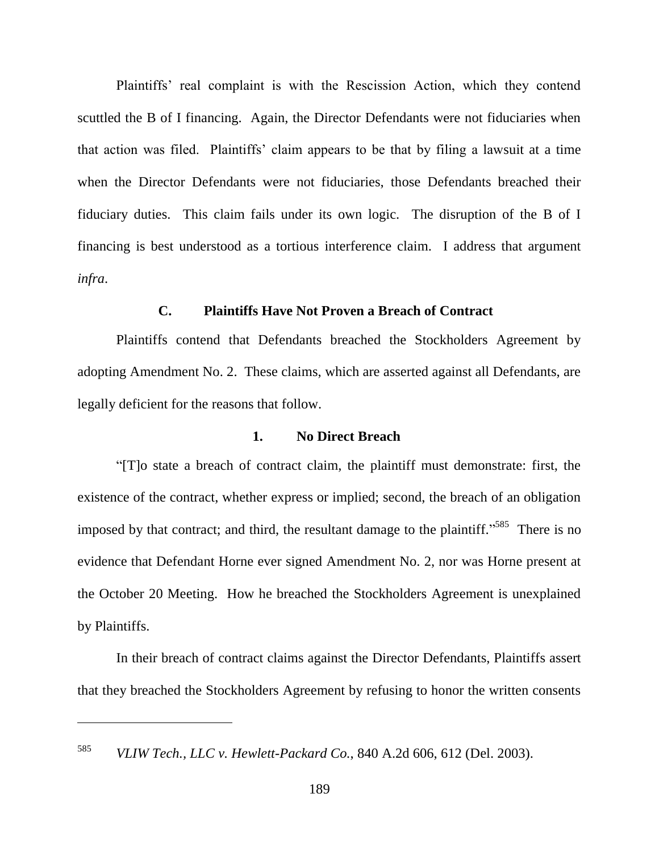Plaintiffs' real complaint is with the Rescission Action, which they contend scuttled the B of I financing. Again, the Director Defendants were not fiduciaries when that action was filed. Plaintiffs' claim appears to be that by filing a lawsuit at a time when the Director Defendants were not fiduciaries, those Defendants breached their fiduciary duties. This claim fails under its own logic. The disruption of the B of I financing is best understood as a tortious interference claim. I address that argument *infra*.

## **C. Plaintiffs Have Not Proven a Breach of Contract**

Plaintiffs contend that Defendants breached the Stockholders Agreement by adopting Amendment No. 2. These claims, which are asserted against all Defendants, are legally deficient for the reasons that follow.

#### **1. No Direct Breach**

―[T]o state a breach of contract claim, the plaintiff must demonstrate: first, the existence of the contract, whether express or implied; second, the breach of an obligation imposed by that contract; and third, the resultant damage to the plaintiff.<sup>5585</sup> There is no evidence that Defendant Horne ever signed Amendment No. 2, nor was Horne present at the October 20 Meeting. How he breached the Stockholders Agreement is unexplained by Plaintiffs.

In their breach of contract claims against the Director Defendants, Plaintiffs assert that they breached the Stockholders Agreement by refusing to honor the written consents

<sup>585</sup> *VLIW Tech., LLC v. Hewlett-Packard Co.*, 840 A.2d 606, 612 (Del. 2003).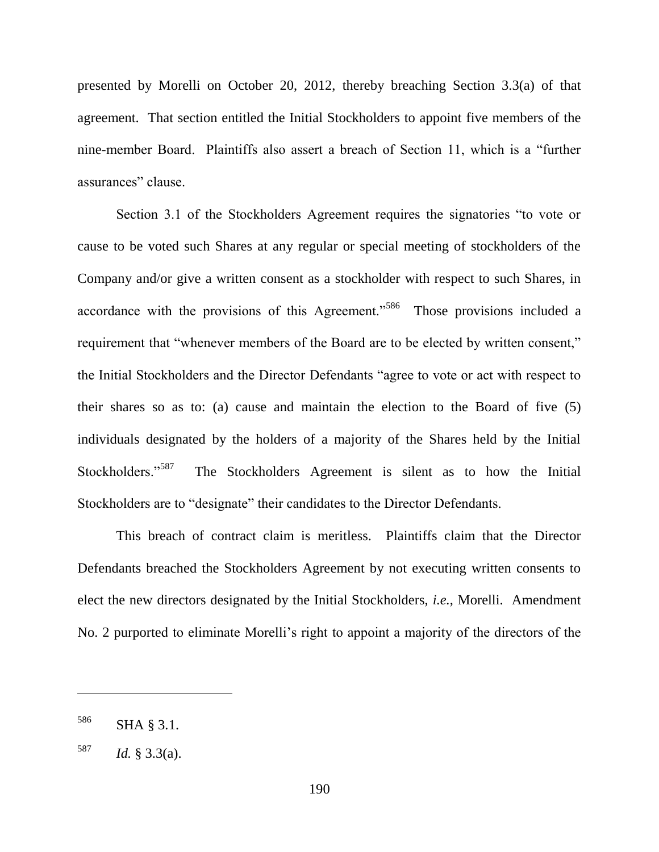presented by Morelli on October 20, 2012, thereby breaching Section 3.3(a) of that agreement. That section entitled the Initial Stockholders to appoint five members of the nine-member Board. Plaintiffs also assert a breach of Section 11, which is a "further assurances" clause.

Section 3.1 of the Stockholders Agreement requires the signatories "to vote or cause to be voted such Shares at any regular or special meeting of stockholders of the Company and/or give a written consent as a stockholder with respect to such Shares, in accordance with the provisions of this Agreement."<sup>586</sup> Those provisions included a requirement that "whenever members of the Board are to be elected by written consent," the Initial Stockholders and the Director Defendants "agree to vote or act with respect to their shares so as to: (a) cause and maintain the election to the Board of five (5) individuals designated by the holders of a majority of the Shares held by the Initial Stockholders."<sup>587</sup> The Stockholders Agreement is silent as to how the Initial Stockholders are to "designate" their candidates to the Director Defendants.

This breach of contract claim is meritless. Plaintiffs claim that the Director Defendants breached the Stockholders Agreement by not executing written consents to elect the new directors designated by the Initial Stockholders, *i.e.*, Morelli. Amendment No. 2 purported to eliminate Morelli's right to appoint a majority of the directors of the

<sup>586</sup> SHA § 3.1.

 $^{587}$  *Id.* § 3.3(a).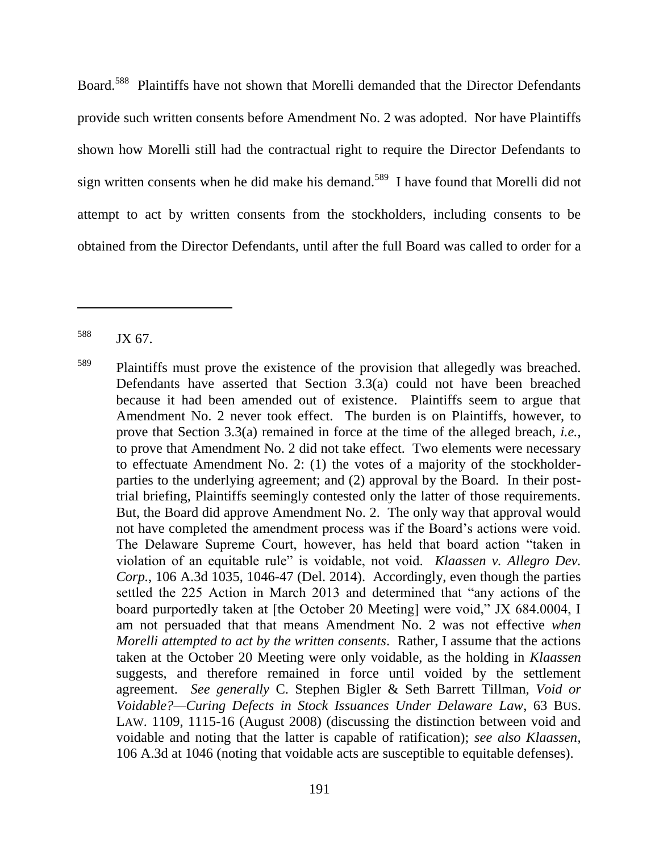Board.<sup>588</sup> Plaintiffs have not shown that Morelli demanded that the Director Defendants provide such written consents before Amendment No. 2 was adopted. Nor have Plaintiffs shown how Morelli still had the contractual right to require the Director Defendants to sign written consents when he did make his demand.<sup>589</sup> I have found that Morelli did not attempt to act by written consents from the stockholders, including consents to be obtained from the Director Defendants, until after the full Board was called to order for a

<sup>588</sup> JX 67.

<sup>&</sup>lt;sup>589</sup> Plaintiffs must prove the existence of the provision that allegedly was breached. Defendants have asserted that Section 3.3(a) could not have been breached because it had been amended out of existence. Plaintiffs seem to argue that Amendment No. 2 never took effect. The burden is on Plaintiffs, however, to prove that Section 3.3(a) remained in force at the time of the alleged breach, *i.e.*, to prove that Amendment No. 2 did not take effect. Two elements were necessary to effectuate Amendment No. 2: (1) the votes of a majority of the stockholderparties to the underlying agreement; and (2) approval by the Board. In their posttrial briefing, Plaintiffs seemingly contested only the latter of those requirements. But, the Board did approve Amendment No. 2. The only way that approval would not have completed the amendment process was if the Board's actions were void. The Delaware Supreme Court, however, has held that board action "taken in violation of an equitable rule" is voidable, not void. *Klaassen v. Allegro Dev. Corp.*, 106 A.3d 1035, 1046-47 (Del. 2014). Accordingly, even though the parties settled the 225 Action in March 2013 and determined that "any actions of the board purportedly taken at [the October 20 Meeting] were void," JX 684.0004, I am not persuaded that that means Amendment No. 2 was not effective *when Morelli attempted to act by the written consents*. Rather, I assume that the actions taken at the October 20 Meeting were only voidable, as the holding in *Klaassen* suggests, and therefore remained in force until voided by the settlement agreement. *See generally* C. Stephen Bigler & Seth Barrett Tillman, *Void or Voidable?—Curing Defects in Stock Issuances Under Delaware Law*, 63 BUS. LAW. 1109, 1115-16 (August 2008) (discussing the distinction between void and voidable and noting that the latter is capable of ratification); *see also Klaassen*, 106 A.3d at 1046 (noting that voidable acts are susceptible to equitable defenses).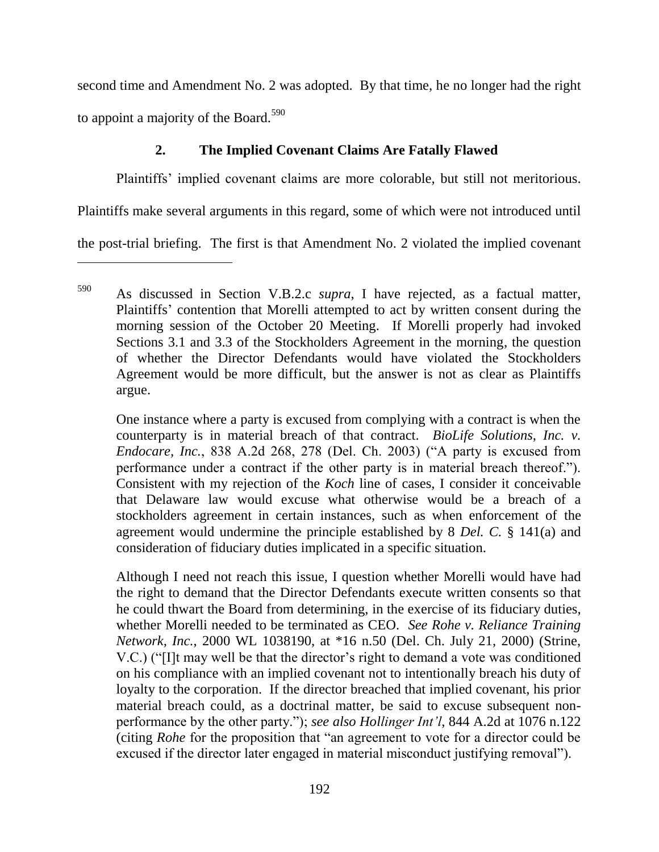second time and Amendment No. 2 was adopted. By that time, he no longer had the right to appoint a majority of the Board.<sup>590</sup>

# **2. The Implied Covenant Claims Are Fatally Flawed**

Plaintiffs' implied covenant claims are more colorable, but still not meritorious.

Plaintiffs make several arguments in this regard, some of which were not introduced until

the post-trial briefing. The first is that Amendment No. 2 violated the implied covenant

One instance where a party is excused from complying with a contract is when the counterparty is in material breach of that contract. *BioLife Solutions, Inc. v. Endocare, Inc.*, 838 A.2d 268, 278 (Del. Ch. 2003) ("A party is excused from performance under a contract if the other party is in material breach thereof."). Consistent with my rejection of the *Koch* line of cases, I consider it conceivable that Delaware law would excuse what otherwise would be a breach of a stockholders agreement in certain instances, such as when enforcement of the agreement would undermine the principle established by 8 *Del. C.* § 141(a) and consideration of fiduciary duties implicated in a specific situation.

Although I need not reach this issue, I question whether Morelli would have had the right to demand that the Director Defendants execute written consents so that he could thwart the Board from determining, in the exercise of its fiduciary duties, whether Morelli needed to be terminated as CEO. *See Rohe v. Reliance Training Network, Inc.*, 2000 WL 1038190, at \*16 n.50 (Del. Ch. July 21, 2000) (Strine, V.C.) ("II may well be that the director's right to demand a vote was conditioned on his compliance with an implied covenant not to intentionally breach his duty of loyalty to the corporation. If the director breached that implied covenant, his prior material breach could, as a doctrinal matter, be said to excuse subsequent nonperformance by the other party.‖); *see also Hollinger Int'l*, 844 A.2d at 1076 n.122 (citing *Rohe* for the proposition that "an agreement to vote for a director could be excused if the director later engaged in material misconduct justifying removal".

<sup>590</sup> As discussed in Section V.B.2.c *supra*, I have rejected, as a factual matter, Plaintiffs' contention that Morelli attempted to act by written consent during the morning session of the October 20 Meeting. If Morelli properly had invoked Sections 3.1 and 3.3 of the Stockholders Agreement in the morning, the question of whether the Director Defendants would have violated the Stockholders Agreement would be more difficult, but the answer is not as clear as Plaintiffs argue.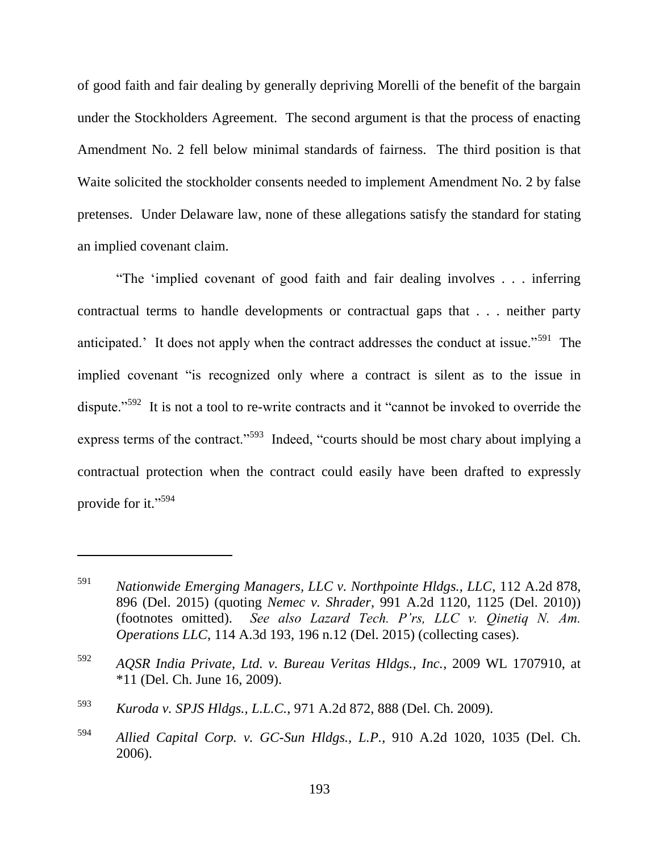of good faith and fair dealing by generally depriving Morelli of the benefit of the bargain under the Stockholders Agreement. The second argument is that the process of enacting Amendment No. 2 fell below minimal standards of fairness. The third position is that Waite solicited the stockholder consents needed to implement Amendment No. 2 by false pretenses. Under Delaware law, none of these allegations satisfy the standard for stating an implied covenant claim.

―The ‗implied covenant of good faith and fair dealing involves . . . inferring contractual terms to handle developments or contractual gaps that . . . neither party anticipated.' It does not apply when the contract addresses the conduct at issue."<sup>591</sup> The implied covenant "is recognized only where a contract is silent as to the issue in dispute."<sup>592</sup> It is not a tool to re-write contracts and it "cannot be invoked to override the express terms of the contract."<sup>593</sup> Indeed, "courts should be most chary about implying a contractual protection when the contract could easily have been drafted to expressly provide for it."<sup>594</sup>

<sup>591</sup> *Nationwide Emerging Managers, LLC v. Northpointe Hldgs., LLC*, 112 A.2d 878, 896 (Del. 2015) (quoting *Nemec v. Shrader*, 991 A.2d 1120, 1125 (Del. 2010)) (footnotes omitted). *See also Lazard Tech. P'rs, LLC v. Qinetiq N. Am. Operations LLC*, 114 A.3d 193, 196 n.12 (Del. 2015) (collecting cases).

<sup>592</sup> *AQSR India Private, Ltd. v. Bureau Veritas Hldgs., Inc.*, 2009 WL 1707910, at \*11 (Del. Ch. June 16, 2009).

<sup>593</sup> *Kuroda v. SPJS Hldgs., L.L.C.*, 971 A.2d 872, 888 (Del. Ch. 2009).

<sup>594</sup> *Allied Capital Corp. v. GC-Sun Hldgs., L.P.*, 910 A.2d 1020, 1035 (Del. Ch. 2006).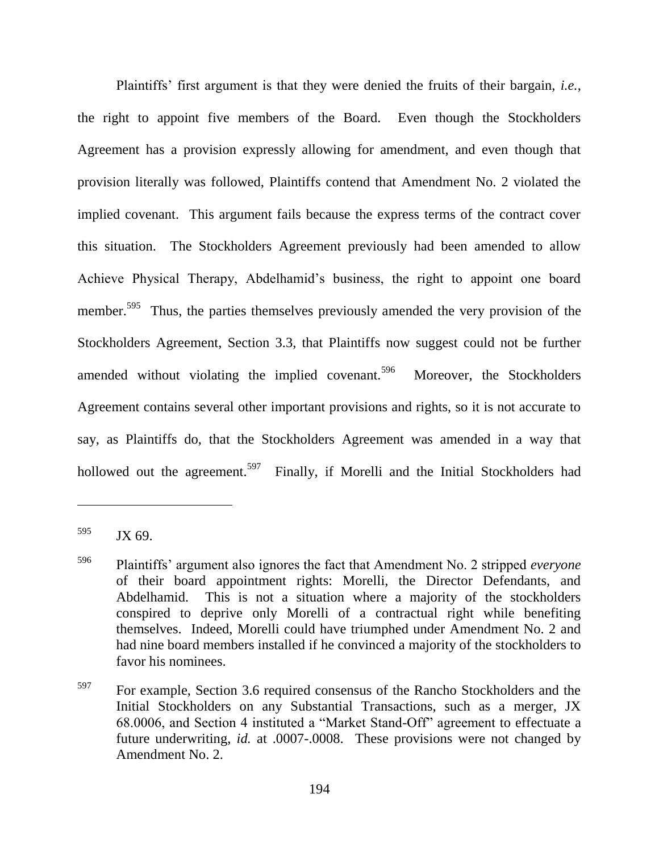Plaintiffs' first argument is that they were denied the fruits of their bargain, *i.e.*, the right to appoint five members of the Board. Even though the Stockholders Agreement has a provision expressly allowing for amendment, and even though that provision literally was followed, Plaintiffs contend that Amendment No. 2 violated the implied covenant. This argument fails because the express terms of the contract cover this situation. The Stockholders Agreement previously had been amended to allow Achieve Physical Therapy, Abdelhamid's business, the right to appoint one board member.<sup>595</sup> Thus, the parties themselves previously amended the very provision of the Stockholders Agreement, Section 3.3, that Plaintiffs now suggest could not be further amended without violating the implied covenant.<sup>596</sup> Moreover, the Stockholders Agreement contains several other important provisions and rights, so it is not accurate to say, as Plaintiffs do, that the Stockholders Agreement was amended in a way that hollowed out the agreement.<sup>597</sup> Finally, if Morelli and the Initial Stockholders had

 $595$  JX 69.

<sup>596</sup> Plaintiffs' argument also ignores the fact that Amendment No. 2 stripped *everyone* of their board appointment rights: Morelli, the Director Defendants, and Abdelhamid. This is not a situation where a majority of the stockholders conspired to deprive only Morelli of a contractual right while benefiting themselves. Indeed, Morelli could have triumphed under Amendment No. 2 and had nine board members installed if he convinced a majority of the stockholders to favor his nominees.

<sup>597</sup> For example, Section 3.6 required consensus of the Rancho Stockholders and the Initial Stockholders on any Substantial Transactions, such as a merger, JX 68.0006, and Section 4 instituted a "Market Stand-Off" agreement to effectuate a future underwriting, *id.* at .0007-.0008. These provisions were not changed by Amendment No. 2.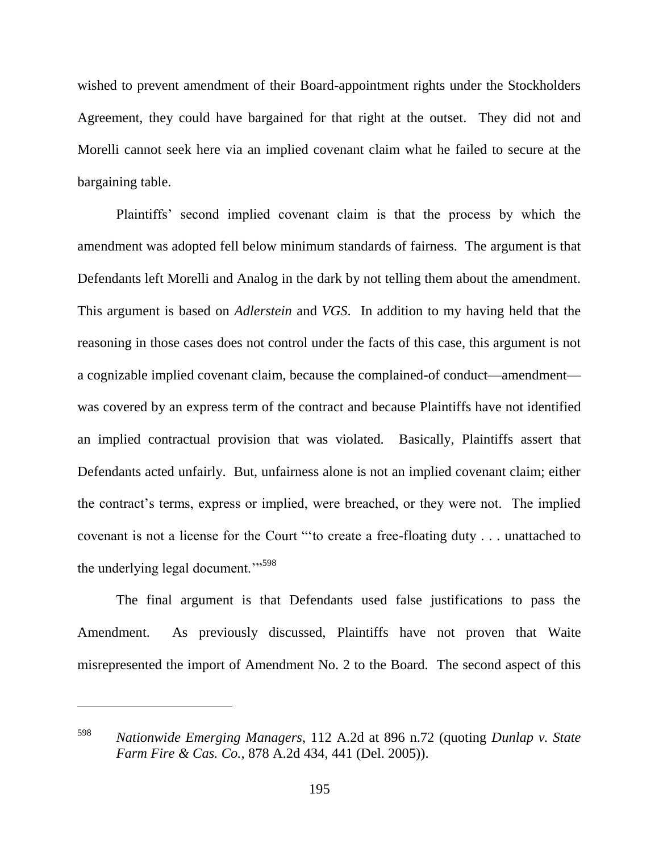wished to prevent amendment of their Board-appointment rights under the Stockholders Agreement, they could have bargained for that right at the outset. They did not and Morelli cannot seek here via an implied covenant claim what he failed to secure at the bargaining table.

Plaintiffs' second implied covenant claim is that the process by which the amendment was adopted fell below minimum standards of fairness. The argument is that Defendants left Morelli and Analog in the dark by not telling them about the amendment. This argument is based on *Adlerstein* and *VGS*. In addition to my having held that the reasoning in those cases does not control under the facts of this case, this argument is not a cognizable implied covenant claim, because the complained-of conduct—amendment was covered by an express term of the contract and because Plaintiffs have not identified an implied contractual provision that was violated. Basically, Plaintiffs assert that Defendants acted unfairly. But, unfairness alone is not an implied covenant claim; either the contract's terms, express or implied, were breached, or they were not. The implied covenant is not a license for the Court "to create a free-floating duty . . . unattached to the underlying legal document. $\cdots$ <sup>598</sup>

The final argument is that Defendants used false justifications to pass the Amendment. As previously discussed, Plaintiffs have not proven that Waite misrepresented the import of Amendment No. 2 to the Board. The second aspect of this

<sup>598</sup> *Nationwide Emerging Managers*, 112 A.2d at 896 n.72 (quoting *Dunlap v. State Farm Fire & Cas. Co.*, 878 A.2d 434, 441 (Del. 2005)).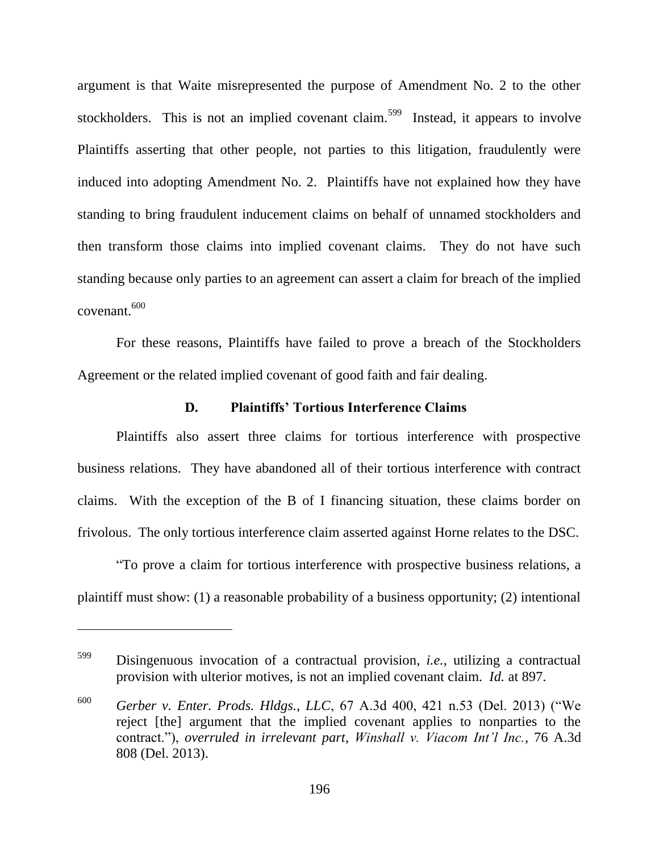argument is that Waite misrepresented the purpose of Amendment No. 2 to the other stockholders. This is not an implied covenant claim.<sup>599</sup> Instead, it appears to involve Plaintiffs asserting that other people, not parties to this litigation, fraudulently were induced into adopting Amendment No. 2. Plaintiffs have not explained how they have standing to bring fraudulent inducement claims on behalf of unnamed stockholders and then transform those claims into implied covenant claims. They do not have such standing because only parties to an agreement can assert a claim for breach of the implied covenant.<sup>600</sup>

For these reasons, Plaintiffs have failed to prove a breach of the Stockholders Agreement or the related implied covenant of good faith and fair dealing.

#### **D. Plaintiffs' Tortious Interference Claims**

Plaintiffs also assert three claims for tortious interference with prospective business relations. They have abandoned all of their tortious interference with contract claims. With the exception of the B of I financing situation, these claims border on frivolous. The only tortious interference claim asserted against Horne relates to the DSC.

―To prove a claim for tortious interference with prospective business relations, a plaintiff must show: (1) a reasonable probability of a business opportunity; (2) intentional

<sup>599</sup> Disingenuous invocation of a contractual provision, *i.e.*, utilizing a contractual provision with ulterior motives, is not an implied covenant claim. *Id.* at 897.

 $600$  *Gerber v. Enter. Prods. Hldgs., LLC*, 67 A.3d 400, 421 n.53 (Del. 2013) ("We reject [the] argument that the implied covenant applies to nonparties to the contract.‖), *overruled in irrelevant part*, *Winshall v. Viacom Int'l Inc.*, 76 A.3d 808 (Del. 2013).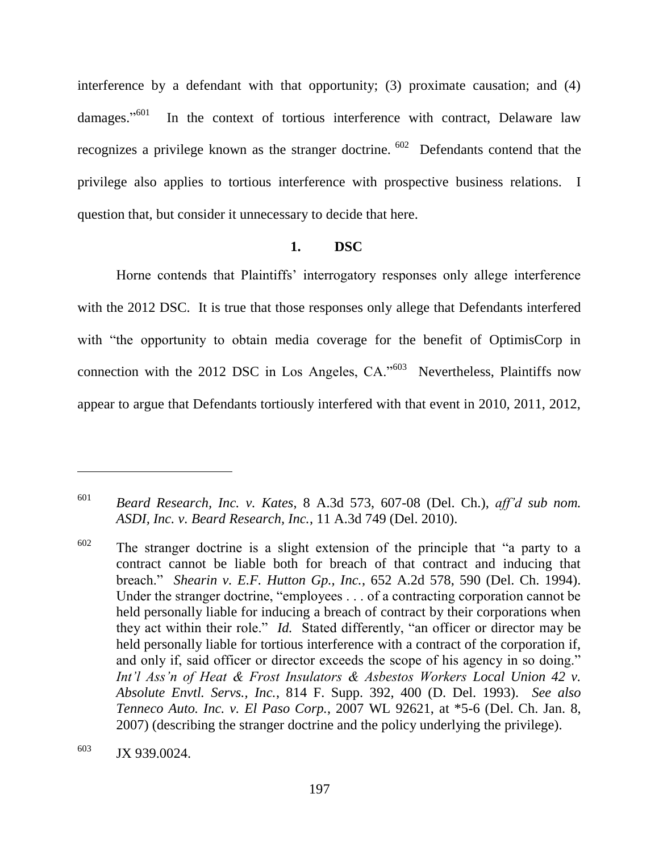interference by a defendant with that opportunity; (3) proximate causation; and (4) damages."<sup>601</sup> In the context of tortious interference with contract, Delaware law recognizes a privilege known as the stranger doctrine.  $602$  Defendants contend that the privilege also applies to tortious interference with prospective business relations. I question that, but consider it unnecessary to decide that here.

## **1. DSC**

Horne contends that Plaintiffs' interrogatory responses only allege interference with the 2012 DSC. It is true that those responses only allege that Defendants interfered with "the opportunity to obtain media coverage for the benefit of OptimisCorp in connection with the 2012 DSC in Los Angeles,  $CA.^{603}$  Nevertheless, Plaintiffs now appear to argue that Defendants tortiously interfered with that event in 2010, 2011, 2012,

<sup>601</sup> *Beard Research, Inc. v. Kates*, 8 A.3d 573, 607-08 (Del. Ch.), *aff'd sub nom. ASDI, Inc. v. Beard Research, Inc.*, 11 A.3d 749 (Del. 2010).

 $602$  The stranger doctrine is a slight extension of the principle that "a party to a contract cannot be liable both for breach of that contract and inducing that breach.‖ *Shearin v. E.F. Hutton Gp., Inc.*, 652 A.2d 578, 590 (Del. Ch. 1994). Under the stranger doctrine, "employees . . . of a contracting corporation cannot be held personally liable for inducing a breach of contract by their corporations when they act within their role." *Id.* Stated differently, "an officer or director may be held personally liable for tortious interference with a contract of the corporation if, and only if, said officer or director exceeds the scope of his agency in so doing." Int'l Ass'n of Heat & Frost Insulators & Asbestos Workers Local Union 42 v. *Absolute Envtl. Servs., Inc.*, 814 F. Supp. 392, 400 (D. Del. 1993). *See also Tenneco Auto. Inc. v. El Paso Corp.*, 2007 WL 92621, at \*5-6 (Del. Ch. Jan. 8, 2007) (describing the stranger doctrine and the policy underlying the privilege).

<sup>603</sup> JX 939.0024.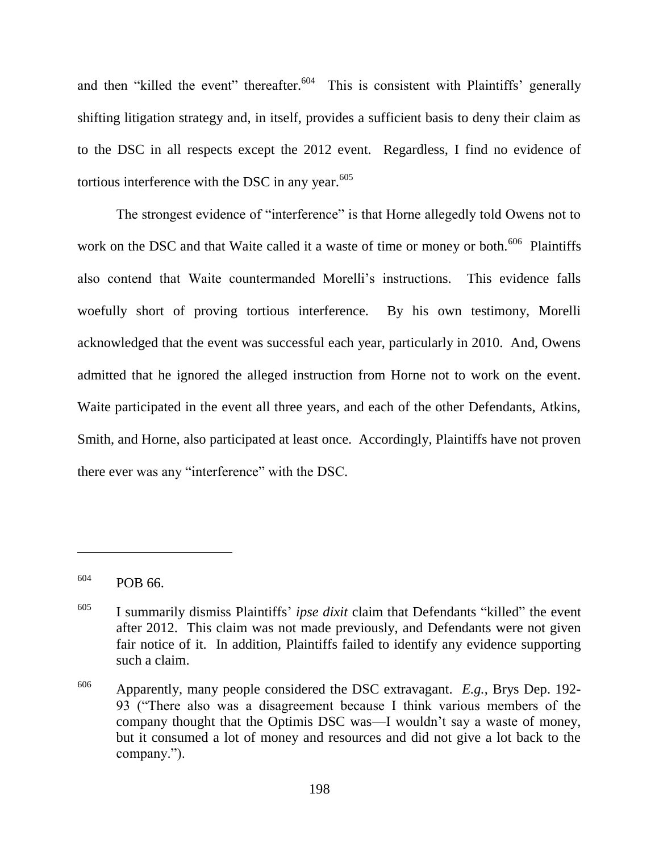and then "killed the event" thereafter.  $604$  This is consistent with Plaintiffs' generally shifting litigation strategy and, in itself, provides a sufficient basis to deny their claim as to the DSC in all respects except the 2012 event. Regardless, I find no evidence of tortious interference with the DSC in any year. $605$ 

The strongest evidence of "interference" is that Horne allegedly told Owens not to work on the DSC and that Waite called it a waste of time or money or both.<sup>606</sup> Plaintiffs also contend that Waite countermanded Morelli's instructions. This evidence falls woefully short of proving tortious interference. By his own testimony, Morelli acknowledged that the event was successful each year, particularly in 2010. And, Owens admitted that he ignored the alleged instruction from Horne not to work on the event. Waite participated in the event all three years, and each of the other Defendants, Atkins, Smith, and Horne, also participated at least once. Accordingly, Plaintiffs have not proven there ever was any "interference" with the DSC.

 $604$  POB 66.

<sup>&</sup>lt;sup>605</sup> I summarily dismiss Plaintiffs' *ipse dixit* claim that Defendants "killed" the event after 2012. This claim was not made previously, and Defendants were not given fair notice of it. In addition, Plaintiffs failed to identify any evidence supporting such a claim.

<sup>606</sup> Apparently, many people considered the DSC extravagant. *E.g.*, Brys Dep. 192- 93 ("There also was a disagreement because I think various members of the company thought that the Optimis DSC was—I wouldn't say a waste of money, but it consumed a lot of money and resources and did not give a lot back to the company.").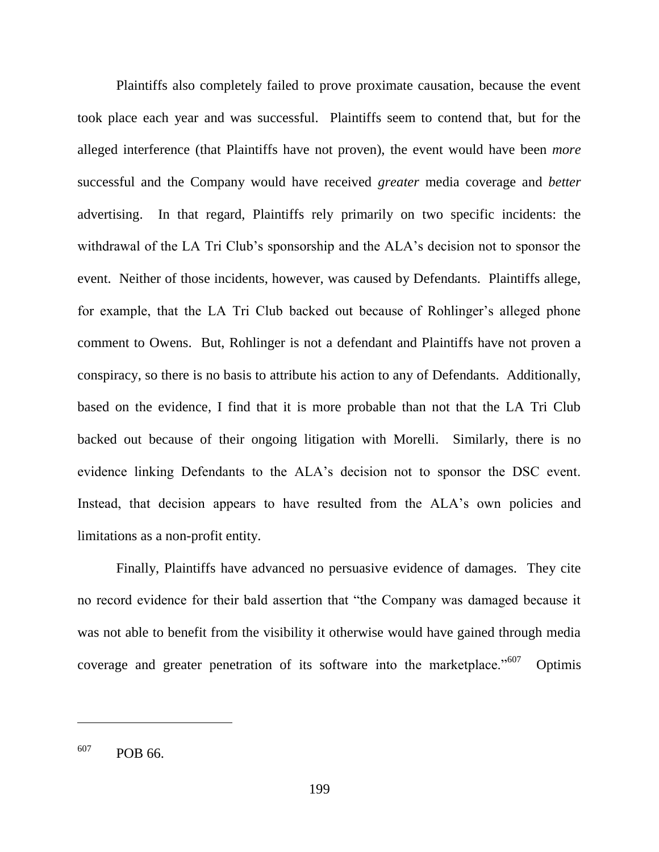Plaintiffs also completely failed to prove proximate causation, because the event took place each year and was successful. Plaintiffs seem to contend that, but for the alleged interference (that Plaintiffs have not proven), the event would have been *more* successful and the Company would have received *greater* media coverage and *better* advertising. In that regard, Plaintiffs rely primarily on two specific incidents: the withdrawal of the LA Tri Club's sponsorship and the ALA's decision not to sponsor the event. Neither of those incidents, however, was caused by Defendants. Plaintiffs allege, for example, that the LA Tri Club backed out because of Rohlinger's alleged phone comment to Owens. But, Rohlinger is not a defendant and Plaintiffs have not proven a conspiracy, so there is no basis to attribute his action to any of Defendants. Additionally, based on the evidence, I find that it is more probable than not that the LA Tri Club backed out because of their ongoing litigation with Morelli. Similarly, there is no evidence linking Defendants to the ALA's decision not to sponsor the DSC event. Instead, that decision appears to have resulted from the ALA's own policies and limitations as a non-profit entity.

Finally, Plaintiffs have advanced no persuasive evidence of damages. They cite no record evidence for their bald assertion that "the Company was damaged because it was not able to benefit from the visibility it otherwise would have gained through media coverage and greater penetration of its software into the marketplace. $10^{607}$ **Optimis** 

 $607$  POB 66.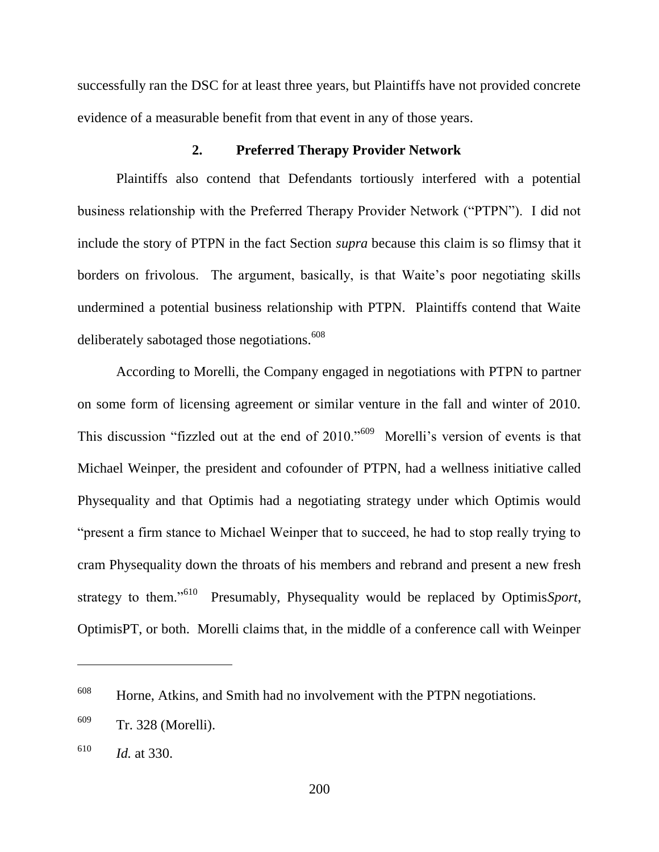successfully ran the DSC for at least three years, but Plaintiffs have not provided concrete evidence of a measurable benefit from that event in any of those years.

## **2. Preferred Therapy Provider Network**

Plaintiffs also contend that Defendants tortiously interfered with a potential business relationship with the Preferred Therapy Provider Network ("PTPN"). I did not include the story of PTPN in the fact Section *supra* because this claim is so flimsy that it borders on frivolous. The argument, basically, is that Waite's poor negotiating skills undermined a potential business relationship with PTPN. Plaintiffs contend that Waite deliberately sabotaged those negotiations.<sup>608</sup>

According to Morelli, the Company engaged in negotiations with PTPN to partner on some form of licensing agreement or similar venture in the fall and winter of 2010. This discussion "fizzled out at the end of  $2010$ ."<sup>609</sup> Morelli's version of events is that Michael Weinper, the president and cofounder of PTPN, had a wellness initiative called Physequality and that Optimis had a negotiating strategy under which Optimis would "present a firm stance to Michael Weinper that to succeed, he had to stop really trying to cram Physequality down the throats of his members and rebrand and present a new fresh strategy to them." $610$  Presumably, Physequality would be replaced by Optimis*Sport*, OptimisPT, or both. Morelli claims that, in the middle of a conference call with Weinper

 $608$  Horne, Atkins, and Smith had no involvement with the PTPN negotiations.

<sup>609</sup> Tr. 328 (Morelli).

<sup>610</sup> *Id.* at 330.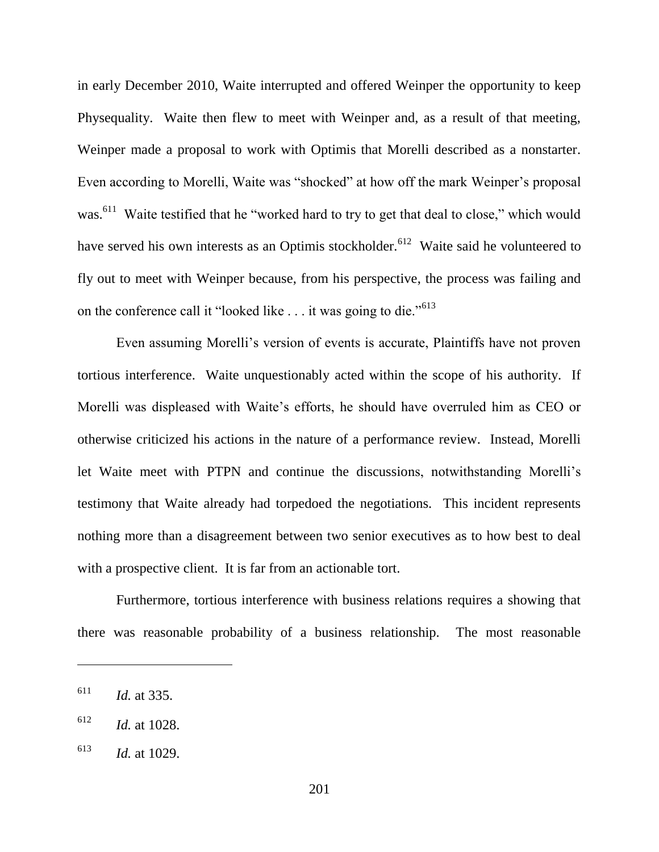in early December 2010, Waite interrupted and offered Weinper the opportunity to keep Physequality. Waite then flew to meet with Weinper and, as a result of that meeting, Weinper made a proposal to work with Optimis that Morelli described as a nonstarter. Even according to Morelli, Waite was "shocked" at how off the mark Weinper's proposal was.<sup>611</sup> Waite testified that he "worked hard to try to get that deal to close," which would have served his own interests as an Optimis stockholder.<sup>612</sup> Waite said he volunteered to fly out to meet with Weinper because, from his perspective, the process was failing and on the conference call it "looked like  $\ldots$  it was going to die."<sup>613</sup>

Even assuming Morelli's version of events is accurate, Plaintiffs have not proven tortious interference. Waite unquestionably acted within the scope of his authority. If Morelli was displeased with Waite's efforts, he should have overruled him as CEO or otherwise criticized his actions in the nature of a performance review. Instead, Morelli let Waite meet with PTPN and continue the discussions, notwithstanding Morelli's testimony that Waite already had torpedoed the negotiations. This incident represents nothing more than a disagreement between two senior executives as to how best to deal with a prospective client. It is far from an actionable tort.

Furthermore, tortious interference with business relations requires a showing that there was reasonable probability of a business relationship. The most reasonable

<sup>611</sup> *Id.* at 335.

<sup>612</sup> *Id.* at 1028.

<sup>613</sup> *Id.* at 1029.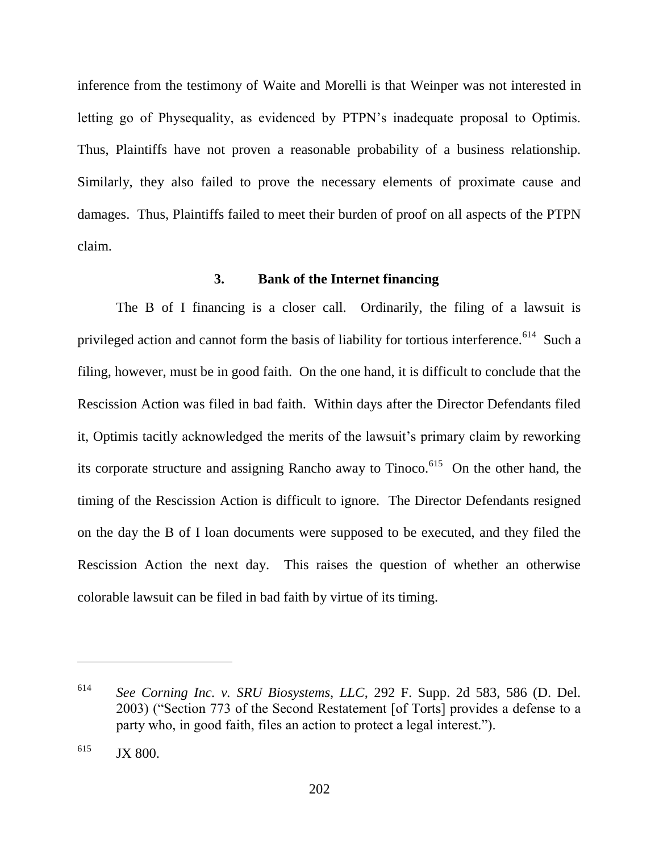inference from the testimony of Waite and Morelli is that Weinper was not interested in letting go of Physequality, as evidenced by PTPN's inadequate proposal to Optimis. Thus, Plaintiffs have not proven a reasonable probability of a business relationship. Similarly, they also failed to prove the necessary elements of proximate cause and damages. Thus, Plaintiffs failed to meet their burden of proof on all aspects of the PTPN claim.

# **3. Bank of the Internet financing**

The B of I financing is a closer call. Ordinarily, the filing of a lawsuit is privileged action and cannot form the basis of liability for tortious interference.<sup>614</sup> Such a filing, however, must be in good faith. On the one hand, it is difficult to conclude that the Rescission Action was filed in bad faith. Within days after the Director Defendants filed it, Optimis tacitly acknowledged the merits of the lawsuit's primary claim by reworking its corporate structure and assigning Rancho away to Tinoco.<sup>615</sup> On the other hand, the timing of the Rescission Action is difficult to ignore. The Director Defendants resigned on the day the B of I loan documents were supposed to be executed, and they filed the Rescission Action the next day. This raises the question of whether an otherwise colorable lawsuit can be filed in bad faith by virtue of its timing.

<sup>614</sup> *See Corning Inc. v. SRU Biosystems, LLC*, 292 F. Supp. 2d 583, 586 (D. Del. 2003) ("Section 773 of the Second Restatement [of Torts] provides a defense to a party who, in good faith, files an action to protect a legal interest.").

 $^{615}$  JX 800.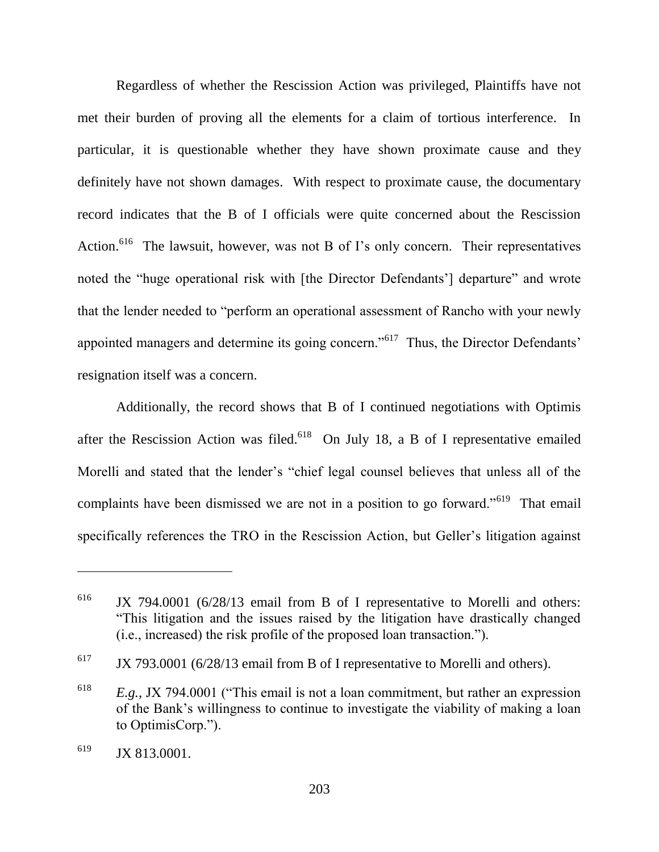Regardless of whether the Rescission Action was privileged, Plaintiffs have not met their burden of proving all the elements for a claim of tortious interference. In particular, it is questionable whether they have shown proximate cause and they definitely have not shown damages. With respect to proximate cause, the documentary record indicates that the B of I officials were quite concerned about the Rescission Action.<sup>616</sup> The lawsuit, however, was not B of I's only concern. Their representatives noted the "huge operational risk with [the Director Defendants'] departure" and wrote that the lender needed to "perform an operational assessment of Rancho with your newly appointed managers and determine its going concern."<sup>617</sup> Thus, the Director Defendants' resignation itself was a concern.

Additionally, the record shows that B of I continued negotiations with Optimis after the Rescission Action was filed.<sup>618</sup> On July 18, a B of I representative emailed Morelli and stated that the lender's "chief legal counsel believes that unless all of the complaints have been dismissed we are not in a position to go forward."<sup>619</sup> That email specifically references the TRO in the Rescission Action, but Geller's litigation against

<sup>&</sup>lt;sup>616</sup> JX 794.0001 (6/28/13 email from B of I representative to Morelli and others: ―This litigation and the issues raised by the litigation have drastically changed (i.e., increased) the risk profile of the proposed loan transaction.").

 $617$  JX 793.0001 (6/28/13 email from B of I representative to Morelli and others).

 $E.g., JX 794.0001$  ("This email is not a loan commitment, but rather an expression of the Bank's willingness to continue to investigate the viability of making a loan to OptimisCorp.").

 $^{619}$  JX 813.0001.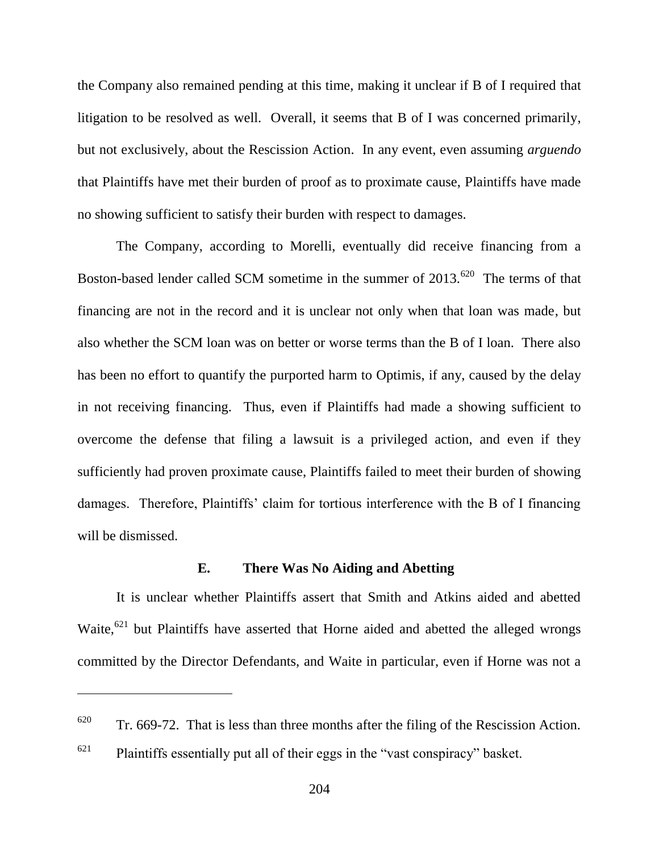the Company also remained pending at this time, making it unclear if B of I required that litigation to be resolved as well. Overall, it seems that B of I was concerned primarily, but not exclusively, about the Rescission Action. In any event, even assuming *arguendo* that Plaintiffs have met their burden of proof as to proximate cause, Plaintiffs have made no showing sufficient to satisfy their burden with respect to damages.

The Company, according to Morelli, eventually did receive financing from a Boston-based lender called SCM sometime in the summer of  $2013$ .<sup>620</sup> The terms of that financing are not in the record and it is unclear not only when that loan was made, but also whether the SCM loan was on better or worse terms than the B of I loan. There also has been no effort to quantify the purported harm to Optimis, if any, caused by the delay in not receiving financing. Thus, even if Plaintiffs had made a showing sufficient to overcome the defense that filing a lawsuit is a privileged action, and even if they sufficiently had proven proximate cause, Plaintiffs failed to meet their burden of showing damages. Therefore, Plaintiffs' claim for tortious interference with the B of I financing will be dismissed.

## **E. There Was No Aiding and Abetting**

It is unclear whether Plaintiffs assert that Smith and Atkins aided and abetted Waite, $621$  but Plaintiffs have asserted that Horne aided and abetted the alleged wrongs committed by the Director Defendants, and Waite in particular, even if Horne was not a

 $620$  Tr. 669-72. That is less than three months after the filing of the Rescission Action.

 $621$  Plaintiffs essentially put all of their eggs in the "vast conspiracy" basket.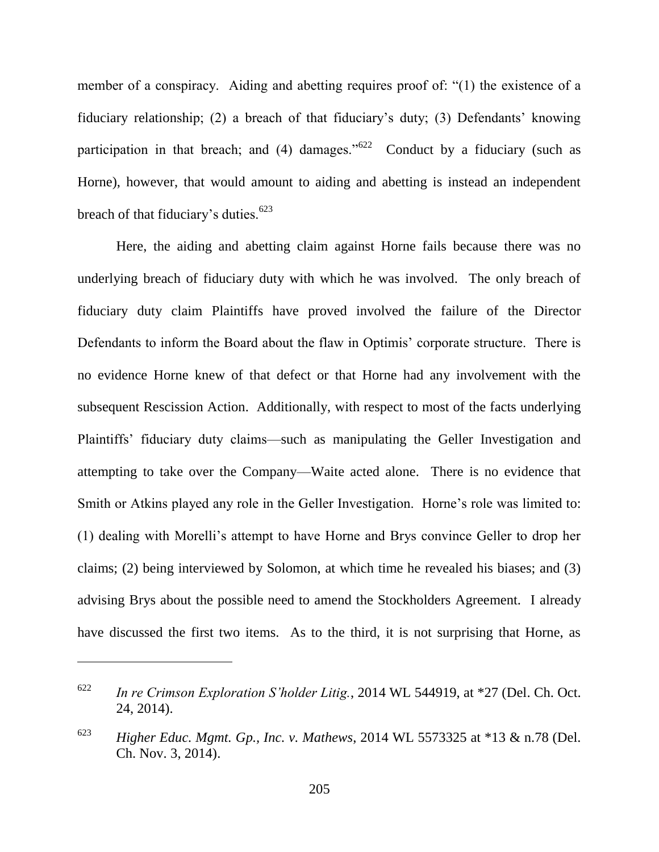member of a conspiracy. Aiding and abetting requires proof of: "(1) the existence of a fiduciary relationship; (2) a breach of that fiduciary's duty; (3) Defendants' knowing participation in that breach; and (4) damages.<sup> $1622$ </sup> Conduct by a fiduciary (such as Horne), however, that would amount to aiding and abetting is instead an independent breach of that fiduciary's duties. $623$ 

Here, the aiding and abetting claim against Horne fails because there was no underlying breach of fiduciary duty with which he was involved. The only breach of fiduciary duty claim Plaintiffs have proved involved the failure of the Director Defendants to inform the Board about the flaw in Optimis' corporate structure. There is no evidence Horne knew of that defect or that Horne had any involvement with the subsequent Rescission Action. Additionally, with respect to most of the facts underlying Plaintiffs' fiduciary duty claims—such as manipulating the Geller Investigation and attempting to take over the Company—Waite acted alone. There is no evidence that Smith or Atkins played any role in the Geller Investigation. Horne's role was limited to: (1) dealing with Morelli's attempt to have Horne and Brys convince Geller to drop her claims; (2) being interviewed by Solomon, at which time he revealed his biases; and (3) advising Brys about the possible need to amend the Stockholders Agreement. I already have discussed the first two items. As to the third, it is not surprising that Horne, as

<sup>622</sup> *In re Crimson Exploration S'holder Litig.*, 2014 WL 544919, at \*27 (Del. Ch. Oct. 24, 2014).

<sup>623</sup> *Higher Educ. Mgmt. Gp., Inc. v. Mathews*, 2014 WL 5573325 at \*13 & n.78 (Del. Ch. Nov. 3, 2014).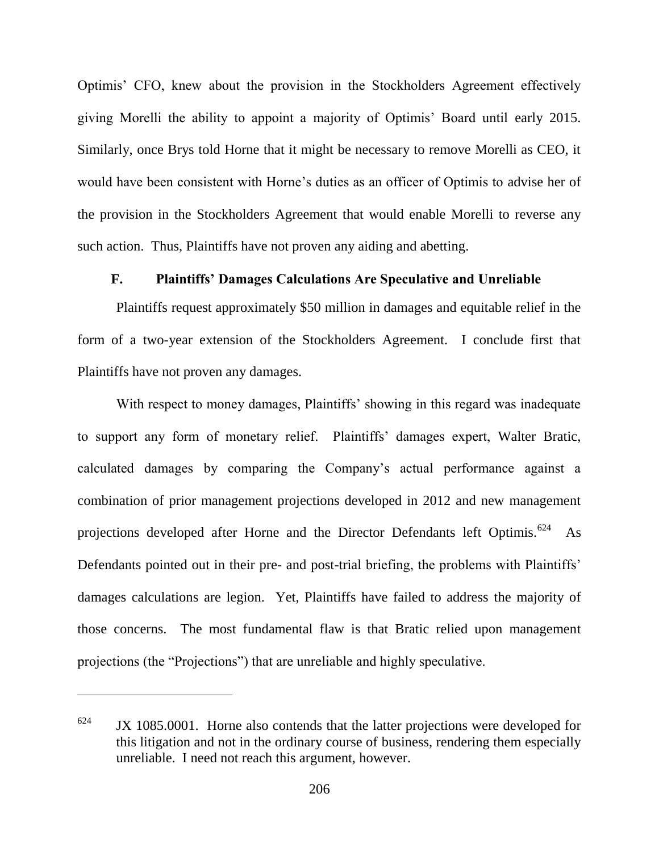Optimis' CFO, knew about the provision in the Stockholders Agreement effectively giving Morelli the ability to appoint a majority of Optimis' Board until early 2015. Similarly, once Brys told Horne that it might be necessary to remove Morelli as CEO, it would have been consistent with Horne's duties as an officer of Optimis to advise her of the provision in the Stockholders Agreement that would enable Morelli to reverse any such action. Thus, Plaintiffs have not proven any aiding and abetting.

# **F. Plaintiffs' Damages Calculations Are Speculative and Unreliable**

Plaintiffs request approximately \$50 million in damages and equitable relief in the form of a two-year extension of the Stockholders Agreement. I conclude first that Plaintiffs have not proven any damages.

With respect to money damages, Plaintiffs' showing in this regard was inadequate to support any form of monetary relief. Plaintiffs' damages expert, Walter Bratic, calculated damages by comparing the Company's actual performance against a combination of prior management projections developed in 2012 and new management projections developed after Horne and the Director Defendants left Optimis.<sup>624</sup> As Defendants pointed out in their pre- and post-trial briefing, the problems with Plaintiffs' damages calculations are legion. Yet, Plaintiffs have failed to address the majority of those concerns. The most fundamental flaw is that Bratic relied upon management projections (the "Projections") that are unreliable and highly speculative.

 $K_{10}$  JX 1085.0001. Horne also contends that the latter projections were developed for this litigation and not in the ordinary course of business, rendering them especially unreliable. I need not reach this argument, however.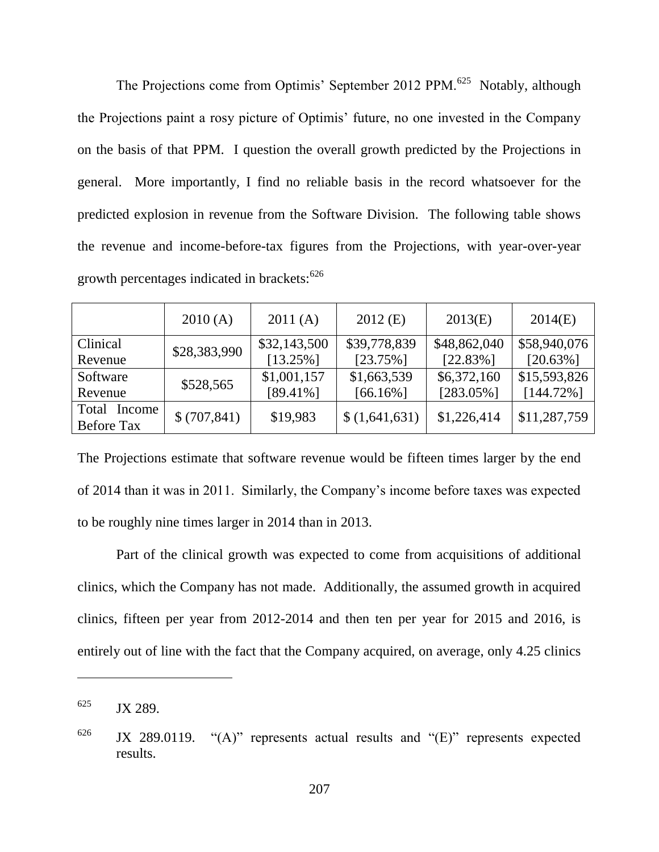The Projections come from Optimis' September 2012 PPM.<sup>625</sup> Notably, although the Projections paint a rosy picture of Optimis' future, no one invested in the Company on the basis of that PPM. I question the overall growth predicted by the Projections in general. More importantly, I find no reliable basis in the record whatsoever for the predicted explosion in revenue from the Software Division. The following table shows the revenue and income-before-tax figures from the Projections, with year-over-year growth percentages indicated in brackets:<sup>626</sup>

|                   | 2010(A)      | 2011(A)      | $2012$ (E)    | 2013(E)      | 2014(E)      |
|-------------------|--------------|--------------|---------------|--------------|--------------|
| Clinical          | \$28,383,990 | \$32,143,500 | \$39,778,839  | \$48,862,040 | \$58,940,076 |
| Revenue           |              | $[13.25\%]$  | $[23.75\%]$   | $[22.83\%]$  | $[20.63\%]$  |
| Software          | \$528,565    | \$1,001,157  | \$1,663,539   | \$6,372,160  | \$15,593,826 |
| Revenue           |              | $[89.41\%]$  | $[66.16\%]$   | $[283.05\%]$ | $[144.72\%]$ |
| Total Income      | \$(707, 841) | \$19,983     | \$(1,641,631) | \$1,226,414  | \$11,287,759 |
| <b>Before Tax</b> |              |              |               |              |              |

The Projections estimate that software revenue would be fifteen times larger by the end of 2014 than it was in 2011. Similarly, the Company's income before taxes was expected to be roughly nine times larger in 2014 than in 2013.

Part of the clinical growth was expected to come from acquisitions of additional clinics, which the Company has not made. Additionally, the assumed growth in acquired clinics, fifteen per year from 2012-2014 and then ten per year for 2015 and 2016, is entirely out of line with the fact that the Company acquired, on average, only 4.25 clinics

 $^{625}$  JX 289.

 $626$  JX 289.0119.  $(4)$  represents actual results and  $(4)$  represents expected results.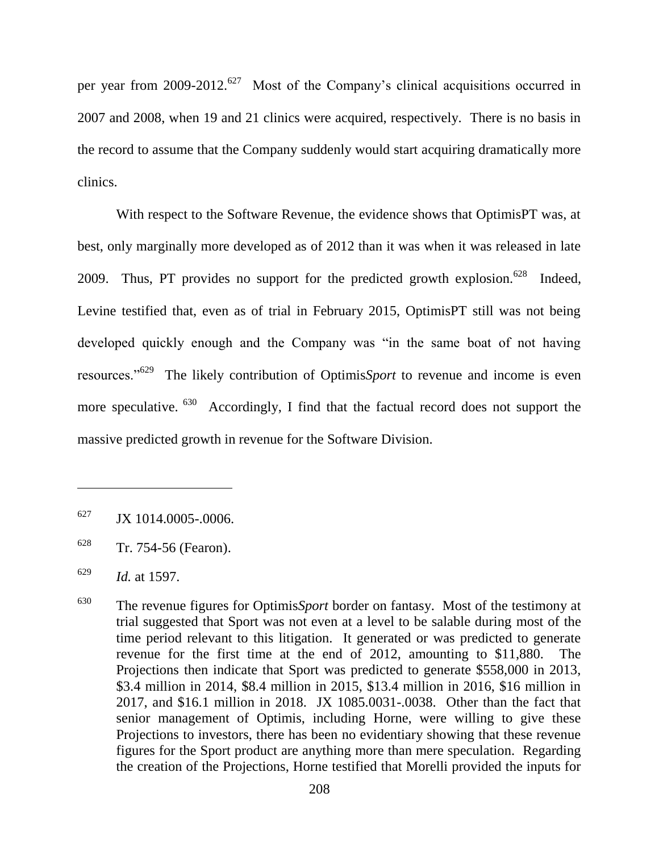per year from  $2009-2012$ .<sup>627</sup> Most of the Company's clinical acquisitions occurred in 2007 and 2008, when 19 and 21 clinics were acquired, respectively. There is no basis in the record to assume that the Company suddenly would start acquiring dramatically more clinics.

With respect to the Software Revenue, the evidence shows that OptimisPT was, at best, only marginally more developed as of 2012 than it was when it was released in late 2009. Thus, PT provides no support for the predicted growth explosion.<sup>628</sup> Indeed, Levine testified that, even as of trial in February 2015, OptimisPT still was not being developed quickly enough and the Company was "in the same boat of not having resources."<sup>629</sup> The likely contribution of Optimis*Sport* to revenue and income is even more speculative. <sup>630</sup> Accordingly, I find that the factual record does not support the massive predicted growth in revenue for the Software Division.

 $627$  JX 1014.0005-.0006.

<sup>628</sup> Tr. 754-56 (Fearon).

<sup>629</sup> *Id.* at 1597.

<sup>630</sup> The revenue figures for Optimis*Sport* border on fantasy. Most of the testimony at trial suggested that Sport was not even at a level to be salable during most of the time period relevant to this litigation. It generated or was predicted to generate revenue for the first time at the end of 2012, amounting to \$11,880. The Projections then indicate that Sport was predicted to generate \$558,000 in 2013, \$3.4 million in 2014, \$8.4 million in 2015, \$13.4 million in 2016, \$16 million in 2017, and \$16.1 million in 2018. JX 1085.0031-.0038. Other than the fact that senior management of Optimis, including Horne, were willing to give these Projections to investors, there has been no evidentiary showing that these revenue figures for the Sport product are anything more than mere speculation. Regarding the creation of the Projections, Horne testified that Morelli provided the inputs for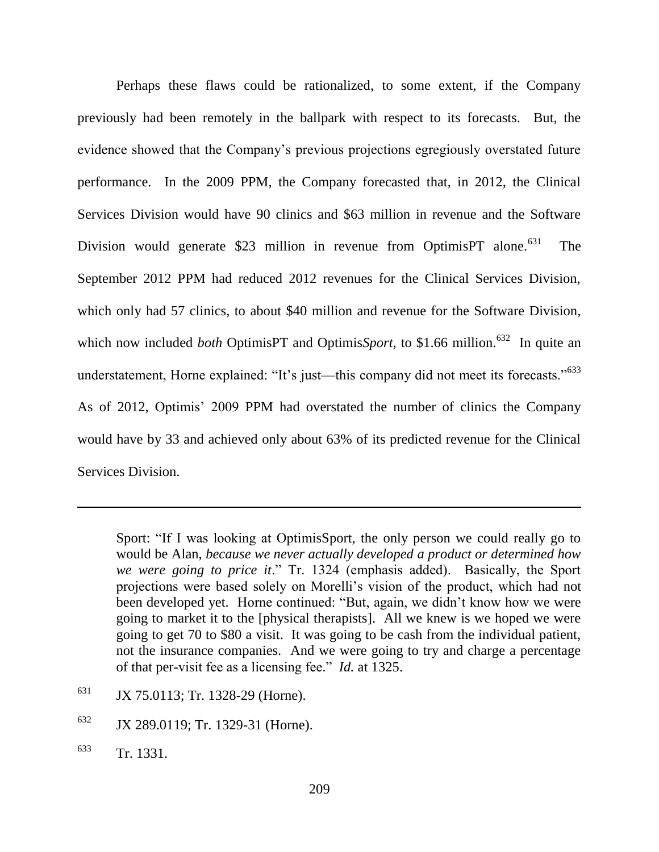Perhaps these flaws could be rationalized, to some extent, if the Company previously had been remotely in the ballpark with respect to its forecasts. But, the evidence showed that the Company's previous projections egregiously overstated future performance. In the 2009 PPM, the Company forecasted that, in 2012, the Clinical Services Division would have 90 clinics and \$63 million in revenue and the Software Division would generate \$23 million in revenue from OptimisPT alone.<sup>631</sup> The September 2012 PPM had reduced 2012 revenues for the Clinical Services Division, which only had 57 clinics, to about \$40 million and revenue for the Software Division, which now included *both* OptimisPT and Optimis*Sport*, to \$1.66 million.<sup>632</sup> In quite an understatement, Horne explained: "It's just—this company did not meet its forecasts." $633$ As of 2012, Optimis' 2009 PPM had overstated the number of clinics the Company would have by 33 and achieved only about 63% of its predicted revenue for the Clinical Services Division.

Sport: "If I was looking at OptimisSport, the only person we could really go to would be Alan, *because we never actually developed a product or determined how we were going to price it.*" Tr. 1324 (emphasis added). Basically, the Sport projections were based solely on Morelli's vision of the product, which had not been developed yet. Horne continued: "But, again, we didn't know how we were going to market it to the [physical therapists]. All we knew is we hoped we were going to get 70 to \$80 a visit. It was going to be cash from the individual patient, not the insurance companies. And we were going to try and charge a percentage of that per-visit fee as a licensing fee." *Id.* at 1325.

- <sup>631</sup> JX 75.0113; Tr. 1328-29 (Horne).
- <sup>632</sup> JX 289.0119; Tr. 1329-31 (Horne).
- <sup>633</sup> Tr. 1331.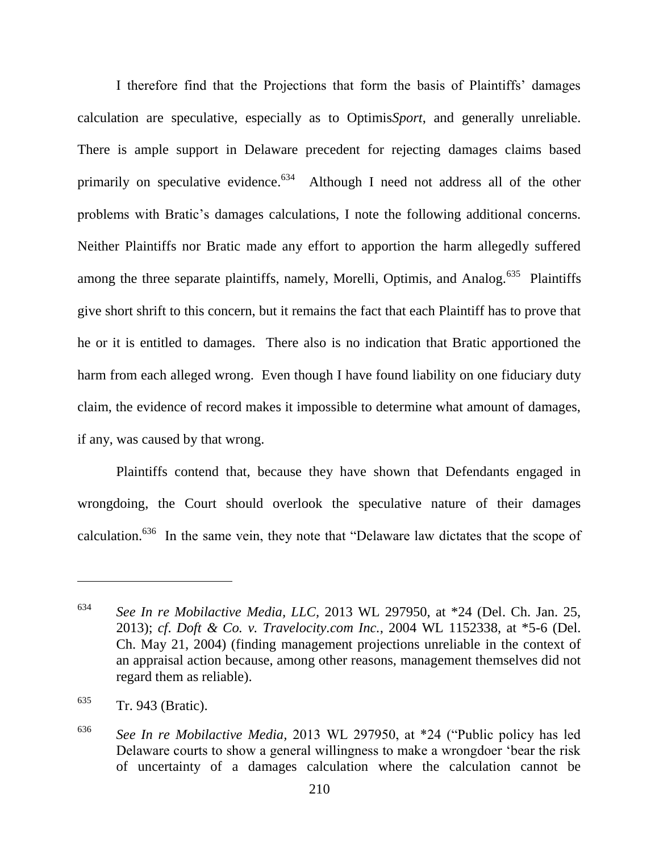I therefore find that the Projections that form the basis of Plaintiffs' damages calculation are speculative, especially as to Optimis*Sport*, and generally unreliable. There is ample support in Delaware precedent for rejecting damages claims based primarily on speculative evidence.<sup>634</sup> Although I need not address all of the other problems with Bratic's damages calculations, I note the following additional concerns. Neither Plaintiffs nor Bratic made any effort to apportion the harm allegedly suffered among the three separate plaintiffs, namely, Morelli, Optimis, and Analog.<sup>635</sup> Plaintiffs give short shrift to this concern, but it remains the fact that each Plaintiff has to prove that he or it is entitled to damages. There also is no indication that Bratic apportioned the harm from each alleged wrong. Even though I have found liability on one fiduciary duty claim, the evidence of record makes it impossible to determine what amount of damages, if any, was caused by that wrong.

Plaintiffs contend that, because they have shown that Defendants engaged in wrongdoing, the Court should overlook the speculative nature of their damages calculation.<sup>636</sup> In the same vein, they note that "Delaware law dictates that the scope of

<sup>634</sup> *See In re Mobilactive Media, LLC,* 2013 WL 297950, at \*24 (Del. Ch. Jan. 25, 2013); *cf*. *Doft & Co. v. Travelocity.com Inc.*, 2004 WL 1152338, at \*5-6 (Del. Ch. May 21, 2004) (finding management projections unreliable in the context of an appraisal action because, among other reasons, management themselves did not regard them as reliable).

<sup>635</sup> Tr. 943 (Bratic).

<sup>&</sup>lt;sup>636</sup> *See In re Mobilactive Media,* 2013 WL 297950, at \*24 ("Public policy has led Delaware courts to show a general willingness to make a wrongdoer 'bear the risk of uncertainty of a damages calculation where the calculation cannot be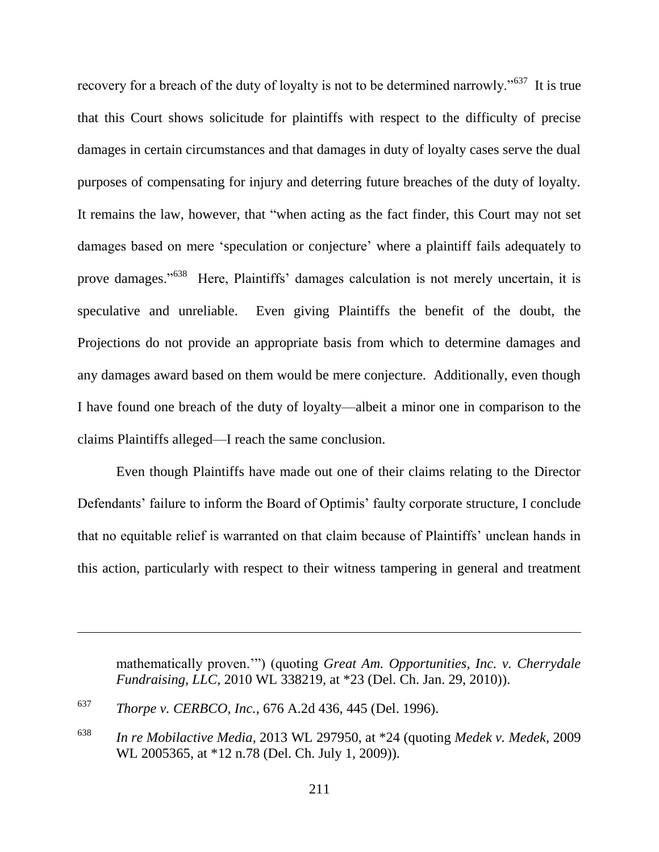recovery for a breach of the duty of loyalty is not to be determined narrowly."<sup>637</sup> It is true that this Court shows solicitude for plaintiffs with respect to the difficulty of precise damages in certain circumstances and that damages in duty of loyalty cases serve the dual purposes of compensating for injury and deterring future breaches of the duty of loyalty. It remains the law, however, that "when acting as the fact finder, this Court may not set damages based on mere 'speculation or conjecture' where a plaintiff fails adequately to prove damages."<sup>638</sup> Here, Plaintiffs' damages calculation is not merely uncertain, it is speculative and unreliable. Even giving Plaintiffs the benefit of the doubt, the Projections do not provide an appropriate basis from which to determine damages and any damages award based on them would be mere conjecture. Additionally, even though I have found one breach of the duty of loyalty—albeit a minor one in comparison to the claims Plaintiffs alleged—I reach the same conclusion.

Even though Plaintiffs have made out one of their claims relating to the Director Defendants' failure to inform the Board of Optimis' faulty corporate structure, I conclude that no equitable relief is warranted on that claim because of Plaintiffs' unclean hands in this action, particularly with respect to their witness tampering in general and treatment

mathematically proven."") (quoting *Great Am. Opportunities, Inc. v. Cherrydale Fundraising, LLC*, 2010 WL 338219, at \*23 (Del. Ch. Jan. 29, 2010)).

<sup>637</sup> *Thorpe v. CERBCO, Inc.*, 676 A.2d 436, 445 (Del. 1996).

<sup>638</sup> *In re Mobilactive Media*, 2013 WL 297950, at \*24 (quoting *Medek v. Medek*, 2009 WL 2005365, at \*12 n.78 (Del. Ch. July 1, 2009)).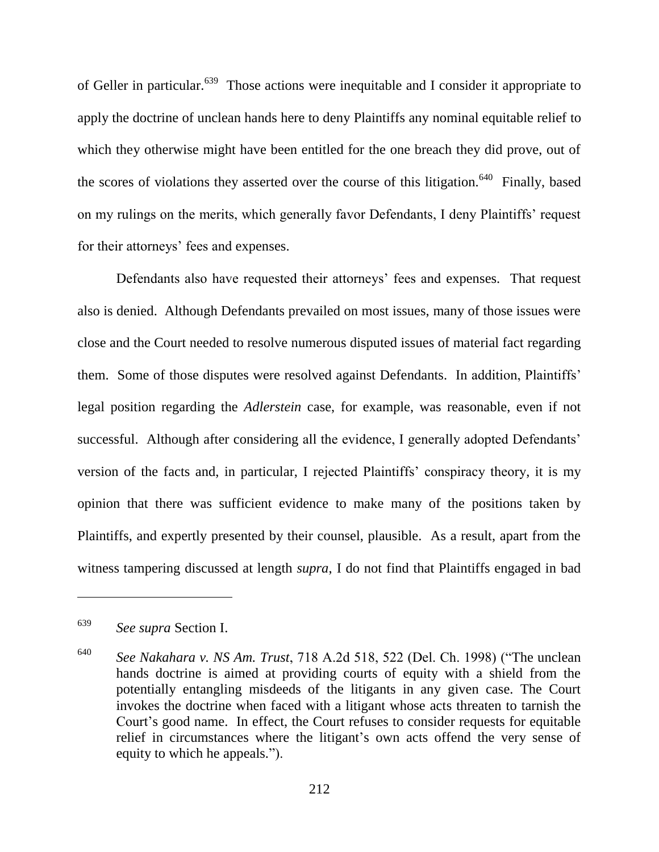of Geller in particular.<sup>639</sup> Those actions were inequitable and I consider it appropriate to apply the doctrine of unclean hands here to deny Plaintiffs any nominal equitable relief to which they otherwise might have been entitled for the one breach they did prove, out of the scores of violations they asserted over the course of this litigation.<sup>640</sup> Finally, based on my rulings on the merits, which generally favor Defendants, I deny Plaintiffs' request for their attorneys' fees and expenses.

Defendants also have requested their attorneys' fees and expenses. That request also is denied. Although Defendants prevailed on most issues, many of those issues were close and the Court needed to resolve numerous disputed issues of material fact regarding them. Some of those disputes were resolved against Defendants. In addition, Plaintiffs' legal position regarding the *Adlerstein* case, for example, was reasonable, even if not successful. Although after considering all the evidence, I generally adopted Defendants' version of the facts and, in particular, I rejected Plaintiffs' conspiracy theory, it is my opinion that there was sufficient evidence to make many of the positions taken by Plaintiffs, and expertly presented by their counsel, plausible. As a result, apart from the witness tampering discussed at length *supra*, I do not find that Plaintiffs engaged in bad

<sup>639</sup> *See supra* Section I.

<sup>&</sup>lt;sup>640</sup> *See Nakahara v. NS Am. Trust*, 718 A.2d 518, 522 (Del. Ch. 1998) ("The unclean hands doctrine is aimed at providing courts of equity with a shield from the potentially entangling misdeeds of the litigants in any given case. The Court invokes the doctrine when faced with a litigant whose acts threaten to tarnish the Court's good name. In effect, the Court refuses to consider requests for equitable relief in circumstances where the litigant's own acts offend the very sense of equity to which he appeals.").